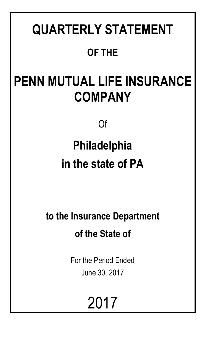# **QUARTERLY STATEMENT OF THE**

# **PENN MUTUAL LIFE INSURANCE COMPANY**

Of

# **Philadelphia in the state of PA**

**to the Insurance Department of the State of**

> For the Period Ended June 30, 2017

> > 2017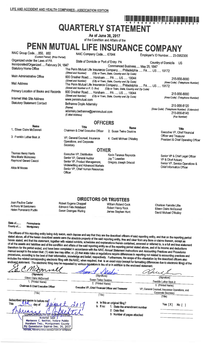# **QUARTERLY STATEMENT**

As of June 30, 2017 of the Condition and Affairs of the

PENN MUTUAL LIFE INSURANCE COMPANY

| NAIC Group Code850, 850<br>(Current Period) (Prior Period)               | NAIC Company Code 67644                                                                                                                                                   |                                             | Employer's ID Number, 23-0952300                             |  |  |  |
|--------------------------------------------------------------------------|---------------------------------------------------------------------------------------------------------------------------------------------------------------------------|---------------------------------------------|--------------------------------------------------------------|--|--|--|
| Organized under the Laws of PA                                           | State of Domicile or Port of Entry PA                                                                                                                                     |                                             | <b>Country of Domicile</b><br>US.                            |  |  |  |
| Incorporated/Organized February 24, 1847<br><b>Statutory Home Office</b> |                                                                                                                                                                           | Commenced Business May 25, 1847             |                                                              |  |  |  |
|                                                                          | The Penn Mutual Life Insurance Company Philadelphia  PA  US  19172<br>(Street and Number)                                                                                 | (City or Town, State, Country and Zip Code) |                                                              |  |  |  |
| Main Administrative Office                                               | 600 Dresher Road Horsham  PA  US  19044                                                                                                                                   |                                             | 215-956-8000                                                 |  |  |  |
| Mail Address                                                             | (Street and Number)<br>The Penn Mutual Life Insurance Company Philadelphia  PA  US  19172<br>(Street and Number or P. O. Box) (City or Town, State, Country and Zip Code) | (City or Town, State, Country and Zip Code) | (Area Code) (Telephone Number)                               |  |  |  |
| Primary Location of Books and Records                                    | 600 Dresher Road Horsham  PA  US  19044                                                                                                                                   |                                             | 215-956-8000                                                 |  |  |  |
| Internet Web Site Address                                                | (Street and Number)<br>www.pennmutual.com                                                                                                                                 | (City or Town, State, Country and Zip Code) | (Area Code) (Telephone Number)                               |  |  |  |
| <b>Statutory Statement Contact</b>                                       | Bethanne Doyle Adamsky<br>(Name)                                                                                                                                          |                                             | 215-956-8120                                                 |  |  |  |
|                                                                          | adamsky.bethanne@pennmutual.com<br>(E-Mail Address)                                                                                                                       |                                             | (Area Code) (Telephone Number) (Extension)<br>215-956-8145   |  |  |  |
|                                                                          |                                                                                                                                                                           |                                             | (Fax Number)                                                 |  |  |  |
|                                                                          | <b>OFFICERS</b>                                                                                                                                                           |                                             |                                                              |  |  |  |
| <b>Name</b><br>1. Eileen Claire McDonnell                                | <b>Title</b>                                                                                                                                                              | <b>Name</b>                                 | <b>Title</b>                                                 |  |  |  |
|                                                                          | Chairman & Chief Executive Officer                                                                                                                                        | 2. Susan Twine Deakins                      | Executive VP, Chief Financial                                |  |  |  |
| 3. Franklin Luther Best Jr.                                              | VP, General Counsel, Insurance<br>Operations, and Corporate<br>Secretary                                                                                                  | 4. David Michael O'Malley                   | Officer and Treasurer<br>President & Chief Operating Officer |  |  |  |
| <b>OTHER</b>                                                             |                                                                                                                                                                           |                                             |                                                              |  |  |  |

Thomas Henry Harris Nina Marie Mulrooney Raymond Gerard Caucci

Alida M Moose

Executive VP, Distribution Senior VP, General Auditor Senior VP, Product Management, Underwriting and Advanced Markets Senior VP, Chief Human Resources Officer

Robert Eugene Chappell

**Edmond Felix Notebaert** 

Susan Doenges Waring

Kevin Terance Reynolds Jay T Lewellen Gregory Joseph Driscoll

William Roland Cook

Robert Henry Rock

James Stephen Hunt

#### Senior VP & Chief Legal Officer VP & Chief Actuary Senior VP, Service Operations & Chief Information Officer

Charisse Ranielle Lillie

Eileen Claire McDonnell

David Michael O'Malley

Joan Pauline Carter Anthony M Santomero Helen Pomerantz Pudlin

State of... Pennsylvania County of..... Montgomery

The officers of this reporting entity being duly swom, each depose and say that they are the described officers of said reporting entity, and that on the reporting period stated above, all of the herein described assets were the absolute property of the said reporting entity, free and clear from any liens or claims thereon, except as herein stated, and that this statement, together with related exhibits, schedules and explanations therein contained, annexed or referred to, is a full and true statement of all the assets and liabilities and of the condition and affairs of the said reporting entity as of the reporting period stated above, and of its income and deductions therefrom for the period ended, and have been completed in accordance with the NAIC Annual Statement Instructions and Accounting Practices and Procedures manual except to the extent that: (1) state law may differ; or, (2) that state rules or regulations require differences in reporting not related to accounting practices and procedures, according to the best of their information, knowledge and belief, respectively. Furthermore, the scope of this attestation by the described officers also includes the related corresponding electronic filing with the NAIC, when required, that is an exact copy (except for formatting differences due to electronic filing) of the enclosed statement. The electronic filing may be requested by various regulators in lieu of or in addition to the enclosed statement.

**DIRECTORS OR TRUSTEES** 

| (Signature)<br>Eileen Claire McDonnell<br>1. (Printed Name)<br>Chairman & Chief Executive Officer<br>(Title)                                                                                                                                                                                           | (Signature)<br><b>Susan Twine Deakins</b><br>2. (Printed Name)<br>Executive VP, Chief Financial Officer and Treasurer<br>(Title) | (Signature)<br>Franklin Luther Best Jr.<br>3. (Printed Name)<br>VP, General Counsel, Insurance Operations, and<br><b>Corporate Secretary</b><br>(Title) |  |  |
|--------------------------------------------------------------------------------------------------------------------------------------------------------------------------------------------------------------------------------------------------------------------------------------------------------|----------------------------------------------------------------------------------------------------------------------------------|---------------------------------------------------------------------------------------------------------------------------------------------------------|--|--|
| Subscribed and sworn to before me/<br><b>This</b><br>Maria<br>day of<br><b>COMM</b><br>EALTH OF PENNSTEVANIA<br>Notarial Seal /<br>Marlanne C. Bechtel, Notary Public<br>Horsham Twp., Montgomery County<br>My Commission Expires Dec. 26, 2017<br><b>MIMBER, PENNSYLVANIA ASSOCIATION OF NOTSRIES</b> | a. Is this an original filing?<br>$b.$ If $no:$<br>1. State the amendment number<br>2. Date filed<br>3. Number of pages attached | Yes $[X]$<br>No [                                                                                                                                       |  |  |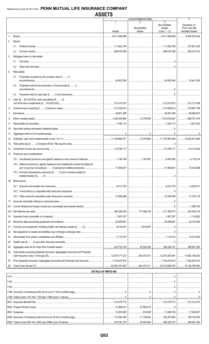| c<br>/2١<br>.,<br>o | ו אכ |
|---------------------|------|
|                     |      |

|      |                                                                               | 1                           | <b>Current Statement Date</b> |                                                                                                                                                                                                                                                                                                                                                                                                                                                                                                                                             | 4                                                       |
|------|-------------------------------------------------------------------------------|-----------------------------|-------------------------------|---------------------------------------------------------------------------------------------------------------------------------------------------------------------------------------------------------------------------------------------------------------------------------------------------------------------------------------------------------------------------------------------------------------------------------------------------------------------------------------------------------------------------------------------|---------------------------------------------------------|
|      |                                                                               | Assets                      | Nonadmitted<br>Assets         | 3<br>Net Admitted<br>Assets<br>$(Cols. 1 - 2)$                                                                                                                                                                                                                                                                                                                                                                                                                                                                                              | December 31<br>Prior Year Net<br><b>Admitted Assets</b> |
| 1.   |                                                                               | 3,411,564,699               |                               | 1.11, 1.564, 699                                                                                                                                                                                                                                                                                                                                                                                                                                                                                                                            | 8,629,523,344                                           |
| 2.   | Stocks:                                                                       |                             |                               |                                                                                                                                                                                                                                                                                                                                                                                                                                                                                                                                             |                                                         |
|      | 2.1                                                                           |                             |                               | 111,852,748   107,951,535                                                                                                                                                                                                                                                                                                                                                                                                                                                                                                                   |                                                         |
|      | $2.2^{\circ}$                                                                 |                             |                               |                                                                                                                                                                                                                                                                                                                                                                                                                                                                                                                                             |                                                         |
| 3.   | Mortgage loans on real estate:                                                |                             |                               |                                                                                                                                                                                                                                                                                                                                                                                                                                                                                                                                             |                                                         |
|      | 3.1                                                                           |                             |                               |                                                                                                                                                                                                                                                                                                                                                                                                                                                                                                                                             |                                                         |
|      | 3.2                                                                           |                             |                               | $\fbox{ \begin{minipage}{0.9\linewidth} \begin{tabular}{@{}c@{}} \hline \multicolumn{3}{@{}}{\quad \quad \quad \quad } & \multicolumn{3}{@{}}{\quad \quad \quad } \\ \multicolumn{3}{@{}}{\quad \quad \quad } & \multicolumn{3}{@{}}{\quad \quad \quad } \\ \multicolumn{3}{@{}}{\quad \quad \quad } & \multicolumn{3}{@{}}{\quad \quad \quad } \\ \multicolumn{3}{@{}}{\quad \quad \quad } & \multicolumn{3}{@{}}{\quad \quad \quad } \\ \multicolumn{3}{@{}}{\quad \quad } & \multicolumn{3}{@{}}{\quad \quad } & \multicolumn{3}{@{}}{\$ |                                                         |
| 4.   | Real estate:                                                                  |                             |                               |                                                                                                                                                                                                                                                                                                                                                                                                                                                                                                                                             |                                                         |
|      | Properties occupied by the company (less \$0<br>4.1                           |                             |                               |                                                                                                                                                                                                                                                                                                                                                                                                                                                                                                                                             |                                                         |
|      | Properties held for the production of income (less \$0<br>4.2                 |                             |                               |                                                                                                                                                                                                                                                                                                                                                                                                                                                                                                                                             |                                                         |
|      | 4.3                                                                           |                             |                               | $\begin{picture}(20,10) \put(0,0){\vector(1,0){10}} \put(15,0){\vector(1,0){10}} \put(15,0){\vector(1,0){10}} \put(15,0){\vector(1,0){10}} \put(15,0){\vector(1,0){10}} \put(15,0){\vector(1,0){10}} \put(15,0){\vector(1,0){10}} \put(15,0){\vector(1,0){10}} \put(15,0){\vector(1,0){10}} \put(15,0){\vector(1,0){10}} \put(15,0){\vector(1,0){10}} \put(15,0){\vector(1$                                                                                                                                                                 |                                                         |
| 5.   | Cash (\$58,140,879), cash equivalents (\$0)                                   |                             |                               |                                                                                                                                                                                                                                                                                                                                                                                                                                                                                                                                             |                                                         |
|      |                                                                               |                             |                               |                                                                                                                                                                                                                                                                                                                                                                                                                                                                                                                                             |                                                         |
| 6.   |                                                                               |                             |                               |                                                                                                                                                                                                                                                                                                                                                                                                                                                                                                                                             |                                                         |
| 7.   |                                                                               |                             |                               |                                                                                                                                                                                                                                                                                                                                                                                                                                                                                                                                             |                                                         |
| 8.   |                                                                               |                             |                               |                                                                                                                                                                                                                                                                                                                                                                                                                                                                                                                                             |                                                         |
| 9.   |                                                                               |                             |                               |                                                                                                                                                                                                                                                                                                                                                                                                                                                                                                                                             |                                                         |
| 10.  |                                                                               |                             |                               |                                                                                                                                                                                                                                                                                                                                                                                                                                                                                                                                             |                                                         |
| 11.  |                                                                               |                             |                               |                                                                                                                                                                                                                                                                                                                                                                                                                                                                                                                                             |                                                         |
| 12.  |                                                                               |                             |                               |                                                                                                                                                                                                                                                                                                                                                                                                                                                                                                                                             |                                                         |
| 13.  |                                                                               |                             |                               |                                                                                                                                                                                                                                                                                                                                                                                                                                                                                                                                             |                                                         |
| 14.  |                                                                               |                             |                               |                                                                                                                                                                                                                                                                                                                                                                                                                                                                                                                                             |                                                         |
| 15.  | Premiums and considerations:                                                  |                             |                               |                                                                                                                                                                                                                                                                                                                                                                                                                                                                                                                                             |                                                         |
|      |                                                                               |                             |                               |                                                                                                                                                                                                                                                                                                                                                                                                                                                                                                                                             |                                                         |
|      | 15.2 Deferred premiums, agents' balances and installments booked but deferred |                             |                               |                                                                                                                                                                                                                                                                                                                                                                                                                                                                                                                                             |                                                         |
|      | 15.3 Accrued retrospective premiums (\$0) and contracts subject to            |                             |                               |                                                                                                                                                                                                                                                                                                                                                                                                                                                                                                                                             |                                                         |
|      |                                                                               |                             |                               |                                                                                                                                                                                                                                                                                                                                                                                                                                                                                                                                             |                                                         |
| 16.  | Reinsurance:                                                                  |                             |                               |                                                                                                                                                                                                                                                                                                                                                                                                                                                                                                                                             |                                                         |
|      |                                                                               |                             |                               |                                                                                                                                                                                                                                                                                                                                                                                                                                                                                                                                             |                                                         |
|      |                                                                               |                             |                               |                                                                                                                                                                                                                                                                                                                                                                                                                                                                                                                                             |                                                         |
|      |                                                                               |                             |                               |                                                                                                                                                                                                                                                                                                                                                                                                                                                                                                                                             |                                                         |
| 17.  |                                                                               |                             |                               |                                                                                                                                                                                                                                                                                                                                                                                                                                                                                                                                             |                                                         |
| 18.1 |                                                                               |                             |                               |                                                                                                                                                                                                                                                                                                                                                                                                                                                                                                                                             |                                                         |
| 18.2 |                                                                               |                             |                               |                                                                                                                                                                                                                                                                                                                                                                                                                                                                                                                                             |                                                         |
| 19.  |                                                                               |                             |                               |                                                                                                                                                                                                                                                                                                                                                                                                                                                                                                                                             | 1,119,582                                               |
| 20.  |                                                                               |                             |                               |                                                                                                                                                                                                                                                                                                                                                                                                                                                                                                                                             |                                                         |
| 21.  |                                                                               |                             |                               |                                                                                                                                                                                                                                                                                                                                                                                                                                                                                                                                             |                                                         |
| 22.  |                                                                               |                             |                               |                                                                                                                                                                                                                                                                                                                                                                                                                                                                                                                                             |                                                         |
| 23.  |                                                                               |                             |                               |                                                                                                                                                                                                                                                                                                                                                                                                                                                                                                                                             |                                                         |
| 24.  |                                                                               |                             |                               |                                                                                                                                                                                                                                                                                                                                                                                                                                                                                                                                             |                                                         |
| 25.  |                                                                               |                             |                               |                                                                                                                                                                                                                                                                                                                                                                                                                                                                                                                                             |                                                         |
| 26.  | Total assets excluding Separate Accounts, Segregated Accounts and Protected   |                             |                               |                                                                                                                                                                                                                                                                                                                                                                                                                                                                                                                                             |                                                         |
| 27.  |                                                                               |                             |                               |                                                                                                                                                                                                                                                                                                                                                                                                                                                                                                                                             |                                                         |
| 28.  |                                                                               |                             |                               |                                                                                                                                                                                                                                                                                                                                                                                                                                                                                                                                             |                                                         |
|      |                                                                               | <b>DETAILS OF WRITE-INS</b> |                               |                                                                                                                                                                                                                                                                                                                                                                                                                                                                                                                                             |                                                         |
|      |                                                                               |                             |                               | $\begin{array}{c c} \hline \rule{0.2cm}{0.15mm} \rule{0.2cm}{0.15mm} \rule{0.2cm}{0.15mm} \rule{0.2cm}{0.15mm} \rule{0.2cm}{0.15mm} \rule{0.2cm}{0.15mm} \rule{0.2cm}{0.15mm} \rule{0.2cm}{0.15mm} \rule{0.2cm}{0.15mm} \rule{0.2cm}{0.15mm} \rule{0.2cm}{0.15mm} \rule{0.2cm}{0.15mm} \rule{0.2cm}{0.15mm} \rule{0.2cm}{0.15mm} \rule{0.2cm}{0.15$                                                                                                                                                                                         |                                                         |
|      |                                                                               |                             |                               |                                                                                                                                                                                                                                                                                                                                                                                                                                                                                                                                             |                                                         |
|      |                                                                               |                             |                               |                                                                                                                                                                                                                                                                                                                                                                                                                                                                                                                                             |                                                         |
|      |                                                                               |                             |                               |                                                                                                                                                                                                                                                                                                                                                                                                                                                                                                                                             |                                                         |
|      |                                                                               |                             |                               |                                                                                                                                                                                                                                                                                                                                                                                                                                                                                                                                             |                                                         |
|      |                                                                               |                             |                               |                                                                                                                                                                                                                                                                                                                                                                                                                                                                                                                                             |                                                         |
|      |                                                                               |                             |                               |                                                                                                                                                                                                                                                                                                                                                                                                                                                                                                                                             |                                                         |
|      |                                                                               |                             | 533,659 11,489,726 17,059,027 |                                                                                                                                                                                                                                                                                                                                                                                                                                                                                                                                             |                                                         |
|      |                                                                               |                             |                               |                                                                                                                                                                                                                                                                                                                                                                                                                                                                                                                                             |                                                         |
|      |                                                                               |                             |                               |                                                                                                                                                                                                                                                                                                                                                                                                                                                                                                                                             |                                                         |
|      |                                                                               |                             |                               |                                                                                                                                                                                                                                                                                                                                                                                                                                                                                                                                             |                                                         |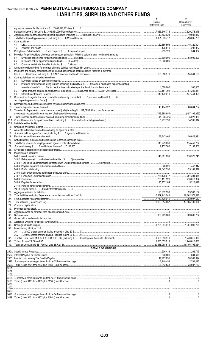## Statement as of June 30, 2017 of the PENN MUTUAL LIFE INSURANCE COMPANY **LIABILITIES, SURPLUS AND OTHER FUNDS**

|             |                                                                                                                       | $\mathbf{1}$<br>Current<br><b>Statement Date</b> | $\overline{2}$<br>December 31<br>Prior Year |
|-------------|-----------------------------------------------------------------------------------------------------------------------|--------------------------------------------------|---------------------------------------------|
| 1.          | Aggregate reserve for life contracts \$7,865,546,773 less \$0                                                         |                                                  |                                             |
| 2.          |                                                                                                                       |                                                  |                                             |
| 3.          |                                                                                                                       | 1,301,663,717                                    | 796,695,755                                 |
| 4.          | Contract claims:                                                                                                      |                                                  |                                             |
|             | 4.1<br>4.2                                                                                                            | 52,856,594                                       | 45,320,001                                  |
| 5.          |                                                                                                                       |                                                  | 304,007                                     |
| 6.          | Provision for policyholders' dividends and coupons payable in following calendar year - estimated amounts:            |                                                  |                                             |
|             | 6.1                                                                                                                   |                                                  |                                             |
|             | 6.2<br>6.3                                                                                                            |                                                  |                                             |
| 7.          |                                                                                                                       |                                                  |                                             |
| 8.          | Premiums and annuity considerations for life and accident and health contracts received in advance                    |                                                  |                                             |
| 9.          | Contract liabilities not included elsewhere:                                                                          |                                                  |                                             |
|             | 9.1                                                                                                                   |                                                  |                                             |
|             | Provision for experience rating refunds, including the liability of \$ O accident and health experience rating<br>9.2 |                                                  |                                             |
|             |                                                                                                                       |                                                  |                                             |
|             | 9.3<br>9.4                                                                                                            |                                                  |                                             |
| 10.         | Commissions to agents due or accrued - life and annuity contracts \$0, accident and health \$0                        |                                                  |                                             |
|             |                                                                                                                       |                                                  |                                             |
| 11.         |                                                                                                                       |                                                  |                                             |
| 12.<br>13.  | Transfers to Separate Accounts due or accrued (net) (including \$149,385,651 accrued for expense                      |                                                  |                                             |
|             |                                                                                                                       |                                                  |                                             |
| 14.         |                                                                                                                       |                                                  |                                             |
| 15.1        |                                                                                                                       |                                                  |                                             |
| 15.2<br>16. |                                                                                                                       |                                                  |                                             |
| 17.         |                                                                                                                       |                                                  |                                             |
| 18.         |                                                                                                                       |                                                  |                                             |
| 19.<br>20.  |                                                                                                                       |                                                  |                                             |
| 21.         |                                                                                                                       |                                                  |                                             |
| 22.         |                                                                                                                       |                                                  |                                             |
| 23.<br>24.  | Miscellaneous liabilities:                                                                                            |                                                  |                                             |
|             |                                                                                                                       |                                                  |                                             |
|             |                                                                                                                       |                                                  |                                             |
|             |                                                                                                                       |                                                  |                                             |
|             |                                                                                                                       |                                                  |                                             |
|             |                                                                                                                       |                                                  |                                             |
|             |                                                                                                                       | 738,178,647                                      |                                             |
|             |                                                                                                                       |                                                  | 216,017,394                                 |
|             |                                                                                                                       |                                                  | 5,218,422                                   |
|             |                                                                                                                       |                                                  |                                             |
| 25.         |                                                                                                                       |                                                  | 23,987,162                                  |
| 26.<br>27.  |                                                                                                                       |                                                  | 10,062,573,312                              |
| 28.         |                                                                                                                       |                                                  | 17,365,180,924                              |
| 29.         |                                                                                                                       |                                                  |                                             |
| 30.         |                                                                                                                       |                                                  |                                             |
| 31.<br>32.  |                                                                                                                       |                                                  |                                             |
| 33.         |                                                                                                                       |                                                  |                                             |
| 34.         |                                                                                                                       |                                                  |                                             |
| 35.<br>36.  | Less treasury stock, at cost:                                                                                         | 1,295,944,918   1,351,009,798                    |                                             |
|             |                                                                                                                       |                                                  |                                             |
|             |                                                                                                                       |                                                  |                                             |
| 37.         |                                                                                                                       |                                                  |                                             |
| 38.<br>39.  |                                                                                                                       |                                                  | 19,105,796,954                              |
|             | <b>DETAILS OF WRITE-INS</b>                                                                                           |                                                  |                                             |
|             |                                                                                                                       | 206,436                                          |                                             |
|             |                                                                                                                       | 548,809                                          |                                             |
|             |                                                                                                                       |                                                  | 20,362,324<br>2,784,425                     |
|             |                                                                                                                       |                                                  |                                             |
|             |                                                                                                                       |                                                  |                                             |
|             |                                                                                                                       |                                                  |                                             |
|             |                                                                                                                       |                                                  |                                             |
|             |                                                                                                                       |                                                  |                                             |
|             |                                                                                                                       |                                                  |                                             |
|             |                                                                                                                       |                                                  |                                             |
|             |                                                                                                                       |                                                  |                                             |
|             |                                                                                                                       |                                                  |                                             |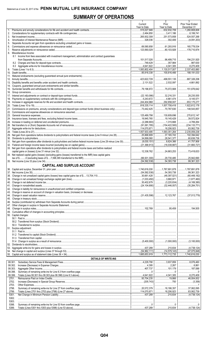# **SUMMARY OF OPERATIONS**

|    |                                                                                                              | Current              | 2<br>Prior            | 3<br>Prior Year Ended |
|----|--------------------------------------------------------------------------------------------------------------|----------------------|-----------------------|-----------------------|
|    |                                                                                                              | Year to Date         | Year to Date          | December 31           |
| 1. |                                                                                                              | $1.1$ 515,027,946    | 632,932,709<br>.      | 1,260,808,606         |
| 2. |                                                                                                              |                      | 3,411,186             | 8.199.741             |
| 3. |                                                                                                              | $\ldots$ 265,932,308 | 251,573,858<br>.      | .524,557,268          |
|    |                                                                                                              |                      | 302.406               |                       |
| 5. |                                                                                                              |                      |                       |                       |
| 6. |                                                                                                              |                      | $\ldots$ 61,293,916   | 165,778,534           |
| 7. |                                                                                                              | 123,560.029          | .80,103,928           | $\ldots$ 178,710,974  |
|    | 8. Miscellaneous Income:                                                                                     |                      |                       |                       |
|    | 8.1 Income from fees associated with investment management, administration and contract guarantees           |                      |                       |                       |
|    |                                                                                                              | 101,517,026          | 96,499,715            | 194,231,920           |
|    |                                                                                                              |                      | 357,984               | 987,630               |
|    |                                                                                                              | 4,641,922            | 1, 305                | $\ldots$ 8,270,409    |
|    |                                                                                                              | 1.083.802.404        | 1,130,517,007         | 1.111122337453880     |
|    |                                                                                                              |                      | 100,816,466           | 188,191,033           |
|    |                                                                                                              |                      |                       |                       |
|    |                                                                                                              |                      | 499,551,135           | 887,326,206           |
|    |                                                                                                              |                      | $\ldots$ 2.532.097    | 1.1.1.1.1.4.661.892   |
|    |                                                                                                              |                      |                       |                       |
|    |                                                                                                              |                      |                       |                       |
|    |                                                                                                              |                      |                       |                       |
|    |                                                                                                              |                      |                       | 28,235,555            |
|    |                                                                                                              |                      | 4,661,474             | 9,145,571             |
|    |                                                                                                              | 244,404,968          | 292,858,007           | $\ldots$ 653,175,277  |
|    |                                                                                                              |                      |                       | 1.922.612.178         |
|    |                                                                                                              |                      |                       |                       |
|    |                                                                                                              |                      |                       |                       |
|    |                                                                                                              | 125,489,798          | 130,609,696           | 270,612,147           |
|    |                                                                                                              |                      | 19.145.429            | $1$ 39,572,824        |
|    |                                                                                                              |                      |                       |                       |
|    |                                                                                                              |                      |                       |                       |
|    |                                                                                                              |                      |                       | 83,062,739            |
|    |                                                                                                              |                      | 1,093,351,264         | 2,235,059,238         |
|    |                                                                                                              |                      | 37,165,743            |                       |
|    |                                                                                                              |                      | 28,541,377            | 60,636,736            |
|    |                                                                                                              |                      | 8,624,366             | 41,757,906<br>.       |
|    |                                                                                                              |                      | $\ldots$ (16,038,887) | $\ldots$ (31,660,727) |
|    | 33. Net gain from operations after dividends to policyholders and federal income taxes and before realized   |                      |                       |                       |
|    |                                                                                                              |                      | 24,663,253<br>.       |                       |
|    | 34. Net realized capital gains (losses) (excluding gains (losses) transferred to the IMR) less capital gains |                      |                       |                       |
|    |                                                                                                              |                      | 29,730,485            | 25,942,690<br>.       |
|    |                                                                                                              | (54.592.538)<br>.    | .54,393,738<br>.      | .99,361,323           |
|    | <b>CAPITAL AND SURPLUS ACCOUNT</b>                                                                           |                      |                       |                       |
|    |                                                                                                              |                      |                       |                       |
|    |                                                                                                              |                      |                       |                       |
|    |                                                                                                              |                      |                       |                       |
|    |                                                                                                              |                      |                       |                       |
|    |                                                                                                              |                      |                       |                       |
|    |                                                                                                              |                      |                       |                       |
|    |                                                                                                              |                      |                       |                       |
|    |                                                                                                              |                      |                       |                       |
|    |                                                                                                              |                      |                       |                       |
|    |                                                                                                              |                      |                       |                       |
|    |                                                                                                              |                      |                       |                       |
|    |                                                                                                              |                      |                       |                       |
|    |                                                                                                              |                      |                       |                       |
|    |                                                                                                              |                      |                       |                       |
|    |                                                                                                              |                      |                       |                       |
|    | 50. Capital changes:                                                                                         |                      |                       |                       |
|    |                                                                                                              |                      |                       |                       |
|    |                                                                                                              |                      |                       |                       |
|    |                                                                                                              |                      |                       |                       |
|    | 51. Surplus adjustment:                                                                                      |                      |                       |                       |
|    |                                                                                                              |                      |                       |                       |
|    |                                                                                                              |                      |                       |                       |
|    |                                                                                                              |                      |                       |                       |
|    |                                                                                                              |                      |                       |                       |
|    |                                                                                                              |                      |                       |                       |
|    |                                                                                                              |                      |                       |                       |
|    |                                                                                                              |                      |                       |                       |
|    |                                                                                                              |                      |                       |                       |
|    |                                                                                                              |                      |                       |                       |
|    | DETAILS OF WRITE-INS<br>08.301.                                                                              |                      |                       |                       |
|    | 08.302.                                                                                                      |                      |                       |                       |
|    | 08.303.                                                                                                      |                      |                       |                       |
|    | 08.398                                                                                                       |                      |                       |                       |
|    | 08.399.                                                                                                      |                      |                       |                       |
|    | 2701.                                                                                                        |                      |                       |                       |
|    | 2702.                                                                                                        |                      |                       |                       |
|    | 2703.                                                                                                        |                      |                       |                       |
|    | 2798.                                                                                                        |                      |                       |                       |
|    | 2799.                                                                                                        |                      |                       |                       |
|    | 5301.                                                                                                        |                      |                       |                       |
|    | 5302.                                                                                                        |                      |                       |                       |
|    | 5303.                                                                                                        |                      |                       |                       |
|    | 5398.<br>5399.                                                                                               |                      |                       |                       |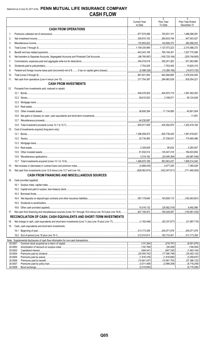|                    |                                                                                    | $\mathbf{1}$<br><b>Current Year</b> | $\overline{2}$<br>Prior Year       | $\overline{3}$<br>Prior Year Ended |
|--------------------|------------------------------------------------------------------------------------|-------------------------------------|------------------------------------|------------------------------------|
|                    | <b>CASH FROM OPERATIONS</b>                                                        | to Date                             | To Date                            | December 31                        |
| 1.                 |                                                                                    | 677,570,066                         |                                    |                                    |
| 2.                 |                                                                                    |                                     |                                    |                                    |
| 3.                 |                                                                                    |                                     |                                    |                                    |
| 4.                 |                                                                                    |                                     |                                    |                                    |
| 5.                 |                                                                                    |                                     |                                    |                                    |
| 6.                 |                                                                                    |                                     |                                    |                                    |
| 7.                 |                                                                                    |                                     | $\ldots$ 250,241,263 531,563,980   |                                    |
| 8.                 |                                                                                    |                                     |                                    |                                    |
| 9.                 |                                                                                    |                                     |                                    |                                    |
| 10.                |                                                                                    |                                     | 342,089,685                        | 1,479,534,050                      |
| 11.                |                                                                                    |                                     | 284,983,538 835,554,221            |                                    |
|                    | <b>CASH FROM INVESTMENTS</b>                                                       |                                     |                                    |                                    |
| 12.                | Proceeds from investments sold, matured or repaid:                                 |                                     |                                    |                                    |
|                    |                                                                                    |                                     |                                    |                                    |
|                    |                                                                                    |                                     | $\dots$ 59,124,026                 |                                    |
|                    |                                                                                    |                                     |                                    |                                    |
|                    | 12.4                                                                               |                                     |                                    |                                    |
|                    | 12.5                                                                               |                                     |                                    |                                    |
|                    | 12.6                                                                               |                                     |                                    |                                    |
|                    | 12.7                                                                               |                                     |                                    |                                    |
|                    | 12.8                                                                               |                                     | $\ldots$ 425,292,870 1,202,419,164 |                                    |
| 13.                | Cost of investments acquired (long-term only):                                     |                                     |                                    |                                    |
|                    | 13.1                                                                               |                                     | $\ldots$ 820,736,420 1,581,818,821 |                                    |
|                    |                                                                                    |                                     |                                    |                                    |
|                    |                                                                                    |                                     |                                    |                                    |
|                    | 13.4                                                                               |                                     | 90,932   5,283,927                 |                                    |
|                    | 13.5                                                                               |                                     | 125,447,418   184,833,854          |                                    |
|                    | 13.6                                                                               |                                     |                                    |                                    |
|                    |                                                                                    |                                     |                                    |                                    |
| 14.                |                                                                                    |                                     |                                    |                                    |
|                    |                                                                                    |                                     |                                    |                                    |
|                    | <b>CASH FROM FINANCING AND MISCELLANEOUS SOURCES</b>                               |                                     |                                    |                                    |
|                    |                                                                                    |                                     |                                    |                                    |
| 16.                | Cash provided (applied):                                                           |                                     |                                    |                                    |
|                    |                                                                                    |                                     |                                    |                                    |
|                    |                                                                                    |                                     |                                    |                                    |
|                    |                                                                                    |                                     |                                    |                                    |
|                    | 16.4                                                                               |                                     |                                    |                                    |
|                    | 16.5                                                                               |                                     |                                    |                                    |
|                    | 16.6                                                                               |                                     |                                    |                                    |
| 17.                |                                                                                    |                                     | 165,026,597                        |                                    |
|                    | RECONCILIATION OF CASH, CASH EQUIVALENTS AND SHORT-TERM INVESTMENTS                |                                     |                                    |                                    |
| 18.                |                                                                                    |                                     |                                    |                                    |
| 19.                | Cash, cash equivalents and short-term investments:                                 |                                     |                                    |                                    |
|                    |                                                                                    |                                     |                                    |                                    |
|                    |                                                                                    |                                     |                                    |                                    |
| 20.0001            | Note: Supplemental disclosures of cash flow information for non-cash transactions: |                                     |                                    |                                    |
|                    | 20.0002                                                                            |                                     | (95,459)<br>.                      | (194,505)<br>.                     |
|                    | 20.0003                                                                            |                                     | .(847, 330)<br>.                   | (1,463,144)<br>.                   |
| 20.0004<br>20.0005 |                                                                                    |                                     | $\ldots$ (1,816,660)               | $\ldots$ (35,002,153)              |
|                    | 20.0006                                                                            |                                     |                                    | (15,561,753)   (27,366,122)        |
| 20.0007            |                                                                                    |                                     |                                    |                                    |
| 20.0008            | Bond exchange                                                                      | (2.019.950)                         |                                    | (6.179.280)                        |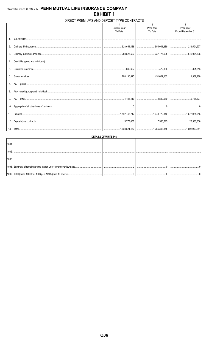## DIRECT PREMIUMS AND DEPOSIT-TYPE CONTRACTS

| <b>Current Year</b><br>Prior Year<br>To Date<br>To Date | Prior Year<br>Ended December 31 |
|---------------------------------------------------------|---------------------------------|
|                                                         |                                 |
|                                                         |                                 |
|                                                         |                                 |
| $1_{-}$                                                 |                                 |
|                                                         |                                 |
| 2.                                                      |                                 |
|                                                         |                                 |
|                                                         |                                 |
| 3.                                                      |                                 |
|                                                         |                                 |
|                                                         |                                 |
|                                                         |                                 |
|                                                         |                                 |
|                                                         |                                 |
|                                                         |                                 |
|                                                         |                                 |
| 7.                                                      |                                 |
|                                                         |                                 |
| 8.                                                      |                                 |
|                                                         |                                 |
| 9.                                                      |                                 |
|                                                         |                                 |
|                                                         |                                 |
| 10.                                                     |                                 |
|                                                         |                                 |
|                                                         |                                 |
|                                                         |                                 |
| 12.                                                     |                                 |
|                                                         |                                 |
|                                                         |                                 |

| <b>DETAILS OF WRITE-INS</b> |  |  |  |  |  |  |
|-----------------------------|--|--|--|--|--|--|
|                             |  |  |  |  |  |  |
|                             |  |  |  |  |  |  |
|                             |  |  |  |  |  |  |
|                             |  |  |  |  |  |  |
|                             |  |  |  |  |  |  |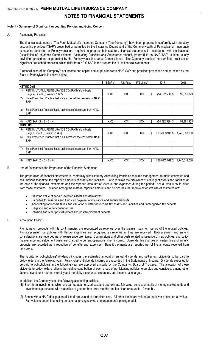#### **Note 1 – Summary of Significant Accounting Policies and Going Concern**

#### A. Accounting Practices

The financial statements of The Penn Mutual Life Insurance Company ("the Company") have been prepared in conformity with statutory accounting practices ("SAP") prescribed or permitted by the Insurance Department of the Commonwealth of Pennsylvania. Insurance companies domiciled in Pennsylvania are required to prepare their statutory financial statements in accordance with the National Association of Insurance Commissioners' *Accounting Practices and Procedures* manual, (referred to as NAIC SAP), subject to any deviations prescribed or permitted by the Pennsylvania Insurance Commissioner. The Company employs no permitted practices or significant prescribed practices, which differ from NAIC SAP in the preparation of its financial statements.

A reconciliation of the Company's net income and capital and surplus between NAIC SAP and practices prescribed and permitted by the State of Pennsylvania is shown below:

|     |                                                                                    | SSAP#      | F/S Page   | $F/S$ Line # |    | 2017                | 2016          |
|-----|------------------------------------------------------------------------------------|------------|------------|--------------|----|---------------------|---------------|
|     | <b>NET INCOME</b>                                                                  |            |            |              |    |                     |               |
| (1) | PENN MUTUAL LIFE INSURANCE COMPANY state basis<br>(Page 4, Line 35, Columns 1 & 2) | <b>XXX</b> | <b>XXX</b> | <b>XXX</b>   | S  | $(54, 592, 538)$ \$ | 99,361,323    |
| (2) | State Prescribed Practice that is an increase/(decrease) from NAIC<br><b>SAP</b>   |            |            |              |    |                     |               |
| (3) | State Permitted Practice that is an increase/(decrease) from NAIC<br><b>SAP</b>    |            |            |              |    |                     |               |
| (4) | NAIC SAP $(1 - 2 - 3 = 4)$                                                         | XXX.       | <b>XXX</b> | <b>XXX</b>   | \$ | $(54, 592, 538)$ \$ | 99,361,323    |
|     | <b>SURPLUS</b>                                                                     |            |            |              |    |                     |               |
| (5) | PENN MUTUAL LIFE INSURANCE COMPANY state basis<br>(Page 3, line 38, Columns 1 & 2) | <b>XXX</b> | <b>XXX</b> | <b>XXX</b>   | S  | 1,685,653,919 \$    | 1,740,616,030 |
| (6) | State Prescribed Practice that is an increase/(decrease) from NAIC<br>SAP          |            |            |              |    |                     |               |
| (7) | State Permitted Practice that is an increase/(decrease) from NAIC<br><b>SAP</b>    |            |            |              |    |                     |               |
| (8) | NAIC SAP $(5 - 6 - 7 = 8)$                                                         | <b>XXX</b> | <b>XXX</b> | <b>XXX</b>   | S  | 1,685,653,919       | 1,740,616,030 |

B. Use of Estimates in the Preparation of the Financial Statement

The preparation of financial statements in conformity with Statutory Accounting Principles requires management to make estimates and assumptions that affect the reported amounts of assets and liabilities. It also requires the disclosure of contingent assets and liabilities at the date of the financial statements and the reported amounts of revenue and expenses during the period. Actual results could differ from those estimates. Included among the material reported amounts and disclosures that require extensive use of estimates are:

- Carrying value of certain invested assets and derivatives
- Liabilities for reserves and funds for payment of insurance and annuity benefits
- Accounting for income taxes and valuation of deferred income tax assets and liabilities and unrecognized tax benefits
- Litigation and other contingencies
- Pension and other postretirement and postemployment benefits

#### C. Accounting Policy

Premiums on products with life contingencies are recognized as revenue over the premium payment period of the related policies. Annuity premium on policies with life contingencies are recognized as revenue as they are received. Both premium and annuity considerations are recorded net of reinsurance premiums. Commissions and other costs related to issuance of new policies, and policy maintenance and settlement costs are charged to current operations when incurred. Surrender fee charges on certain life and annuity products are recorded as a reduction of benefits and expenses. Benefit payments are reported net of the amounts received from reinsurers.

The liability for policyholders' dividends includes the estimated amount of annual dividends and settlement dividends to be paid to policyholders in the following year. Policyholders' dividends incurred are recorded in the Statements of Income. Dividends expected to be paid to policyholders in the following year are approved annually by the Company's Board of Trustees. The allocation of these dividends to policyholders reflects the relative contribution of each group of participating policies to surplus and considers, among other factors, investment returns, mortality and morbidity experience, expenses, and income tax charges.

In addition, the Company uses the following accounting policies:

- (1) Short-term investments, which are carried at amortized cost and approximate fair value, consist primarily of money market funds and investments purchased with maturities of greater than three months and less than or equal to 12 months.
- (2) Bonds with a NAIC designation of 1 to 5 are valued at amortized cost. All other bonds are valued at the lower of cost or fair value. Fair value is determined using an external pricing service or management's pricing model.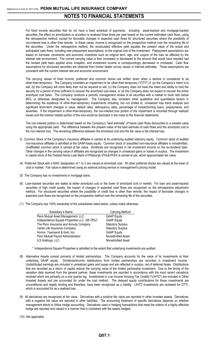For fixed income securities that do not have a fixed schedule of payments, including asset-backed and mortgage-backed securities, the effect on amortization or accretion is revalued three times per year based on the current estimated cash flows, using the retrospective method, except for favorable changes in expected cash flows for structured securities where the possibility of non-interest loss is other than remote. In these cases, income is recognized on the prospective method over the remaining life of the securities. Under the retrospective method, the recalculated effective yield equates the present value of the actual and anticipated cash flows, including new prepayment assumptions, to the original cost of the investment. Prepayment assumptions are based on borrower constraints and economic incentives such as original term, age, and coupon of the loan as affected by the interest rate environment. The current carrying value is then increased or decreased to the amount that would have resulted had the revised yield been applied since inception, and investment income is correspondingly decreased or increased. Cash flow assumptions for structured securities are obtained from broker dealer survey values or internal estimates. These assumptions are consistent with the current interest rate and economic environment.

The carrying values of fixed income, preferred and common stocks are written down when a decline is considered to be other-than-temporary. The Company considers an impairment to be other-than-temporary ("OTTI") if: (a) the Company's intent is to sell, (b) the Company will more likely than not be required to sell, (c) the Company does not have the intent and ability to hold the security for a period of time sufficient to recover the amortized cost basis, or (d) the Company does not expect to recover the entire amortized cost basis. The Company conducts a periodic management review of all securities with a market to book ratio below 80%, or otherwise designated by management. The Company also considers other qualitative and quantitative factors in determining the existence of other-than-temporary impairments including, but not limited to, unrealized loss trend analysis and significant short-term changes in value, default rates, delinquency rates, percentage of nonperforming loans, prepayments, and severities. If the impairment is other-than-temporary, the non-interest loss portion of the impairment is recorded through realized losses and the interest related portion of the loss would be disclosed in the notes to the financial statements.

The non-interest portion is determined based on the Company's "best estimate" of future cash flows discounted to a present value using the appropriate yield. The difference between the present value of the best estimate of cash flows and the amortized cost is the non-interest loss. The remaining difference between the amortized cost and the fair value is the interest loss.

- 3) Common Stock of the Company's insurance affiliates is carried at its underlying audited statutory equity. Common stock of audited non-insurance affiliates is admitted at the GAAP-basis equity. Common stock of unaudited non-insurance affiliates is nonadmitted. Unaffiliated common stock is carried at fair value. Dividends are recognized in net investment income on the ex-dividend date. Other changes in the carrying value of affiliates are recognized as changes in unrealized gains or losses in surplus. The investment in capital stock of the Federal Home Loan Bank of Pittsburgh (FHLB-PGH) is carried at par, which approximates fair value.
- (4) Preferred Stock with a NAIC designation of 1 to 3 are valued at amortized cost. All other preferred stocks are valued at the lower of cost or market. Fair value is determined using an external pricing service or management's pricing model.
- (5) The Company has no investments in mortgage loans.
- (6) Loan-backed securities are stated at either amortized cost or the lower of amortized cost or market. For loan and asset-backed securities of high credit quality, the impact of changes in expected cash flows are recognized on the retrospective adjustment method. For structured securities where the possibility of credit loss is other than remote, the impact of favorable changes in expected cash flows are recognized on the prospective method over the remaining life of the securities.
- (7) The Company has 100% ownership of the subsidiaries listed below, unless noted otherwise:

| Subsidiary's Name                            | Carrying Method          |
|----------------------------------------------|--------------------------|
| Penn Mutual Asset Management, LLC            | <b>GAAP Equity</b>       |
| Independence Square Properties LLC (95.78%)* | <b>GAAP Equity</b>       |
| The Penn Insurance and Annuity Company       | <b>Statutory Surplus</b> |
| Vantis Life Insurance Company                | <b>Statutory Surplus</b> |
| Hornor, Townsend & Kent, Inc.                | <b>GAAP Equity</b>       |
| Penn Mutual Payroll Administration           | Nonadmitted Asset        |
| ILS Holdings, LLC                            | Nonadmitted Asset        |

- \* Independence Square Properties is admitted to the extent that underlying investments are audited.
- (8) Alternative Assets consist primarily of limited partnerships. The Company accounts for the value of its investments at their underlying GAAP equity. Dividends/income distributions from limited partnerships are recorded in investment income. Undistributed earnings are included in unrealized gains and losses and are reflected in surplus, net of deferred taxes. Distributions that are recorded as a return of capital reduce the carrying value of the limited partnership investment. Due to the timing of the valuation data received from the general partner, these investments are reported in accordance with the most recent valuations received which are primarily on a one quarter lag. Investments in Low Income Housing Tax Credits ("LIHTC") are included in Other Invested Assets and are accounted for under the cost method. The delayed equity contributions for these investments are unconditional and legally binding and therefore, have been recognized as a liability. LIHTC investments are reviewed for OTTI, which is accounted for as a realized loss.
- (9) All derivatives are recognized at fair value. Derivatives with a positive fair value are reported in other invested assets. Derivatives with a negative fair value are reported in other liabilities**.** The accounting treatment of specific derivatives depends on whether management elects to follow hedge accounting. Derivatives used in hedging transactions that meet the criteria of a highly effective hedge are reported and valued in a manner that is consistent with the assets hedged.
- (10) Not applicable.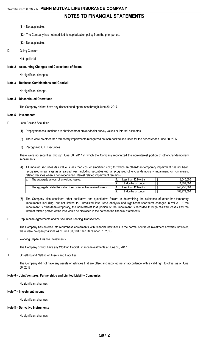#### (11) Not applicable.

- (12) The Company has not modified its capitalization policy from the prior period.
- (13) Not applicable.
- D. Going Concern

Not applicable

#### **Note 2 – Accounting Changes and Corrections of Errors**

No significant changes

#### **Note 3 – Business Combinations and Goodwill**

No significant change.

#### **Note 4 – Discontinued Operations**

The Company did not have any discontinued operations through June 30, 2017.

#### **Note 5 – Investments**

- D. Loan-Backed Securities
	- (1) Prepayment assumptions are obtained from broker dealer survey values or internal estimates.
	- (2) There were no other than temporary impairments recognized on loan-backed securities for the period ended June 30, 2017.
	- (3) Recognized OTTI securities

There were no securities through June 30, 2017 in which the Company recognized the non-interest portion of other-than-temporary impairments.

(4) All impaired securities (fair value is less than cost or amortized cost) for which an other-than-temporary impairment has not been recognized in earnings as a realized loss (including securities with a recognized other-than-temporary impairment for non-interest related declines when a non-recognized interest related impairment remains):

| The aggregate amount of unrealized losses:                             | Less than 12 Months | 9.540.000   |
|------------------------------------------------------------------------|---------------------|-------------|
|                                                                        | 12 Months or Longer | 11.899.000  |
| The aggregate related fair value of securities with unrealized losses: | Less than 12 Months | 440.955.000 |
|                                                                        | 12 Months or Longer | 183.279.000 |

- (5) The Company also considers other qualitative and quantitative factors in determining the existence of other-than-temporary impairments including, but not limited to, unrealized loss trend analysis and significant short-term changes in value. If the impairment is other-than-temporary, the non-interest loss portion of the impairment is recorded through realized losses and the interest related portion of the loss would be disclosed in the notes to the financial statements.
- E. Repurchase Agreements and/or Securities Lending Transactions

The Company has entered into repurchase agreements with financial institutions in the normal course of investment activities; however, there were no open positions as of June 30, 2017 and December 31, 2016.

I. Working Capital Finance Investments

The Company did not have any Working Capital Finance Investments at June 30, 2017.

J. Offsetting and Netting of Assets and Liabilities

The Company did not have any assets or liabilities that are offset and reported net in accordance with a valid right to offset as of June 30, 2017.

#### **Note 6 – Joint Ventures, Partnerships and Limited Liability Companies**

No significant changes

#### **Note 7 – Investment Income**

No significant changes

#### **Note 8 – Derivative Instruments**

No significant changes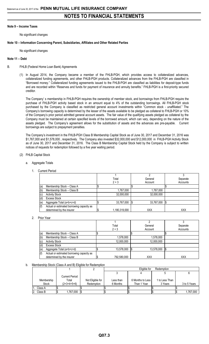#### **Note 9 – Income Taxes**

No significant changes

#### **Note 10 – Information Concerning Parent, Subsidiaries, Affiliates and Other Related Parties**

No significant changes

#### **Note 11 – Debt**

- B. FHLB (Federal Home Loan Bank) Agreements
	- (1) In August 2014, the Company became a member of the FHLB-PGH, which provides access to collateralized advances, collateralized funding agreements, and other FHLB-PGH products. Collateralized advances from the FHLB-PGH are classified in "Borrowed money." Collateralized funding agreements issued to the FHLB-PGH are classified as liabilities for deposit-type funds and are recorded within "Reserves and funds for payment of insurance and annuity benefits." FHLB-PGH is a first-priority secured creditor.

The Company' s membership in FHLB-PGH requires the ownership of member stock, and borrowings from FHLB-PGH require the purchase of FHLB-PGH activity based stock in an amount equal to 4% of the outstanding borrowings. All FHLB-PGH stock purchased by the Company is classified as restricted general account investments within "Common stock - unaffiliated." The Company's borrowing capacity is determined by the lesser of the assets available to be pledged as collateral to FHLB-PGH or 10% of the Company's prior period admitted general account assets. The fair value of the qualifying assets pledged as collateral by the Company must be maintained at certain specified levels of the borrowed amount, which can vary, depending on the nature of the assets pledged. The Company's agreement allows for the substitution of assets and the advances are pre-payable. Current borrowings are subject to prepayment penalties.

The Company's investment in the FHLB-PGH Class B Membership Capital Stock as of June 30, 2017 and December 31, 2016 was \$1,767,000 and \$1,578,000 , respectively. The Company also invested \$32,000,000 and \$12,000,000 in FHLB-PGH Activity Stock as of June 30, 2017 and December 31, 2016. The Class B Membership Capital Stock held by the Company is subject to written notices of requests for redemption followed by a five year waiting period.

#### (2) FHLB Capital Stock

- a. Aggregate Totals
	- 1. Current Period

|     |                                           | Total         |      | General    | Separate   |
|-----|-------------------------------------------|---------------|------|------------|------------|
|     |                                           | $2 + 3$       |      | Account    | Accounts   |
| (a) | Membership Stock - Class A                |               |      |            |            |
| (b) | Membership Stock - Class B                | 1,767,000     |      | 1,767,000  |            |
| (c) | <b>Activity Stock</b>                     | 32,000,000    |      | 32,000,000 |            |
| (d) | Excess Stock                              |               |      |            |            |
| (e) | Aggregate Total (a+b+c+d)                 | 33,767,000    | -1\$ | 33,767,000 |            |
| (f) | Actual or estimated borrowing capacity as |               |      |            |            |
|     | determined by the insurer                 | 1,180,319,000 |      | <b>XXX</b> | <b>XXX</b> |

#### 2. Prior Year

|     |                                           | Total       | General    | Separate   |
|-----|-------------------------------------------|-------------|------------|------------|
|     |                                           | $2 + 3$     | Account    | Accounts   |
| (a) | Membership Stock - Class A                |             |            |            |
| (b) | Membership Stock - Class B                | 1,578,000   | 1,578,000  |            |
| (c) | <b>Activity Stock</b>                     | 12,000,000  | 12,000,000 |            |
| (d) | <b>Excess Stock</b>                       |             |            |            |
| (e) | Aggregate Total (a+b+c+d)                 | 13,578,000  | 13,578,000 | Ι\$        |
| (f) | Actual or estimated borrowing capacity as |             |            |            |
|     | determined by the insurer                 | 792,580,000 | <b>XXX</b> | <b>XXX</b> |

#### b. Membership Stock (Class A and B) Eligible for Redemption

|              |                |                  |           | Eligible for       | Redemption     |  |              |  |  |
|--------------|----------------|------------------|-----------|--------------------|----------------|--|--------------|--|--|
|              |                |                  |           |                    |                |  |              |  |  |
|              | Current Period |                  |           |                    |                |  |              |  |  |
| Membership   | Total          | Not Eligible for | Less than | 6 Months to Less I | 1 to Less Than |  |              |  |  |
| <b>Stock</b> | $(2+3+4+5+6)$  | Redemption       | 6 Months  | Than 1 Year        | 3 Years        |  | 3 to 5 Years |  |  |
| Class A      |                |                  |           |                    |                |  |              |  |  |
| Class B      | .767,000       |                  |           |                    |                |  | 1.767.000    |  |  |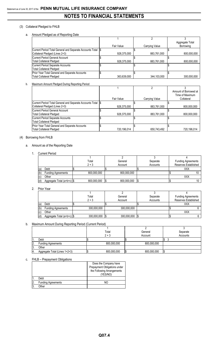#### (3) Collateral Pledged to FHLB

a. Amount Pledged as of Reporting Date

|                                                             |             |                | Aggregate Total |
|-------------------------------------------------------------|-------------|----------------|-----------------|
|                                                             | Fair Value  | Carrying Value | Borrowing       |
| Current Period Total General and Separate Accounts Total \$ |             |                |                 |
| Collateral Pledged (Lines 2+3)                              | 928,375,000 | 883,761,000    | 800,000,000     |
| Current Period General Account                              |             |                |                 |
| <b>Total Collateral Pledged</b>                             | 928,375,000 | 883,761,000    | 800,000,000     |
| Current Period Separate Accounts                            |             |                |                 |
| <b>Total Collateral Pledged</b>                             |             |                |                 |
| Prior Year Total General and Separate Accounts              |             |                |                 |
| <b>Total Collateral Pledged</b>                             | 363.639.000 | 344,103,000    | 300.000.000     |

#### b. Maximum Amount Pledged During Reporting Period

|                                                              |             |                | Amount of Borrowed at |
|--------------------------------------------------------------|-------------|----------------|-----------------------|
|                                                              |             |                | Time of Maximum       |
|                                                              | Fair Value  | Carrying Value | Collateral            |
| Current Period Total General and Separate Accounts Total \\$ |             |                |                       |
| Collateral Pledged (Lines 2+3)                               | 928,375,000 | 883,761,000    | 800,000,000           |
| Current Period General Account                               |             |                |                       |
| Total Collateral Pledged                                     | 928.375.000 | 883,761,000    | 800.000.000           |
| Current Period Separate Accounts                             |             |                |                       |
| Total Collateral Pledged                                     |             |                |                       |
| Prior Year Total General and Separate Accounts               |             |                |                       |
| <b>Total Collateral Pledged</b>                              | 720,196,014 | 650,743,492    | 720.196.014           |

#### (4) Borrowing from FHLB

#### a. Amount as of the Reporting Date

1. Current Period

|     |                              | Total       | General     | Separate | <b>Funding Agreements</b> |  |  |
|-----|------------------------------|-------------|-------------|----------|---------------------------|--|--|
|     |                              | $2 + 3$     | Account     | Accounts | Reserves Established      |  |  |
| (a) | Debt                         |             |             |          | XXX                       |  |  |
| (b) | <b>Funding Agreements</b>    | 800.000.000 | 800.000.000 |          |                           |  |  |
| (c) | Other                        |             |             |          | XXX                       |  |  |
| (d) | Aggregate Total (a+b+c)   \$ | 800,000,000 | 800,000,000 |          |                           |  |  |

2. Prior Year

|     |                              | Total       | General     | Separate | <b>Funding Agreements</b> |  |  |
|-----|------------------------------|-------------|-------------|----------|---------------------------|--|--|
|     |                              | $2 + 3$     | Account     | Accounts | Reserves Established      |  |  |
| (a) | Debt                         |             |             |          | XXX                       |  |  |
| (b) | <b>Funding Agreements</b>    | 300,000,000 | 300,000,000 |          |                           |  |  |
| (c) | Other                        |             |             |          | <b>XXX</b>                |  |  |
| (d) | Aggregate Total (a+b+c)   \$ | 300,000,000 | 300,000,000 |          |                           |  |  |

#### b. Maximum Amount During Reporting Period (Current Period)

|    |                               | Total       | General     | Separate |
|----|-------------------------------|-------------|-------------|----------|
|    |                               | $2 + 3$     | Account     | Accounts |
|    | Debt                          |             |             |          |
| ۷. | <b>Funding Agreements</b>     | 800,000,000 | 800,000,000 |          |
| U. | Other                         |             |             |          |
|    | Aggregate Total (Lines 1+2+3) | 800,000,000 | 800,000,000 |          |

#### c. FHLB – Prepayment Obligations

|     |                           | Does the Company have        |
|-----|---------------------------|------------------------------|
|     |                           | Prepayment Obligations under |
|     |                           | the Following Arrangements   |
|     |                           | (YES/NO)                     |
|     | Debt                      |                              |
| ۱2. | <b>Funding Agreements</b> | NC.                          |
| IЗ. | )ther                     |                              |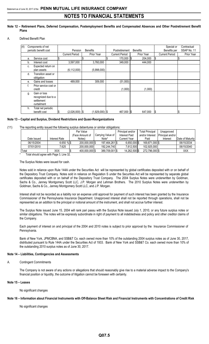#### **Note 12 – Retirement Plans, Deferred Compensation, Postemployment Benefits and Compensated Absences and Other Postretirement Benefit Plans**

#### A. Defined Benefit Plan

| (4) |    | Components of net     |   |                       |                  |                       |                 |    | Special or            | Contractual |
|-----|----|-----------------------|---|-----------------------|------------------|-----------------------|-----------------|----|-----------------------|-------------|
|     |    | periodic benefit cost |   | Pension               | <b>Benefits</b>  | Postretirement        | <b>Benefits</b> |    | Benefits per          | SSAP No. 11 |
|     |    |                       |   | <b>Current Period</b> | Prior Year       | <b>Current Period</b> | Prior Year      |    | <b>Current Period</b> | Prior Year  |
|     | а. | Service cost          | J |                       |                  | $170,000$ \$          | 204,000         | \$ |                       |             |
|     | b. | Interest cost         |   | 3,597,000             | 3,760,000        | 349,000               | 444,000         |    |                       |             |
|     | c. | Expected return on    |   |                       |                  |                       |                 |    |                       |             |
|     |    | plan assets           |   | (6, 112, 000)         | (5,998,000)      |                       |                 |    |                       |             |
|     | d. | Transition asset or   |   |                       |                  |                       |                 |    |                       |             |
|     |    | obligation            |   |                       |                  |                       |                 |    |                       |             |
|     | е. | Gains and losses      |   | 489,000               | 309.000          | (51,000)              |                 |    |                       |             |
|     |    | Prior service cost or |   |                       |                  |                       |                 |    |                       |             |
|     |    | credit                |   |                       |                  | (1,000)               | (1,000)         |    |                       |             |
|     | g. | Gain or loss          |   |                       |                  |                       |                 |    |                       |             |
|     |    | recognized due to a   |   |                       |                  |                       |                 |    |                       |             |
|     |    | settlement            |   |                       |                  |                       |                 |    |                       |             |
|     |    | curtailment           |   |                       |                  |                       |                 |    |                       |             |
|     | h. | Total net periodic    |   |                       |                  |                       |                 |    |                       |             |
|     |    | benefit cost          |   | $(2,026,000)$ \$      | $(1,929,000)$ \$ | 467,000 \$            | 647,000         | S  |                       | \$          |

#### **Note 13 – Capital and Surplus, Dividend Restrictions and Quasi-Reorganizations**

#### (11) The reporting entity issued the following surplus debentures or similar obligations:

|             |               | Par Value       |                   | Principal and/or | <b>Total Principal</b> | Unapproved       |                  |
|-------------|---------------|-----------------|-------------------|------------------|------------------------|------------------|------------------|
|             |               | (Face Amount of | Carrying Value of | Interest Paid    | and/or Interest        | Principal and/or |                  |
| Date Issued | Interest Rate | Notes)          | Note*             | Current Year     | Paid                   | Interest         | Date of Maturity |
| 06/15/2004  | 6.650%        | 200.000.000 \$  | 197.464.2611\$    | $6.650.000$ S    | 169.871.000 \$         |                  | 06/15/2034       |
| 07/01/2010  | 7.625         | 200.000.000     | 192.244.740       | 7.612.500        | 102.925.000            |                  | 06/15/2040       |
| Total       | XXX           | 400,000,000 \$  | 389,709,001 \$    | 14.262.500 \$    | 272,796,000 \$         |                  | XXX              |

Total should agree with Page 3, Line 32.

#### The Surplus Notes were issued for cash.

Notes sold in reliance upon Rule 144A under the Securities Act will be represented by global certificates deposited with or on behalf of the Depository Trust Company. Notes sold in reliance on Regulation S under the Securities Act will be represented by separate global certificates deposited with or on behalf of the Depository Trust Company. The 2004 Surplus Notes were underwritten by Goldman, Sachs & Co., Janney Montgomery Scott LLC, J.P. Morgan and Lehman Brothers. The 2010 Surplus Notes were underwritten by Goldman, Sachs & Co., Janney Montgomery Scott LLC, and J.P. Morgan.

Interest shall not be recorded as a liability nor an expense until approval for payment of such interest has been granted by the Insurance Commissioner of the Pennsylvania Insurance Department. Unapproved interest shall not be reported through operations, shall not be represented as an addition to the principal or notional amount of the instrument, and shall not accrue further interest.

The Surplus Note issued June 15, 2004 will rank pari passu with the Surplus Note issued July 1, 2010, or any future surplus notes or similar obligations. The notes will be expressly subordinate in right of payment to all indebtedness and policy and other creditor claims of the Company.

Each payment of interest on and principal of the 2004 and 2010 notes is subject to prior approval by the Insurance Commissioner of Pennsylvania.

Bank of New York, JPMCBNA, and SSB&T Co. each owned more than 10% of the outstanding 2004 surplus notes as of June 30, 2017, distributed pursuant to Rule 144A under the Securities Act of 1933. Bank of New York and SSB&T Co. each owned more than 10% of the outstanding 2010 surplus notes as of June 30, 2017.

#### **Note 14 – Liabilities, Contingencies and Assessments**

#### A. Contingent Commitments

The Company is not aware of any actions or allegations that should reasonably give rise to a material adverse impact to the Company's financial position or liquidity, the outcome of litigation cannot be foreseen with certainty.

#### **Note 15 – Leases**

No significant changes

#### **Note 16 – Information about Financial Instruments with Off-Balance Sheet Risk and Financial Instruments with Concentrations of Credit Risk**

No significant changes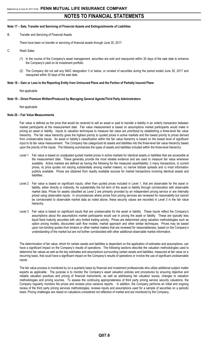#### **Note 17 – Sale, Transfer and Servicing of Financial Assets and Extinguishments of Liabilities**

B. Transfer and Servicing of Financial Assets

There have been no transfer or servicing of financial assets through June 30, 2017.

- C. Wash Sales
	- (1) In the course of the Company's asset management, securities are sold and reacquired within 30 days of the sale date to enhance the Company's yield on its investment portfolio.
	- (2) The Company did not sell any NAIC designation 3 or below, or unrated of securities during the period ended June 30, 2017 and reacquired within 30 days of the sale date.

#### **Note 18 – Gain or Loss to the Reporting Entity from Uninsured Plans and the Portion of Partially Insured Plans**

Not applicable

#### **Note 19 – Direct Premium Written/Produced by Managing General Agents/Third Party Administrators**

#### Not applicable

#### **Note 20 – Fair Value Measurements**

Fair value is defined as the price that would be received to sell an asset or paid to transfer a liability in an orderly transaction between market participants at the measurement date. Fair value measurement is based on assumptions market participants would make in pricing an asset or liability. Inputs to valuation techniques to measure fair value are prioritized by establishing a three-level fair value hierarchy. The fair value hierarchy gives the highest priority to quoted prices in active markets and the lowest priority to prices derived from unobservable inputs. An asset or liability's classification within the fair value hierarchy is based on the lowest level of significant input to its fair value measurement. The Company has categorized its assets and liabilities into the three-level fair value hierarchy based upon the priority of the inputs. The following summarizes the types of assets and liabilities included within the three-level hierarchy:

- Level 1 Fair value is based on unadjusted quoted market prices in active markets for identical assets or liabilities that are accessible at the measurement date. These generally provide the most reliable evidence and are used to measure fair value whenever available. Active markets are defined as having the following for the measured asset/liability: i) many transactions, ii) current prices, iii) price quotes not varying substantially among market makers, iv) narrow bid/ask spreads and v) most information publicly available. Prices are obtained from readily available sources for market transactions involving identical assets and liabilities.
- Level 2 Fair value is based on significant inputs, other than quoted prices included in Level 1, that are observable for the asset or liability, either directly or indirectly, for substantially the full term of the asset or liability through corroboration with observable market data. Prices for assets classified as Level 2 are primarily provided by an independent pricing service or are internally priced using observable inputs. In circumstances where prices from pricing services are reviewed for reasonability but cannot be corroborated to observable market data as noted above, these security values are recorded in Level 3 in the fair value hierarchy.
- Level 3 Fair value is based on significant inputs that are unobservable for the asset or liability. These inputs reflect the Company's assumptions about the assumptions market participants would use in pricing the asset or liability. These are typically less liquid fixed maturity securities with very limited trading activity. Prices are determined using valuation methodologies such as option pricing models, discounted cash flow models, market approach and other similar techniques. Prices may be based upon non-binding quotes from brokers or other market makers that are reviewed for reasonableness, based on the Company's understanding of the market but are not further corroborated with other additional observable market information.

The determination of fair value, which for certain assets and liabilities is dependent on the application of estimates and assumptions, can have a significant impact on the Company's results of operations. The following sections describe the valuation methodologies used to determine fair values as well as the key estimates and assumptions surrounding certain assets and liabilities, measured at fair value on a recurring basis, that could have a significant impact on the Company's results of operations or involve the use of significant unobservable inputs.

The fair value process is monitored by on a quarterly basis by financial and investment professionals who utilize additional subject matter experts as applicable. The purpose is to monitor the Company's asset valuation policies and procedures by ensuring objective and reliable valuation practices and pricing of financial instruments, as well as addressing fair valuation issues, changes to valuation methodologies and pricing sources. To assess the continuing appropriateness of third party pricing service security valuations, the Company regularly monitors the prices and reviews price variance reports. In addition, the Company performs an initial and ongoing review of the third party pricing services methodologies, reviews inputs and assumptions used for a sample of securities on a periodic basis. Pricing challenges are raised on valuations considered not reflective of market and are monitored by the Company.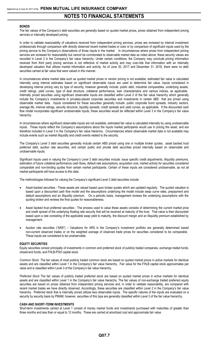#### **BONDS**

The fair values of the Company's debt securities are generally based on quoted market prices, prices obtained from independent pricing services or internally developed pricing.

In order to validate reasonability of valuations received from independent pricing services, prices are reviewed by internal investment professionals through comparison with directly observed recent market trades or color or by comparison of significant inputs used by the pricing service to the Company's observations of those inputs in the market. In circumstances where prices from independent pricing services are reviewed for reasonability but cannot be corroborated to observable market data as noted above, these security values are recorded in Level 3 in the Company's fair value hierarchy. Under certain conditions, the Company may conclude pricing information received from third party pricing services is not reflective of market activity and may over-ride that information with an internally developed valuation that utilizes market information and activity. As of June 30, 2017 and December 31, 2016, there were no debt securities carried at fair value that were valued in this manner.

In circumstances where market data such as quoted market prices or vendor pricing is not available, estimated fair value is calculated internally using internal estimates based on significant observable inputs are used to determine fair value. Inputs considered in developing internal pricing vary by type of security; however generally include: public debt, industrial comparables, underlying assets, credit ratings, yield curves, type of deal structure, collateral performance, loan characteristics and various indices, as applicable. Internally priced securities using significant observable inputs are classified within Level 2 of the fair value hierarchy which generally include the Company's investments in privately-placed corporate securities and investments in certain ABS that are priced using observable market data. Inputs considered for these securities generally include: public corporate bond spreads, industry sectors, average life, internal ratings, security structure, liquidity spreads, credit spreads and yield curves, as applicable. If the discounted cash flow model incorporates significant unobservable inputs, these securities would be reflected within Level 3 in the Company's fair value hierarchy.

In circumstances where significant observable inputs are not available, estimated fair value is calculated internally by using unobservable inputs. These inputs reflect the Company's assumptions about the inputs market participants would use in pricing the asset, and are therefore included in Level 3 in the Company's fair value hierarchy. Circumstances where observable market data is not available may include events such as market illiquidity and credit events related to the security.

The Company's Level 3 debt securities generally include certain ABS priced using one or multiple broker quotes, asset backed trust preferred debt, auction rate securities, and certain public and private debt securities priced internally based on observable and unobservable inputs.

Significant inputs used in valuing the Company's Level 3 debt securities include: issue specific credit adjustments, illiquidity premiums, estimation of future collateral performance cash flows, default rate assumptions, acquisition cost, market activity for securities considered comparable and non-binding quotes from certain market participants. Certain of these inputs are considered unobservable, as not all market participants will have access to this data.

The methodologies followed for valuing the Company's significant Level 3 debt securities include:

- Asset backed securities These assets are valued based upon broker quotes which are updated regularly. The quoted valuation is based upon a discounted cash flow model and the assumptions underlying the model include swap curve rates, prepayment and default assumptions and an illiquidity premium. On a periodic basis, management reviews the underlying assumptions with the quoting broker and reviews the final quotes for reasonableness.
- Asset backed trust preferred securities The process used to value these assets consists of determining the current market price and credit spread of the underlying floating rate security that will be received at maturity of the trust. That value is then discounted based upon a rate consisting of the applicable swap yield to maturity, the discount margin and an illiquidity premium established by management.
- Auction rate securities ("ARS") Valuations for ARS in the Company's investment portfolio are generally determined based non-current observed trades or on the weighted average of observed trade prices for securities considered to be comparable. These inputs are considered to be unobservable.

#### **EQUITY SECURITIES**

Equity securities consist principally of investments in common and preferred stock of publicly traded companies, exchange traded funds, closed-end funds, and FHLB-PGH capital stock.

*Common Stock* The fair values of most publicly traded common stock are based on quoted market prices in active markets for identical assets and are classified within Level 1 in the Company's fair value hierarchy. Fair value for the FHLB capital stock approximates par value and is classified within Level 3 of the Company's fair value hierarchy.

*Preferred Stock* The fair values of publicly traded preferred stock are based on quoted market prices in active markets for identical assets and are classified within Level 1 in the Company's fair value hierarchy. The fair values of non-exchange traded preferred equity securities are based on prices obtained from independent pricing services and, in order to validate reasonability, are compared with recent market trades we have directly observed. Accordingly, these securities are classified within Level 2 in the Company's fair value hierarchy. Preferred stock that is internally priced utilizes less observable inputs. The specific natures of the inputs are evaluated on a security by security basis by PMAM; however, securities of this type are generally classified within Level 3 of the fair value hierarchy.

#### **CASH AND SHORT-TERM INVESTMENTS**

Short-term investments carried at Level 1 consist of money market funds and investments purchased with maturities of greater than three months and less than or equal to 12 months. These are carried at amortized cost and approximate fair value.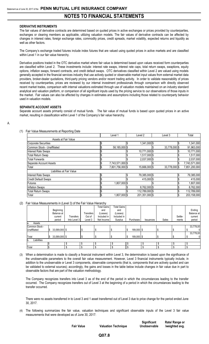#### **DERIVATIVE INSTRUMENTS**

The fair values of derivative contracts are determined based on quoted prices in active exchanges or prices provided by counterparties, exchanges or clearing members as applicable, utilizing valuation models. The fair values of derivative contracts can be affected by changes in interest rates, foreign exchange rates, commodity prices, credit spreads, market volatility, expected returns and liquidity as well as other factors.

The Company's exchange traded futures include index futures that are valued using quoted prices in active markets and are classified within Level 1 in our fair value hierarchy.

Derivative positions traded in the OTC derivative market where fair value is determined based upon values received form counterparties are classified within Level 2. These investments include: interest rate swaps, interest rate caps, total return swaps, swaptions, equity options, inflation swaps, forward contracts, and credit default swaps. OTC derivatives classified within Level 2 are valued using models generally accepted in the financial services industry that use actively quoted or observable market input values from external market data providers, broker-dealer quotations, third-party pricing vendors and/or recent trading activity. In order to validate reasonability of prices received by counterparties, prices are reviewed by our internal investment professionals through comparison with directly observed recent market trades, comparison with internal valuations estimated through use of valuation models maintained on an industry standard analytical and valuation platform, or comparison of all significant inputs used by the pricing service to our observations of those inputs in the market. Fair values can also be affected by changes in estimates and assumptions including those related to counterparty behavior used in valuation models.

#### **SEPARATE ACCOUNT ASSETS**

Separate account assets primarily consist of mutual funds. The fair value of mutual funds is based upon quoted prices in an active market, resulting in classification within Level 1 of the Company's fair value hierarchy.

#### A.

#### (1) Fair Value Measurements at Reporting Date

|                             | Level 1          | Level 2        | Level 3       | Total         |
|-----------------------------|------------------|----------------|---------------|---------------|
| Assets at Fair Value        |                  |                |               |               |
| <b>Corporate Securities</b> |                  | 1,341,000 \$   |               | 1,341,000     |
| Common Stock - Unaffiliated | 58,185,000 \$    |                | 33,778,000 \$ | 91,963,000    |
| <b>Interest Rate Swaps</b>  |                  | 10,771,000 \$  |               | 10,771,000    |
| <b>Total Return Swap</b>    |                  | 1,517,000 \$   |               | 1,517,000     |
| <b>Total Forwards</b>       |                  | 2,037,000 \$   |               | 2,037,000     |
| Separate Account Assets     | 7,743,571,000 \$ |                |               | 7,743,571,000 |
| Total                       | 7,801,756,000 \$ | 15,666,000 \$  | 33,778,000 \$ | 7,851,200,000 |
| Liabilities at Fair Value   |                  |                |               |               |
| <b>Interest Rate Swaps</b>  |                  | 79,385,000 \$  |               | 79,385,000    |
| <b>Credit Default Swaps</b> |                  | 415,000 \$     |               | 415,000       |
| <b>Futures</b>              | 1,807,000 \$     |                |               | 1,807,000     |
| <b>Inflation Swaps</b>      |                  | 8,762,000 \$   |               | 8,762,000     |
| <b>Total Return Swaps</b>   |                  | 112,789,000 \$ |               | 112,789,000   |
| Total                       | 1,807,000 \$     | 201,351,000 \$ |               | 203,158,000   |

#### (2) Fair Value Measurements in (Level 3) of the Fair Value Hierarchy

|                    |                    |              |           | <b>Total Gains</b> | <b>Total Gains</b> |            |           |       |         |              |
|--------------------|--------------------|--------------|-----------|--------------------|--------------------|------------|-----------|-------|---------|--------------|
|                    | Beginning          |              |           | and                | and                |            |           |       |         | Ending       |
|                    | Balance at         |              | Transfers | (Losses)           | (Losses)           |            |           |       |         | Balance at   |
|                    | current            | Transfers    | Out of    | Included in        | Included in        |            |           |       | Settle- | current      |
|                    | period             | Into Level 3 | Level 3   | Net Income I       | Surplus            | Purchases  | Issuances | Sales | ments   | period       |
| Assets<br>la.      |                    |              |           |                    |                    |            |           |       |         |              |
| Common Stock -     |                    |              |           |                    |                    |            |           |       |         | 33,778,00    |
| Unaffiliated       | 33,589,000 \$      |              |           |                    |                    | 189,000 \$ |           | จ     |         | $\mathbf{0}$ |
|                    |                    |              |           |                    |                    |            |           |       |         | 33,778,00    |
| Total              | 33,589,000 \$<br>S |              |           |                    |                    | 189,000 \$ |           | .უ    |         | $\mathbf 0$  |
| Liabilities<br>lb. |                    |              |           |                    |                    |            |           |       |         |              |
|                    |                    |              |           |                    |                    |            | \$        | ₼     |         |              |
| Total              |                    |              |           |                    |                    |            |           |       |         |              |

(3) When a determination is made to classify a financial instrument within Level 3, the determination is based upon the significance of the unobservable parameters to the overall fair value measurement. However, Level 3 financial instruments typically include, in addition to the unobservable or Level 3 components, observable components (that is, components that are actively quoted and can be validated to external sources); accordingly, the gains and losses in the table below include changes in fair value due in part to observable factors that are part of the valuation methodology.

The Company recognizes transfers into Level 3 as of the end of the period in which the circumstances leading to the transfer occurred. The Company recognizes transfers out of Level 3 at the beginning of a period in which the circumstances leading to the transfer occurred.

There were no assets transferred in to Level 3 and 1 asset transferred out of Level 3 due to price change for the period ended June 30, 2017.

(4) The following summarizes the fair value, valuation techniques and significant observable inputs of the Level 3 fair value measurements that were developed as of June 30, 2017:

| <b>Fair Value</b> | <b>Valuation Technique</b> | Un |
|-------------------|----------------------------|----|
|                   |                            |    |

**Q07.8**

**Significant Nobservable** 

**Rate/ Range or /weighted avg.**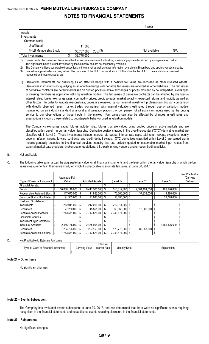|                       |            |         | Inputs               |
|-----------------------|------------|---------|----------------------|
| Assets:               |            |         |                      |
| Investments           |            |         |                      |
| Common stock          |            |         |                      |
| Unaffiliated          | 11,000     |         |                      |
| FHLB Membership Stock | 33,767,000 | Cost(3) | N/A<br>Not available |
| Total investments     | 33,778,000 |         |                      |

(1) Broker quoted fair values on these asset backed securities represent indicative, non-binding quotes developed by a single market maker. The significant inputs are not developed by the Company and are not reasonably available.

The Company utilizes comparable transactions in the market as well as other information available in Bloomberg and applies various spreads. (3) Fair value approximates carrying value. The par value of the FHLB capital stock is \$100 and set by the FHLB. The capital stock is issued,

redeemed and repurchased at par.

(5) Derivatives instruments not qualifying as an effective hedge with a positive fair value are recorded as other invested assets. Derivatives instruments not qualifying as an effective hedge with negative fair values are reported as other liabilities. The fair values of derivative contracts are determined based on quoted prices in active exchanges or prices provided by counterparties, exchanges or clearing members as applicable, utilizing valuation models. The fair values of derivative contracts can be affected by changes in interest rates, foreign exchange rates, commodity prices, credit spreads, market volatility, expected returns and liquidity as well as other factors. In order to validate reasonability, prices are reviewed by our internal investment professionals through comparison with directly observed recent market trades, comparison with internal valuations estimated through use of valuation models maintained on an industry standard analytical and valuation platform, or comparison of all significant inputs used by the pricing service to our observations of those inputs in the market. Fair values can also be affected by changes in estimates and assumptions including those related to counterparty behavior used in valuation models.

The Company's exchange traded futures include index futures that are valued using quoted prices in active markets and are classified within Level 1 in our fair value hierarchy. Derivative positions traded in the over-the-counter ("OTC") derivative market are classified within Level 2. These investments include: interest rate swaps, interest rate caps, total return swaps, swaptions, equity options, inflation swaps, forward contracts, and credit default swaps. OTC derivatives classified within Level 2 are valued using models generally accepted in the financial services industry that use actively quoted or observable market input values from external market data providers, broker-dealer quotations, third-party pricing vendors and/or recent trading activity.

#### B. Not applicable

C. The following table summarizes the aggregate fair value for all financial instruments and the level within the fair value hierarchy in which the fair value measurements in their entirety fall, for which it is practicable to estimate fair value, at June 30, 2017:

|                               |      |                   |                        |                |    |               |    |                  |    | Not Practicable |
|-------------------------------|------|-------------------|------------------------|----------------|----|---------------|----|------------------|----|-----------------|
|                               |      | Aggregate Fair    |                        |                |    |               |    |                  |    | (Carrying       |
| Type of Financial Instrument  |      | Value             | <b>Admitted Assets</b> | (Level 1)      |    | (Level 2)     |    | (Level 3)        |    | Value)          |
| <b>Financial Assets:</b>      |      |                   |                        |                |    |               |    |                  |    |                 |
| <b>Bonds</b>                  |      | 10,066,149,000 \$ | $9,411,565,000$ \$     | 516,012,000    | S  | 9,381,191,000 | S  | 168,946,000 \$   |    |                 |
| Redeemable Preferred Stock IS |      | 117,673,000 \$    | 111,853,000 \$         | 70,360,000     | S. | 37,933,000    | \$ | $9,380,000$ \$   |    |                 |
| Common Stock - Unaffiliated   | -1\$ | 91,963,000 \$     | 91,963,000 \$          | 58,185,000     | S  |               | \$ | 33,778,000 \$    |    |                 |
| Cash and Short-Term           |      |                   |                        |                |    |               |    |                  |    |                 |
| Investments                   |      | 212,011,000 \$    | 212,011,000 \$         | 212,011,000 \$ |    |               |    |                  |    |                 |
| Derivatives                   |      | 77,250,000 \$     | 45,851,000 \$          | 60,868,000     | S  | 16,382,000    | \$ |                  | \$ |                 |
| Separate Account Assets       |      | 7,743,571,000 \$  | 7,743,571,000 \$       | 7,743,571,000  |    |               |    |                  | \$ |                 |
| <b>Financial Liabilities:</b> |      |                   |                        |                |    |               |    |                  | \$ |                 |
| Investment Type Contracts:    |      |                   |                        |                |    |               |    |                  | ٩  |                 |
| <b>Individual Annuities</b>   |      | 2,466,136,000 \$  | 2,455,995,000 \$       |                |    |               | \$ | 2,466,136,000 \$ |    |                 |
| <b>Derivatives</b>            |      | 204,726,000 \$    | 203,158,000 \$         | 123,773,000    | \$ | 80,953,000    | \$ |                  |    |                 |
| Separate Account Liabilities  |      | 7,743,571,000 \$  | 7,743,571,000 \$       | 7,743,571,000  |    |               |    |                  |    |                 |

#### D. Not Practicable to Estimate Fair Value

|                                       |                | Effective     |                      |             |
|---------------------------------------|----------------|---------------|----------------------|-------------|
| Type of Class or Financial Instrument | Carrying Value | Interest Rate | <b>Maturity Date</b> | ∟xplanation |
|                                       |                |               |                      |             |

#### **Note 21 – Other Items**

No significant changes

#### **Note 22 – Events Subsequent**

The Company has evaluated events subsequent to June 30, 2017, and has determined that there were no significant events requiring recognition in the financial statements and no additional events requiring disclosure in the financial statements.

#### **Note 23 – Reinsurance**

No significant changes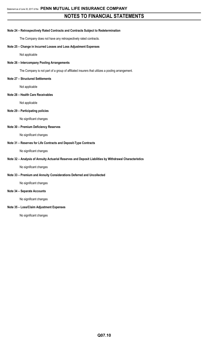#### **Note 24 – Retrospectively Rated Contracts and Contracts Subject to Redetermination**

The Company does not have any retrospectively rated contracts.

#### **Note 25 – Change in Incurred Losses and Loss Adjustment Expenses**

Not applicable

#### **Note 26 – Intercompany Pooling Arrangements**

The Company is not part of a group of affiliated insurers that utilizes a pooling arrangement.

#### **Note 27 – Structured Settlements**

Not applicable

#### **Note 28 – Health Care Receivables**

Not applicable

#### **Note 29 – Participating policies**

No significant changes

#### **Note 30 – Premium Deficiency Reserves**

No significant changes

#### **Note 31 – Reserves for Life Contracts and Deposit-Type Contracts**

No significant changes

#### **Note 32 – Analysis of Annuity Actuarial Reserves and Deposit Liabilities by Withdrawal Characteristics**

No significant changes

#### **Note 33 – Premium and Annuity Considerations Deferred and Uncollected**

No significant changes

## **Note 34 – Separate Accounts**

No significant changes

#### **Note 35 – Loss/Claim Adjustment Expenses**

No significant changes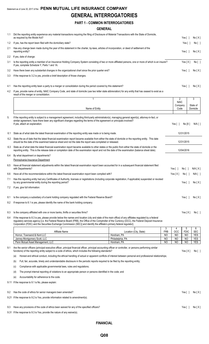## **GENERAL INTERROGATORIES**

|     | <b>PART 1 - COMMON INTERROGATORIES</b>                                                                                                                                                                                                                                                                                                                                                                                                       |                                |                       |                          |
|-----|----------------------------------------------------------------------------------------------------------------------------------------------------------------------------------------------------------------------------------------------------------------------------------------------------------------------------------------------------------------------------------------------------------------------------------------------|--------------------------------|-----------------------|--------------------------|
|     | <b>GENERAL</b>                                                                                                                                                                                                                                                                                                                                                                                                                               |                                |                       |                          |
| 1.1 | Did the reporting entity experience any material transactions requiring the filing of Disclosure of Material Transactions with the State of Domicile,<br>as required by the Model Act?                                                                                                                                                                                                                                                       |                                | Yes [ 1               | No[X]                    |
| 1.2 | If yes, has the report been filed with the domiciliary state?                                                                                                                                                                                                                                                                                                                                                                                |                                | Yes $[$ $]$           | No[ ]                    |
| 2.1 | Has any change been made during the year of this statement in the charter, by-laws, articles of incorporation, or deed of settlement of the<br>reporting entity?                                                                                                                                                                                                                                                                             |                                | Yes $[ \ ]$           | No[X]                    |
| 2.2 | If yes, date of change:                                                                                                                                                                                                                                                                                                                                                                                                                      |                                |                       |                          |
| 3.1 | Is the reporting entity a member of an Insurance Holding Company System consisting of two or more affiliated persons, one or more of which is an insurer?<br>If yes, complete Schedule Y, Parts 1 and 1A.                                                                                                                                                                                                                                    |                                | Yes[X]                | No [ ]                   |
| 3.2 | Have there been any substantial changes in the organizational chart since the prior quarter end?                                                                                                                                                                                                                                                                                                                                             |                                | Yes $[ \ ]$           | No[X]                    |
| 3.3 | If the response to 3.2 is yes, provide a brief description of those changes.                                                                                                                                                                                                                                                                                                                                                                 |                                |                       |                          |
| 4.1 | Has the reporting entity been a party to a merger or consolidation during the period covered by this statement?                                                                                                                                                                                                                                                                                                                              |                                | Yes [ ]               | No[X]                    |
| 4.2 | If yes, provide name of entity, NAIC Company Code, and state of domicile (use two letter state abbreviation) for any entity that has ceased to exist as a<br>result of the merger or consolidation.                                                                                                                                                                                                                                          |                                |                       |                          |
|     | 1                                                                                                                                                                                                                                                                                                                                                                                                                                            | 2                              |                       | 3                        |
|     | Name of Entity                                                                                                                                                                                                                                                                                                                                                                                                                               | <b>NAIC</b><br>Company<br>Code |                       | State of<br>Domicile     |
| 5.  | If the reporting entity is subject to a management agreement, including third-party administrator(s), managing general agent(s), attorney-in-fact, or<br>similar agreement, have there been any significant changes regarding the terms of the agreement or principals involved?<br>If yes, attach an explanation.                                                                                                                           | Yes $[ ]$                      | No[X]                 | N/A [ ]                  |
| 6.1 | State as of what date the latest financial examination of the reporting entity was made or is being made.                                                                                                                                                                                                                                                                                                                                    |                                | 12/31/2015            |                          |
| 6.2 | State the as of date that the latest financial examination report became available from either the state of domicile or the reporting entity. This date<br>should be the date of the examined balance sheet and not the date the report was completed or released.                                                                                                                                                                           |                                | 12/31/2015            |                          |
| 6.3 | State as of what date the latest financial examination report became available to other states or the public from either the state of domicile or the<br>reporting entity. This is the release date or completion date of the examination report and not the date of the examination (balance sheet date).                                                                                                                                   |                                | 12/04/2016            |                          |
| 6.4 | By what department or departments?<br>Pennsylvania Insurance Department                                                                                                                                                                                                                                                                                                                                                                      |                                |                       |                          |
| 6.5 | Have all financial statement adjustments within the latest financial examination report been accounted for in a subsequent financial statement filed<br>with Departments?                                                                                                                                                                                                                                                                    | Yes $\lceil \ \rceil$          |                       | N/A [ X ]                |
|     | 6.6 Have all of the recommendations within the latest financial examination report been complied with?                                                                                                                                                                                                                                                                                                                                       | Yes[X] No[]                    | No [ ]                | N/A [ ]                  |
| 7.1 | Has this reporting entity had any Certificates of Authority, licenses or registrations (including corporate registration, if applicable) suspended or revoked<br>by any governmental entity during the reporting period?                                                                                                                                                                                                                     |                                | Yes $\lceil \ \rceil$ | No[X]                    |
| 7.2 | If yes, give full information:                                                                                                                                                                                                                                                                                                                                                                                                               |                                |                       |                          |
| 8.1 | Is the company a subsidiary of a bank holding company regulated with the Federal Reserve Board?                                                                                                                                                                                                                                                                                                                                              |                                | Yes [ ]               | No[X]                    |
| 8.2 | If response to 8.1 is yes, please identify the name of the bank holding company.                                                                                                                                                                                                                                                                                                                                                             |                                |                       |                          |
| 8.3 | Is the company affiliated with one or more banks, thrifts or securities firms?                                                                                                                                                                                                                                                                                                                                                               |                                | Yes $[X]$             | No[ ]                    |
| 8.4 | If the response to 8.3 is yes, please provide below the names and location (city and state of the main office) of any affiliates regulated by a federal<br>regulatory services agency [i.e. the Federal Reserve Board (FRB), the Office of the Comptroller of the Currency (OCC), the Federal Deposit Insurance<br>Corporation (FDIC) and the Securities Exchange Commission (SEC)] and identify the affiliate's primary federal regulator]. |                                |                       |                          |
|     | 2<br>3<br>Affiliate Name<br><b>FRB</b><br>Location (City, State)                                                                                                                                                                                                                                                                                                                                                                             | 4<br>OCC                       | 5<br><b>FDIC</b>      | 6<br><b>SEC</b>          |
|     | Hornor, Townsend & Kent LLC<br>Horsham, PA<br>NO                                                                                                                                                                                                                                                                                                                                                                                             | NO                             | NO                    | <b>YES</b>               |
|     | Janney Montgomery Scott, LLC<br>Philadelphia, PA<br>NO<br>Penn Mutual Asset Management, LLC<br>Horsham, PA<br>N <sub>O</sub>                                                                                                                                                                                                                                                                                                                 | NO<br>NO                       | <b>NO</b><br>NO       | <b>YES</b><br><b>YES</b> |
| 9.1 | Are the senior officers (principal executive officer, principal financial officer, principal accounting officer or controller, or persons performing similar<br>functions) of the reporting entity subject to a code of ethics, which includes the following standards?<br>Honest and ethical conduct, including the ethical handling of actual or apparent conflicts of interest between personal and professional relationships;<br>(a)    |                                | Yes[X]                | No [ ]                   |

(b) Full, fair, accurate, timely and understandable disclosure in the periodic reports required to be filed by the reporting entity;

(c) Compliance with applicable governmental laws, rules and regulations;

(d) The prompt internal reporting of violations to an appropriate person or persons identified in the code; and

(e) Accountability for adherence to the code.

9.11 If the response to 9.1 is No, please explain:

9.2 Has the code of ethics for senior managers been amended? Yes [ ] No [X] 9.21 If the response to 9.2 is Yes, provide information related to amendment(s).

9.3 Have any provisions of the code of ethics been waived for any of the specified officers? Yes [ ] No [ X ]

9.31 If the response to 9.3 is Yes, provide the nature of any waiver(s).

**FINANCIAL**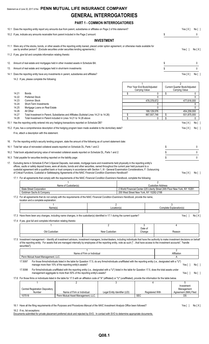# Statement as of June 30, 2017 of the **PENN MUTUAL LIFE INSURANCE COMPANY GENERAL INTERROGATORIES**

## **PART 1 - COMMON INTERROGATORIES**

|     |                | 10.1 Does the reporting entity report any amounts due from parent, subsidiaries or affiliates on Page 2 of this statement?                                                                                                                                                                                                                                                                                        |                                                                                                                                                                                                                                          | Yes[X]                             | No [ ]   |                                                              |                                                                           |                                                                   |              |  |
|-----|----------------|-------------------------------------------------------------------------------------------------------------------------------------------------------------------------------------------------------------------------------------------------------------------------------------------------------------------------------------------------------------------------------------------------------------------|------------------------------------------------------------------------------------------------------------------------------------------------------------------------------------------------------------------------------------------|------------------------------------|----------|--------------------------------------------------------------|---------------------------------------------------------------------------|-------------------------------------------------------------------|--------------|--|
|     |                | 10.2 If yes, indicate any amounts receivable from parent included in the Page 2 amount:                                                                                                                                                                                                                                                                                                                           |                                                                                                                                                                                                                                          |                                    |          |                                                              | \$                                                                        |                                                                   | 0            |  |
|     |                |                                                                                                                                                                                                                                                                                                                                                                                                                   |                                                                                                                                                                                                                                          | <b>INVESTMENT</b>                  |          |                                                              |                                                                           |                                                                   |              |  |
|     |                | 11.1 Were any of the stocks, bonds, or other assets of the reporting entity loaned, placed under option agreement, or otherwise made available for<br>use by another person? (Exclude securities under securities lending agreements.)                                                                                                                                                                            |                                                                                                                                                                                                                                          |                                    |          |                                                              |                                                                           | Yes [ ]                                                           | No[X]        |  |
|     |                | 11.2 If yes, give full and complete information relating thereto:                                                                                                                                                                                                                                                                                                                                                 |                                                                                                                                                                                                                                          |                                    |          |                                                              |                                                                           |                                                                   |              |  |
| 12. |                | Amount of real estate and mortgages held in other invested assets in Schedule BA:                                                                                                                                                                                                                                                                                                                                 |                                                                                                                                                                                                                                          |                                    |          |                                                              | \$                                                                        |                                                                   | 0            |  |
| 13. |                | Amount of real estate and mortgages held in short-term investments:                                                                                                                                                                                                                                                                                                                                               |                                                                                                                                                                                                                                          |                                    |          |                                                              | \$                                                                        |                                                                   | $\mathbf{0}$ |  |
|     |                | 14.1 Does the reporting entity have any investments in parent, subsidiaries and affiliates?                                                                                                                                                                                                                                                                                                                       |                                                                                                                                                                                                                                          |                                    |          |                                                              |                                                                           | Yes[X]                                                            | No [ ]       |  |
|     |                | 14.2 If yes, please complete the following:                                                                                                                                                                                                                                                                                                                                                                       |                                                                                                                                                                                                                                          |                                    |          |                                                              |                                                                           |                                                                   |              |  |
|     |                |                                                                                                                                                                                                                                                                                                                                                                                                                   |                                                                                                                                                                                                                                          |                                    |          | Prior Year End Book/Adjusted<br>Carrying Value               |                                                                           | $\overline{2}$<br>Current Quarter Book/Adjusted<br>Carrying Value |              |  |
|     | 14.21          | <b>Bonds</b>                                                                                                                                                                                                                                                                                                                                                                                                      |                                                                                                                                                                                                                                          |                                    | \$       |                                                              | \$<br>0                                                                   |                                                                   | 0            |  |
|     | 14.22<br>14.23 | <b>Preferred Stock</b><br>Common Stock                                                                                                                                                                                                                                                                                                                                                                            |                                                                                                                                                                                                                                          |                                    |          | 478,378,672                                                  | 0                                                                         | 477,616,000                                                       | 0            |  |
|     | 14.24          | Short-Term Investments                                                                                                                                                                                                                                                                                                                                                                                            |                                                                                                                                                                                                                                          |                                    |          |                                                              | 0                                                                         |                                                                   | 0            |  |
|     | 14.25<br>14.26 | Mortgage Loans on Real Estate<br>All Other                                                                                                                                                                                                                                                                                                                                                                        |                                                                                                                                                                                                                                          |                                    |          | 189,129,076                                                  | $\mathbf{0}$                                                              | 454,259,000                                                       | 0            |  |
|     | 14.27<br>14.28 |                                                                                                                                                                                                                                                                                                                                                                                                                   | Total Investment in Parent, Subsidiaries and Affiliates (Subtotal Lines 14.21 to 14.26)<br>Total Investment in Parent included in Lines 14.21 to 14.26 above                                                                             |                                    | \$<br>\$ | 667,507,748                                                  | \$<br>\$<br>0                                                             | 931,875,000                                                       | 0            |  |
|     |                | 15.1 Has the reporting entity entered into any hedging transactions reported on Schedule DB?                                                                                                                                                                                                                                                                                                                      |                                                                                                                                                                                                                                          |                                    | Yes[X]   | No [ ]                                                       |                                                                           |                                                                   |              |  |
|     |                | 15.2 If yes, has a comprehensive description of the hedging program been made available to the domiciliary state?                                                                                                                                                                                                                                                                                                 |                                                                                                                                                                                                                                          |                                    |          |                                                              |                                                                           | Yes[X]                                                            | No [ ]       |  |
|     |                | If no, attach a description with this statement.                                                                                                                                                                                                                                                                                                                                                                  |                                                                                                                                                                                                                                          |                                    |          |                                                              |                                                                           |                                                                   |              |  |
|     |                | 16. For the reporting entity's security lending program, state the amount of the following as of current statement date:                                                                                                                                                                                                                                                                                          |                                                                                                                                                                                                                                          |                                    |          |                                                              |                                                                           |                                                                   |              |  |
|     |                | 16.1 Total fair value of reinvested collateral assets reported on Schedule DL, Parts 1 and 2:                                                                                                                                                                                                                                                                                                                     |                                                                                                                                                                                                                                          |                                    |          |                                                              | \$                                                                        |                                                                   | 0            |  |
|     |                | 16.2 Total book adjusted/carrying value of reinvested collateral assets reported on Schedule DL, Parts 1 and 2:                                                                                                                                                                                                                                                                                                   |                                                                                                                                                                                                                                          |                                    |          |                                                              | \$                                                                        |                                                                   | 0            |  |
|     |                | 16.3 Total payable for securities lending reported on the liability page:                                                                                                                                                                                                                                                                                                                                         |                                                                                                                                                                                                                                          |                                    |          |                                                              | \$                                                                        |                                                                   | 0            |  |
|     |                | 17. Excluding items in Schedule E-Part 3-Special Deposits, real estate, mortgage loans and investments held physically in the reporting entity's                                                                                                                                                                                                                                                                  |                                                                                                                                                                                                                                          |                                    |          |                                                              |                                                                           |                                                                   |              |  |
|     |                | offices, vaults or safety deposit boxes, were all stocks, bonds and other securities, owned throughout the current year held pursuant to a<br>custodial agreement with a qualified bank or trust company in accordance with Section 1, III - General Examination Considerations, F. Outsourcing<br>of Critical Functions, Custodial or Safekeeping Agreements of the NAIC Financial Condition Examiners Handbook? |                                                                                                                                                                                                                                          |                                    |          |                                                              |                                                                           | Yes $[X]$                                                         | $No[$ ]      |  |
|     |                | 17.1 For all agreements that comply with the requirements of the NAIC Financial Condition Examiners Handbook, complete the following:                                                                                                                                                                                                                                                                             |                                                                                                                                                                                                                                          |                                    |          |                                                              |                                                                           |                                                                   |              |  |
|     |                |                                                                                                                                                                                                                                                                                                                                                                                                                   | Name of Custodian(s)                                                                                                                                                                                                                     |                                    |          |                                                              | 2<br><b>Custodian Address</b>                                             |                                                                   |              |  |
|     |                | State Street Corporation<br>Goldman Sachs & Company                                                                                                                                                                                                                                                                                                                                                               |                                                                                                                                                                                                                                          |                                    |          | 200 West Street New York, NY 10282-2198                      | 2 World Financial Center 225 Liberty Street 24th Floor New York, NY 10281 |                                                                   |              |  |
|     |                | 17.2 For all agreements that do not comply with the requirements of the NAIC Financial Condition Examiners Handbook, provide the name,                                                                                                                                                                                                                                                                            |                                                                                                                                                                                                                                          |                                    |          |                                                              |                                                                           |                                                                   |              |  |
|     |                | location and a complete explanation:                                                                                                                                                                                                                                                                                                                                                                              |                                                                                                                                                                                                                                          |                                    |          |                                                              |                                                                           |                                                                   |              |  |
|     |                | Name(s)                                                                                                                                                                                                                                                                                                                                                                                                           |                                                                                                                                                                                                                                          | 2<br>Location(s)                   |          | 3<br>Complete Explanation(s)                                 |                                                                           |                                                                   |              |  |
|     |                | 17.3 Have there been any changes, including name changes, in the custodian(s) identified in 17.1 during the current quarter?                                                                                                                                                                                                                                                                                      |                                                                                                                                                                                                                                          |                                    |          |                                                              |                                                                           | Yes $\lceil$ $\rceil$                                             | No[X]        |  |
|     |                | 17.4 If yes, give full and complete information relating thereto:                                                                                                                                                                                                                                                                                                                                                 |                                                                                                                                                                                                                                          |                                    |          |                                                              |                                                                           |                                                                   |              |  |
|     |                |                                                                                                                                                                                                                                                                                                                                                                                                                   |                                                                                                                                                                                                                                          | 2                                  |          | 3<br>Date of                                                 |                                                                           | 4                                                                 |              |  |
|     |                | Old Custodian                                                                                                                                                                                                                                                                                                                                                                                                     |                                                                                                                                                                                                                                          | New Custodian                      |          | Change                                                       |                                                                           | Reason                                                            |              |  |
|     |                | 17.5 Investment management - Identify all investment advisors, investment managers, broker/dealers, including individuals that have the authority to make investment decisions on behalf<br>of the reporting entity. For assets that are managed internally by employees of the reporting entity, note as such ["that have access to the investment accounts", "handle<br>securities"].                           |                                                                                                                                                                                                                                          |                                    |          |                                                              |                                                                           |                                                                   |              |  |
|     |                |                                                                                                                                                                                                                                                                                                                                                                                                                   | Name of Firm or Individual                                                                                                                                                                                                               |                                    |          |                                                              |                                                                           | $\overline{2}$<br>Affiliation                                     |              |  |
|     |                | Penn Mutual Asset Management, LLC.                                                                                                                                                                                                                                                                                                                                                                                |                                                                                                                                                                                                                                          |                                    |          |                                                              |                                                                           |                                                                   |              |  |
|     |                | 17.5097                                                                                                                                                                                                                                                                                                                                                                                                           | For those firms/individuals listed in the table for Question 17.5, do any firms/individuals unaffiliated with the reporting entity (i.e., designated with a "U")<br>manage more than 10% of the reporting entity's assets?               |                                    |          |                                                              |                                                                           | Yes $\lceil$ 1                                                    | No [ ]       |  |
|     |                | 17.5098                                                                                                                                                                                                                                                                                                                                                                                                           | For firms/individuals unaffiliated with the reporting entity (i.e., designated with a "U") listed in the table for Question 17.5, does the total assets under<br>management aggregate to more than 50% of the reporting entity's assets? |                                    |          |                                                              |                                                                           | Yes $\lceil$ 1                                                    | No[ ]        |  |
|     |                | 17.6 For those firms or individuals listed in the table for 17.5 with an affiliation code of "A" (affiliated) or "U" (unaffiliated), provide the information for the table below.<br>1                                                                                                                                                                                                                            |                                                                                                                                                                                                                                          |                                    |          | 4                                                            |                                                                           |                                                                   |              |  |
|     |                | <b>Central Registration Depository</b><br>Number<br>107518                                                                                                                                                                                                                                                                                                                                                        | 2<br>Name of Firm or Individual<br>Penn Mutual Asset Management, LLC.                                                                                                                                                                    | 3<br>Legal Entity Identifier (LEI) |          | 5<br>Investment<br>Management<br>Agreement (IMA) Filed<br>DS |                                                                           |                                                                   |              |  |
|     |                |                                                                                                                                                                                                                                                                                                                                                                                                                   |                                                                                                                                                                                                                                          |                                    |          | <b>SEC</b>                                                   |                                                                           |                                                                   |              |  |
|     |                | 18.1 Have all the filing requirements of the Purposes and Procedures Manual of the NAIC Investment Analysis Office been followed?                                                                                                                                                                                                                                                                                 |                                                                                                                                                                                                                                          |                                    |          |                                                              |                                                                           | Yes [ ]                                                           | No[X]        |  |

18.2 If no, list exceptions:

Documents submitted for private placement preferred stock and rejected by SVO. In contact with SVO to determine appropriate documents.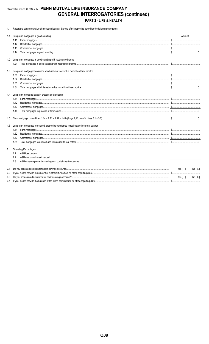## Statement as of June 30, 2017 of the PENN MUTUAL LIFE INSURANCE COMPANY **GENERAL INTERROGATORIES (continued)** PART 2 - LIFE & HEALTH

1. Report the statement value of mortgage loans at the end of this reporting period for the following categories:

|     | 1.1 Long-term mortgages in good standing                                                     | Amount |       |
|-----|----------------------------------------------------------------------------------------------|--------|-------|
|     | 1.11                                                                                         |        |       |
|     | 1.12                                                                                         |        |       |
|     | 1.13                                                                                         |        |       |
|     | 1.14                                                                                         |        |       |
|     | 1.2 Long-term mortgages in good standing with restructured terms                             |        |       |
|     |                                                                                              |        |       |
| 1.3 | Long-term mortgage loans upon which interest is overdue more than three months               |        |       |
|     | 1.31                                                                                         |        |       |
|     | 1.32                                                                                         |        |       |
|     | 1.33                                                                                         |        |       |
|     | 1.34                                                                                         |        |       |
| 1.4 | Long-term mortgage loans in process of foreclosure                                           |        |       |
|     | 1.41                                                                                         |        |       |
|     | 1.42                                                                                         |        |       |
|     | 1.43                                                                                         |        |       |
|     | 1.44                                                                                         |        |       |
| 1.5 |                                                                                              |        |       |
|     | 1.6 Long-term mortgages foreclosed, properties transferred to real estate in current quarter |        |       |
|     | 1.61                                                                                         |        |       |
|     | 1.62                                                                                         |        |       |
|     | 1.63                                                                                         |        |       |
|     | 1.64                                                                                         |        |       |
| 2.  | <b>Operating Percentages:</b>                                                                |        |       |
|     | 2.1                                                                                          |        |       |
|     | 2.2                                                                                          |        |       |
|     | 2.3                                                                                          |        |       |
| 3.1 |                                                                                              | Yes[ ] | No[X] |
| 3.2 |                                                                                              |        |       |
| 3.3 |                                                                                              | Yes[ ] | No[X] |
| 3.4 |                                                                                              |        |       |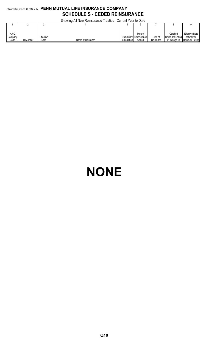## Statement as of June 30, 2017 of the **PENN MUTUAL LIFE INSURANCE COMPANY SCHEDULE S - CEDED REINSURANCE**

Showing All New Reinsurance Treaties - Current Year to Date

|             | <b>OTIOWITG AT TYOM INCIDENTIAL AT LOCATES - CUITOIN TOOL ID DATE</b> |           |                   |              |                         |           |                   |                       |  |  |  |  |  |
|-------------|-----------------------------------------------------------------------|-----------|-------------------|--------------|-------------------------|-----------|-------------------|-----------------------|--|--|--|--|--|
|             |                                                                       |           |                   |              |                         |           |                   |                       |  |  |  |  |  |
|             |                                                                       |           |                   |              |                         |           |                   |                       |  |  |  |  |  |
|             |                                                                       |           |                   |              |                         |           |                   |                       |  |  |  |  |  |
| <b>NAIC</b> |                                                                       |           |                   |              | Tvpe of                 |           | Certified         | <b>Effective Date</b> |  |  |  |  |  |
| Company     |                                                                       | Effective |                   |              | Domiciliary Reinsurance | Type of   | Reinsurer Rating  | of Certified          |  |  |  |  |  |
| Code        | <b>ID Number</b>                                                      | Date      | Name of Reinsurer | Jurisdiction | Ceded                   | Reinsurer | $(1$ through $6)$ | Reinsuer Rating       |  |  |  |  |  |

# **NONE**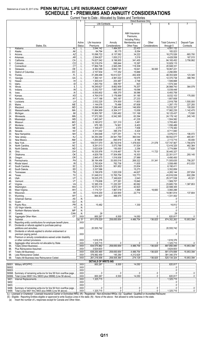## Statement as of June 30, 2017 of the PENN MUTUAL LIFE INSURANCE COMPANY **SCHEDULE T - PREMIUMS AND ANNUITY CONSIDERATIONS**

Allocated h

|            | ∪น⊓≂⊓เ                                                                                                                                                                                                                                     |               | cal to Date - Allocated by       |                                                                                                                                                                                                                                                                                                                                                                                                                                                                 | <b>SIGIES GIIU TEITIUIES</b><br><b>Direct Business Only</b> |                       |                                                                                                                                                                                                                                                                                                                                                                                                                                                           |                          |
|------------|--------------------------------------------------------------------------------------------------------------------------------------------------------------------------------------------------------------------------------------------|---------------|----------------------------------|-----------------------------------------------------------------------------------------------------------------------------------------------------------------------------------------------------------------------------------------------------------------------------------------------------------------------------------------------------------------------------------------------------------------------------------------------------------------|-------------------------------------------------------------|-----------------------|-----------------------------------------------------------------------------------------------------------------------------------------------------------------------------------------------------------------------------------------------------------------------------------------------------------------------------------------------------------------------------------------------------------------------------------------------------------|--------------------------|
|            |                                                                                                                                                                                                                                            |               | Life Contracts                   |                                                                                                                                                                                                                                                                                                                                                                                                                                                                 | $\overline{4}$                                              | 5                     | $6\overline{6}$                                                                                                                                                                                                                                                                                                                                                                                                                                           |                          |
|            |                                                                                                                                                                                                                                            |               | $\overline{2}$                   | 3                                                                                                                                                                                                                                                                                                                                                                                                                                                               |                                                             |                       |                                                                                                                                                                                                                                                                                                                                                                                                                                                           |                          |
|            |                                                                                                                                                                                                                                            |               |                                  |                                                                                                                                                                                                                                                                                                                                                                                                                                                                 |                                                             |                       |                                                                                                                                                                                                                                                                                                                                                                                                                                                           |                          |
|            |                                                                                                                                                                                                                                            |               |                                  |                                                                                                                                                                                                                                                                                                                                                                                                                                                                 | A&H Insurance                                               |                       |                                                                                                                                                                                                                                                                                                                                                                                                                                                           |                          |
|            |                                                                                                                                                                                                                                            |               |                                  |                                                                                                                                                                                                                                                                                                                                                                                                                                                                 | Premiums.                                                   |                       |                                                                                                                                                                                                                                                                                                                                                                                                                                                           |                          |
|            |                                                                                                                                                                                                                                            |               |                                  |                                                                                                                                                                                                                                                                                                                                                                                                                                                                 | <b>Including Policy</b>                                     |                       |                                                                                                                                                                                                                                                                                                                                                                                                                                                           |                          |
|            |                                                                                                                                                                                                                                            | Active        | Life Insurance                   | Annuity                                                                                                                                                                                                                                                                                                                                                                                                                                                         | Membership and                                              | Other                 | <b>Total Columns 2</b>                                                                                                                                                                                                                                                                                                                                                                                                                                    | Deposit-Type             |
|            | States, Etc.                                                                                                                                                                                                                               | <b>Status</b> | Premiums                         | Considerations                                                                                                                                                                                                                                                                                                                                                                                                                                                  | Other Fees                                                  | Considerations        | through 5                                                                                                                                                                                                                                                                                                                                                                                                                                                 | Contracts                |
| 1.         | AI                                                                                                                                                                                                                                         |               | .3,044,142                       | 1.484.557                                                                                                                                                                                                                                                                                                                                                                                                                                                       | .22,433<br>.                                                |                       |                                                                                                                                                                                                                                                                                                                                                                                                                                                           |                          |
| 2.         |                                                                                                                                                                                                                                            | . L.          | 84,794                           | 90.175                                                                                                                                                                                                                                                                                                                                                                                                                                                          | 8,054                                                       |                       | 183.023                                                                                                                                                                                                                                                                                                                                                                                                                                                   |                          |
| 3.         |                                                                                                                                                                                                                                            | .L            | 10,098,722                       | 3,137,582                                                                                                                                                                                                                                                                                                                                                                                                                                                       | .34,222<br>.                                                |                       | 18,270,526                                                                                                                                                                                                                                                                                                                                                                                                                                                | .683.700                 |
| 4.         |                                                                                                                                                                                                                                            | . L           | $\ldots$ 2,594,827               | 1,830,212                                                                                                                                                                                                                                                                                                                                                                                                                                                       | 3,519                                                       |                       | 4.428.558                                                                                                                                                                                                                                                                                                                                                                                                                                                 | 167,015                  |
| 5.         |                                                                                                                                                                                                                                            | . L           | 33.74,627,042                    | 9.196.955                                                                                                                                                                                                                                                                                                                                                                                                                                                       | 341.455                                                     |                       | .84,165,452<br>.                                                                                                                                                                                                                                                                                                                                                                                                                                          | 3,758,992                |
| 6.         |                                                                                                                                                                                                                                            | . L           | 10,318,074<br>$328 - 17,884,728$ | 595,644<br>$\ldots$ 2,945,295                                                                                                                                                                                                                                                                                                                                                                                                                                   | 15,397<br>.<br>118,308                                      |                       | 10,929,115<br>20,948,331                                                                                                                                                                                                                                                                                                                                                                                                                                  |                          |
| 7.<br>8.   |                                                                                                                                                                                                                                            | L<br>L        | $\ldots$ 8,362,399               | 9,652,181                                                                                                                                                                                                                                                                                                                                                                                                                                                       | 16,641                                                      | 36.000                | 18,067,221                                                                                                                                                                                                                                                                                                                                                                                                                                                |                          |
| 9.         |                                                                                                                                                                                                                                            |               | .2,157,934                       | 117,252                                                                                                                                                                                                                                                                                                                                                                                                                                                         | 15,669                                                      |                       | 2,290,855                                                                                                                                                                                                                                                                                                                                                                                                                                                 |                          |
| 10.        |                                                                                                                                                                                                                                            | . L           | .31,289,499<br>.                 | 16,612,021                                                                                                                                                                                                                                                                                                                                                                                                                                                      | .452,409<br>.                                               |                       | 48,353,929<br>.                                                                                                                                                                                                                                                                                                                                                                                                                                           | 123,345                  |
| 11.        |                                                                                                                                                                                                                                            | . L.          | 127,360,141                      | 4,991,022                                                                                                                                                                                                                                                                                                                                                                                                                                                       | .19,575<br>.                                                |                       | 12,370,738                                                                                                                                                                                                                                                                                                                                                                                                                                                | .388.765                 |
| 12.        |                                                                                                                                                                                                                                            | L             | $\ldots$ 1,300,433               | 203,487                                                                                                                                                                                                                                                                                                                                                                                                                                                         | 2,748                                                       |                       | 1,506,668                                                                                                                                                                                                                                                                                                                                                                                                                                                 |                          |
| 13.        |                                                                                                                                                                                                                                            | . L           | 1,263,754                        | 309,767                                                                                                                                                                                                                                                                                                                                                                                                                                                         | 823                                                         |                       | 1,574,344                                                                                                                                                                                                                                                                                                                                                                                                                                                 |                          |
| 14.        |                                                                                                                                                                                                                                            | . L           | $\ldots$ 18,249,627              | 8,662,909                                                                                                                                                                                                                                                                                                                                                                                                                                                       | 76,207                                                      |                       | 26,988,743                                                                                                                                                                                                                                                                                                                                                                                                                                                | 364.079                  |
| 15.        |                                                                                                                                                                                                                                            | . L           | 3,352,707                        | 1,667,645                                                                                                                                                                                                                                                                                                                                                                                                                                                       | 19,096                                                      |                       | 5,039,448                                                                                                                                                                                                                                                                                                                                                                                                                                                 |                          |
| 16.        |                                                                                                                                                                                                                                            | . L.          | 6,000,802<br>.                   | 456,370                                                                                                                                                                                                                                                                                                                                                                                                                                                         | .36,586                                                     |                       | 6.493.758                                                                                                                                                                                                                                                                                                                                                                                                                                                 |                          |
| 17.        |                                                                                                                                                                                                                                            | . L           | .4,764,019<br>.                  | 3,176,899                                                                                                                                                                                                                                                                                                                                                                                                                                                       | .91,185<br>.                                                |                       | $\ldots$ 8,032,103                                                                                                                                                                                                                                                                                                                                                                                                                                        | 175.000                  |
| 18.        |                                                                                                                                                                                                                                            | . L           | 1,417,188                        | 363,187                                                                                                                                                                                                                                                                                                                                                                                                                                                         | .27,233<br>.                                                |                       | 1,807,608                                                                                                                                                                                                                                                                                                                                                                                                                                                 |                          |
| 19.        |                                                                                                                                                                                                                                            | . L           | .2,532,225<br>.                  | 374,930                                                                                                                                                                                                                                                                                                                                                                                                                                                         | 11,603                                                      |                       | 2,918,758                                                                                                                                                                                                                                                                                                                                                                                                                                                 | 1,500,000                |
| 20.        |                                                                                                                                                                                                                                            | . L           | 1,144,076                        | 75,486                                                                                                                                                                                                                                                                                                                                                                                                                                                          | .67.608<br>.                                                |                       | $\ldots$ 1,287,170                                                                                                                                                                                                                                                                                                                                                                                                                                        | .227,293                 |
| 21.        |                                                                                                                                                                                                                                            | . L           | $\dots\dots\dots8,098,949$       | 7.286.449                                                                                                                                                                                                                                                                                                                                                                                                                                                       | 146,959                                                     |                       | $\ldots$ 15.532.357                                                                                                                                                                                                                                                                                                                                                                                                                                       | 100,000                  |
| 22.        |                                                                                                                                                                                                                                            | . L           | 11,664,909<br>16,900,787         | 6,304,317<br>$\ldots$ 1,093,482                                                                                                                                                                                                                                                                                                                                                                                                                                 | 13,009<br>.<br>131.168                                      |                       | $\ldots$ 17,982,235<br>18,125,437                                                                                                                                                                                                                                                                                                                                                                                                                         | 1,142,470                |
| 23.<br>24. |                                                                                                                                                                                                                                            | . L<br>L      | 17,572,383                       | $\ldots$ 6,542,365                                                                                                                                                                                                                                                                                                                                                                                                                                              | .63,394                                                     |                       | $\ldots$ 24,178,142                                                                                                                                                                                                                                                                                                                                                                                                                                       | 73,500<br>245,145        |
| 25.        |                                                                                                                                                                                                                                            | L             | 1,463,347                        |                                                                                                                                                                                                                                                                                                                                                                                                                                                                 | .41,235                                                     |                       | 1,504,582                                                                                                                                                                                                                                                                                                                                                                                                                                                 |                          |
| 26.        |                                                                                                                                                                                                                                            | . L           | .3,180,672<br>.                  | .<br>521,310                                                                                                                                                                                                                                                                                                                                                                                                                                                    | .3.481                                                      |                       | 3,705,463                                                                                                                                                                                                                                                                                                                                                                                                                                                 |                          |
| 27.        |                                                                                                                                                                                                                                            | . L.          | 975,185                          | 74.901                                                                                                                                                                                                                                                                                                                                                                                                                                                          | 6.403<br>.                                                  |                       | 1,056,489                                                                                                                                                                                                                                                                                                                                                                                                                                                 |                          |
| 28.        |                                                                                                                                                                                                                                            | . L.          | 1,169,477                        | 2,070                                                                                                                                                                                                                                                                                                                                                                                                                                                           | 7,836                                                       |                       | 1,179,383                                                                                                                                                                                                                                                                                                                                                                                                                                                 |                          |
| 29.        |                                                                                                                                                                                                                                            | . L           | $\ldots$ 8,311,042               | .395,374                                                                                                                                                                                                                                                                                                                                                                                                                                                        | .5,424<br>                                                  |                       | $\ldots$ 8,711,840                                                                                                                                                                                                                                                                                                                                                                                                                                        |                          |
| 30.        |                                                                                                                                                                                                                                            | . L           | 1,384,648                        | 1,677,251                                                                                                                                                                                                                                                                                                                                                                                                                                                       | 14,114                                                      |                       | $\ldots$ 3,076,013                                                                                                                                                                                                                                                                                                                                                                                                                                        | 106.072                  |
| 31.        |                                                                                                                                                                                                                                            | . L           | $\ldots$ 34,250,264              | .24,941,769<br>.                                                                                                                                                                                                                                                                                                                                                                                                                                                | .360,044<br>.                                               |                       | 59,552,077                                                                                                                                                                                                                                                                                                                                                                                                                                                | .465.451                 |
| 32.        |                                                                                                                                                                                                                                            | . L           | 1,264,609                        | 840,918                                                                                                                                                                                                                                                                                                                                                                                                                                                         | 8,188                                                       |                       | $\ldots$ 2,113,715                                                                                                                                                                                                                                                                                                                                                                                                                                        | 55,000                   |
| 33.        |                                                                                                                                                                                                                                            | L             | $\ldots$ 109,517,070             | .26,730,916                                                                                                                                                                                                                                                                                                                                                                                                                                                     | 1,478,503                                                   | 21,078                | $\ldots$ 137,747,567                                                                                                                                                                                                                                                                                                                                                                                                                                      | 1,794,879                |
| 34.        |                                                                                                                                                                                                                                            |               | 9,291,013                        | 3,073,788                                                                                                                                                                                                                                                                                                                                                                                                                                                       | .51,524<br>$\frac{1}{2}$                                    |                       | .12,416,325                                                                                                                                                                                                                                                                                                                                                                                                                                               | .462,364                 |
| 35.        |                                                                                                                                                                                                                                            | . L           | $\ldots$ 3,622,628               | 150.000                                                                                                                                                                                                                                                                                                                                                                                                                                                         | 2,256                                                       |                       | 3,774,884                                                                                                                                                                                                                                                                                                                                                                                                                                                 | 77,828                   |
| 36.        |                                                                                                                                                                                                                                            | .L            | 19,335,976                       | 11,018,467                                                                                                                                                                                                                                                                                                                                                                                                                                                      | .79,161<br>.                                                | 11.723                | .30,445,327                                                                                                                                                                                                                                                                                                                                                                                                                                               |                          |
| 37.        |                                                                                                                                                                                                                                            | L             | $\ldots$ 4,829,758               | 17,504,956                                                                                                                                                                                                                                                                                                                                                                                                                                                      | 16,303                                                      |                       | .22,351,017<br>.                                                                                                                                                                                                                                                                                                                                                                                                                                          | .293.145                 |
| 38.        |                                                                                                                                                                                                                                            | . L           | .2,945,475<br>.                  | 1,516,936                                                                                                                                                                                                                                                                                                                                                                                                                                                       | .27,989<br>.                                                |                       | 4,490,400                                                                                                                                                                                                                                                                                                                                                                                                                                                 |                          |
| 39.        |                                                                                                                                                                                                                                            | . L           | 38,184,456                       | $\ldots$ 33,000,516                                                                                                                                                                                                                                                                                                                                                                                                                                             | 269,322                                                     | 51,341                | 35.71, 505.635                                                                                                                                                                                                                                                                                                                                                                                                                                            | $\ldots$ 756,207         |
| 40.        |                                                                                                                                                                                                                                            | . L           | $\ldots$ 2,783,924               | 762,736                                                                                                                                                                                                                                                                                                                                                                                                                                                         | 11,835                                                      |                       | 3,558,495                                                                                                                                                                                                                                                                                                                                                                                                                                                 | $\ldots$ 612.033         |
| 41.        |                                                                                                                                                                                                                                            | . L.          | 5,264,925<br>.                   | 901.652                                                                                                                                                                                                                                                                                                                                                                                                                                                         | 23,834<br>.                                                 |                       | $\ldots$ 6.190.411                                                                                                                                                                                                                                                                                                                                                                                                                                        |                          |
| 42.        |                                                                                                                                                                                                                                            | .L            | .3,337,586<br>.                  |                                                                                                                                                                                                                                                                                                                                                                                                                                                                 | 15,273                                                      |                       | 3,352,859                                                                                                                                                                                                                                                                                                                                                                                                                                                 |                          |
| 43.        |                                                                                                                                                                                                                                            | . L           | 3,199,978                        | 1,020,539                                                                                                                                                                                                                                                                                                                                                                                                                                                       | .44,627                                                     |                       | 4,265,144                                                                                                                                                                                                                                                                                                                                                                                                                                                 | .207,834                 |
| 44.        |                                                                                                                                                                                                                                            | L             | 31,048,012                       | 12,765,754<br>.                                                                                                                                                                                                                                                                                                                                                                                                                                                 | 102,773                                                     |                       | .43.916.539                                                                                                                                                                                                                                                                                                                                                                                                                                               | .602,299<br>.            |
| 45.        |                                                                                                                                                                                                                                            |               | 3.18,025,275                     | 7,349,620                                                                                                                                                                                                                                                                                                                                                                                                                                                       | 2,643                                                       |                       | .25,377,538<br>.                                                                                                                                                                                                                                                                                                                                                                                                                                          | 45.321                   |
| 46.        |                                                                                                                                                                                                                                            |               | 1,176,606<br>12,385,316          | 377.261<br>$\ldots$ 11,220,357                                                                                                                                                                                                                                                                                                                                                                                                                                  | 15.840                                                      |                       | 1,569,707<br>23.685.735                                                                                                                                                                                                                                                                                                                                                                                                                                   | 1.387.853                |
| 47.<br>48. |                                                                                                                                                                                                                                            |               | L   16,573,101                   | 5.972.381                                                                                                                                                                                                                                                                                                                                                                                                                                                       | 80,062<br>42,823                                            |                       | 22,588,305                                                                                                                                                                                                                                                                                                                                                                                                                                                |                          |
| 49.        |                                                                                                                                                                                                                                            |               | $\vert$ 1,174,721                | 1,867,018                                                                                                                                                                                                                                                                                                                                                                                                                                                       | 1,866                                                       | 16,683                | 3,060,288                                                                                                                                                                                                                                                                                                                                                                                                                                                 |                          |
| 50.        |                                                                                                                                                                                                                                            | L             | $\ldots$ 12,618,200              | $\ldots$ 2,320,900                                                                                                                                                                                                                                                                                                                                                                                                                                              | 22.714                                                      |                       | 14,961,814                                                                                                                                                                                                                                                                                                                                                                                                                                                | 137,804                  |
| 51.        |                                                                                                                                                                                                                                            |               | L   864,827                      | 466,575                                                                                                                                                                                                                                                                                                                                                                                                                                                         |                                                             |                       | 1.331.402                                                                                                                                                                                                                                                                                                                                                                                                                                                 |                          |
| 52.        |                                                                                                                                                                                                                                            | $N$           |                                  |                                                                                                                                                                                                                                                                                                                                                                                                                                                                 |                                                             |                       |                                                                                                                                                                                                                                                                                                                                                                                                                                                           |                          |
| 53.        |                                                                                                                                                                                                                                            | N             |                                  |                                                                                                                                                                                                                                                                                                                                                                                                                                                                 |                                                             |                       |                                                                                                                                                                                                                                                                                                                                                                                                                                                           |                          |
| 54.        |                                                                                                                                                                                                                                            | N             | $ $ 15,482                       |                                                                                                                                                                                                                                                                                                                                                                                                                                                                 | 1,330                                                       |                       | 16,812                                                                                                                                                                                                                                                                                                                                                                                                                                                    |                          |
| 55.        |                                                                                                                                                                                                                                            |               |                                  |                                                                                                                                                                                                                                                                                                                                                                                                                                                                 |                                                             |                       | 0                                                                                                                                                                                                                                                                                                                                                                                                                                                         |                          |
| 56.        |                                                                                                                                                                                                                                            |               |                                  |                                                                                                                                                                                                                                                                                                                                                                                                                                                                 |                                                             |                       |                                                                                                                                                                                                                                                                                                                                                                                                                                                           |                          |
| 57.        |                                                                                                                                                                                                                                            | N             | 28                               |                                                                                                                                                                                                                                                                                                                                                                                                                                                                 |                                                             |                       |                                                                                                                                                                                                                                                                                                                                                                                                                                                           |                          |
| 58.        |                                                                                                                                                                                                                                            |               | $$ XXX $$ 800,267                |                                                                                                                                                                                                                                                                                                                                                                                                                                                                 |                                                             | 0                     | 820,817                                                                                                                                                                                                                                                                                                                                                                                                                                                   |                          |
| 59.        |                                                                                                                                                                                                                                            | (a).51        |                                  | 258,650,654                                                                                                                                                                                                                                                                                                                                                                                                                                                     | 4.486.754                                                   |                       | 374,352,262                                                                                                                                                                                                                                                                                                                                                                                                                                               | 15,953,394               |
| 90.        | Reporting entity contributions for employee benefit plans                                                                                                                                                                                  | $$ $XXX$      |                                  |                                                                                                                                                                                                                                                                                                                                                                                                                                                                 |                                                             |                       |                                                                                                                                                                                                                                                                                                                                                                                                                                                           |                          |
| 91.        | Dividends or refunds applied to purchase paid-up                                                                                                                                                                                           |               |                                  |                                                                                                                                                                                                                                                                                                                                                                                                                                                                 |                                                             |                       |                                                                                                                                                                                                                                                                                                                                                                                                                                                           |                          |
|            |                                                                                                                                                                                                                                            |               | $\ldots$ XXX $\ldots$ 20,555,742 |                                                                                                                                                                                                                                                                                                                                                                                                                                                                 |                                                             |                       | $\frac{1}{2}$ 20,555,742                                                                                                                                                                                                                                                                                                                                                                                                                                  |                          |
| 92.        | Dividends or refunds applied to shorten endowment or                                                                                                                                                                                       | $\ldots$ XXX  |                                  |                                                                                                                                                                                                                                                                                                                                                                                                                                                                 |                                                             |                       |                                                                                                                                                                                                                                                                                                                                                                                                                                                           |                          |
|            |                                                                                                                                                                                                                                            |               |                                  |                                                                                                                                                                                                                                                                                                                                                                                                                                                                 |                                                             |                       |                                                                                                                                                                                                                                                                                                                                                                                                                                                           |                          |
| 93.        | Premium or annuity considerations waived under disability                                                                                                                                                                                  | $$ XXX        | 1,616,376                        |                                                                                                                                                                                                                                                                                                                                                                                                                                                                 |                                                             |                       | 1,616,376                                                                                                                                                                                                                                                                                                                                                                                                                                                 |                          |
| 94.        |                                                                                                                                                                                                                                            | $$ XXX        | 1,325,715                        | 0                                                                                                                                                                                                                                                                                                                                                                                                                                                               |                                                             |                       | 1,325,715                                                                                                                                                                                                                                                                                                                                                                                                                                                 | 0                        |
| 95.        |                                                                                                                                                                                                                                            | $$ XXX        | 634,575,862                      | $\frac{1}{258,650,654}$                                                                                                                                                                                                                                                                                                                                                                                                                                         | 4.486.754                                                   |                       | 897,850,095                                                                                                                                                                                                                                                                                                                                                                                                                                               | 15,953,394               |
| 96.        |                                                                                                                                                                                                                                            |               | 3,624,603                        |                                                                                                                                                                                                                                                                                                                                                                                                                                                                 |                                                             |                       | 3,624,603                                                                                                                                                                                                                                                                                                                                                                                                                                                 |                          |
| 97.        |                                                                                                                                                                                                                                            | $$ XXX        | .638,200,465<br>.                | $\frac{1}{258,650,654}$                                                                                                                                                                                                                                                                                                                                                                                                                                         | 1.14486,754                                                 | $\frac{1}{1}$ 136,825 | 901,474,698                                                                                                                                                                                                                                                                                                                                                                                                                                               | $\frac{1}{2}$ 15,953,394 |
| 98.        |                                                                                                                                                                                                                                            |               | 376,982,459                      | 145,290                                                                                                                                                                                                                                                                                                                                                                                                                                                         | 4,212,625                                                   |                       | .381,340,374<br>.                                                                                                                                                                                                                                                                                                                                                                                                                                         |                          |
| 99.        |                                                                                                                                                                                                                                            | $\ldots$ XXX  | 261,218,006                      | 258,505,364                                                                                                                                                                                                                                                                                                                                                                                                                                                     |                                                             | $\frac{1}{136,825}$   | $324$ 520.134.324                                                                                                                                                                                                                                                                                                                                                                                                                                         | 15.953.394               |
|            |                                                                                                                                                                                                                                            |               | <b>DETAILS OF WRITE-INS</b>      |                                                                                                                                                                                                                                                                                                                                                                                                                                                                 |                                                             |                       |                                                                                                                                                                                                                                                                                                                                                                                                                                                           |                          |
|            |                                                                                                                                                                                                                                            | $$ XXX        | $\overline{\ldots}$ 800,267      | $\overline{6,500}$                                                                                                                                                                                                                                                                                                                                                                                                                                              | $\frac{1}{14.050}$                                          |                       |                                                                                                                                                                                                                                                                                                                                                                                                                                                           |                          |
| 58002.     |                                                                                                                                                                                                                                            | $\ldots$ XXX  |                                  |                                                                                                                                                                                                                                                                                                                                                                                                                                                                 |                                                             |                       | $\begin{array}{l} \rule{0.2cm}{0.15mm} \ldots \end{array} \qquad \begin{array}{l} \rule{0.2cm}{0.15mm} \ldots \end{array} \qquad \begin{array}{l} \rule{0.2cm}{0.15mm} \ldots \end{array} \qquad \begin{array}{l} \rule{0.2cm}{0.15mm} \ldots \end{array} \qquad \begin{array}{l} \rule{0.2cm}{0.15mm} \ldots \end{array} \qquad \begin{array}{l} \rule{0.2cm}{0.15mm} \ldots \end{array} \qquad \begin{array}{l} \rule{0.2cm}{0.15mm} \ldots \end{array$ |                          |
| 58003.     |                                                                                                                                                                                                                                            |               |                                  |                                                                                                                                                                                                                                                                                                                                                                                                                                                                 |                                                             |                       |                                                                                                                                                                                                                                                                                                                                                                                                                                                           |                          |
|            | 58998. Summary of remaining write-ins for line 58 from overflow page                                                                                                                                                                       | XXX           |                                  | $\begin{array}{l} \rule{0.2cm}{0.15mm} \ldots \end{array} \qquad \begin{array}{ll} \rule{0.2cm}{0.15mm} \ldots \end{array} \qquad \begin{array}{ll} \rule{0.2cm}{0.15mm} \ldots \end{array} \qquad \begin{array}{ll} \rule{0.2cm}{0.15mm} \ldots \end{array} \qquad \begin{array}{ll} \rule{0.2cm}{0.15mm} \ldots \end{array} \qquad \begin{array}{ll} \rule{0.2cm}{0.15mm} \ldots \end{array} \qquad \begin{array}{ll} \rule{0.2cm}{0.15mm} \ldots \end{array$ |                                                             |                       | $\begin{array}{l} \rule{0.2cm}{0.15mm} \ldots \end{array} \qquad \begin{array}{l} \rule{0.2cm}{0.15mm} \ldots \end{array} \qquad \begin{array}{l} \rule{0.2cm}{0.15mm} \ldots \end{array} \qquad \begin{array}{l} \rule{0.2cm}{0.15mm} \ldots \end{array} \qquad \begin{array}{l} \rule{0.2cm}{0.15mm} \ldots \end{array} \qquad \begin{array}{l} \rule{0.2cm}{0.15mm} \ldots \end{array} \qquad \begin{array}{l} \rule{0.2cm}{0.15mm} \ldots \end{array$ |                          |
|            | 58999. Total (Lines 58001 thru 58003 plus 58998) (Line 58 above)                                                                                                                                                                           |               |                                  | $\ldots$ 6,500                                                                                                                                                                                                                                                                                                                                                                                                                                                  | 14.050                                                      |                       | 820,817                                                                                                                                                                                                                                                                                                                                                                                                                                                   |                          |
| 9401.      |                                                                                                                                                                                                                                            | $\ldots$ XXX  | 1.325.715                        |                                                                                                                                                                                                                                                                                                                                                                                                                                                                 |                                                             |                       | 1,325,715                                                                                                                                                                                                                                                                                                                                                                                                                                                 |                          |
| 9402.      |                                                                                                                                                                                                                                            |               |                                  |                                                                                                                                                                                                                                                                                                                                                                                                                                                                 |                                                             |                       |                                                                                                                                                                                                                                                                                                                                                                                                                                                           |                          |
| 9403.      |                                                                                                                                                                                                                                            | $$ XXX        |                                  |                                                                                                                                                                                                                                                                                                                                                                                                                                                                 |                                                             |                       |                                                                                                                                                                                                                                                                                                                                                                                                                                                           |                          |
|            |                                                                                                                                                                                                                                            |               |                                  |                                                                                                                                                                                                                                                                                                                                                                                                                                                                 | 00                                                          | 00                    |                                                                                                                                                                                                                                                                                                                                                                                                                                                           |                          |
|            | 9499. Total (Lines 9401 thru 9403 plus 9498) (Line 94 above)                                                                                                                                                                               |               | $$ XXX $ $ 1,325,715             |                                                                                                                                                                                                                                                                                                                                                                                                                                                                 |                                                             |                       | 1,325,715                                                                                                                                                                                                                                                                                                                                                                                                                                                 |                          |
|            | (L) - Licensed or Chartered - Licensed Insurance Carrier or Domicilied RRG; (R) - Registered - Non-domiciled RRGs; (Q) - Qualified - Qualified or Accredited Reinsurer;                                                                    |               |                                  |                                                                                                                                                                                                                                                                                                                                                                                                                                                                 |                                                             |                       |                                                                                                                                                                                                                                                                                                                                                                                                                                                           |                          |
| (a)        | (E) - Eligible - Reporting Entities eligible or approved to write Surplus Lines in the state; (N) - None of the above - Not allowed to write business in the state.<br>Insert the number of L responses except for Canada and Other Alien. |               |                                  |                                                                                                                                                                                                                                                                                                                                                                                                                                                                 |                                                             |                       |                                                                                                                                                                                                                                                                                                                                                                                                                                                           |                          |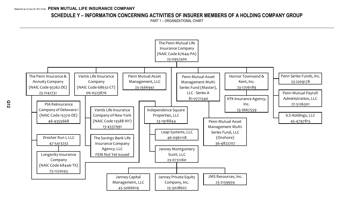## **SCHEDULE Y – INFORMATION CONCERNING ACTIVITIES OF INSURER MEMBERS OF A HOLDING COMPANY GROUP**

PART 1 – ORGANIZATIONAL CHART

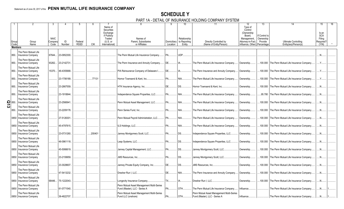## **SCHEDULE Y**

PART 1A - DETAIL OF INSURANCE HOLDING COMPANY SYSTEM

| Group<br>Code      | Group<br>Name                                    | <b>NAIC</b><br>Company<br>Code | ID<br>Number      | Federal<br><b>RSSD</b> | <b>CIK</b> | Name of<br>Securities<br>Exchange<br>if Publicly<br>Traded<br>(U.S. or<br>International) | Names of<br>Parent. Subsidiaries<br>or Affiliates                          | Domiciliary<br>Location | Relationship<br>to Reporting<br>Entity | 11<br>Directly Controlled by<br>(Name of Entity/Person)                    | 12<br>Type of<br>Control<br>(Ownership<br>Board,<br>Management.<br>Attorney-in-Fact,<br>Influence. Other) | 13<br>If Control is<br>Ownership<br>Provide<br>Percentage | Ultimate Controlling<br>Entity(ies)/Person(s)    | Is an<br><b>SCA</b><br>Filing<br>Required?<br>(Y/N) |  |
|--------------------|--------------------------------------------------|--------------------------------|-------------------|------------------------|------------|------------------------------------------------------------------------------------------|----------------------------------------------------------------------------|-------------------------|----------------------------------------|----------------------------------------------------------------------------|-----------------------------------------------------------------------------------------------------------|-----------------------------------------------------------|--------------------------------------------------|-----------------------------------------------------|--|
| <b>Members</b>     |                                                  |                                |                   |                        |            |                                                                                          |                                                                            |                         |                                        |                                                                            |                                                                                                           |                                                           |                                                  |                                                     |  |
| 850.               | The Penn Mutual Life<br><b>Insurance Company</b> | 67644                          | 23-0952300        |                        |            |                                                                                          | The Penn Mutual Life Insurance Company.                                    | PA.                     | UDP.                                   |                                                                            |                                                                                                           |                                                           |                                                  | N                                                   |  |
| 850.               | The Penn Mutual Life<br>Insurance Company        |                                | 93262 23-2142731  |                        |            |                                                                                          | The Penn Insurance and Annuity Company                                     | DE.                     |                                        | The Penn Mutual Life Insurance Company.                                    | Ownership.                                                                                                |                                                           | .100.000 The Penn Mutual Life Insurance Company. |                                                     |  |
| 850.               | The Penn Mutual Life<br><b>Insurance Company</b> | 15370                          | 46-4355668        |                        |            |                                                                                          | PIA Reinsurance Company of Delaware I.                                     | DE.                     |                                        | The Penn Insurance and Annuity Company                                     | Ownership.                                                                                                |                                                           | 100.000 The Penn Mutual Life Insurance Company.  | $Y_{\cdot\cdot\cdot}$                               |  |
| 850.               | The Penn Mutual Life<br><b>Insurance Company</b> |                                | 23-1706189.       |                        | .77131     |                                                                                          | Hornor Townsend & Kent. Inc.                                               | <b>PA</b>               | NIA.                                   | The Penn Mutual Life Insurance Company.                                    | Ownership.                                                                                                | .100.000                                                  | The Penn Mutual Life Insurance Company.          | $\mathsf{Y}$                                        |  |
| 850.               | The Penn Mutual Life<br><b>Insurance Company</b> |                                | 23-2667559.       |                        |            |                                                                                          | HTK Insurance Agency, Inc.                                                 | DE.                     | DS.                                    | Hornor Townsend & Kent. Inc.                                               | Ownership.                                                                                                |                                                           | .100.000 The Penn Mutual Life Insurance Company. | N                                                   |  |
| 850.               | The Penn Mutual Life<br><b>Insurance Company</b> |                                | 23-1918844.       |                        |            |                                                                                          | Independence Square Properties, LLC                                        | PA.                     | NIA                                    | The Penn Mutual Life Insurance Company.                                    | Ownership.                                                                                                |                                                           | .95.780 The Penn Mutual Life Insurance Company.  | N                                                   |  |
| $\frac{5}{2}$ 850. | The Penn Mutual Life<br>Insurance Company        |                                | 23-2566941        |                        |            |                                                                                          | Penn Mutual Asset Management, LLC.                                         | PA.                     | NIA                                    | The Penn Mutual Life Insurance Company.                                    | Ownership.                                                                                                | .100.000                                                  | The Penn Mutual Life Insurance Company.          | $N_{\cdot}$                                         |  |
| 850.               | The Penn Mutual Life<br><b>Insurance Company</b> |                                | 23-2209178.       |                        |            |                                                                                          | Penn Series Fund, Inc.                                                     | PA.                     | NIA.                                   | The Penn Mutual Life Insurance Company.                                    | Ownership.                                                                                                |                                                           | .100.000 The Penn Mutual Life Insurance Company. | $N_{\cdot}$                                         |  |
| 0850               | The Penn Mutual Life<br>Insurance Company        |                                | 27-5126301        |                        |            |                                                                                          | Penn Mutual Payroll Administration, LLC.                                   | PA.                     | NIA                                    | The Penn Mutual Life Insurance Company.                                    | Ownership.                                                                                                |                                                           | .100.000 The Penn Mutual Life Insurance Company. | N                                                   |  |
|                    | The Penn Mutual Life<br>0850 Insurance Company   |                                | 45-4797815.       |                        |            |                                                                                          | ILS Holdings, LLC.                                                         | PA.                     | NIA.                                   | The Penn Mutual Life Insurance Company.                                    | Ownership.                                                                                                | .100.000                                                  | The Penn Mutual Life Insurance Company.          | .N.                                                 |  |
| 0850               | The Penn Mutual Life<br>Insurance Company        |                                | 23-0731260.       |                        | .200401    |                                                                                          | Janney Montgomery Scott, LLC.                                              | PA.                     | DS.                                    | Independence Square Properties, LLC.                                       | Ownership.                                                                                                |                                                           | .100.000 The Penn Mutual Life Insurance Company. | $N_{\cdots}$                                        |  |
| 0850               | The Penn Mutual Life<br><b>Insurance Company</b> |                                | 46-0961118.       |                        |            |                                                                                          | Leap Systems, LLC.                                                         | PA.                     | DS.                                    | Independence Square Properties, LLC.                                       | Ownership.                                                                                                |                                                           | .100.000 The Penn Mutual Life Insurance Company. | N                                                   |  |
|                    | The Penn Mutual Life<br>0850 Insurance Company   |                                | 45-5066619.       |                        |            |                                                                                          | Janney Capital Management, LLC.                                            | PA.                     | DS.                                    | Janney Montgomery Scott, LLC.                                              | Ownership.                                                                                                | .100.000                                                  | The Penn Mutual Life Insurance Company.          | $N_{\cdot}$                                         |  |
| 0850               | The Penn Mutual Life<br><b>Insurance Company</b> |                                | 23-2159959.       |                        |            |                                                                                          | JMS Resources. Inc.                                                        | <b>PA</b>               | DS.                                    | Janney Montgomery Scott, LLC                                               | Ownership.                                                                                                |                                                           | .100.000 The Penn Mutual Life Insurance Company. | $N_{\cdot}$                                         |  |
| 0850               | The Penn Mutual Life<br><b>Insurance Company</b> |                                | 23-3028607        |                        |            |                                                                                          | Janney Private Equity Company, Inc.                                        | DE.                     | DS.                                    | <b>JMS Resources, Inc.</b>                                                 | Ownership.                                                                                                |                                                           | .100.000 The Penn Mutual Life Insurance Company. | N                                                   |  |
| 0850               | The Penn Mutual Life<br><b>Insurance Company</b> |                                | 47-5413232.       |                        |            |                                                                                          | Dresher Run I. LLC.                                                        | DE.                     | NIA                                    | The Penn Insurance and Annuity Company                                     | Ownership.                                                                                                | .100.000                                                  | The Penn Mutual Life Insurance Company.          | .N                                                  |  |
| 0850               | The Penn Mutual Life<br><b>Insurance Company</b> |                                | 68446 75-1222043. |                        |            |                                                                                          | Longevity Insurance Company                                                | TX.                     |                                        | Dresher Run I. LLC.                                                        | Ownership.                                                                                                | .100.000                                                  | The Penn Mutual Life Insurance Company.          | $N_{\cdots}$                                        |  |
|                    | The Penn Mutual Life<br>0850 Insurance Company   |                                | 81-0771540.       |                        |            |                                                                                          | Penn Mutual Asset Management Multi-Series<br>Fund (Master), LLC - Series A | PA.                     | OTH.                                   | The Penn Mutual Life Insurance Company                                     | Influence.                                                                                                |                                                           | The Penn Mutual Life Insurance Company.          | .N                                                  |  |
|                    | The Penn Mutual Life<br>0850 Insurance Company   |                                | 36-4822707.       |                        |            |                                                                                          | Penn Mutual Asset Management Multi-Series<br>Fund LLC (onshore)            | PA.                     | OTH.                                   | Penn Mutual Asset Management Multi-Series<br>Fund (Master), LLC - Series A | Influence                                                                                                 |                                                           | The Penn Mutual Life Insurance Company.          |                                                     |  |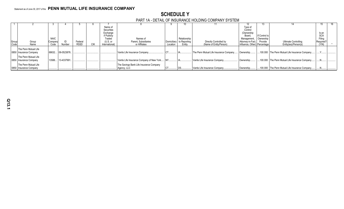## **SCHEDULE Y**

#### PART 1A - DETAIL OF INSURANCE HOLDING COMPANY SYSTEM

|       |                        |             |                  |             |     |                       |                                           |             |              |                                        |                              | 15.                        |                                                |                      |  |
|-------|------------------------|-------------|------------------|-------------|-----|-----------------------|-------------------------------------------|-------------|--------------|----------------------------------------|------------------------------|----------------------------|------------------------------------------------|----------------------|--|
|       |                        |             |                  |             |     | Name of               |                                           |             |              |                                        | Type of                      |                            |                                                |                      |  |
|       |                        |             |                  |             |     | Securities            |                                           |             |              |                                        | Control                      |                            |                                                |                      |  |
|       |                        |             |                  |             |     | Exchange              |                                           |             |              |                                        | (Ownership                   |                            |                                                | Is an                |  |
|       |                        | <b>NAIC</b> |                  |             |     | if Publicly<br>Traded | Names of                                  |             | Relationship |                                        | Board.<br>Management.        | If Control is<br>Ownership |                                                | <b>SCA</b><br>Filing |  |
| Group | Group                  | Company     |                  | Federal     |     | $(U.S.$ or            | Parent, Subsidiaries                      | Domiciliary | to Reporting | Directly Controlled by                 | Attorney-in-Fact,            | Provide                    | Ultimate Controlling                           | Required?            |  |
| Code  | Name                   | Code        | Number           | <b>RSSD</b> | CIK | International)        | or Affiliates                             | Location    | Entity       | (Name of Entity/Person)                | Influence, Other) Percentage |                            | Entity(ies)/Person(s)                          | (Y/N)                |  |
|       |                        |             |                  |             |     |                       |                                           |             |              |                                        |                              |                            |                                                |                      |  |
|       | The Penn Mutual Life   |             |                  |             |     |                       |                                           |             |              |                                        |                              |                            |                                                |                      |  |
|       | 0850 Insurance Company |             | 68632 06-0523876 |             |     |                       | Vantis Life Insurance Company.            |             |              | The Penn Mutual Life Insurance Company | Ownership                    |                            | 100.000 The Penn Mutual Life Insurance Company |                      |  |
|       | The Penn Mutual Life   |             |                  |             |     |                       |                                           |             |              |                                        |                              |                            |                                                |                      |  |
|       | 0850 Insurance Company | 13588.      | 13-4337991.      |             |     |                       | Vantis Life Insurance Company of New York | NY.         |              | Vantis Life Insurance Company.         | Ownership                    |                            | 100.000 The Penn Mutual Life Insurance Company |                      |  |
|       |                        |             |                  |             |     |                       |                                           |             |              |                                        |                              |                            |                                                |                      |  |
|       | The Penn Mutual Life   |             |                  |             |     |                       | The Savings Bank Life Insurance Company   |             |              |                                        |                              |                            |                                                |                      |  |
|       | 0850 Insurance Company |             |                  |             |     |                       | Agency, LLC                               |             |              | Vantis Life Insurance Company.         | Ownership.                   |                            | 100.000 The Penn Mutual Life Insurance Company |                      |  |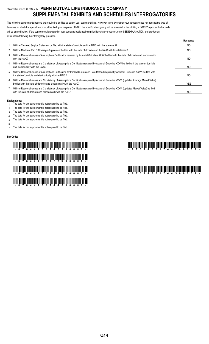## Statement as of June 30, 2017 of the **PENN MUTUAL LIFE INSURANCE COMPANY SUPPLEMENTAL EXHIBITS AND SCHEDULES INTERROGATORIES**

The following supplemental reports are required to be filed as part of your statement filing. However, in the event that your company does not transact the type of business for which the special report must be filed, your response of NO to the specific interrogatory will be accepted in lieu of filing a "NONE" report and a bar code will be printed below. If the supplement is required of your company but is not being filed for whatever reason, enter SEE EXPLANATION and provide an explanation following the interrogatory questions.

|    |                                                                                                                                                                                                                    | Response |
|----|--------------------------------------------------------------------------------------------------------------------------------------------------------------------------------------------------------------------|----------|
|    | Will the Trusteed Surplus Statement be filed with the state of domicile and the NAIC with this statement?                                                                                                          | NO.      |
| 2. | Will the Medicare Part D Coverage Supplement be filed with the state of domicile and the NAIC with this statement?                                                                                                 | NO.      |
| 3. | Will the Reasonableness of Assumptions Certification required by Actuarial Guideline XXXV be filed with the state of domicile and electronically<br>with the NAIC?                                                 | NO       |
| 4. | Will the Reasonableness and Consistency of Assumptions Certification required by Actuarial Guideline XXXV be filed with the state of domicile<br>and electronically with the NAIC?                                 | NO.      |
| 5. | Will the Reasonableness of Assumptions Certification for Implied Guaranteed Rate Method required by Actuarial Guideline XXXVI be filed with<br>the state of domicile and electronically with the NAIC?             | NO.      |
| 6. | Will the Reasonableness and Consistency of Assumptions Certification required by Actuarial Guideline XXXVI (Updated Average Market Value)<br>be filed with the state of domicile and electronically with the NAIC? | YES      |
|    | Will the Reasonableness and Consistency of Assumptions Certification required by Actuarial Guideline XXXVI (Updated Market Value) be filed<br>with the state of domicile and electronically with the NAIC?         | NO       |

#### **Explanations:**

- 1. The data for this supplement is not required to be filed.
- 2. The data for this supplement is not required to be filed.
- 3. The data for this supplement is not required to be filed.
- 4. The data for this supplement is not required to be filed.
- 5. The data for this supplement is not required to be filed.
- 6.

7. The data for this supplement is not required to be filed.

#### **Bar Code:**

# \*67644201749000002\* \*67644201744700002\* \*67644201736500002\* \*67644201744500002\* \*67644201744900002\* \*67644201744600002\*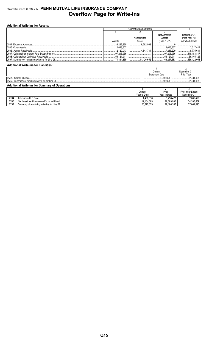## Statement as of June 30, 2017 of the **PENN MUTUAL LIFE INSURANCE COMPANY Overflow Page for Write-Ins**

#### **Additional Write-ins for Assets:**

| Net Admitted                  |              | December 31     |                        |
|-------------------------------|--------------|-----------------|------------------------|
|                               | Nonadmitted  | Assets          | Prior Year Net         |
| Assets                        | Assets       | $(Cols. 1 - 2)$ | <b>Admitted Assets</b> |
| <sup> </sup> …………………6.282.868 | 6 282 868    |                 |                        |
| .2.643.607                    |              | .2.643.607      | $\ldots$ 3,017.447     |
|                               | 4 843 784    | 7.285.229       | 8.775.634              |
| 97.206.936                    |              | 97.206.936      | 118,183,847            |
| $\ldots$ 56.121.911           |              | .56.121.911     | 36.145.125             |
|                               | 1.111126.652 |                 | .166.122.053           |

#### **Additional Write-ins for Liabilities:**

|                                                        |  | Current               | December 31 |  |  |
|--------------------------------------------------------|--|-----------------------|-------------|--|--|
|                                                        |  | <b>Statement Date</b> | Prior Year  |  |  |
| 2504                                                   |  | .6.249.453            | 2.784.425   |  |  |
| 2597                                                   |  | 6.249.453             | 2.784.425   |  |  |
| <b>Additional Write-ins for Summary of Operations:</b> |  |                       |             |  |  |
|                                                        |  |                       |             |  |  |

|      |                                             | Current      | Prior        | <b>Prior Year Ended</b> |
|------|---------------------------------------------|--------------|--------------|-------------------------|
|      |                                             | Year to Date | Year to Date | December 31             |
| 2704 | Interest on LLC Note.                       | 438.016      | .296.427     | .2.666.426              |
| 2705 | Net Investment Income on Funds Withheld     | .19.134.363  | 16.889.930   | 34.395.669              |
| 2797 | Summary of remaining write-ins for Line 27. | .20.572.379  | 18.186.357   |                         |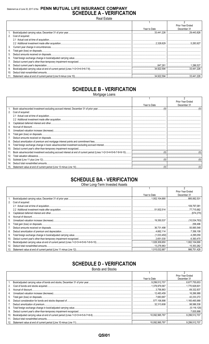## Statement as of June 30, 2017 of the PENN MUTUAL LIFE INSURANCE COMPANY **SCHEDULE A - VERIFICATION**

**Real Estate** 

|                 |                      |              | Prior Year Ended |
|-----------------|----------------------|--------------|------------------|
|                 |                      | Year to Date | December 31      |
|                 |                      |              |                  |
|                 | 2. Cost of acquired: |              |                  |
|                 |                      |              |                  |
|                 |                      |              |                  |
| 3.              |                      |              |                  |
| 4.              |                      |              |                  |
| 5.              |                      |              |                  |
| 6.              |                      |              |                  |
|                 |                      |              |                  |
| 8.              |                      |              |                  |
| 9.              |                      |              |                  |
| 10 <sub>1</sub> |                      |              |                  |
|                 |                      |              |                  |

## **SCHEDULE B - VERIFICATION**

Mortgage Loans

|                 |                      |              | Prior Year Ended |
|-----------------|----------------------|--------------|------------------|
|                 |                      | Year to Date | December 31      |
|                 |                      |              |                  |
|                 | 2. Cost of acquired: |              |                  |
|                 |                      |              |                  |
|                 |                      |              |                  |
| 3.              |                      |              |                  |
|                 |                      |              |                  |
| 5.              |                      |              |                  |
| 6.              |                      |              |                  |
|                 |                      |              |                  |
| 8.              |                      |              |                  |
| 9.              |                      |              |                  |
| 10.             |                      |              |                  |
|                 |                      |              |                  |
| 12.             |                      |              |                  |
|                 |                      |              |                  |
|                 |                      |              |                  |
| 15 <sub>1</sub> |                      |              |                  |

# **SCHEDULE BA - VERIFICATION**

Other Long-Term Invested Assets

|     |                   |              | Prior Year Ended |
|-----|-------------------|--------------|------------------|
|     |                   | Year to Date | December 31      |
|     |                   |              | 885.062.531      |
| 2.  | Cost of acquired: |              |                  |
|     |                   |              | .109,797,081     |
|     |                   |              |                  |
| 3.  |                   |              |                  |
| 4.  |                   |              |                  |
| 5.  |                   |              |                  |
| 6.  |                   |              |                  |
|     |                   |              |                  |
| 8.  |                   |              |                  |
| 9.  |                   |              |                  |
| 10. |                   |              |                  |
| 11. |                   |              |                  |
| 12. |                   |              | 15.353.262       |
| 13. |                   |              |                  |

## **SCHEDULE D - VERIFICATION**

**Bonds and Stocks** 

|     |              | Prior Year Ended |
|-----|--------------|------------------|
|     | Year to Date | December 31      |
|     |              |                  |
|     |              |                  |
|     |              |                  |
| 4.  |              |                  |
|     |              |                  |
|     |              |                  |
|     |              |                  |
|     |              |                  |
|     |              |                  |
| 10. |              |                  |
|     |              |                  |
|     |              |                  |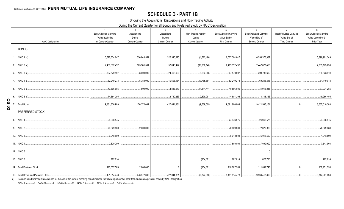## **SCHEDULE D - PART 1B**

Showing the Acquisitions, Dispositions and Non-Trading Activity

During the Current Quarter for all Bonds and Preferred Stock by NAIC Designation

|              |                           | $\overline{1}$         | 2                                               | $\mathbf{3}$           | $\overline{4}$         | $5\overline{)}$               | 6                             | $\overline{7}$                | 8                      |
|--------------|---------------------------|------------------------|-------------------------------------------------|------------------------|------------------------|-------------------------------|-------------------------------|-------------------------------|------------------------|
|              |                           | Book/Adjusted Carrying | Acquisitions                                    | <b>Dispositions</b>    | Non-Trading Activity   | <b>Book/Adjusted Carrying</b> | <b>Book/Adjusted Carrying</b> | <b>Book/Adjusted Carrying</b> | Book/Adjusted Carrying |
|              |                           | Value Beginning        | During                                          | During                 | During                 | Value End of                  | Value End of                  | Value End of                  | Value December 31      |
|              | <b>NAIC Designation</b>   | of Current Quarter     | <b>Current Quarter</b>                          | <b>Current Quarter</b> | <b>Current Quarter</b> | <b>First Quarter</b>          | Second Quarter                | <b>Third Quarter</b>          | Prior Year             |
|              | <b>BONDS</b>              |                        |                                                 |                        |                        |                               |                               |                               |                        |
|              | 1. NAIC 1 (a)             | 6,527,304,647          | 356,940,551                                     | 326,346,325            | (1,522,486)            | .6,527,304,647                | .6,556,376,387                |                               | 5,899,901,349          |
|              |                           | 2.409.392.492          | 105,581,531                                     | 57,046,427<br>.        | (10,050,140)           | 2,409,392,492                 | 2,447,877,456                 |                               | 2,309,173,256          |
|              |                           | 307,579,597            | 8,000,000                                       | 24,466,903             | 8,683,998              | 307,579,597                   | 299,796,692                   |                               | 289,628,910            |
|              |                           | 82.249.273             | 5.350.000                                       | 10.598.164             | (7,765,561)            | 82.249.273                    | 69,235,548                    |                               | 81,119,078             |
|              |                           | 40,596,605             | 500,000                                         |                        | (1,314,411)<br>.       | 40.596.605                    | 34.945.915                    |                               | 37,931,255             |
|              |                           | 14,684,295             |                                                 |                        | 2.399.091              |                               |                               |                               | 19,256,455             |
|              |                           | 9,381,806,909<br>.     | 476,372,082                                     | 427,044,331            |                        | 9,381,806,909                 | 9,421,565,151                 |                               | 8,637,010,303          |
| <b>QSI02</b> | PREFERRED STOCK           |                        |                                                 |                        |                        |                               |                               |                               |                        |
|              |                           | 24,946,575             |                                                 |                        |                        | 24.946.575                    | 24,946,575                    |                               | 24,946,575             |
|              |                           | 70,629,880             | 0.2,000,000                                     |                        |                        | 70,629,880                    | 72,629,880                    |                               | 70,629,880             |
|              |                           | 6,048,500              |                                                 |                        |                        | 6,048,500                     | 6.048.500                     |                               | .4,048,500             |
|              |                           | 7,600,000              |                                                 |                        |                        | 7,600,000                     | 0.7.600.000                   |                               | 7,543,966              |
|              |                           |                        |                                                 |                        |                        |                               | $\bigcap$                     |                               |                        |
|              | 13. NAIC 6                | 782,614                | the contract of the contract of the contract of |                        |                        |                               | .627.793                      |                               | 782.614                |
|              | 14. Total Preferred Stock | 110,007,569            |                                                 |                        |                        |                               |                               |                               | 107,951,535            |
|              |                           |                        |                                                 |                        |                        |                               |                               |                               |                        |

(a) Book/Adjusted Carrying Value column for the end of the current reporting period includes the following amount of short-term and cash equivalent bonds by NAIC designation:

NAIC 1 \$...........0; NAIC 2 \$..........0; NAIC 3 \$...........0; NAIC 4 \$..........0; NAIC 5 \$..........0; NAIC 6 \$..........0.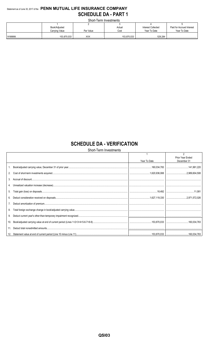## Statement as of June 30, 2017 of the PENN MUTUAL LIFE INSURANCE COMPANY **SCHEDULE DA - PART 1**

| <u> UITUL I UITII III IUUUIIIUI ILU</u> |                |                |                 |                    |                           |  |  |
|-----------------------------------------|----------------|----------------|-----------------|--------------------|---------------------------|--|--|
|                                         |                |                |                 |                    |                           |  |  |
|                                         | Book/Adjusted  |                | Actual          | Interest Collected | Paid for Accrued Interest |  |  |
|                                         | Carrying Value | Par Value      | Cost            | Year To Date       | Year To Date              |  |  |
|                                         |                |                |                 |                    |                           |  |  |
|                                         | 1.153,870,033  | <b>VVV</b><br> | 153.870.033<br> | 529,284            |                           |  |  |

# **SCHEDULE DA - VERIFICATION**

Short-Term Investments

|         |              | $\mathfrak{p}$   |
|---------|--------------|------------------|
|         |              | Prior Year Ended |
|         | Year To Date | December 31      |
|         |              |                  |
|         |              |                  |
| $3_{-}$ |              |                  |
|         |              |                  |
| 5.      |              |                  |
| 6.      |              |                  |
| 7.      |              |                  |
| 8.      |              |                  |
| 9.      |              |                  |
| 10.     |              |                  |
| 11.     |              |                  |
|         |              |                  |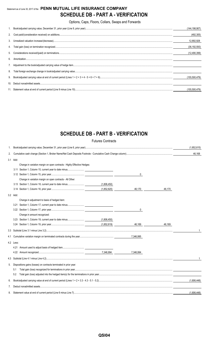## Statement as of June 30, 2017 of the **PENN MUTUAL LIFE INSURANCE COMPANY SCHEDULE DB - PART A - VERIFICATION**

Options, Caps, Floors, Collars, Swaps and Forwards

|    |                                                                                                                                                                                                                                                                                                                                                                               | (144,198,907)   |
|----|-------------------------------------------------------------------------------------------------------------------------------------------------------------------------------------------------------------------------------------------------------------------------------------------------------------------------------------------------------------------------------|-----------------|
|    |                                                                                                                                                                                                                                                                                                                                                                               | (492, 305)      |
|    |                                                                                                                                                                                                                                                                                                                                                                               | 12,892,928      |
|    |                                                                                                                                                                                                                                                                                                                                                                               | (36, 192, 593)  |
|    |                                                                                                                                                                                                                                                                                                                                                                               | (12,490,399)    |
| 6  | $\textbf{Amortization}.\textrm{}.\textrm{}.\textrm{}.\textrm{}.\textrm{}.\textrm{}.\textrm{}.\textrm{}.\textrm{}.\textrm{}.\textrm{}.\hspace{1.5cm}\underbrace{\hspace{1.5cm}}_{\rule{1.5cm}{1.5cm} \hspace{1.5cm}}\underbrace{\hspace{1.5cm}}_{\rule{1.5cm}{1.5cm} \hspace{1.5cm}}\underbrace{\hspace{1.5cm}}_{\rule{1.5cm}{1.5cm} \hspace{1.5cm}}\underbrace{\hspace{1.5cm$ |                 |
|    |                                                                                                                                                                                                                                                                                                                                                                               |                 |
| 8. |                                                                                                                                                                                                                                                                                                                                                                               |                 |
|    |                                                                                                                                                                                                                                                                                                                                                                               | (155, 500, 479) |
|    |                                                                                                                                                                                                                                                                                                                                                                               |                 |
|    |                                                                                                                                                                                                                                                                                                                                                                               | (155.500.479)   |

# **SCHEDULE DB - PART B - VERIFICATION**

|     |           |                                                                         | <b>Futures Contracts</b> |           |        |             |
|-----|-----------|-------------------------------------------------------------------------|--------------------------|-----------|--------|-------------|
| 1.  |           |                                                                         |                          |           |        | (1,852,615) |
| 2.  |           |                                                                         |                          |           |        | 46,168      |
|     | 3.1 Add:  |                                                                         |                          |           |        |             |
|     |           | Change in variation margin on open contracts - Highly Effective Hedges: |                          |           |        |             |
|     |           |                                                                         |                          |           |        |             |
|     |           |                                                                         |                          | 0         |        |             |
|     |           | Change in variation margin on open contracts - All Other:               |                          |           |        |             |
|     |           | 3.13 Section 1, Column 18, current year to date minus                   | (1,806,450)              |           |        |             |
|     |           |                                                                         | (1,852,620)              | 46,170    | 46,170 |             |
|     | 3.2 Add:  |                                                                         |                          |           |        |             |
|     |           | Change in adjustment to basis of hedged item:                           |                          |           |        |             |
|     | 3.21      | Section 1, Column 17, current year to date minus                        |                          |           |        |             |
|     |           |                                                                         |                          | 0         |        |             |
|     |           | Change in amount recognized:                                            |                          |           |        |             |
|     |           |                                                                         | (1,806,450)              |           |        |             |
|     |           |                                                                         | (1,852.619)              | 46.169    | 46,169 |             |
|     |           |                                                                         |                          |           |        | 1           |
| 4.1 |           |                                                                         |                          | 7,346,995 |        |             |
|     | 4.2 Less: |                                                                         |                          |           |        |             |
|     |           |                                                                         |                          |           |        |             |
|     |           |                                                                         | 7,346,994                | 7,346,994 |        |             |
|     |           |                                                                         |                          |           |        |             |
| 5.  |           | Dispositions gains (losses) on contracts terminated in prior year:      |                          |           |        |             |
|     | 5.1       |                                                                         |                          |           |        |             |
|     | 5.2       |                                                                         |                          |           |        |             |
| 6.  |           |                                                                         |                          |           |        | (1.806.448) |
| 7.  |           |                                                                         |                          |           |        |             |
| 8.  |           |                                                                         |                          |           |        | (1,806,448) |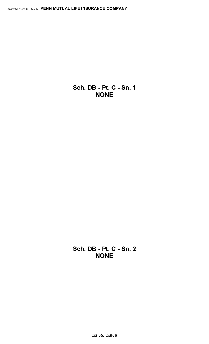**Sch. DB - Pt. C - Sn. 1 NONE**

**Sch. DB - Pt. C - Sn. 2 NONE**

**QSI05, QSI06**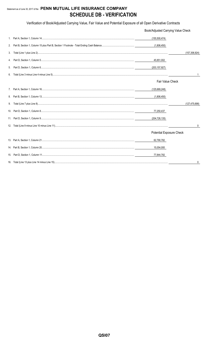## Statement as of June 30, 2017 of the PENN MUTUAL LIFE INSURANCE COMPANY **SCHEDULE DB - VERIFICATION**

Verification of Book/Adjusted Carrying Value, Fair Value and Potential Exposure of all Open Derivative Contracts

|    | Book/Adjusted Carrying Value Check |                 |
|----|------------------------------------|-----------------|
|    | (155,500,474)                      |                 |
| 2. | (1,806,450)                        |                 |
| 3. |                                    | (157, 306, 924) |
| 4. | 45,851,002                         |                 |
| 5. | (203,157,927)                      |                 |
| 6. |                                    |                 |
|    | Fair Value Check                   |                 |
|    | (125,669,248)                      |                 |
|    | (1,806,450)                        |                 |
| 9. |                                    | (127, 475, 698) |
|    | 77,250,437                         |                 |
|    | (204,726,135)                      |                 |
|    |                                    | 0               |
|    | Potential Exposure Check           |                 |
|    | 62,790,782                         |                 |
|    | 15,054,000                         |                 |
|    | 77,844,782                         |                 |
|    |                                    |                 |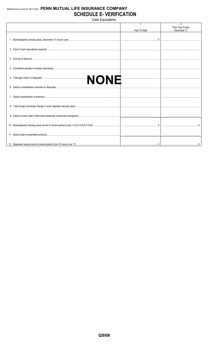## Statement as of June 30, 2017 of the PENN MUTUAL LIFE INSURANCE COMPANY **SCHEDULE E- VERIFICATION**

Cash Equivalents

|  | Year To Date | Prior Year Ended<br>December 31 |
|--|--------------|---------------------------------|
|  |              |                                 |
|  |              |                                 |
|  |              |                                 |
|  |              |                                 |
|  |              |                                 |
|  |              |                                 |
|  |              |                                 |
|  |              |                                 |
|  |              |                                 |
|  |              |                                 |
|  |              |                                 |
|  |              |                                 |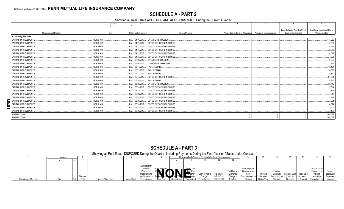## **SCHEDULE A - PART 2**

Showing all Real Estate ACQUIRED AND ADDITIONS MADE During the Current Quarter

|    |                                | Location | $\Delta$              |                                             |                                                           | 8                                   | 9                          |
|----|--------------------------------|----------|-----------------------|---------------------------------------------|-----------------------------------------------------------|-------------------------------------|----------------------------|
|    |                                |          |                       |                                             |                                                           |                                     |                            |
|    |                                |          |                       |                                             |                                                           | <b>Book/Adjusted Carrying Value</b> | Additional Investment Made |
|    | <b>Description of Property</b> | City     | State   Date Acquired | Name of Vendor                              | Actual Cost at Time of Acquisition Amount of Encumbrances | <b>Less Encumbrances</b>            | <b>After Acquisition</b>   |
|    | <b>Acquired by Purchase</b>    |          |                       |                                             |                                                           |                                     |                            |
|    | CAPITAL IMPROVEMENTS           | HORSHAM. |                       | PA 04/06/2017 DATA CENTER DESIGN            |                                                           |                                     | .144.230                   |
|    | <b>CAPITAL IMPROVEMENTS</b>    | HORSHAM. |                       | PA 04/21/2017 COFCO OFFICE FURNISHINGS.     |                                                           |                                     | .5,387                     |
|    | CAPITAL IMPROVEMENTS           | HORSHAM. |                       | PA 04/21/2017 COFCO OFFICE FURNISHINGS.     |                                                           |                                     | .4,466                     |
|    | CAPITAL IMPROVEMENTS           | HORSHAM. |                       | PA   04/21/2017   COFCO OFFICE FURNISHINGS. |                                                           |                                     | 2,975                      |
|    | <b>CAPITAL IMPROVEMENTS</b>    | HORSHAM. |                       | PA 04/21/2017 COFCO OFFICE FURNISHINGS.     |                                                           |                                     | .4,047                     |
|    | CAPITAL IMPROVEMENTS           | HORSHAM. |                       | PA 04/21/2017 COFCO OFFICE FURNISHINGS.     |                                                           |                                     | .1,206                     |
|    | CAPITAL IMPROVEMENTS           | HORSHAM. |                       | PA 05/03/2017 DATA CENTER DESIGN.           |                                                           |                                     | 79,358                     |
|    | <b>CAPITAL IMPROVEMENTS</b>    | HORSHAM. |                       | PA 05/05/2017 CORPORATE INTERIORS.          |                                                           |                                     | .27,465                    |
|    | CAPITAL IMPROVEMENTS           | HORSHAM. |                       | PA 05/11/2017 PAUL RESTALL                  |                                                           |                                     | 13,494                     |
|    | <b>CAPITAL IMPROVEMENTS</b>    | HORSHAM. |                       | PA 05/11/2017 PAUL RESTALL                  |                                                           |                                     | 136,063                    |
|    | <b>CAPITAL IMPROVEMENTS</b>    | HORSHAM. |                       | PA 05/11/2017 PAUL RESTALL.                 |                                                           |                                     | 0.4,870                    |
|    | CAPITAL IMPROVEMENTS           | HORSHAM. |                       | PA 05/15/2017 COFCO OFFICE FURNISHINGS.     |                                                           |                                     | 27,064                     |
|    | CAPITAL IMPROVEMENTS           | HORSHAM. |                       | PA 05/16/2017 PAUL RESTALL                  |                                                           |                                     | 28,365                     |
|    | <b>CAPITAL IMPROVEMENTS</b>    | HORSHAM. |                       | PA 05/22/2017 DATA CENTER DESIGN.           |                                                           |                                     | .38,742                    |
|    | <b>CAPITAL IMPROVEMENTS</b>    | HORSHAM. |                       | PA 06/28/2017 COFCO OFFICE FURNISHINGS.     |                                                           |                                     | .7,514                     |
|    | CAPITAL IMPROVEMENTS           | HORSHAM. |                       | PA 06/28/2017 COFCO OFFICE FURNISHINGS.     |                                                           |                                     | .1,377                     |
|    | <b>CAPITAL IMPROVEMENTS</b>    | HORSHAM. |                       | PA 06/28/2017 COFCO OFFICE FURNISHINGS.     |                                                           |                                     | 915                        |
|    | CAPITAL IMPROVEMENTS           | HORSHAM. | PA 06/28/2017         | COFCO OFFICE FURNISHINGS                    |                                                           |                                     | .5,478                     |
|    | CAPITAL IMPROVEMENTS           | HORSHAM. |                       | PA 06/28/2017 COFCO OFFICE FURNISHINGS.     |                                                           |                                     | 991                        |
|    | CAPITAL IMPROVEMENTS           | HORSHAM. |                       | PA 06/28/2017 COFCO OFFICE FURNISHINGS.     |                                                           |                                     | .4,671                     |
| 01 | CAPITAL IMPROVEMENTS           | HORSHAM. | PA 06/28/2017.        | <b>COFCO OFFICE FURNISHINGS</b>             |                                                           |                                     | .1,505                     |
|    | CAPITAL IMPROVEMENTS           | HORSHAM. | PA 06/28/2017         | COFCO OFFICE FURNISHINGS.                   |                                                           |                                     | .486                       |
|    | 0199999. Totals.               |          |                       |                                             |                                                           |                                     | .540,668                   |
|    | 0399999. Totals.               |          |                       |                                             |                                                           |                                     | 540.668                    |

## **SCHEDULE A - PART 3**

Showing all Real Estate DISPOSED During the Quarter, Including Payments During the Final Year on "Sales Under Contract "

|                         | Location |          |                   |                         |               |                |             |                | Change in Book/Adjusted Carrying Value Less Encumbrances |                 |                      |                |             |                     |               |                      |                     |              |
|-------------------------|----------|----------|-------------------|-------------------------|---------------|----------------|-------------|----------------|----------------------------------------------------------|-----------------|----------------------|----------------|-------------|---------------------|---------------|----------------------|---------------------|--------------|
|                         |          |          |                   |                         |               |                |             |                |                                                          |                 |                      |                |             |                     |               |                      |                     |              |
|                         |          |          |                   |                         |               |                |             |                |                                                          |                 |                      |                |             |                     |               |                      |                     |              |
|                         |          |          |                   |                         | Expended for  |                |             |                |                                                          |                 |                      |                |             |                     |               |                      |                     |              |
|                         |          |          |                   |                         | Additions,    | hatsuih∆\ann5  |             | Current Year's |                                                          |                 |                      | Book/Adjusted  |             |                     |               |                      | Gross Income        |              |
|                         |          |          |                   |                         | Permanent     |                |             | Dther-Than-    |                                                          |                 | <b>Total Foreign</b> | Carrying Value |             | Foreian             |               |                      | Earned Less         | Taxes.       |
|                         |          |          |                   |                         | Improvements  | ng all.<br>Ngj | JN'         | Temporary      | Current Year's                                           | Total Change.   | Exchange             | Less           | Amounts     | Exchange            | Realized Gain | <b>Total Gain</b>    | Interest            | Repairs, and |
|                         |          | Disposal |                   |                         | and Changes   |                |             |                | Change                                                   | in B./A.C.V.    | ∩hanne i             | Encumbrances   | Received    | I Gain<br>(Loss) on | (Loss) on     | (Loss) on            | Incurred on         | Expenses     |
| Description of Property |          | Date     | Name of Purchaser | Actual Cos <sup>®</sup> | Lencumbrance, | Prior Year     | anreciation | Recognized     | Encumbrances                                             | $(11 - 9 - 10)$ | <b>B./A.C.V.</b>     | Disposa        | During Year | Disposa             | Disposal      | Disposa <sup>r</sup> | <b>Encumbrances</b> | Incurred     |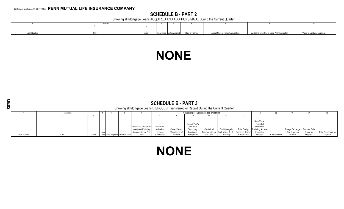## **SCHEDULE B - PART 2**

Showing all Mortgage Loans ACQUIRED AND ADDITIONS MADE During the Current Quarter

|             | Locatio |                     |                           |                  |                                    |                                              |                             |
|-------------|---------|---------------------|---------------------------|------------------|------------------------------------|----------------------------------------------|-----------------------------|
|             |         |                     |                           |                  |                                    |                                              |                             |
|             |         |                     |                           |                  |                                    |                                              |                             |
| Loan Number |         | Ctate<br><b>UWW</b> | Loan Type   Date Acquired | Rate of Interest | Actual Cost at Time of Acquisition | Additional Investment Made After Acquisition | Value of Land and Buildings |

# **NONE**

| O.<br>Ţ<br>Ω |             |          | Showing all Mortgage Loans DISPOSED, Transferred or Repaid During the Current Quarter |      |                                  |                                                                                     |                                     |                                  |                                                          |                                          |                                                                                 |                      |                                                                                   |               |                                                  |           |                      |
|--------------|-------------|----------|---------------------------------------------------------------------------------------|------|----------------------------------|-------------------------------------------------------------------------------------|-------------------------------------|----------------------------------|----------------------------------------------------------|------------------------------------------|---------------------------------------------------------------------------------|----------------------|-----------------------------------------------------------------------------------|---------------|--------------------------------------------------|-----------|----------------------|
|              |             | Location |                                                                                       |      |                                  |                                                                                     |                                     |                                  |                                                          | Change in Book Value/Recorded Investment |                                                                                 |                      | 14                                                                                |               |                                                  |           | 18                   |
|              |             |          |                                                                                       |      |                                  |                                                                                     |                                     |                                  |                                                          | 11                                       |                                                                                 | 13                   |                                                                                   |               |                                                  |           |                      |
|              |             |          |                                                                                       | Loan |                                  | <b>Book Value/Recorded</b><br>Investment Excluding<br><b>Accrued Interest Prior</b> | Unrealized<br>Valuation<br>Increase | Current Year's<br>(Amortization) | Current Year's<br>Other-Than-<br>Temporary<br>Impairment | Capitalized                              | Total Change in<br>Deferred Interest   Book Value $(8 + 9 - 1)$ Exchange Change | <b>Total Foreign</b> | Book Value /<br>Recorded<br>Investment<br><b>Excluding Accrued</b><br>Interest on |               | Foreign Exchange Realized Gain<br>Gain (Loss) on | (Loss) on | Total Gain (Loss) on |
|              | Loan Number | City     | State                                                                                 |      | Type Date Acquired Disposal Date | Year                                                                                | (Decrease)                          | Accretion                        | Recognized                                               | and Other                                | $10 + 11$                                                                       | in Book Value        | Disposal                                                                          | Consideration | Disposal                                         | Disposal  | Disposal             |

# **NONE**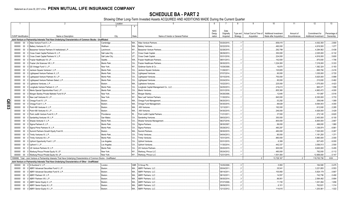# **SCHEDULE BA - PART 2**

Showing Other Long-Term Invested Assets ACQUIRED AND ADDITIONS MADE During the Current Quarter

|     |                             |             |                                                                                                                               | Location       |       | -5<br>6                                     |             | 8        | 9                      | 10                     | 11           | 12                    | 13            |
|-----|-----------------------------|-------------|-------------------------------------------------------------------------------------------------------------------------------|----------------|-------|---------------------------------------------|-------------|----------|------------------------|------------------------|--------------|-----------------------|---------------|
|     |                             |             |                                                                                                                               |                |       |                                             |             |          |                        |                        |              |                       |               |
|     |                             |             |                                                                                                                               |                |       | <b>NAIC</b>                                 | Date        |          |                        |                        |              |                       |               |
|     |                             |             |                                                                                                                               |                |       | Desig-                                      | Originally  | Type and | Actual Cost at Time of | Additional Investment  | Amount of    | Commitment for        | Percentage of |
|     | <b>CUSIP</b> Identification |             | Name or Description                                                                                                           | City           | State | Name of Vendor or General Partner<br>nation | Acquired    | Strategy | Acquisition            | Made after Acquisition | Encumbrances | Additional Investment | Ownership     |
|     |                             |             | Joint Venture or Partnership Interests That Have Underlying Characteristics of Common Stocks - Unaffiliated                   |                |       |                                             |             |          |                        |                        |              |                       |               |
|     |                             |             |                                                                                                                               |                |       |                                             |             |          |                        |                        |              |                       |               |
|     | 000000                      | $00\,$      | Atlas Venture Fund X, L.P.                                                                                                    | Cambridge      | MA    | Atlas Venture Partners.                     | 03/20/2015  |          |                        | 658,415                |              | .4,002,350            | .2.800        |
|     | 000000 00 0                 |             | Battery Ventures XI, L.P                                                                                                      | Waltham.       | MA    | <b>Battery Ventures.</b>                    | 02/22/2016  |          |                        | 490,000                |              | 4,819,500             | .1.077        |
|     | 000000                      | $00\,$      | Bessemer Venture Partners IX Institutional L.P.                                                                               | Larchmont.     | NY    | <b>Bessemer Venture Partners</b>            | 02/28/2015  |          |                        | .292,799               |              | .4,294,562            | .0.438        |
|     | 000000                      | $00\quad 0$ | Cross Creek Capital Partners III, L.P.                                                                                        | Salt Lake City | UT    | Cross Creek Capital.                        | 08/29/2013  |          |                        | .350,000               |              | .2,025,000            | .6.132        |
|     | 000000                      | $00\,$      | Cross Creek Capital Partners IV, L.P.                                                                                         | Salt Lake City | UT    | Cross Creek Capital.                        | 03/31/2016  |          |                        | .224,000               |              | .4,816,000            | .5.600        |
|     | 000000                      | $00\,$      | Frazier Healthcare VII, LP.                                                                                                   | Seattle.       | WA.   | <b>Frazier Healthcare Partners</b>          | 08/01/2013  |          |                        | 142,500                |              | 870,000               | .1.706        |
|     | 000000                      | $00\,$      | Frazier Life Sciences VIII. L.P                                                                                               | Menlo Park.    | CA    | <b>Frazier Healthcare Partners.</b>         | 09/30/2015  |          |                        | 1.224.000              |              | 7,218,000             | .5.333        |
|     |                             |             |                                                                                                                               |                |       |                                             |             |          |                        |                        |              |                       |               |
|     | 000000                      | 000         | GS Vintage Fund V, L.P.                                                                                                       | New York.      | NY    | Goldman Sachs & Co.                         | 10/29/2008  |          |                        | .16,870                |              | .1,362,324            | .0.183        |
|     | 000000                      | $00\,$      | Jackson Square Ventures I. L.P.                                                                                               | Menlo Park.    | CA    | Jackson Square Ventures                     | 11/28/2011  |          |                        | 120,805                |              | .695,784              | .2.416        |
|     | 000000                      | $00\,$      | Lightspeed Venture Partners X, L.P.                                                                                           | Menlo Park.    | CA.   | Lightspeed Ventures                         | 07/07/2014  |          |                        | .90,000                |              | .1,035,000            | .0.720        |
|     | 000000                      | $00\,$      | Lightspeed Venture Partners XI, L.P.                                                                                          | Menlo Park     | CA    | <b>Lightspeed Ventures</b>                  | 03/10/2016  |          |                        | 750,000                |              | .5,625,000            | .0.999        |
|     | 000000                      | $00\,$      | Lightspeed Venture Partners Select, L.P.                                                                                      | Menlo Park     | CA    | <b>Lightspeed Ventures</b>                  | 03/24/2014. |          |                        | .90.000                |              | 210.000               | .0.462        |
|     | 000000                      | $00\,$      | Lightstone Ventures, L.P.                                                                                                     | Boston         | MA.   | Lightstone Ventures.                        | 10/22/2013. |          |                        | .225,000               |              | 1,575,000             | .4.423        |
|     | 000000                      | $00\,$      | Longitude Venture Partners II, L.P.                                                                                           | Menlo Park.    | CA.   | Longitude Capital Management Co., LLC       | 04/25/2013  |          |                        | .219.413               |              | .965,371              | .1.558        |
|     | 000000                      | $00\,$      | Menlo Special Opportunities Fund, L.P.                                                                                        | Menlo Park     | CA    | Menlo Ventures.                             | 03/31/2016  |          |                        | 855,360                |              | .4,963,472            | .4.000        |
|     |                             |             |                                                                                                                               |                |       |                                             |             |          |                        |                        |              |                       |               |
|     | 000000                      | $00\,$      | Morgan Stanley Private Markets Fund III LP.                                                                                   | New York.      | NY    | Morgan Stanley.                             | 04/26/2006  |          |                        | .12,645                |              | .151,997              | .0.516        |
|     | 000000                      | $00\,$      | 0 New Leaf Ventures III. L.P.                                                                                                 | New York.      | NY    | New Leaf Venture Partners                   | 11/30/2014  |          |                        | 840,000                |              | .6,300,000            | .3.733        |
| O   | 000000                      | 000         | Omega Fund IV, L.P                                                                                                            | Boston.        | MA    | Omega Fund Management.                      | 06/20/2013  |          |                        | .53,292                |              | .359.048              | .1.089        |
|     | 000000                      | $00\,$      | 0 Omega Fund V. L.P.                                                                                                          | Boston.        | MA.   | Omega Fund Management.                      | 04/30/2015  |          |                        | .88,628                |              | 9,064,043             | .4.000        |
| E03 | 000000                      |             | 00 0 Point 406 Ventures II, L.P.                                                                                              | Boston.        | MA.   | 406 Ventures.                               | 12/13/2011  |          |                        | 192,000                |              | .612,000              | .2.285        |
|     | 000000                      |             | 00 0 Point 406 Ventures III, L.P.                                                                                             | Boston         | MA.   | 406 Ventures.                               | 04/30/2015  |          |                        | 246,000                |              | .4,926,000            | .3.429        |
|     | 000000 00 0                 |             | Point Judith Venture Fund III, L.P.                                                                                           | Providence     | RL    | Point Judith Capital Partners.              | 11/21/2011  |          |                        | .37,500                |              | 272,145               | .6.620        |
|     | 000000                      | $00\,$      | Sanderling Ventures VII, L.P                                                                                                  | San Mateo      | CA    | Sanderling Ventures                         | 09/03/2013  |          |                        | 350,000                |              | .2,400,000            | .6.100        |
|     |                             |             | Shasta Ventures V. L.P.                                                                                                       | Menlo Park     |       |                                             |             |          |                        |                        |              |                       |               |
|     | 000000                      | $00\,$      |                                                                                                                               |                | CA.   | Shasta Ventures Management                  | 06/27/2016. |          |                        | 800,000                |              | 6,800,000             | .2.667        |
|     | 000000                      | $00\,$      | Sigma Partners 8, L.P.                                                                                                        | Menlo Park     | CA    | Sigma Partners.                             | 08/30/2007. |          |                        | .99,000                |              | .496,000              | .1.980        |
|     | 000000                      | $00\,$      | Sigma Prime Partners IX, L.P                                                                                                  | Menlo Park     | CA    | Sigma Partners.                             | 05/29/2012  |          |                        | 480.297                |              | .1,336,974            | .6.861        |
|     | 000000                      | $00\,$      | Summit Partners Growth Equity Fund IX                                                                                         | Boston.        | MA    | <b>Summit Partners</b>                      | 09/30/2015  |          |                        | 480,000                |              | 7,520,000             | .0.267        |
|     | 000000                      | $00\,$      | 0 Trinity Ventures XI, L.P                                                                                                    | Menlo Park.    | CA.   | <b>Trinity Ventures.</b>                    | 04/04/2013  |          |                        | .90,000                |              | .1,181,250            | .1.371        |
|     | 000000                      | $00\,$      | 0 Trinity Ventures XII, L.P.                                                                                                  | Menlo Park.    | CA    | <b>Trinity Ventures.</b>                    | 10/31/2015  |          |                        | 880,000                |              | .5,960,000            | .2.000        |
|     | 000000                      | $00\,$      | Upfront Opportunity Fund I, L.P.                                                                                              | Los Angeles.   | CA.   | <b>Upfront Ventures</b>                     | 03/31/2015  |          |                        | .6,306                 |              | .937,403              | .6.000        |
|     | 000000                      | $00\,$      | Upfront V, L.P.                                                                                                               | Los Angeles.   | CA    | <b>Upfront Ventures</b>                     | 11/30/2014  |          |                        | 442,337                |              | 3,556,513             | .2.500        |
|     | 000000                      | $00\,$      | US Venture Partners XI. L.P.                                                                                                  | Menlo Park.    | CA.   | <b>US Venture Partners</b>                  | 05/20/2015  |          |                        | .900,000               |              | 9,600,000             | .5.455        |
|     |                             |             |                                                                                                                               |                |       |                                             |             |          |                        |                        |              |                       |               |
|     | 000000                      |             | 00 0 Warburg Pincus Private Equity XI, LP.                                                                                    | New York.      | NY    | Warburg, Pincus LLC.                        | 05/24/2012  |          |                        | 480,000                |              | 792,000               | .0.112        |
|     |                             |             | 000000 00 0 Warburg Pincus Private Equity XII, LP.                                                                            | New York.      | NY    | Warburg, Pincus LLC.                        | 12/21/2015  |          |                        | 1,501,000              |              | 12,958,000            | .0.147        |
|     |                             |             | 1599999. Total - Joint Venture or Partnership Interests That Have Underlying Characteristics of Common Stocks - Unaffiliated. |                |       |                                             |             |          | $\cap$                 | 13.728.167             |              | 119.700.736           | .XXX          |
|     |                             |             | Joint Venture or Partnership Interests That Have Underlying Characteristics of Other - Unaffiliated                           |                |       |                                             |             |          |                        |                        |              |                       |               |
|     | 000000                      |             | 00 0 3i Eurofund V, L.P.                                                                                                      | London.        | GBR.  | 3i Group Plc                                | 10/25/2006  |          |                        | 5,950                  |              | .184,580              | .0.475        |
|     | 000000                      | $00\,$      | ABRY Advanced Securities Fund II, L.P.                                                                                        | Boston.        | MA.   | ABRY Partners, LLC.                         | 05/04/2011. |          |                        | .35,541                |              | 3,221,855             | .0.553        |
|     | 000000                      | $00\,$      | ABRY Advanced Securities Fund III. L.P.                                                                                       | Boston.        | MA.   | <b>ABRY Partners, LLC.</b>                  | 09/14/2011. |          |                        | 100,950                |              | 5,824,179             | .0.667        |
|     |                             | $00\,$      | ABRY Partners VII. L.P.                                                                                                       | Boston.        | MA.   | <b>ABRY Partners, LLC</b>                   | 08/10/2011. |          | 3                      |                        |              |                       |               |
|     | 000000                      |             |                                                                                                                               |                |       |                                             |             |          |                        | .14,557                |              | 742,756               | .0.490        |
|     | 000000                      | $00\,$      | <b>ABRY Partners VIII, L.P.</b>                                                                                               | Boston.        | MA.   | <b>ABRY Partners, LLC</b>                   | 09/30/2014. |          | 3                      | .86,951                |              | 2,564,492             | .0.684        |
|     | 000000                      | $00\,$      | ABRY Senior Equity II, L.P.                                                                                                   | Boston.        | MA.   | <b>ABRY Partners, LLC</b>                   | 07/27/2006. |          |                        | .11,720                |              | .1,001,094            | .1.656        |
|     | 000000                      |             | 00 0 ABRY Senior Equity III, L.P.                                                                                             | Boston.        | MA.   | <b>ABRY Partners, LLC</b>                   | 08/09/2010  |          |                        | .6,101                 |              | 762,821               | .1.314        |
|     |                             |             | 000000 00 0 ABRY Senior Equity IV, L.P.                                                                                       | Boston.        | MA.   | ABRY Partners, LLC.                         | 12/12/2012  |          |                        | 114,615                |              | 1,203,561             | .1.022        |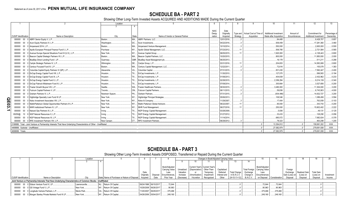## **SCHEDULE BA - PART 2**

Showing Other Long-Term Invested Assets ACQUIRED AND ADDITIONS MADE During the Current Quarter

|                                   |                                                                                                                       | Location        |           |                                    |             |             | 8        |                                                           | $10 -$                 | $12 \overline{ }$<br>11                      | 13            |
|-----------------------------------|-----------------------------------------------------------------------------------------------------------------------|-----------------|-----------|------------------------------------|-------------|-------------|----------|-----------------------------------------------------------|------------------------|----------------------------------------------|---------------|
|                                   |                                                                                                                       |                 |           |                                    |             |             |          |                                                           |                        |                                              |               |
|                                   |                                                                                                                       |                 |           |                                    | <b>NAIC</b> | Date        |          |                                                           |                        |                                              |               |
|                                   |                                                                                                                       |                 |           |                                    | Desia-      | Originally  |          | Type and   Actual Cost at Time of   Additional Investment |                        | Amount of<br>Commitment for                  | Percentage of |
| <b>CUSIP</b> Identification       | Name or Description                                                                                                   | City            | State     | Name of Vendor or General Partner  | nation      | Acquired    | Strategy | Acquisition                                               | Made after Acquisition | Encumbrances<br><b>Additional Investment</b> | Ownership     |
|                                   | 000000 00 0 ABRY Senior Equity V, L.P.                                                                                | Boston.         | MA        | <b>ABRY Partners, LLC.</b>         |             | 12/01/2016  |          |                                                           | 84.485                 | .8,428,707                                   | 0.857         |
| 000000                            | 00 0 Acon Equity Partners IV, L.P                                                                                     | Washington.     | DC        | Acon Investments                   |             | 04/22/2016  |          |                                                           | .936.459               | .17,281,360                                  | 3.460         |
| 000000                            | 00 0 Ampersand 2014, L.P.                                                                                             | Boston.         | MA.       | Ampersand Venture Management.      |             | 10/10/2014. |          |                                                           | 550,000                | .2,600,000                                   | .0.500        |
| 000000                            | 00 0 Apollo European Principal Finance Fund II, L.P.                                                                  | Purchase        |           | NY Apollo Global Management, LLC.  |             | 07/23/2012  |          |                                                           | 506,785                | .2,721,584                                   | .0.565        |
| 000000                            | 00 0 Avenue Europe Special Situations Fund III (U.S.), L.P.                                                           | New York        |           | NY Avenue Capital Group.           |             | 06/05/2015  |          |                                                           | 1,920,000              | .4,128,443                                   | .0.800        |
| 000000                            | 00 0 Beacon Capital Strategic Partners VII, L.P.                                                                      | Boston          |           | MA Beacon Capital Partners, LLC.   |             | 10/20/2015  |          |                                                           | 800.000                | .11,950,000                                  | .2.000        |
| 000000                            | 00 0 BlueBay Direct Lending Fund I, LP.                                                                               | Guernsey.       |           | GBR. BlueBay Asset Management plc  |             | 06/25/2013. |          |                                                           | .16,178                | 511,211                                      | .0.288        |
| 000000                            | 00 0 Carlyle Strategic Partners IV, L.P.                                                                              | Wilmington.     |           | DE Carlyle Group, L.P              |             | 03/31/2016  |          |                                                           | .204,653               | .14.583.069                                  | 0.800         |
| 000000                            | 00 0 Century Focused Fund III, L.P.                                                                                   | Boston.         |           | MA Century Capital Management, LLC |             | 12/22/2011  |          |                                                           | 72.616                 | 155,079                                      | 1.383         |
| 000000                            | 00 0 Columbia Capital Equity Partners VI (QP), L.P.                                                                   | Alexandria.     | <b>VA</b> | Columbia Capital.                  |             | 07/31/2015. |          |                                                           | 831,430                | .7,562,447                                   | .2.400        |
| 000000                            | 00 0 EnCap Energy Capital Fund VIII, L.P.                                                                             | Houston.        | TX        | EnCap Investments, L.P.            |             | 11/30/2010. |          |                                                           | .127,070               | 586.563                                      | .0.194        |
| 000000                            | 00 0 EnCap Energy Capital Fund IX, L.P.                                                                               | Houston.        | TX.       | EnCap Investments, L.P.            |             | 01/08/2013. |          |                                                           | 404.839                | .2.432.962                                   | .0.233        |
| 000000                            | 00 0 EnCap Energy Capital Fund X, L.P.                                                                                | Houston.        | TX        | EnCap Investments, L.P.            |             | 02/28/2015  |          |                                                           | .2,356,294             | .9,214,139                                   | .0.340        |
| 000000                            | 00 0 EnCap Flatrock Midstream Fund III, L.P.                                                                          | Houston.        | TX        | EnCap Investments, L.P.            |             | 07/09/2014. |          |                                                           | .300,664               | .3,527,656                                   | .0.200        |
| 000000                            | 00 0 Frazier Growth Buyout VIII, L.P.                                                                                 | Seattle.        |           | WA Frazier Healthcare Partners     |             | 09/30/2015  |          |                                                           | .3,480,000             | .11,304,000                                  | .3.200        |
| 000000                            | 00 0 Fulcrum Capital Partners V, LP.                                                                                  | Toronto.        |           | ON Fulcrum Capital Partners.       |             | 06/11/2015  |          |                                                           | 59.836                 | 6,743,903                                    | .4.000        |
| 000000                            | 00 0 Graham Partners IV. L.P.                                                                                         | Newtown Sqaure. | PA.       | Graham Partners.                   |             | 07/31/2015. |          |                                                           | (934, 496)             | .14,632,727                                  | .3.200        |
| 000000                            | 00 0 Highbridge Specialty Loan Fund III LP.                                                                           | New York.       |           | Highbridge Principal Strategies.   |             | 05/06/2013. |          |                                                           | .106,546               | .1.089.456                                   | .3.594        |
| ΟR<br>Π<br>000000                 | 00 0 Kelso Investment Associates VIII. L.P.                                                                           | New York.       | NY.       | Kelso & Company.                   |             | 11/29/2007  |          |                                                           | .17.404                | 763.059                                      | .0.103        |
| ဥ                                 | 000000 00 0 MatlinPatterson Global Opportunities Partners III L.P.                                                    | New York        | NY        | Matlin Patterson Global Advisors.  |             | 06/22/2007. |          |                                                           | 90,000                 | 343.743                                      | .0.200        |
| 000000                            | 00 0 MHR Institutional Partners IV. L.P.                                                                              | New York.       | NY.       | MHR Fund Management.               |             | 06/27/2016. |          |                                                           | 250,000                | .15,602,402                                  | .2.222        |
| ∸<br>000000                       | 00 0 Natural Gas Partners IX, L.P.                                                                                    | Irvina.         | TX.       | NGP Energy Capital Management.     |             | 03/28/2008. |          |                                                           | 5,836                  | 49.131                                       | .0.125        |
| 65250@                            | 10 8 NGP Natural Resources X, L.P.                                                                                    | Irving          | TX.       | NGP Energy Capital Management.     |             | 01/27/2012  |          |                                                           | 33.433                 | .128.290                                     | 0.056         |
| 000000                            | 00 0 NGP Natural Resources XI, L.P.                                                                                   | Irving.         | TX.       | NGP Energy Capital Management.     |             | 11/14/2014. |          |                                                           | 680,072                | .7,682,634                                   | .0.378        |
| 000000                            | 00 0 RFE Investment Partners VIII, L.P.                                                                               | New Canaan      | CT.       | <b>RFE</b> Investment Partners.    |             | 06/29/2012. |          |                                                           | .78.323                | .463.299                                     | .1.205        |
|                                   | 2199999. Total - Joint Venture or Partnership Interests That Have Underlying Characteristics of Other - Unaffiliated. |                 |           |                                    |             |             |          |                                                           | .13.354.812            | 159.991.202                                  | XXX.          |
| 4499999. Subtotal - Unaffiliated. |                                                                                                                       |                 |           |                                    |             |             |          |                                                           | 27,082,979             | 279,691,938                                  | XXX.          |
| 4699999. Totals.                  |                                                                                                                       |                 |           |                                    |             |             |          |                                                           | 27.082.979             | .279,691,938                                 | $.$ $XXX$     |

## **SCHEDULE BA - PART 3**

#### Showing Other Long-Term Invested Assets DISPOSED, Transferred or Repaid During the Current Quarter

| Location                    |                                                                                                             |               |                                               |                       |                       |                        |            |                               |             | Changes in Book/Adjusted Carrying Value |                     |           |                                |                             |                |               |                   |            |
|-----------------------------|-------------------------------------------------------------------------------------------------------------|---------------|-----------------------------------------------|-----------------------|-----------------------|------------------------|------------|-------------------------------|-------------|-----------------------------------------|---------------------|-----------|--------------------------------|-----------------------------|----------------|---------------|-------------------|------------|
|                             |                                                                                                             |               |                                               |                       |                       |                        |            |                               |             |                                         |                     |           |                                |                             |                |               |                   |            |
|                             |                                                                                                             |               |                                               |                       |                       |                        |            |                               |             |                                         |                     |           |                                |                             |                |               |                   |            |
|                             |                                                                                                             |               |                                               |                       |                       | Book/Adiusted          |            | Current Year's Current Year's |             |                                         |                     |           | Book/Adjusted                  |                             |                |               |                   |            |
|                             |                                                                                                             |               |                                               |                       |                       | Carrying Value         | Unrealized | (Depreciation)                | Other-Than- | Capitalized                             |                     |           | Total Foreign   Carrying Value |                             | Foreign        |               |                   |            |
|                             |                                                                                                             |               |                                               | Date                  |                       | Less                   | Valuation  |                               | Temporary   | Deferred                                | <b>Total Change</b> | Exchange  | Less                           |                             | Exchange       | Realized Gain | <b>Total Gain</b> |            |
|                             |                                                                                                             |               |                                               | Originally            |                       | Disposal Encumbrances, | Increase   | (Amortization)                | Impairment  | Interest and                            | in $B.A.C.V.$       | Change in | Encumbrances                   |                             | Gain (Loss) on | (Loss) on     | (Loss) on         | Investment |
| <b>CUSIP Identification</b> | Name or Description                                                                                         | City          | State Name of Purchaser or Nature of Disposal | Acauired              | Date                  | Prior Year             | (Decrease) | Accretion                     | Recognized  | Other                                   | $(9+10-11+12)$      | B./A.C.V. |                                | on Disposal   Consideration | Disposal       | Disposal      | Disposal          | Income     |
|                             | Joint Venture or Partnership Interests That Have Underlying Characteristics of Common Stocks - Unaffiliated |               |                                               |                       |                       |                        |            |                               |             |                                         |                     |           |                                |                             |                |               |                   |            |
|                             | 000000 00 0 Edison Venture Fund IV, LP                                                                      | Lawrenceville | NJ., Return Of Capital                        | 06/24/1998 06/15/2017 |                       | .72.644                |            |                               |             |                                         |                     |           | .72.644                        | .72.644                     |                |               |                   |            |
|                             | 000000 00 0 GS Vintage Fund V, L.P                                                                          | New York      | NY Return Of Capital                          |                       | 10/29/2008 06/26/2017 | .90.963                |            |                               |             |                                         |                     |           | .90,963                        | 90,963                      |                |               |                   |            |
|                             | 000000 00 0 Longitude Venture Partners, L.P                                                                 | Menlo Park.   | CA Return Of Capital                          | 11/20/2007 06/29/2017 |                       | .375.466               |            |                               |             |                                         |                     |           | .375,466                       | 375.466                     |                |               |                   |            |
|                             | 000000 00 0 Morgan Stanley Private Markets Fund III LP.                                                     | New York      | NY. Return Of Capital                         | 04/26/2006 05/04/2017 |                       | .249.160               |            |                               |             |                                         |                     |           | 249,160                        | 249.160                     |                |               |                   |            |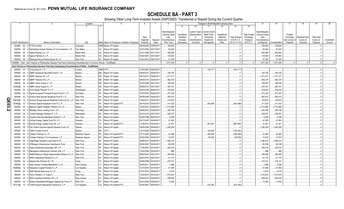SCHEDULE BA - PART 3<br>Showing Other Long-Term Invested Assets DISPOSED, Transferred or Repaid During the Current Quarter

|                  |                             |        |                                                                                                                              | Location       | 5                                                | - 6                   |            |                        |                         |                                 | Changes in Book/Adjusted Carrying Value |                         |                     |                                  | 15                            | 16            | 17                  | 18                   | 19                | 20         |
|------------------|-----------------------------|--------|------------------------------------------------------------------------------------------------------------------------------|----------------|--------------------------------------------------|-----------------------|------------|------------------------|-------------------------|---------------------------------|-----------------------------------------|-------------------------|---------------------|----------------------------------|-------------------------------|---------------|---------------------|----------------------|-------------------|------------|
|                  |                             |        |                                                                                                                              |                | 4                                                |                       |            |                        | -9                      | 10                              | 11                                      | 12                      | 13                  | 14                               |                               |               |                     |                      |                   |            |
|                  |                             |        |                                                                                                                              |                |                                                  |                       |            |                        |                         |                                 |                                         |                         |                     |                                  |                               |               |                     |                      |                   |            |
|                  |                             |        |                                                                                                                              |                |                                                  |                       |            | Book/Adjusted          |                         | Current Year's                  | Current Year's                          |                         |                     |                                  | Book/Adjusted                 |               |                     |                      |                   |            |
|                  |                             |        |                                                                                                                              |                |                                                  | Date                  |            | Carrying Value<br>Less | Unrealized<br>Valuation | (Depreciation)<br><sub>or</sub> | Other-Than-<br>Temporary                | Capitalized<br>Deferred | <b>Total Change</b> | <b>Total Foreign</b><br>Exchange | <b>Carrying Value</b><br>Less |               | Foreign<br>Exchange | <b>Realized Gair</b> | <b>Total Gain</b> |            |
|                  |                             |        |                                                                                                                              |                |                                                  | Originally            | Disposal   | Encumbrances.          | Increase                | (Amortization)                  | Impairment                              | Interest and            | in B./A.C.V.        | Change in                        | Encumbrances                  |               | Gain (Loss) on      | (Loss) on            | (Loss) on         | Investment |
|                  | <b>CUSIP</b> Identification |        | Name or Description                                                                                                          | City           | Name of Purchaser or Nature of Disposal<br>State | Acquired              | Date       | Prior Year             | (Decrease)              | / Accretion                     | Recognized                              | Other                   | $(9+10-11+12)$      | B./A.C.V.                        | on Disposal                   | Consideration | Disposal            | Disposal             | Disposal          | Income     |
|                  | 000000 00                   |        | 0 P1234 Limited                                                                                                              | Guernsev.      | GBR Return Of Capital.                           | 09/29/2003            | 05/08/2017 | 165,650                |                         |                                 |                                         |                         |                     |                                  | 165,650                       | 165,650       |                     |                      |                   |            |
|                  | 000000                      | $00\,$ | Sanderling Venture Partners VI Co-Investment, L.P.                                                                           | San Mateo.     | CA.<br>Return Of Capital.                        | 03/31/2005            | 04/17/2017 | .63,444                |                         |                                 |                                         |                         |                     |                                  | 63,444                        | .63,444       |                     |                      |                   |            |
|                  | 000000                      | $00\,$ | Sigma Partners IV, L.P.                                                                                                      | Menlo Park.    | CA.<br>Return Of Capital.                        | 01/01/1998            | 05/11/2017 | 482,665                |                         |                                 |                                         |                         |                     |                                  | 482,665                       | 482,665       |                     |                      |                   |            |
|                  | 000000                      | $00\,$ | 0 Sigma Partners 6, L.P.                                                                                                     | Menlo Park.    | Return Of Capital.<br>CA.                        | 03/20/2001            | 05/10/2017 | 125,953                |                         |                                 |                                         |                         |                     |                                  | 125,953                       | 125,953       |                     |                      |                   |            |
|                  |                             |        | 000000 00 0 Warburg Pincus Private Equity XII, LP.                                                                           | New York.      | NY Return Of Capital.                            | 12/21/2015 04/07/2017 |            | .51.300                |                         |                                 |                                         |                         |                     |                                  | 51.300                        | .51.300       |                     |                      |                   |            |
|                  |                             |        |                                                                                                                              |                |                                                  |                       |            |                        |                         |                                 |                                         |                         |                     |                                  |                               |               |                     |                      |                   |            |
|                  |                             |        | 1599999. Total - Joint Venture or Partnership Interests That Have Underlying Characteristics of Common Stocks - Unaffiliated |                |                                                  |                       |            | 1,677,245              |                         |                                 |                                         |                         |                     |                                  | 1,677,245                     | .1,677,245    |                     |                      |                   |            |
|                  |                             |        | Joint Venture or Partnership Interests That Have Underlying Characteristics of Other - Unaffiliated                          |                |                                                  |                       |            |                        |                         |                                 |                                         |                         |                     |                                  |                               |               |                     |                      |                   |            |
|                  | 000000                      | $00\,$ | 0 3i Eurofund IV. L.P.                                                                                                       | London.        | <b>GBR</b> OTTI                                  | 12/10/2003            | 06/30/2017 |                        |                         |                                 | 140,117                                 |                         | (140, 117           |                                  |                               |               |                     |                      |                   |            |
|                  | 000000                      | $00\,$ | ABRY Advanced Securities Fund II, L.P.                                                                                       | Boston         | Return Of Capital.<br>MA.                        | 05/04/2011            | 06/29/2017 | .700,150               |                         |                                 |                                         |                         |                     |                                  | 700,150                       | 700,150       |                     |                      |                   |            |
|                  | 000000                      | 00     | ABRY Partners VII. L.P.                                                                                                      | Boston.        | Return Of Capital.<br>MA.                        | 08/10/201             | 05/05/2017 | 1,371,217              |                         |                                 |                                         |                         |                     |                                  | 1,371,217                     | 1,371,217     |                     |                      |                   |            |
|                  | 000000                      | $00\,$ | ABRY Partners VIII. L.P                                                                                                      | Boston.        | Return Of Capital.<br>MA.                        | 09/30/2014            | 04/28/2017 | .482,219               |                         |                                 |                                         |                         |                     |                                  | 482,219                       | .482,219      |                     |                      |                   |            |
|                  | 000000                      | $00\,$ | ABRY Senior Equity II, L.P.                                                                                                  | Boston.        | MA.<br>Return Of Capital.                        | 07/27/2006            | 04/21/2017 | 196,030                |                         |                                 |                                         |                         |                     |                                  | .196,030                      | 196,030       |                     |                      |                   |            |
|                  | 00384@                      | 10     | ABRY Senior Equity III, L.P.                                                                                                 | Boston.        | Return Of Capital.<br>MA.                        | 08/09/2010            | 04/27/2017 | .455,181               |                         |                                 |                                         |                         |                     |                                  | .455,181                      | .455,181      |                     |                      |                   |            |
|                  | 000000                      | $00\,$ | Acon Equity Partners IV, L.P.                                                                                                | Washington     | DC<br>Return Of Capital.                         | 04/22/2016            | 06/05/2017 | .378,242               |                         |                                 |                                         |                         |                     |                                  | .378,242                      | .378,242      |                     |                      |                   |            |
|                  | 000000                      | 00     | Apollo European Principal Finance Fund II, L.P.                                                                              | Purchase       | NY Return Of Capital.                            | 07/23/2012            | 06/26/2017 | .471,223               |                         |                                 |                                         |                         |                     |                                  | .471,223                      | .471,223      |                     |                      |                   |            |
|                  | 000000                      | 00     | Avenue Asia Special Situations Fund IV, L.P.                                                                                 | New York       | NY Return Of Capital.                            | 06/30/2006            | 06/29/2017 | .482,415               |                         |                                 |                                         |                         |                     |                                  | 482,415                       | 482,415       |                     |                      |                   |            |
|                  | G0676@                      | 10     | Avenue Europe Special Situations Fund II (U.S.), L.P.                                                                        | New York.      | NY Return Of Capital.                            | 10/04/2011            | 05/24/2017 | .135,972               |                         |                                 |                                         |                         |                     |                                  | .135,972                      | 135,972       |                     |                      |                   |            |
|                  | 05360@                      | 10     | 3 Avenue Special Situations Fund VI, L.P.                                                                                    | New York       | Return Of Capital/OTT<br>NY                      | 06/15/2010            | 06/30/2017 | 211,253                |                         |                                 | .491,699                                |                         | (491,699).          |                                  | 211,253                       | .211,253      |                     |                      |                   |            |
| $\overline{E}03$ | 000000                      | 00     | Beacon Capital Strategic Partners VII, L.P.                                                                                  | Boston.        | Return Of Capital.<br>MA.                        | 10/20/2015            | 05/26/2017 | 2,774,990              |                         |                                 |                                         |                         |                     |                                  | .2,774,990                    | 2,774,990     |                     |                      |                   |            |
| Ñ                |                             |        |                                                                                                                              |                |                                                  |                       |            |                        |                         |                                 |                                         |                         |                     |                                  |                               |               |                     |                      |                   |            |
|                  | 000000                      | $00\,$ | BlueBay Direct Lending Fund I, LP.                                                                                           | Guernsey.      | <b>GBR</b><br>Return Of Capital.                 | 06/25/2013            | 04/28/2017 | .294,198               |                         |                                 |                                         |                         |                     |                                  | .294,198                      | 294,198       |                     |                      |                   |            |
|                  | 000000                      | 00     | Carlyle Strategic Partners IV, L.P.                                                                                          | Wilmington     | Return Of Capital.<br>DE.                        | 03/31/2016            | 04/27/2017 | .226,007               |                         |                                 |                                         |                         |                     |                                  | .226,007                      | .226,007      |                     |                      |                   |            |
|                  | 000000                      | $00\,$ | Cypress Merchant Banking Partners II, L.P.                                                                                   | New York.      | NY.<br>Return Of Capital.                        | 03/29/1999            | 06/28/2017 | .8,295                 |                         |                                 |                                         |                         |                     |                                  | 8.295                         | .8,295        |                     |                      |                   |            |
|                  | 000000                      | $00\,$ | EnCap Energy Capital Fund VII, L.P.                                                                                          | Houston        | TX<br>Return Of Capital.                         | 09/17/2007            | 06/29/2017 | .41,953                |                         |                                 |                                         |                         |                     |                                  | .41,953                       | .41,953       |                     |                      |                   |            |
|                  | 000000                      | $00\,$ | EnCap Energy Capital Fund VIII, L.P.                                                                                         | Houston        | TX<br>Return Of Capital/OTT                      | 11/30/2010            | 06/30/2017 | .31,971                |                         |                                 | .961,667                                |                         | .(961,667           |                                  | .31,97'                       | 31,971        |                     |                      |                   |            |
|                  | 000000                      | 00     | FIA Timber Partners Special Situation Fund, LP.                                                                              | Atlanta.       | GA.<br>Return Of Capital.                        | 09/26/2006            | 06/29/2017 | 1,292,206              |                         |                                 |                                         |                         |                     |                                  | .1,292,206                    | 1,292,206     |                     |                      |                   |            |
|                  | 000000                      | 00     | GMO Forestry Fund 8.                                                                                                         | Boston.        | MA.<br>OTTI.                                     | 12/13/2004            | 06/30/2017 |                        |                         |                                 | .192,493                                |                         | (192,493            |                                  |                               |               |                     |                      |                   |            |
|                  | 000000                      | 00     | Graham Partners II, L.P.                                                                                                     | Newtown Sqaure | Return Of Capital/OTT<br>PA                      | 01/11/2005            | 06/30/2017 | .22,260                |                         |                                 | .364,368                                |                         | (364, 368)          |                                  | .22,260                       | .22,260       |                     |                      |                   |            |
|                  | 000000                      | 00     | Graham Partners II Co-Investment, L.P.                                                                                       | Newtown Sqaure | Return Of Capital/OTT<br>PA.                     | 09/22/2005            | 06/30/2017 | .10,819                |                         |                                 | .90,293                                 |                         | (90, 293)           |                                  | 10,819                        | 10,819        |                     |                      |                   |            |
|                  | 000000                      | $00\,$ | Highbridge Specialty Loan Fund III LP.                                                                                       | New York.      | NY.<br>Return Of Capital.                        | 05/06/2013            | 06/08/2017 | 1,060,212              |                         |                                 |                                         |                         |                     |                                  | .1,060,212                    | 1,060,212     |                     |                      |                   |            |
|                  | 000000                      | $00\,$ | JPMorgan Infrastructure Investments Fund.                                                                                    | New York.      | Return Of Capital.<br>NY.                        | 04/30/2007            | 06/30/2017 | .69,108                |                         |                                 |                                         |                         |                     |                                  | .69,108                       | .69,108       |                     |                      |                   |            |
|                  | 000000                      | $00\,$ | Kelso Investment Associates VIII, L.P.                                                                                       | New York.      | NY.<br>Return Of Capital.                        | 11/29/2007            | 06/15/2017 | .245,218               |                         |                                 |                                         |                         |                     |                                  | .245,218                      | .245,218      |                     |                      |                   |            |
|                  | 000000                      | $00\,$ | Macquarie Infrastructure Partners A/B, L.P                                                                                   | New York.      | NY.<br>Return Of Capital.                        | 12/22/2006            | 05/23/2017 | 886                    |                         |                                 |                                         |                         |                     |                                  | 886                           | .886          |                     |                      |                   |            |
|                  | 000000                      | 00     | MatlinPatterson Global Opportunities Partners III L.P                                                                        | New York.      | Return Of Capital.<br>NY                         | 06/22/2007            | 06/27/2017 | .356,568               |                         |                                 |                                         |                         |                     |                                  | 356,568                       | .356,568      |                     |                      |                   |            |
|                  | 000000                      | 00     | MHR Institutional Partners IV, L.P.                                                                                          | New York.      | Return Of Capital.<br>NY.                        | 06/27/2016            | 06/27/2017 | .51,714                |                         |                                 |                                         |                         |                     |                                  | .51,714                       | .51,714       |                     |                      |                   |            |
|                  | 000000                      | 00     | Natural Gas Partners IX, L.P.                                                                                                |                | Return Of Capital.<br>TX.                        | 03/28/2008            | 05/19/2017 | .218,141               |                         |                                 |                                         |                         |                     |                                  | 218,141                       | .218,141      |                     |                      |                   |            |
|                  |                             |        |                                                                                                                              | Irving.        | CT.<br>Return Of Capital.                        | 08/05/201             | 04/06/2017 |                        |                         |                                 |                                         |                         |                     |                                  |                               |               |                     |                      |                   |            |
|                  | 000000                      | 00     | New Canaan Funding Mezzanine V, L.P.                                                                                         | New Canaan     |                                                  |                       |            | .2,098                 |                         |                                 |                                         |                         |                     |                                  | 2,098                         | .2,098        |                     |                      |                   |            |
|                  | 65280@                      | 10     | Newstone Capital Partners II, L.P.                                                                                           | Los Angeles    | CA.<br>Return Of Capital.                        | 12/10/2010            | 04/19/2017 | .61,465                |                         |                                 |                                         |                         |                     |                                  | 61.465                        | .61,465       |                     |                      |                   |            |
|                  | 000000                      | 00     | NGP Natural Resources X, L.P.                                                                                                | Irving.        | TX<br>Return Of Capital.                         | 01/27/2012            | 06/28/2017 | .6,419                 |                         |                                 |                                         |                         |                     |                                  | 6,419                         | 6,419         |                     |                      |                   |            |
|                  | 000000                      | 00     | Perry Partners L.P. Class C                                                                                                  | New York.      | NY Return Of Capital.                            | 12/24/2014            | 04/10/2017 | 1,510,819              |                         |                                 |                                         |                         |                     |                                  | 1,510,819                     | 1,510,819     |                     |                      |                   |            |
|                  | 000000                      | 00     | RFE Investment Partners VIII, L.P.                                                                                           | New Canaan     | CT.<br>Return Of Capital.                        | 06/29/2012            | 04/05/2017 | .939,034               |                         |                                 |                                         |                         |                     |                                  | .939,034                      | 939,034       |                     |                      |                   |            |
|                  | 000000                      | 00     | Selene Residential Mortgage Opportunity Fund L.P.                                                                            | New York.      | NY Return Of Capital.                            | 04/21/2008            | 06/29/2017 | .13,262                |                         |                                 |                                         |                         |                     |                                  | 13.262                        | 13,262        |                     |                      |                   |            |
|                  | 87311@                      | 10     | 9 TCW/Crescent Mezzanine Partners III, L.P.                                                                                  | Los Angeles    | CA Return Of Capital/OTT                         | 03/30/2001            | 06/30/2017 |                        |                         |                                 | .410,393                                |                         | (410, 393)          |                                  |                               |               |                     |                      |                   |            |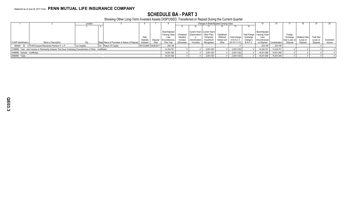## **SCHEDULE BA - PART 3**

Showing Other Long-Term Invested Assets DISPOSED, Transferred or Repaid During the Current Quarter

|                                  |                                                                                                                      | Location     |                                                        |            |                       |                        |            |                              | Changes in Book/Adjusted Carrying Value |              |                     |           |                                |               |                |               |                   |            |
|----------------------------------|----------------------------------------------------------------------------------------------------------------------|--------------|--------------------------------------------------------|------------|-----------------------|------------------------|------------|------------------------------|-----------------------------------------|--------------|---------------------|-----------|--------------------------------|---------------|----------------|---------------|-------------------|------------|
|                                  |                                                                                                                      |              |                                                        |            |                       |                        |            |                              |                                         |              |                     |           |                                |               |                |               |                   |            |
|                                  |                                                                                                                      |              |                                                        |            |                       |                        |            |                              |                                         |              |                     |           |                                |               |                |               |                   |            |
|                                  |                                                                                                                      |              |                                                        |            |                       | Book/Adiusted          |            |                              | Current Year's Current Year's           |              |                     |           | Book/Adjusted                  |               |                |               |                   |            |
|                                  |                                                                                                                      |              |                                                        |            |                       | Carrying Value         | Unrealized | I (Depreciation) Other-Than- |                                         | Capitalized  |                     |           | Total Foreign   Carrying Value |               | Foreign        |               |                   |            |
|                                  |                                                                                                                      |              |                                                        | Date       |                       | Less                   | Valuation  |                              | Temporary                               | Deferred     | <b>Total Change</b> | Exchange  | Less                           |               | Exchange       | Realized Gain | <b>Total Gain</b> |            |
|                                  |                                                                                                                      |              |                                                        | Originally |                       | Disposal Encumbrances, | Increase   | (Amortization)               | Impairment                              | Interest and | in $B.A.C.V.$       | Change in | Encumbrances                   |               | Gain (Loss) on | (Loss) on     | (Loss) on         | Investment |
| <b>CUSIP Identification</b>      | Name or Description                                                                                                  |              | State Name of Purchaser or Nature of Disposal Acquired |            | Date                  | Prior Year             | (Decrease) | Accretion                    | Recognized                              | Other        | $(9+10-11+12)$      | B./A.C.V. | on Disposal                    | Consideration | Disposal       | Disposal      | Disposal          | Income     |
|                                  | 000000 00 0 TCW/Crescent Mezzanine Partners IV, L.P                                                                  | Los Angeles. | CA Return Of Capital.                                  |            | 05/12/2006 05/26/2017 | .203,156               |            |                              |                                         |              |                     |           | 203.156                        | .203,156      |                |               |                   |            |
|                                  | 2199999. Total - Joint Venture or Partnership Interests That Have Underlying Characteristics of Other - Unaffiliated |              |                                                        |            |                       | 14,324,701             |            |                              | .2,651,030                              |              | (2,651,030)         |           | 14,324,701                     | 14,324,701    |                |               |                   |            |
| 4499999. Subtotal - Unaffiliated |                                                                                                                      |              |                                                        |            |                       | 16.001.946             |            |                              | .2,651,030                              |              | (2,651,030)         |           | .16.001.946                    | .16,001,946   |                |               |                   |            |
| 4699999. Totals                  |                                                                                                                      |              |                                                        |            |                       | 16,001,946             |            |                              | .2,651,030                              |              | (2,651,030)         |           | 16,001,946                     | 16,001,946    |                |               |                   |            |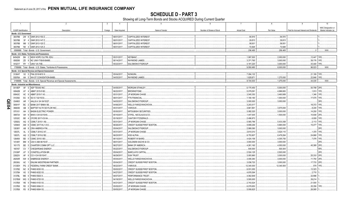**SCHEDULE D - PART 3**<br>Showing all Long-Term Bonds and Stocks ACQUIRED During Current Quarter

|          | $\overline{1}$          |                       | $\overline{2}$<br>$\overline{\mathbf{3}}$                                    | $\overline{4}$ | -5                                | 6                         | $\overline{7}$      | 8                   | 9                                       | 10                                           |
|----------|-------------------------|-----------------------|------------------------------------------------------------------------------|----------------|-----------------------------------|---------------------------|---------------------|---------------------|-----------------------------------------|----------------------------------------------|
|          |                         |                       |                                                                              |                |                                   |                           |                     |                     |                                         | NAIC Designation or                          |
|          | CUSIP Identification    |                       | Description<br>Foreign                                                       | Date Acquired  | Name of Vendor                    | Number of Shares of Stock | <b>Actual Cost</b>  | Par Value           | Paid for Accrued Interest and Dividends | Market Indicator (a)                         |
|          | Bonds - U.S. Government |                       |                                                                              |                |                                   |                           |                     |                     |                                         |                                              |
|          |                         |                       | 38378B 2W 8 GNR 2012-150 Z.                                                  | 06/01/2017.    | CAPITALIZED INTEREST.             |                           | .94,915             | 94,915              |                                         |                                              |
|          | 38378B                  |                       | 3F 4 GNR 2012-147 Z.                                                         | 06/01/2017.    | CAPITALIZED INTEREST.             |                           | .29,813             | 29,813              |                                         |                                              |
|          | 38378B                  |                       | M6 3 GNR 2012-120 Z.                                                         | 06/01/2017.    | CAPITALIZED INTEREST.             |                           | .58,931             | .58,931             |                                         |                                              |
|          | 38378B                  |                       | N5 4 GNR 2012-125 Z.                                                         | 06/01/2017.    | CAPITALIZED INTEREST.             |                           | .72,826<br>.256,485 | .72,826<br>.256,485 | 0                                       | XXX.                                         |
|          |                         |                       | 0599999. Total - Bonds - U.S. Government                                     |                |                                   |                           |                     |                     |                                         |                                              |
|          | 64542W                  |                       | Bonds - U.S. States, Territories and Possessions<br>BH 2 NEW HOPE CULTRL EDU | 05/31/2017.    | KEYBANC.                          |                           | .1,997,500          | .2,000,000          | 13,447 1FE.                             |                                              |
|          | 658289                  |                       | ZD 8 NC UNIV-TXB-B-BABS.                                                     | 06/14/2017.    | RAYMOND JAMES.                    |                           | 3,371,760           | .3,000,000          | .39,176                                 | 1FE.                                         |
|          | 915217                  |                       | RY 1 UNIV VA-TXB.                                                            | 05/22/2017     | SALOMON/CITIGROUP.                |                           | .4.181.220          | 3.000.000           | .43.400                                 | 1FE.                                         |
|          |                         |                       | 1799999. Total - Bonds - U.S. States, Territories & Possessions              |                |                                   |                           | .9,550,480          | .8,000,000          | 96,023                                  | $\overline{X}$ $\overline{X}$ $\overline{X}$ |
|          |                         |                       | Bonds - U.S. Special Revenue and Special Assessment                          |                |                                   |                           |                     |                     |                                         |                                              |
|          |                         |                       | 3136AT X2 5 FNA 2016-M10 X                                                   | 05/04/2017     | NOMURA.                           |                           | .7,094,132          |                     | 21,189 1FE.                             |                                              |
|          | 93976A                  |                       | AH 5 WA ST CONVENTION-BABS                                                   | 04/03/2017.    | <b>RAYMOND JAMES.</b>             |                           | .1,629,871          | .1,275,000          | 22,846                                  | 1FE.                                         |
|          |                         |                       | 3199999. Total - Bonds - U.S. Special Revenue and Special Assessments        |                |                                   |                           | 8.724.003           | 1,275,000           | .44,035                                 | XXX.                                         |
|          |                         |                       | <b>Bonds - Industrial and Miscellaneous</b>                                  |                |                                   |                           |                     |                     |                                         |                                              |
|          | 0010EP                  |                       | AF 5 AEP TEXAS INC.                                                          | 04/05/2017     | <b>MORGAN STANLEY</b>             |                           | .6,175,450          | .5,000,000          | .50,799 2FE.                            |                                              |
|          | 00842B                  | AT<br>$\Delta$        | ABMT 2015-5 B2                                                               | 06/22/2017     | BROWNSTONE.                       |                           | .5,079,091          | .4,996,883          | .1,913                                  | 1FF                                          |
|          | 00842C                  |                       | AC 9 ABMT 2015-7 A3.                                                         | 05/31/2017.    | JP MORGAN CHASE.                  |                           | .3,545,350          | .3,460,989          | .1,346                                  | 1FE                                          |
|          | 010392                  | EC                    | SO 5.7 02/15/33.                                                             | 06/01/2017     | FTN FINANCIAL.                    |                           | .1,190,180          | .1,000,000          | 17,575                                  | 1FE.                                         |
| <u>ရ</u> | 034863                  | AR                    | 1 AALLN 4 3/4 04/10/27                                                       | 04/03/2017.    | SALOMON/CITIGROUP.                |                           | .3,000,000          | .3,000,000          |                                         | 3FE                                          |
|          | 06541F                  | BC                    | 2 BANK 2017-BNK4 XB.                                                         | 04/06/2017     | WELLS FARGO/WACHOVIA              |                           | .3,243,517          |                     | 18,372                                  | 1FE.                                         |
| D4       | 066836                  |                       | AB 3 BAPTIST HLTH SO FLOR INC                                                | 05/31/2017.    | VARIOUS.                          |                           | .3,661,891          | 3,575,000           | .8,235                                  | 1FE.                                         |
|          | 070101                  | AH<br>3               | <b>BASIN ELECTRIC POWER</b>                                                  | 05/30/2017     | MITSUBISHI SECURITIES.            |                           | .3,082,320          | .3,000,000          | 14,250                                  | 1FE.                                         |
|          | 099724                  | AH<br>9               | BWA 4 3/8 03/15/45.                                                          | 05/10/2017.    | STIFEL, NICOLAUS & CO.            |                           | .1,447,005          | 1,500,000           | 10,938                                  | 2FE                                          |
|          | 12532C                  | <b>BE</b>             | CFCRE 2017-C8 XA.                                                            | 05/19/2017     | CANTOR FITZGERALD.                |                           | .2,496,973          |                     | .6,939                                  | 1FE                                          |
|          | 12592U                  | AQ 5                  | CSMLT 2015-1 A9.                                                             | 05/31/2017.    | JP MORGAN CHASE.                  |                           | .5,565,796          | .5,433,358          | .2,113                                  |                                              |
|          | 12594X                  | AM<br>- 6             | CSMC 2017-HL1 A12.                                                           | 06/26/2017     | CREDIT SUISSE/FIRST BOSTON        |                           | .5,699,246          | .5,685,500          | 15,477                                  | 1FE.                                         |
|          | 12636Y                  | AB<br>- 8             | <b>CRH AMERICA FIN.</b>                                                      | 05/04/2017.    | SALOMON/CITIGROUP.                |                           | .2,988,090          | .3,000,000          |                                         | 2FE                                          |
|          | 12637L                  | AL<br>$\mathcal{R}$   | CSMLT 2015-2 A7.                                                             | 05/31/2017     | JP MORGAN CHASE                   |                           | .3,610,010          | .3,524,110          | 1,370                                   | 1FE                                          |
|          | 12637L                  | AQ 2                  | CSMLT 2015-2 B2.                                                             | 06/23/2017     | KGS ALPHA.                        |                           | .8,753,807          | 8,478,264           | 24,868                                  |                                              |
|          | 12649X                  | <b>BD</b><br>$\Omega$ | CSMC 2015-3 B3                                                               | 06/13/2017     | ROBERT W BAIRD.                   |                           | .4,424,158          | 4,305,750           | .7,076                                  | 1FE.                                         |
|          | 14149Y                  | <b>BM</b>             | CAH 4.368 06/15/47.                                                          | 06/01/2017.    | <b>GOLDMAN SACHS &amp; CO.</b>    |                           | .3,000,000          | .3,000,000          |                                         | 2FE                                          |
|          | 161175                  | <b>BD</b>             | CHARTER COMM OPT LLC.                                                        | 06/27/2017.    | <b>BANK OF AMERICA.</b>           |                           | .4,261,160          | .4,000,000          | 45,389                                  | 2FE                                          |
|          | 165167                  | CV 7                  | <b>CHESAPEAKE ENERGY</b>                                                     | 05/22/2017     | SALOMON/CITIGROUP.                |                           | 500,000             | .500,000            |                                         | 5FE.                                         |
|          | 21036P                  | AT<br>-5              | <b>CONSTELLATION BR.</b>                                                     | 05/04/2017     | <b>BARCLAYS CAPITAL</b>           |                           | .2,524,125          | .2,500,000          |                                         | 2FE.                                         |
|          | 22822V                  | AF<br><b>8</b>        | CCI 4 3/4 05/15/47.                                                          | 06/29/2017.    | SUN TRUST.                        |                           | .3,093,960          | .3,000,000          | 25,333                                  | 2FE                                          |
|          | 29250R                  | AW 6                  | <b>ENBRIDGE ENERGY.</b>                                                      | 05/04/2017     | WELLS FARGO/WACHOVIA.             |                           | .3,406,380          | .3,000,000          | 11,750                                  | 2FE                                          |
|          | 29336U                  | AC                    | ENLINK MIDSTREAM PARTNER.                                                    | 05/04/2017.    | CREDIT SUISSE/FIRST BOSTON        |                           | .3,036,720          | .3,000,000          | 17,733                                  | 2FE                                          |
|          | 3133EH                  | PG <sub>2</sub>       | <b>FEDERAL FARM CREDIT BANK</b>                                              | 06/22/2017     | VARIOUS.                          |                           | 12,340,000          | 12,340,000          | .579                                    |                                              |
|          | 3137B3                  | NC 8                  | FHMS K030 X3.                                                                | 05/02/2017.    | CREDIT SUISSE/FIRST BOSTON        |                           | .6,031,055          |                     | 13,323                                  |                                              |
|          | 3137B4                  | H2 <sub>5</sub>       | <b>FHMS K032 X3.</b>                                                         | 04/27/2017.    | <b>CREDIT SUISSE/FIRST BOSTON</b> |                           | .4,978,594          |                     | .2,710                                  |                                              |
|          | 3137BL                  | ME <sub>5</sub>       | FHMS KS03 X                                                                  | 06/07/2017.    | PERFORMANCE TRUST                 |                           | .4,062,849          |                     | 32,996                                  |                                              |
|          | 3137BW                  | WG 5                  | <b>FHMS K725 X3.</b>                                                         | 04/18/2017.    | WELLS FARGO/WACHOVIA              |                           | .3,500,000          |                     | 39,214                                  |                                              |
|          | 3137BX                  | HE 5                  | FHMS K153 X3.                                                                | 04/21/2017.    | CREDIT SUISSE/FIRST BOSTON        |                           | .2,743,524          |                     | 21,500                                  |                                              |
|          | 3137BX                  | R2<br>$\overline{0}$  | FHMS K064 X1.                                                                | 05/05/2017.    | JP MORGAN CHASE.                  |                           | .6,078,650          |                     | 35,356                                  |                                              |
|          | 3137BX                  |                       | R3 8 FHMS K064 X3.                                                           | 05/05/2017     | JP MORGAN CHASE.                  |                           | .5,008,825          |                     | 26,585                                  |                                              |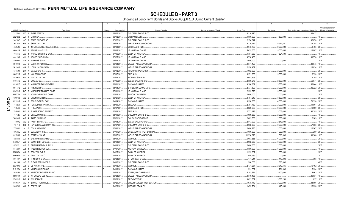SCHEDULE D - PART 3<br>Showing all Long-Term Bonds and Stocks ACQUIRED During Current Quarter

|           |                      |      | $\overline{2}$                  |         | $\overline{4}$ | -5                             | ĥ                         | $\overline{7}$     | 8           | -9                                      |                                             |
|-----------|----------------------|------|---------------------------------|---------|----------------|--------------------------------|---------------------------|--------------------|-------------|-----------------------------------------|---------------------------------------------|
|           | CUSIP Identification |      | Description                     | Foreign | Date Acquired  | Name of Vendor                 | Number of Shares of Stock | <b>Actual Cost</b> | Par Value   | Paid for Accrued Interest and Dividends | NAIC Designation or<br>Market Indicator (a) |
|           | 3137BY               |      | PT 1 FHMS K726 X3.              |         | 06/22/2017.    | GOLDMAN SACHS & CO.            |                           | .3,210,410         |             | .43,437                                 |                                             |
|           | 36249@               | AA   | 1 GTH GSA.                      |         | 06/12/2017.    | WILLIAM BLAIR.                 |                           | .4,500,000         | 4,500,000   |                                         |                                             |
|           | 36253P               |      | AF 9 GSMS 2017-GS6 XB.          |         | 05/22/2017.    | <b>GOLDMAN SACHS &amp; CO.</b> |                           | .2,574,842         |             | .32,070 1FE                             |                                             |
|           | 36416U               |      | BG 9 GFMT 2017-1 B1             |         | 06/19/2017.    | WELLS FARGO/WACHOVIA           |                           | 5,710,774          | .5,574,887  | .12,358                                 | 1FF                                         |
|           |                      |      | AE 1   INTL FLAVOR & FRAGRANCES |         |                | UBS SECURITIES.                |                           | .2,043,780         | .2,000,000  | .3,403 2FE                              |                                             |
|           | 459506               |      |                                 |         | 05/30/2017.    |                                |                           |                    |             |                                         |                                             |
|           | 46642N               | BK   | 1 JPMBB 2014-C22 C              |         | 06/16/2017.    | <b>JP MORGAN CHASE</b>         |                           | .5,025,000         | .5,000,000  | .13,087                                 |                                             |
|           | 46644K               |      | AC 4 JPMCC 2015-FRR2 BK36.      |         | 04/06/2017.    | <b>BANK OF AMERICA</b>         |                           | .4,384,030         | .7,624,400  |                                         |                                             |
|           | 48128K               |      | AV 3 JPMCC 2017-JP6 XA          |         | 05/25/2017.    | <b>JP MORGAN CHASE</b>         |                           | .4,750,488         |             | .31,776 1FE.                            |                                             |
|           | 496902               | AP   | 2 KINROSS GOLD.                 |         | 06/28/2017.    | JP MORGAN CHASE.               |                           | .1,000,000         | .1,000,000  |                                         | 3FF                                         |
|           | 50190D               |      | AL 0 LCCM 2017-LC26 XA.         |         | 06/23/2017.    | <b>WELLS FARGO/WACHOVIA</b>    |                           | .3,541,120         |             | .38,843                                 | 1FF                                         |
|           | 50190D               |      | AN 6   LCCM 2017-LC26 XB        |         | 06/23/2017.    | WELLS FARGO/WACHOVIA.          |                           | .2,558,457         |             | .19,824                                 | 1FE.                                        |
|           | 574599               |      | BM 7 MASCO CORP.                |         | 06/12/2017.    | RBC/DAIN RAUSCHER.             |                           | .1,992,900         | .2,000,000  |                                         | 2FE                                         |
|           | 60871R               | AD   | 2 MOLSON COORS.                 |         | 05/17/2017.    | SEELAUS                        |                           | .3,271,800         | .3,000,000  | $.8,750$ 2FE                            |                                             |
|           | 61691J               | AW 4 | MSC 2017-H1 XA.                 |         | 05/25/2017.    | MORGAN STANLEY.                |                           | .3,002,858         |             | .8,395                                  | 1FE                                         |
|           | 61945C               | AE   | 3   MOSIAC CO                   |         | 04/05/2017.    | SALOMON/CITIGROUP              |                           | .2,586,275         | .2,500,000  | .56,641                                 | 2FE                                         |
|           | 62952E               |      | AB 3 NYU HOSPITALS CENTER.      |         | 06/01/2017.    | RAYMOND JAMES                  |                           | .4,386,362         | .3,555,000  | .68,844 1FE                             |                                             |
|           | 65473Q               |      | AZ 6 NI 5.8 02/01/42            |         | 05/08/2017.    | STIFEL, NICOLAUS & CO.         |                           | .2,337,820         | .2,000,000  | .32,222 2FE                             |                                             |
|           | 65473Q               |      | BE 2 NISOURCE FINANCE CORP.     |         | 05/11/2017.    | <b>JP MORGAN CHASE</b>         |                           | .2,999,520         | .3,000,000  |                                         | 2FE                                         |
|           | 66977W               |      | AR 0 NOVA CHEMICALS CORP.       |         | 05/25/2017.    | <b>BARCLAYS CAPITAL</b>        |                           | .2,000,000         | .2,000,000  |                                         | 3FE.                                        |
| O         | 690742               |      | AG 6 OWENS CORNING.             |         | 06/21/2017.    | <b>BANK OF AMERICA</b>         |                           | .3,467,240         | .3,500,000  |                                         | 2FE                                         |
| m         | 69335G               |      | AA 3   PECO ENERGY CAP.         |         | 04/04/2017.    | RAYMOND JAMES.                 |                           | .3,998,000         | .4,000,000  | .71,556 2FE                             |                                             |
| <b>PO</b> | 714264               |      | AK 4 PERNOD-RICHARD SA.         |         | 05/30/2017.    | SEELAUS.                       |                           | .2,354,780         | .2,000,000  | .41,861                                 | 12FE                                        |
|           | 718546               |      | AL 8 PHILLIPS 66.               |         | 06/07/2017.    | <b>UBS SECURITIES.</b>         |                           | .3,220,950         | .3,000,000  | .10,969 2FE                             |                                             |
|           | 745332               |      | BY 1 PUGET SOUND ENERGY.        |         | 05/03/2017.    | SEELAUS.                       |                           | .2,772,113         | .3,005,000  | .91,395 2FE                             |                                             |
|           | 747525               |      | AV 5 QUALCOMM INC.              |         | 05/19/2017.    | <b>GOLDMAN SACHS &amp; CO</b>  |                           | .1,999,680         | .2,000,000  |                                         | 1FE                                         |
|           | 74890D               | AG   | 4   RAITF 2016-FL6 C.           |         | 06/21/2017.    | SALOMON/CITIGROUP              |                           | .2,002,500         | .2,000,000  | .2,989                                  | 1FF                                         |
|           | 74890E               |      | AG 2   RAITF 2017-FL7 C.        |         | 06/13/2017.    | SALOMON/CITIGROUP              |                           | .2,843,000         | .2,843,000  |                                         | 1FF                                         |
|           | 761713               | BB   | 1 REYNOLDS AMERICAN INC.        |         | 06/07/2017.    | <b>GOLDMAN SACHS &amp; CO.</b> |                           | .3,652,380         | .3,000,000  | .57,038 2FE                             |                                             |
|           | 774341               |      | AL 5 COL 4.35 04/15/47.         |         | 05/30/2017.    | WELLS FARGO/WACHOVIA           |                           | .2,080,280         | .2,000,000  | .12,567                                 | 2FE                                         |
|           | 80586L               | AC   | 1 SCALA 2016-1 B.               |         | 04/11/2017.    | US BANCORP/PIPER JAFFRAY       |                           | .1,000,000         | 1,000,000   | 289 2FE                                 |                                             |
|           | 81745X               |      | AG 2 SEMT 2017-4 A7.            |         | 06/07/2017.    | WELLS FARGO/WACHOVIA           |                           | .11,536,020        | .11,500,000 | .31,306 1FE                             |                                             |
|           | 824348               |      | AX 4 SHERWIN-WILLIAMS CO.       |         | 05/04/2017.    | VARIOUS.                       |                           | .6,003,555         | .6,000,000  |                                         | 2FE                                         |
|           | 8426EP               |      | AC 2 SOUTHERN CO GAS.           |         | 05/04/2017.    | <b>BANK OF AMERICA.</b>        |                           | .2.992.950         | .3,000,000  |                                         | 2FE.                                        |
|           |                      |      | AK 6   TALEN ENERGY SUPPLY      |         | 04/13/2017.    | <b>GOLDMAN SACHS &amp; CO</b>  |                           | .2,000,000         | .2,000,000  |                                         | 3FE.                                        |
|           | 87422L               |      |                                 |         |                |                                |                           |                    |             |                                         | 4FE.                                        |
|           | 87422V               |      | AB 4   TALEN ENERGY SUP.        |         | 04/07/2017.    | <b>MORGAN STANLEY</b>          |                           | .4,850,000         | .5,000,000  |                                         |                                             |
|           | 88606W               |      | AB 8   TBOLT 2017-A B.          |         | 04/25/2017.    | <b>BANK OF AMERICA.</b>        |                           | 1,339,637          | 1,350,000   |                                         | 2FE.                                        |
|           | 88606W               |      | AC 6   TBOLT 2017-A C.          |         | 04/25/2017.    | <b>BANK OF AMERICA.</b>        |                           | .909,685           | .1,000,000  |                                         | 1F                                          |
|           | 89172Y               | AC   | 4   TPMT 2016-3 M1.             |         | 06/23/2017.    | JP MORGAN CHASE.               |                           | .141,241           | .140,000    | .368                                    | 1FF                                         |
|           | 901109               |      | AF 5 TUTOR PERINI CORP          |         | 04/12/2017.    | <b>GOLDMAN SACHS &amp; CO.</b> |                           | .500,000           | .500,000    |                                         | 4FF                                         |
|           | 90346W               | AB   | 9 US AIR 2013-1B.               |         | 06/12/2017.    | VARIOUS.                       |                           | .2,471,281         | .2,342,446  | .10,492 2FE                             |                                             |
|           | 91915W               | AB   | 8 VALIDUS HOLDINGS              |         | 04/10/2017.    | RAYMOND JAMES.                 |                           | 391,832            | 281,000     | .5,334 2FE                              |                                             |
|           | 920253               | AE   | 1 VALMONT INDUSTRIES INC        |         | 04/05/2017.    | STIFEL, NICOLAUS & CO.         |                           | .3,102,874         | .3,400,000  | .4,463 2FE                              |                                             |
|           | 95001M               |      | AJ 9 WFCM 2017-C38 XB.          |         | 06/28/2017.    | WELLS FARGO/WACHOVIA           |                           | .8,340,436         |             | .39,631                                 | 1FE                                         |
|           | 97652Q               |      | BK 4   WIN 2014-2 B2.           |         | 06/28/2017.    | BROWNSTONE.                    |                           | .3,823,557         | .3,663,288  | .837                                    |                                             |
|           | 98956P               |      | AG 7 ZIMMER HOLDINGS.           |         | 06/29/2017.    | CREDIT SUISSE/FIRST BOSTON.    |                           | .1,978,740         | .2,000,000  | .33,056 2FE                             |                                             |
|           | 98978V               |      | AH 6 ZOETIS INC.                |         | 04/28/2017.    | MORGAN STANLEY.                |                           | .1,475,704         | 1,415,000   | 16,996 2FE                              |                                             |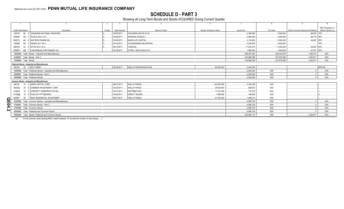# **SCHEDULE D - PART 3**

Showing all Long-Term Bonds and Stocks ACQUIRED During Current Quarter

|                           |                        |                                                                                                                                                                                                                                                                                                                                                                                                                                                                                                                                                                                                                                                                                 |         |                                                                                                                                                                                                                                                                                                                                                                                                                                                      |                                                                                                                                                                                                                                                                                                                                                                                                                                                                                                                                                                                                                                                                                                                                                                                                                                            |                           |                    |            |           | 10                                          |  |  |  |  |  |  |  |  |
|---------------------------|------------------------|---------------------------------------------------------------------------------------------------------------------------------------------------------------------------------------------------------------------------------------------------------------------------------------------------------------------------------------------------------------------------------------------------------------------------------------------------------------------------------------------------------------------------------------------------------------------------------------------------------------------------------------------------------------------------------|---------|------------------------------------------------------------------------------------------------------------------------------------------------------------------------------------------------------------------------------------------------------------------------------------------------------------------------------------------------------------------------------------------------------------------------------------------------------|--------------------------------------------------------------------------------------------------------------------------------------------------------------------------------------------------------------------------------------------------------------------------------------------------------------------------------------------------------------------------------------------------------------------------------------------------------------------------------------------------------------------------------------------------------------------------------------------------------------------------------------------------------------------------------------------------------------------------------------------------------------------------------------------------------------------------------------------|---------------------------|--------------------|------------|-----------|---------------------------------------------|--|--|--|--|--|--|--|--|
|                           | CUSIP Identification   | Description                                                                                                                                                                                                                                                                                                                                                                                                                                                                                                                                                                                                                                                                     | Foreign | Date Acquired                                                                                                                                                                                                                                                                                                                                                                                                                                        | Name of Vendor                                                                                                                                                                                                                                                                                                                                                                                                                                                                                                                                                                                                                                                                                                                                                                                                                             | Number of Shares of Stock | <b>Actual Cost</b> | Par Value  |           | NAIC Designation or<br>Market Indicator (a) |  |  |  |  |  |  |  |  |
|                           |                        |                                                                                                                                                                                                                                                                                                                                                                                                                                                                                                                                                                                                                                                                                 |         | 05/23/2017                                                                                                                                                                                                                                                                                                                                                                                                                                           | Paid for Accrued Interest and Dividends<br>69.878 1FE<br>3.500.000<br>.4.599.595<br>$.29,778$ 2FE.<br>3.000.000<br>.2.985.000<br>44.997 2FE.<br>.2.130.620<br>0.2.000.000<br>.4.000.000<br>1FF<br>.4.000.000<br>63.843 2FE.<br>11.430.310<br>.11.450.000<br>1.568.300<br>.1.500.000<br>20.781 2FE.<br>.298.367.422<br>.228.443.875<br>1.483.813<br>316.898.390<br>237.975.360<br>1.623.871<br>316.898.390<br>.1.623.871<br>237.975.360<br>RP2LFE.<br>.80.000.000<br>.2.000.000<br>.2,000,000<br><b>XXX</b><br>.2.000.000<br><b>XXX</b><br>0.2.000.000<br><b>XXX</b><br>2.354.205<br>.143,000.000<br><b>XXX</b><br>.38.000.000<br>.699.873<br><b>XXX</b><br>17.231.000<br>.175.732<br><b>XXX</b><br>.1.889.000<br>.188.900<br><b>XXX</b><br>.91.000.000<br>.1.488.014<br><b>XXX</b><br>.4.906.724<br><b>XXX</b><br>.4.906.724<br><b>XXX</b> |                           |                    |            |           |                                             |  |  |  |  |  |  |  |  |
|                           | 00248P                 |                                                                                                                                                                                                                                                                                                                                                                                                                                                                                                                                                                                                                                                                                 |         |                                                                                                                                                                                                                                                                                                                                                                                                                                                      | $\ldots$ XXX $\ldots$<br>$\ldots$ XXX $\ldots$<br>$\ldots$ XXX $\ldots$<br>.XXX.<br>.XXX.<br>$\ldots$ XXX.<br>$\ldots$ XXX $\ldots$<br>XXX.<br>4.906.724<br><b>XXX</b><br>XXX.                                                                                                                                                                                                                                                                                                                                                                                                                                                                                                                                                                                                                                                             |                           |                    |            |           |                                             |  |  |  |  |  |  |  |  |
|                           | 00507U                 |                                                                                                                                                                                                                                                                                                                                                                                                                                                                                                                                                                                                                                                                                 |         | <b>GOLDMAN SACHS &amp; CO.</b><br>04/03/2017<br>MORGAN STANLEY.<br>05/30/2017<br><b>BARCLAYS CAPITAL.</b><br>04/13/2017.<br><b>GUGGENHEIM SECURITIES.</b><br>06/12/2017<br>VARIOUS<br>05/19/2017<br>STIFEL, NICOLAUS & CO<br>06/19/2017<br>WELLS FARGO/WACHOVIA.<br><b>WELLS FARGO.</b><br>06/01/2017.<br>05/23/2017<br><b>WELLS FARGO.</b><br>03/17/2017<br><b>DISTRIBUTION.</b><br>04/03/2017<br><b>DIRECT ISSUER</b><br>06/01/2017<br>WELLS FARGO |                                                                                                                                                                                                                                                                                                                                                                                                                                                                                                                                                                                                                                                                                                                                                                                                                                            |                           |                    |            |           |                                             |  |  |  |  |  |  |  |  |
|                           | 70469X                 |                                                                                                                                                                                                                                                                                                                                                                                                                                                                                                                                                                                                                                                                                 |         |                                                                                                                                                                                                                                                                                                                                                                                                                                                      |                                                                                                                                                                                                                                                                                                                                                                                                                                                                                                                                                                                                                                                                                                                                                                                                                                            |                           |                    |            |           |                                             |  |  |  |  |  |  |  |  |
|                           |                        |                                                                                                                                                                                                                                                                                                                                                                                                                                                                                                                                                                                                                                                                                 |         |                                                                                                                                                                                                                                                                                                                                                                                                                                                      |                                                                                                                                                                                                                                                                                                                                                                                                                                                                                                                                                                                                                                                                                                                                                                                                                                            |                           |                    |            |           |                                             |  |  |  |  |  |  |  |  |
|                           | 50587K                 |                                                                                                                                                                                                                                                                                                                                                                                                                                                                                                                                                                                                                                                                                 |         |                                                                                                                                                                                                                                                                                                                                                                                                                                                      |                                                                                                                                                                                                                                                                                                                                                                                                                                                                                                                                                                                                                                                                                                                                                                                                                                            |                           |                    |            |           |                                             |  |  |  |  |  |  |  |  |
|                           |                        |                                                                                                                                                                                                                                                                                                                                                                                                                                                                                                                                                                                                                                                                                 |         |                                                                                                                                                                                                                                                                                                                                                                                                                                                      |                                                                                                                                                                                                                                                                                                                                                                                                                                                                                                                                                                                                                                                                                                                                                                                                                                            |                           |                    |            |           |                                             |  |  |  |  |  |  |  |  |
|                           |                        | 136375 BL 5 CANADIAN NATIONAL RAILROAD.<br>AG 1 AVOCE 2014-1A C<br>AH 4 WATSON PHARM INC.<br>AE 4 PEAKS 2017-2A C<br>85815X AJ 2 STCR 2014-1A D<br>AB 7 LAFARGEHOLCIM FINANCE US<br>3899999. Total - Bonds - Industrial and Miscellaneous<br>8399997. Total - Bonds - Part 3<br>Preferred Stocks - Industrial and Miscellaneous<br>78410V 20 0 EIX 5 PERP<br>8499999. Total - Preferred Stocks - Industrial and Miscellaneous.<br>8999997. Total - Preferred Stocks - Part 3.<br>8999999. Total - Preferred Stocks.<br><b>Common Stocks - Industrial and Miscellaneous</b><br>04010L 10 3 ARES CAPITAL CORP.<br>20 8 CHIMERA INVESTMENT CORP.<br>10 2 CORCEPT THERAPEUTICS INC. |         |                                                                                                                                                                                                                                                                                                                                                                                                                                                      |                                                                                                                                                                                                                                                                                                                                                                                                                                                                                                                                                                                                                                                                                                                                                                                                                                            |                           |                    |            |           |                                             |  |  |  |  |  |  |  |  |
|                           | 8399999. Total - Bonds |                                                                                                                                                                                                                                                                                                                                                                                                                                                                                                                                                                                                                                                                                 |         |                                                                                                                                                                                                                                                                                                                                                                                                                                                      |                                                                                                                                                                                                                                                                                                                                                                                                                                                                                                                                                                                                                                                                                                                                                                                                                                            |                           |                    |            |           |                                             |  |  |  |  |  |  |  |  |
|                           |                        |                                                                                                                                                                                                                                                                                                                                                                                                                                                                                                                                                                                                                                                                                 |         |                                                                                                                                                                                                                                                                                                                                                                                                                                                      |                                                                                                                                                                                                                                                                                                                                                                                                                                                                                                                                                                                                                                                                                                                                                                                                                                            |                           |                    |            |           |                                             |  |  |  |  |  |  |  |  |
|                           |                        |                                                                                                                                                                                                                                                                                                                                                                                                                                                                                                                                                                                                                                                                                 |         |                                                                                                                                                                                                                                                                                                                                                                                                                                                      |                                                                                                                                                                                                                                                                                                                                                                                                                                                                                                                                                                                                                                                                                                                                                                                                                                            |                           |                    |            |           |                                             |  |  |  |  |  |  |  |  |
|                           |                        |                                                                                                                                                                                                                                                                                                                                                                                                                                                                                                                                                                                                                                                                                 |         |                                                                                                                                                                                                                                                                                                                                                                                                                                                      |                                                                                                                                                                                                                                                                                                                                                                                                                                                                                                                                                                                                                                                                                                                                                                                                                                            |                           |                    |            |           |                                             |  |  |  |  |  |  |  |  |
|                           |                        |                                                                                                                                                                                                                                                                                                                                                                                                                                                                                                                                                                                                                                                                                 |         |                                                                                                                                                                                                                                                                                                                                                                                                                                                      |                                                                                                                                                                                                                                                                                                                                                                                                                                                                                                                                                                                                                                                                                                                                                                                                                                            |                           |                    |            |           |                                             |  |  |  |  |  |  |  |  |
|                           |                        | 10 6 FHLN OF PITTSBURGH.<br>20 1 NEW RESIDENTAL INVESTMENT.<br>9099999. Total - Common Stocks - Industrial and Miscellaneous.<br>9799997. Total - Common Stocks - Part 3<br>9799999. Total - Common Stocks.                                                                                                                                                                                                                                                                                                                                                                                                                                                                     |         |                                                                                                                                                                                                                                                                                                                                                                                                                                                      |                                                                                                                                                                                                                                                                                                                                                                                                                                                                                                                                                                                                                                                                                                                                                                                                                                            |                           |                    |            |           |                                             |  |  |  |  |  |  |  |  |
|                           |                        |                                                                                                                                                                                                                                                                                                                                                                                                                                                                                                                                                                                                                                                                                 |         |                                                                                                                                                                                                                                                                                                                                                                                                                                                      |                                                                                                                                                                                                                                                                                                                                                                                                                                                                                                                                                                                                                                                                                                                                                                                                                                            |                           |                    |            |           |                                             |  |  |  |  |  |  |  |  |
|                           |                        |                                                                                                                                                                                                                                                                                                                                                                                                                                                                                                                                                                                                                                                                                 |         |                                                                                                                                                                                                                                                                                                                                                                                                                                                      |                                                                                                                                                                                                                                                                                                                                                                                                                                                                                                                                                                                                                                                                                                                                                                                                                                            |                           |                    |            |           |                                             |  |  |  |  |  |  |  |  |
|                           | 16934Q                 |                                                                                                                                                                                                                                                                                                                                                                                                                                                                                                                                                                                                                                                                                 |         |                                                                                                                                                                                                                                                                                                                                                                                                                                                      |                                                                                                                                                                                                                                                                                                                                                                                                                                                                                                                                                                                                                                                                                                                                                                                                                                            |                           |                    |            |           |                                             |  |  |  |  |  |  |  |  |
|                           | 218352                 |                                                                                                                                                                                                                                                                                                                                                                                                                                                                                                                                                                                                                                                                                 |         |                                                                                                                                                                                                                                                                                                                                                                                                                                                      |                                                                                                                                                                                                                                                                                                                                                                                                                                                                                                                                                                                                                                                                                                                                                                                                                                            |                           |                    |            |           |                                             |  |  |  |  |  |  |  |  |
|                           | 31338@                 |                                                                                                                                                                                                                                                                                                                                                                                                                                                                                                                                                                                                                                                                                 |         |                                                                                                                                                                                                                                                                                                                                                                                                                                                      |                                                                                                                                                                                                                                                                                                                                                                                                                                                                                                                                                                                                                                                                                                                                                                                                                                            |                           |                    |            |           |                                             |  |  |  |  |  |  |  |  |
|                           | 64828T                 |                                                                                                                                                                                                                                                                                                                                                                                                                                                                                                                                                                                                                                                                                 |         |                                                                                                                                                                                                                                                                                                                                                                                                                                                      |                                                                                                                                                                                                                                                                                                                                                                                                                                                                                                                                                                                                                                                                                                                                                                                                                                            |                           |                    |            |           |                                             |  |  |  |  |  |  |  |  |
| $\Omega_{\overline{\Pi}}$ |                        |                                                                                                                                                                                                                                                                                                                                                                                                                                                                                                                                                                                                                                                                                 |         |                                                                                                                                                                                                                                                                                                                                                                                                                                                      |                                                                                                                                                                                                                                                                                                                                                                                                                                                                                                                                                                                                                                                                                                                                                                                                                                            |                           |                    |            |           |                                             |  |  |  |  |  |  |  |  |
|                           |                        |                                                                                                                                                                                                                                                                                                                                                                                                                                                                                                                                                                                                                                                                                 |         |                                                                                                                                                                                                                                                                                                                                                                                                                                                      |                                                                                                                                                                                                                                                                                                                                                                                                                                                                                                                                                                                                                                                                                                                                                                                                                                            |                           |                    |            |           |                                             |  |  |  |  |  |  |  |  |
| 04.2                      |                        |                                                                                                                                                                                                                                                                                                                                                                                                                                                                                                                                                                                                                                                                                 |         |                                                                                                                                                                                                                                                                                                                                                                                                                                                      |                                                                                                                                                                                                                                                                                                                                                                                                                                                                                                                                                                                                                                                                                                                                                                                                                                            |                           |                    |            |           |                                             |  |  |  |  |  |  |  |  |
|                           |                        | 9899999. Total - Preferred and Common Stocks.                                                                                                                                                                                                                                                                                                                                                                                                                                                                                                                                                                                                                                   |         |                                                                                                                                                                                                                                                                                                                                                                                                                                                      |                                                                                                                                                                                                                                                                                                                                                                                                                                                                                                                                                                                                                                                                                                                                                                                                                                            |                           | 6.906.724          | <b>XXX</b> |           | $\mathsf{XXX}$ .                            |  |  |  |  |  |  |  |  |
|                           |                        | 9999999. Total - Bonds, Preferred and Common Stocks.                                                                                                                                                                                                                                                                                                                                                                                                                                                                                                                                                                                                                            |         |                                                                                                                                                                                                                                                                                                                                                                                                                                                      |                                                                                                                                                                                                                                                                                                                                                                                                                                                                                                                                                                                                                                                                                                                                                                                                                                            |                           | .323,805,114       | <b>XXX</b> | 1,623,871 | $\ldots$ XXX $\ldots$                       |  |  |  |  |  |  |  |  |

For all common stock bearing NAIC market indicator "U" provide the number of such issues:.....1.  $(a)$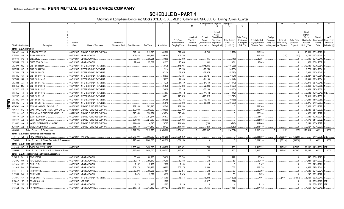|                |                             |                | 2                                                      |                     |                               | 6                            |               |            | -9                 | 10                              |                         |                              |                                               | Change in Book/Adjusted Carrying Value |                                  | 16                                 | 17                         | 18                         | 19                    | 20                                     | 21                       | 22                         |
|----------------|-----------------------------|----------------|--------------------------------------------------------|---------------------|-------------------------------|------------------------------|---------------|------------|--------------------|---------------------------------|-------------------------|------------------------------|-----------------------------------------------|----------------------------------------|----------------------------------|------------------------------------|----------------------------|----------------------------|-----------------------|----------------------------------------|--------------------------|----------------------------|
|                |                             |                |                                                        |                     |                               |                              |               |            |                    |                                 | 11                      |                              | 13                                            |                                        | 15                               |                                    |                            |                            |                       |                                        |                          |                            |
|                |                             |                |                                                        |                     |                               |                              |               |            |                    | Prior Year                      | Unrealized<br>Valuation | Current<br>Year's            | Current<br>Year's<br>Other-Than-<br>Temporary | <b>Total Change</b>                    | <b>Total Foreign</b><br>Exchange | Book/Adjusted                      | Foreign<br>Exchange        | Realized                   | <b>Total Gain</b>     | Bond<br>Interest<br>Stock<br>Dividends | Stated<br>Contractual    | <b>NAIC</b><br>Designation |
|                | <b>CUSIP</b> Identification |                | Description                                            | Disposal<br>Date    | Name of Purchaser             | Number of<br>Shares of Stock | Consideration | Par Value  | <b>Actual Cost</b> | Book/Adjusted<br>Carrying Value | Increase<br>(Decrease)  | Amortization)<br>/ Accretion | Impairment<br>Recognized                      | in B./A.C.V.<br>$(11+12-13)$           | Change in<br>B./A.C.V.           | Carrying Value at<br>Disposal Date | Gain (Loss)<br>on Disposal | Gain (Loss)<br>on Disposal | (Loss) on<br>Disposal | Received<br>During Year                | Maturity<br>Date         | or Market<br>Indicator (a) |
|                | Bonds - U.S. Government     |                |                                                        |                     |                               |                              |               |            |                    |                                 |                         |                              |                                               |                                        |                                  |                                    |                            |                            |                       |                                        |                          |                            |
|                | 26854P                      | AA             | EJM AIRPORT LLC.                                       | 05/15/2017.         | SINKING FUND REDEMPTION.      |                              |               |            |                    |                                 |                         |                              |                                               |                                        |                                  |                                    |                            |                            |                       |                                        |                          |                            |
|                |                             |                |                                                        |                     |                               |                              | .819,296      | .819,296   | .901,226           | .822,095                        |                         | (2,799)                      |                                               | (2,799)                                |                                  | .819,296                           |                            |                            |                       | .25,689                                | 05/15/2020.              |                            |
|                | 30250W                      | AB             | SSGN 2010-S2 2A.                                       | 06/30/201           | MBS PAYDOWN                   |                              | .409,423      | .409,423   | 409,780            | .409,780                        |                         |                              |                                               |                                        |                                  | 409,780                            |                            | (357)                      | (357)                 | 4,712                                  | 07/29/2047               |                            |
|                | 36194S                      | <b>PD</b>      | <b>GN AU4920.</b>                                      | 06/01/201           | MBS PAYDOWN.                  |                              | .39,284       | .39,284    | .40,009            | .39,300                         |                         | (15)                         |                                               | (15)                                   |                                  | .39,284                            |                            |                            |                       | .495                                   | 09/16/2041               |                            |
|                | 36296U                      | ΖX             | <b>GNSF POOL 701958</b>                                | 06/01/201           | <b>MBS PAYDOWN</b>            |                              | .97.089       | .97.089    | .91,233            | .96,608                         |                         | .481                         |                                               | .481                                   |                                  | .97.089                            |                            |                            |                       | 1,666                                  | 06/01/2039               |                            |
|                | 38375U                      | QQ             | GNR 2014-H20 CI                                        | 06/01/201           | <b>INTEREST ONLY PAYMENT.</b> |                              |               |            | 168,135            | .145,036                        |                         | (145, 036)                   |                                               | (145, 036)                             |                                  |                                    |                            |                            |                       | .10.136                                | 10/20/2064               |                            |
|                | 38375U                      | SC             | GNR 2014-H22 CI                                        | 06/01/201           | <b>INTEREST ONLY PAYMENT.</b> |                              |               |            | .112,114           | .95,250                         |                         | (95, 250)                    |                                               | (95, 250)                              |                                  |                                    |                            |                            |                       | .6,776                                 | 11/20/2064               |                            |
|                | 38378B                      | ZR             | GNR 2012-88 DI.                                        | 06/01/201           | INTEREST ONLY PAYMENT.        |                              |               |            | .67,134            | .57,675                         |                         | (57, 675)                    |                                               | (57, 675)                              |                                  |                                    |                            |                            |                       | .3,022                                 | 08/16/2046               |                            |
|                | 38378K                      | 6A             | GNR 2013-161 IO                                        | 06/01/2017          | <b>INTEREST ONLY PAYMENT.</b> |                              |               |            | 126,633            | 70,721                          |                         | (70, 721)                    |                                               | (70, 721)                              |                                  |                                    |                            |                            |                       | .8,837                                 | 05/16/2054               |                            |
|                | 38378N                      | <b>NJ</b>      | GNR 2013-194 IO                                        | 06/01/201           | INTEREST ONLY PAYMENT.        |                              |               |            | 125,035            | .91,149                         |                         | (91, 149)                    |                                               | (91, 149)                              |                                  |                                    |                            |                            |                       | .12.449                                | 09/16/2054               |                            |
|                | 38378N                      | XK             | GNR 2014-17 IO.                                        | 06/01/2017          | <b>INTEREST ONLY PAYMENT.</b> |                              |               |            | 114,238            | .54,740                         |                         | (54,740)                     |                                               | (54, 740)                              |                                  |                                    |                            |                            |                       | .12.970                                | 06/16/2048               |                            |
|                | 38378X                      | MU             | GNR 2014-126 IO.                                       | 06/01/2017          | <b>INTEREST ONLY PAYMENT.</b> |                              |               |            | .91,075            | .72,326                         |                         | (72, 326)                    |                                               | (72, 326)                              |                                  |                                    |                            |                            |                       | .9.890                                 | 02/16/2055               |                            |
|                | 38378X                      | PE             | GNR 2014-135 IO                                        | 06/01/201           | INTEREST ONLY PAYMENT.        |                              |               |            | .70,858            | .55,130                         |                         | (55, 130)                    |                                               | (55, 130)                              |                                  |                                    |                            |                            |                       | .4,329                                 | 01/16/2056               |                            |
|                | 38378X                      | TX             | GNR 2014-148 IO                                        | 06/01/2017          | INTEREST ONLY PAYMENT.        |                              |               |            | .55,997            | .44,112                         |                         | (44, 112)                    |                                               | (44, 112)                              |                                  |                                    |                            |                            |                       | .3,642                                 | 10/01/2049.              |                            |
|                | 38379K                      | JC.            | SNR 2015-51 IO.                                        | 06/01/2017          | INTEREST ONLY PAYMENT.        |                              |               |            | .289,751           | .225,525                        |                         | (225, 525)                   |                                               | (225, 525)                             |                                  |                                    |                            |                            |                       | .32.413                                | 12/16/2056               |                            |
|                | 38379K                      | <b>PR</b>      | GNR 2015-67 IO                                         | 06/01/2017          | INTEREST ONLY PAYMENT.        |                              |               |            | .29,355            | .19,786                         |                         | (19,786)                     |                                               | (19,786)                               |                                  |                                    |                            |                            |                       | 1,344                                  | 11/01/2056.              |                            |
| $\mathbf{a}$   | 38379K                      | TL             | SNR 2015-85 IO.                                        | 06/01/201           | INTEREST ONLY PAYMENT.        |                              |               |            | .85,010            | .56,603                         |                         | (56,603)                     |                                               | (56, 603)                              |                                  |                                    |                            |                            |                       | .6.975                                 | 07/01/2057               |                            |
| $\overline{5}$ | 49549C                      | AA             | EXIM - KING INTL LEASING LLC                           | 04/15/201           | SINKING FUND REDEMPTION.      |                              | .282.240      | .282.240   | 282,240            | .282,240                        |                         |                              |                                               |                                        |                                  | 282.240                            |                            |                            |                       | .3.886                                 | 10/15/2022               |                            |
|                | 690353                      | SQ             | OPIC - OVERSEAS PRIVATE INV COR.                       | 05/15/2017          | SINKING FUND REDEMPTION.      |                              | .300,000      | .300,000   | .300,000           | .300,000                        |                         |                              |                                               |                                        |                                  | .300,000                           |                            |                            |                       | .5,145                                 | 05/15/2030               |                            |
|                | 797224                      | AC             | EXIM - SAN CLEMENTE LEASING LLC.                       | 05/22/201           | SINKING FUND REDEMPTION.      |                              | .320,954      | .320,954   | .320,954           | .320,954                        |                         |                              |                                               |                                        |                                  | .320,954                           |                            |                            |                       | .4,862                                 | 11/22/2022.              |                            |
|                | 805649                      | AA             | EXIM - SAYARRA LTD.                                    | 04/29/2017          | SINKING FUND REDEMPTION.      |                              | .91,677       | .91,677    | .91,677            | .91,677                         |                         |                              |                                               |                                        |                                  | .91,677                            |                            |                            |                       | .636                                   | 10/29/2021               |                            |
|                | 805649                      | AB             | EXIM - SAYARRA LTD.                                    | 05/01/201           | SINKING FUND REDEMPTION.      |                              | .324,033      | .324,033   | .324,033           | .324,033                        |                         |                              |                                               |                                        |                                  | .324,033                           |                            |                            |                       | .4.172                                 | 04/14/2022               |                            |
|                | 92188P                      | AA             | VANE LINE BUNKER 92188PAA3                             | 05/01/2017          | SINKING FUND REDEMPTION.      |                              | .114,640      | .114,640   | 128,397            | .114,888                        |                         | (248)                        |                                               | (248)                                  |                                  | .114,640                           |                            |                            |                       | .3,141                                 | 10/30/2027               |                            |
|                | 92188P                      | AB             | VANE LINE BUNKER.                                      | 05/01/2017.         | SINKING FUND REDEMPTION       |                              | .114,140      | .114,140   | 128,122            | 114,393                         |                         | (253)                        |                                               | (253)                                  |                                  | .114,140                           |                            |                            |                       | .3,127                                 | 10/30/2027.              |                            |
|                | 0599999                     |                | Total - Bonds - U.S. Government                        |                     |                               |                              | .2,912,776    | 2,912,776  | 4,353,006          | .3,904,021                      | $0$ .                   | (990, 887)                   | $\Omega$                                      | (990, 887)                             |                                  | .2,913,133                         | $0$ .                      | (357)                      | (357)                 | .170,314                               | <b>XXX</b>               | XXX                        |
|                |                             |                | Bonds - U.S. States, Territories and Possessions       |                     |                               |                              |               |            |                    |                                 |                         |                              |                                               |                                        |                                  |                                    |                            |                            |                       |                                        |                          |                            |
|                | 74514L                      |                | E8 6 PUERTO RICO-A.                                    | 04/26/2017. VARIOUS |                               |                              | 3.275.000     | .5.000.000 | .3.331.250         | .3.331.250                      |                         |                              |                                               | $\Omega$                               |                                  | .3.331.250                         |                            | (56.250)                   | (56, 250)             |                                        | 07/01/2035. 6FE.         |                            |
|                | 1799999                     |                | Total - Bonds - U.S. States, Territories & Possessions |                     |                               |                              | .3.275.000    | .5.000.000 | 3.331.250          | .3.331.250                      | $0$ .                   | $0$ .                        | $\Omega$                                      | $\mathbf{0}$                           |                                  | .3.331.250                         | $\Omega$                   | (56, 250)                  | (56, 250)             | 0 <sup>1</sup>                         | <b>XXX</b>               | <b>XXX</b>                 |
|                |                             |                | Bonds - U.S. Political Subdivisions of States          |                     |                               |                              |               |            |                    |                                 |                         |                              |                                               |                                        |                                  |                                    |                            |                            |                       |                                        |                          |                            |
|                | 213185                      |                | BP 5 COOK COUNTY ILLINOIS                              | 06/26/2017.         |                               |                              | 2,935,688     | .2,450,000 | .2,408,252         | .2,416,971                      |                         | .750                         |                                               | 750                                    |                                  | .2,417,722                         |                            | .517,967                   | 517,967               |                                        | .96,192 11/15/2031. 1FE. |                            |
|                | 2499999                     |                | Total - Bonds - U.S. Political Subdivisions of States  |                     |                               |                              | .2,935,688    | .2,450,000 | .2,408,252         | 2,416,971                       | $\Omega$                | .750                         | $\Omega$                                      | 750                                    |                                  | .2.417.722                         | $\Omega$                   | 517,967                    | 517,967               | .96,192                                | <b>XXX</b>               | XXX                        |
|                |                             |                | Bonds - U.S. Special Revenue and Special Assessment    |                     |                               |                              |               |            |                    |                                 |                         |                              |                                               |                                        |                                  |                                    |                            |                            |                       |                                        |                          |                            |
|                | 3128PK                      | WJ             | <b>FGCI J07849</b>                                     |                     | 06/01/2017. MBS PAYDOWN       |                              | .80,963       | .80,963    | .78,636            | .80.734                         |                         | .229                         |                                               | 229                                    |                                  | .80,963                            |                            |                            |                       | 1.547                                  | 05/01/2023.              |                            |
|                | 3128PL                      | AW<br>- 2      | FGCI J08121                                            | 06/01/2017          | MBS PAYDOWN.                  |                              | .50,640       | .50,640    | .50,280            | .50,588                         |                         | .53                          |                                               | .53                                    |                                  | .50,640                            |                            |                            |                       | 1,034                                  | 06/01/2023               |                            |
|                | 312903                      | KY             | <b>FHR 117 G</b>                                       | 06/15/2017          | <b>MBS PAYDOWN</b>            |                              | .2,187        | .2,187     | .2,059             | .2,184                          |                         |                              |                                               |                                        |                                  | .2,187                             |                            |                            |                       | .222                                   | 01/15/2021               |                            |
|                | 312945                      | DN<br>-5       | FG A96409                                              | 06/01/2017          | MBS PAYDOWN.                  |                              | .309,178      | .309,178   | .289,975           | .308,175                        |                         | .1,003                       |                                               | .1,003                                 |                                  | .309,178                           |                            |                            |                       | .4,625                                 | 01/01/2041               |                            |
|                | 3133T4                      | <b>FT</b>      | <b>FHR 1680 PK</b>                                     | 06/01/2017          | <b>MBS PAYDOWN.</b>           |                              | .60,298       | .60,298    | .57,651            | .60,215                         |                         | .83                          |                                               | .83                                    |                                  | .60,298                            |                            |                            |                       | 1.646                                  | 02/15/2024               |                            |
|                | 31358N                      | W4             | FNR 92-129 L                                           | 06/01/2017          | <b>MBS PAYDOWN.</b>           |                              | .9.879        | .9.879     | .9,039             | .9,823                          |                         | .56                          |                                               | 56                                     |                                  | .9,879                             |                            |                            |                       | .247                                   | 07/25/2022               |                            |
|                | 31359S                      | 6Y             | FNGT 2001-T7 IO                                        | 06/01/2017          | <b>INTEREST ONLY PAYMENT</b>  |                              |               |            | .816,760           | 16.675                          |                         | (8,808)                      |                                               | (8,808)                                |                                  | .7,867                             |                            | (7,867)                    | (7,867)               | .5.454                                 | 02/25/2041               |                            |
|                | 3136AT                      | X <sub>2</sub> | FNA 2016-M10 X                                         | 06/01/2017          | <b>VARIOUS</b>                |                              |               |            | .1,927             |                                 |                         | (1,927)                      |                                               | (1,927)                                |                                  |                                    |                            |                            |                       |                                        | 07/25/2028.              |                            |
|                | 31371N                      | V <sub>2</sub> | FN 257233                                              | 06/01/2017.         | <b>MBS PAYDOWN</b>            |                              | .1,123        | .1,123     | .1,092             | .1,119                          |                         |                              |                                               |                                        |                                  | .1,123                             |                            |                            |                       | $2^{\circ}$                            | 06/01/2023               |                            |
|                | 3138A2                      | BE             | <b>FN AH0936</b>                                       | 06/01/2017.         | <b>MBS PAYDOWN</b>            |                              | .317.452      | .317.452   | .297,427           | .316.288                        |                         | 1.165                        |                                               | .1,165                                 |                                  | 317.452                            |                            |                            |                       | .4.694                                 | 12/01/2040               |                            |
|                |                             |                |                                                        |                     |                               |                              |               |            |                    |                                 |                         |                              |                                               |                                        |                                  |                                    |                            |                            |                       |                                        |                          |                            |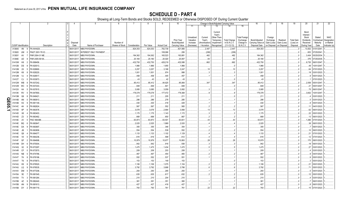|                | -1                          |                | $\overline{2}$    | $\mathbf{3}$<br>$\overline{4}$ | 5                            | 6               | $\overline{7}$ | 8         | 9                  | 10                          |                                     |                                    | Change in Book/Adjusted Carrying Value                     |                                     |                                               | 16                                 | 17                                 | 18                      | 19                             | 20                                                 | 21                                | 22                                      |
|----------------|-----------------------------|----------------|-------------------|--------------------------------|------------------------------|-----------------|----------------|-----------|--------------------|-----------------------------|-------------------------------------|------------------------------------|------------------------------------------------------------|-------------------------------------|-----------------------------------------------|------------------------------------|------------------------------------|-------------------------|--------------------------------|----------------------------------------------------|-----------------------------------|-----------------------------------------|
|                |                             |                |                   |                                |                              |                 |                |           |                    |                             | 11                                  |                                    | 13                                                         | 14                                  | 15                                            |                                    |                                    |                         |                                |                                                    |                                   |                                         |
|                |                             |                |                   | Disposal                       |                              | Number of       |                |           |                    | Prior Year<br>Book/Adjusted | Unrealized<br>Valuation<br>Increase | Current<br>Year's<br>Amortization) | Current<br>Year's<br>Other-Than<br>Temporary<br>Impairment | <b>Total Change</b><br>in B./A.C.V. | <b>Total Foreign</b><br>Exchange<br>Change in | Book/Adjusted<br>Carrying Value at | Foreign<br>Exchange<br>Gain (Loss) | Realized<br>Gain (Loss) | <b>Total Gain</b><br>(Loss) on | Bond<br>Interest<br>Stock<br>Dividends<br>Received | Stated<br>Contractual<br>Maturity | <b>NAIC</b><br>Designation<br>or Market |
|                | <b>CUSIP</b> Identification |                | Description       | Date                           | Name of Purchaser            | Shares of Stock | Consideration  | Par Value | <b>Actual Cost</b> | Carrying Value              | (Decrease)                          | / Accretion                        | Recognized                                                 | $(11+12-13)$                        | <b>B./A.C.V.</b>                              | Disposal Date                      | on Disposal on Disposal            |                         | Disposal                       | During Year                                        | Date                              | Indicator (a)                           |
|                | 3138A5 4N                   |                | FN AH4428.<br>- 9 | 06/01/2017.                    | MBS PAYDOWN.                 |                 | .824,353       | .824,353  | 782,739            | .821,906                    |                                     | .2,447                             |                                                            | .2,447                              |                                               | .824,353                           |                                    |                         |                                | 13,002                                             | 01/01/204 <sup>.</sup>            |                                         |
|                | 313920                      | UM             | FNGT 2001-T8 IO   | 06/01/201                      | <b>INTEREST ONLY PAYMENT</b> |                 |                |           | 108,066            | .206                        |                                     | (206)                              |                                                            | . (206). .                          |                                               |                                    |                                    |                         |                                | .653                                               | 07/25/204                         |                                         |
|                | 31393Y                      | AV             | FNR 2004-31 ME.   | 06/01/201                      | MBS PAYDOWN.                 |                 | .184,362       | 184,362   | 165,523            | 183,881                     |                                     | .482                               |                                                            | .482                                |                                               | .184,362                           |                                    |                         |                                | .3.404                                             | 05/25/2034                        |                                         |
|                | 31394E UD                   |                | FNR 2005-59 KA    | 06/01/201                      | MBS PAYDOWN.                 |                 | .20,180        | 20,180    | 20,020             | 20,097                      |                                     | 83                                 |                                                            | 83                                  |                                               | .20,180                            |                                    |                         |                                | 376                                                | 07/25/2035                        |                                         |
|                | 31410W H9                   |                | FN 899456<br>- 2  | 06/01/201                      | MBS PAYDOWN.                 |                 | .432,750       | 432,750   | 428,219            | 432,088                     |                                     | 662                                |                                                            | .662                                |                                               | .432,750                           |                                    |                         |                                | .9,735                                             | 06/01/2047                        |                                         |
|                | 31412B DS                   |                | FN 920013         | 06/01/201                      | MBS PAYDOWN.                 |                 | .1,966         | .1,966    | .1,955             | .1,966                      |                                     |                                    |                                                            |                                     |                                               | .1,966                             |                                    |                         |                                |                                                    | 10/01/2047                        |                                         |
|                | 31412M 2X                   |                | FN 929690<br>- 5  | 06/01/2017                     | MBS PAYDOWN.                 |                 | .3,257         | .3,257    | .3,168             | .3,247                      |                                     | 10                                 |                                                            | .10                                 |                                               | .3,257                             |                                    |                         |                                | .64                                                | 07/01/2023                        |                                         |
|                | 31412M                      | K9             | FN 929220<br>-8   | 06/01/2017                     | MBS PAYDOWN.                 |                 | .1,001         | .1,001    | .974               | .998                        |                                     |                                    |                                                            |                                     |                                               | .1,001                             |                                    |                         | - 0                            |                                                    | 03/01/2023                        |                                         |
|                | 31412M                      | VJ             | FN 929517         | 06/01/2017                     | <b>MBS PAYDOWN</b>           |                 | .458           | .458      | .445               | .457                        |                                     |                                    |                                                            |                                     |                                               | 458                                |                                    |                         |                                |                                                    | 05/01/2023                        |                                         |
|                | 31412T CJ                   |                | FN 933973<br>- 0  | 06/01/2017                     | MBS PAYDOWN.                 |                 | 43             | 43        | 42                 | 43                          |                                     |                                    |                                                            |                                     |                                               | .43                                |                                    |                         |                                |                                                    | 07/01/2023.                       |                                         |
|                | 31412W WB                   |                | FN 937242         | 06/01/2017                     | MBS PAYDOWN.                 |                 | .85,412        | .85,412   | .84,625            | .85,066                     |                                     | .347                               |                                                            | .347                                |                                               | .85,412                            |                                    |                         |                                | .2,559                                             | 05/01/2047                        |                                         |
|                | 31412W                      | WC             | FN 937243         | 06/01/2017                     | MBS PAYDOWN.                 |                 | 849            | 849       | 841                | 849                         |                                     |                                    |                                                            |                                     |                                               | 849                                |                                    |                         |                                | $\cdot$ 2                                          | 05/01/2047                        |                                         |
|                | 31412X K4                   |                | FN 937815<br>- 5  | 06/01/2017                     | MBS PAYDOWN.                 |                 | .3,085         | .3,085    | .3,059             | .3,082                      |                                     |                                    |                                                            |                                     |                                               | .3,085                             |                                    |                         |                                | 75                                                 | 06/01/2047                        |                                         |
|                | 31413K                      | <b>RV</b>      | FN 947900<br>-5   | 06/01/201                      | MBS PAYDOWN.                 |                 | .179,378       | 179,378   | 177,472            | 179,369                     |                                     |                                    |                                                            | . 9                                 |                                               | 179,378                            |                                    |                         |                                | .3,602                                             | 10/01/2047                        |                                         |
|                | 31413M                      | G6             | FN 949421<br>-8   | 06/01/2017                     | <b>MBS PAYDOWN.</b>          |                 | 211            | .211      | .205               | .211                        |                                     |                                    |                                                            |                                     |                                               | .211                               |                                    |                         |                                |                                                    | 03/01/2023                        |                                         |
|                | 31414B                      | AN             | FN 960913         | 06/01/2017                     | MBS PAYDOWN.                 |                 | .286           | .286      | .278               | .285                        |                                     |                                    |                                                            |                                     |                                               | 286                                |                                    |                         | . . 0                          |                                                    | 03/01/2023.                       |                                         |
| m<br>$\bullet$ | 31414B                      | H <sub>2</sub> | N 961149          | 06/01/2017                     | MBS PAYDOWN.                 |                 | .430           | .430      | 418                | .429                        |                                     |                                    |                                                            |                                     |                                               | 430                                |                                    |                         |                                |                                                    | 05/01/2023                        |                                         |
| ות)            | 31414C                      | 4H             | FN 962624<br>-8   | 06/01/2017                     | MBS PAYDOWN.                 |                 | .567           | .567      | .552               | .565                        |                                     |                                    |                                                            |                                     |                                               | .567                               |                                    |                         | . . 0                          |                                                    | 04/01/2023                        |                                         |
| ᅩ              | 31414D                      | 6P             | N 963578          | 06/01/2017                     | MBS PAYDOWN.                 |                 | .3,078         | .3,078    | .2,994             | .3,066                      |                                     | . 13                               |                                                            | .13                                 |                                               | .3,078                             |                                    |                         | $\cdot$ . C                    | .62                                                | 06/01/2023                        |                                         |
|                | 31414D                      | X8             | FN 963403         | 06/01/2017                     | MBS PAYDOWN.                 |                 | .1,175         | .1,175    | .1,143             | .1,172                      |                                     |                                    |                                                            |                                     |                                               | .1,175                             |                                    |                         | $\ldots$ C                     | .22                                                | 05/01/2023                        |                                         |
|                | 31414D                      | Z3             | N 963462          | 06/01/2017                     | MBS PAYDOWN.                 |                 | 668            | .668      | 650                | 667                         |                                     |                                    |                                                            |                                     |                                               | 668                                |                                    |                         | $\cdot$ . C                    | .1:                                                | 06/01/2023                        |                                         |
|                | 31414E                      | 2V             | FNCI 964388       | 06/01/201                      | MBS PAYDOWN.                 |                 | .63,873        | .63,873   | 63,501             | .63,831                     |                                     | .43                                |                                                            | .43                                 |                                               | .63,873                            |                                    |                         | . 0                            | .1,266                                             | 07/01/2023                        |                                         |
|                | 31414E BQ                   |                | N 963647          | 06/01/2017                     | MBS PAYDOWN.                 |                 | .2,025         | .2,025    | .1,969             | .2,020                      |                                     |                                    |                                                            |                                     |                                               | .2,025                             |                                    |                         | . (                            | .38                                                | 06/01/2023                        |                                         |
|                | 31414E DA                   |                | FN 963697<br>- q  | 06/01/2017                     | MBS PAYDOWN.                 |                 | .355           | .355      | 346                | 354                         |                                     |                                    |                                                            |                                     |                                               | 355                                |                                    |                         | $\ldots$ C                     |                                                    | 06/01/2023                        |                                         |
|                | 31414E                      | JB             | N 963858          | 06/01/201                      | MBS PAYDOWN.                 |                 | 554            | .554      | .539               | .552                        |                                     |                                    |                                                            |                                     |                                               | .554                               |                                    |                         |                                |                                                    | 06/01/2023                        |                                         |
|                | 31414E Q6                   |                | N 964077          | 06/01/201                      | MBS PAYDOWN.                 |                 | .1,133         | .1,133    | .1,102             | .1,129                      |                                     |                                    |                                                            |                                     |                                               | .1,133                             |                                    |                         | . (                            | 2 <sup>4</sup>                                     | 07/01/2023                        |                                         |
|                | 31414E V5                   |                | N 964236          | 06/01/201                      | MBS PAYDOWN.                 |                 | 616            | .616      | .599               | .612                        |                                     |                                    |                                                            |                                     |                                               | 616                                |                                    |                         |                                |                                                    | 07/01/2023                        |                                         |
|                | 31414F                      | GF             | FN 964698         | 06/01/201                      | MBS PAYDOWN.                 |                 | 10,979         | 10,979    | .10,677            | 10,950                      |                                     | .28                                |                                                            | .28                                 |                                               | .10,979                            |                                    |                         |                                | 170                                                | 08/01/2023                        |                                         |
|                | 31414M DH                   |                | N 970004          | 06/01/201                      | MBS PAYDOWN.                 |                 | .942           | .942      | .916               | .938                        |                                     |                                    |                                                            |                                     |                                               | .942                               |                                    |                         |                                |                                                    | 06/01/2023                        |                                         |
|                | 31414Q                      | <b>X2</b>      | N 973297          | 06/01/201                      | MBS PAYDOWN.                 |                 | .1,475         | 1,475     | .1,434             | .1,470                      |                                     |                                    |                                                            |                                     |                                               | .1,475                             |                                    |                         |                                |                                                    | 03/01/2023                        |                                         |
|                | 31414R CF                   |                | FN 973570         | 06/01/201                      | MBS PAYDOWN.                 |                 | .209           | .209      | 203                | 208                         |                                     |                                    |                                                            |                                     |                                               | 209                                |                                    |                         |                                |                                                    | 03/01/2023                        |                                         |
|                | 31414S NB                   |                | FN 974786<br>-5   | 06/01/2017                     | MBS PAYDOWN.                 |                 | 467            | .467      | .454               | .465                        |                                     |                                    |                                                            |                                     |                                               | .467                               |                                    |                         |                                |                                                    | 04/01/2023                        |                                         |
|                | 31414T 7H                   |                | FN 976196<br>-8   | 06/01/2017                     | MBS PAYDOWN.                 |                 | 552            | .552      | .537               | .551                        |                                     |                                    |                                                            |                                     |                                               | .552                               |                                    |                         |                                |                                                    | 05/01/2023                        |                                         |
|                | 31414T                      | T6             | FN 975873<br>-8   | 06/01/2017                     | MBS PAYDOWN.                 |                 | 153            | .153      | .149               | 153                         |                                     |                                    |                                                            |                                     |                                               | .153                               |                                    |                         |                                |                                                    | 05/01/2023                        |                                         |
|                | 31414U                      | K9             | FN 976520         | 06/01/2017                     | MBS PAYDOWN.                 |                 | .1,106         | .1,106    | .1,075             | .1,104                      |                                     |                                    |                                                            |                                     |                                               | .1,106                             |                                    |                         | - 0                            |                                                    | 05/01/2023                        |                                         |
|                | 31414U LQ                   |                | FN 976535<br>- 9  | 06/01/2017                     | MBS PAYDOWN.                 |                 | .3,792         | .3,792    | .3,688             | .3,786                      |                                     |                                    |                                                            |                                     |                                               | .3,792                             |                                    |                         |                                |                                                    | 05/01/2023                        |                                         |
|                | 31414V                      | DM             | FN 977208<br>-5   | 06/01/2017                     | MBS PAYDOWN.                 |                 | .293           | .293      | 285                | 293                         |                                     |                                    |                                                            |                                     |                                               | 293                                |                                    |                         |                                |                                                    | 04/01/2023.                       |                                         |
|                | 31415A                      | 5E             | FN 981545         | 06/01/2017                     | MBS PAYDOWN.                 |                 | .635           | .635      | 617                | 632                         |                                     |                                    |                                                            |                                     |                                               | 635                                |                                    |                         |                                |                                                    | 05/01/2023                        |                                         |
|                | 31415A                      | <b>TV</b>      | FN 981264<br>-3   | 06/01/2017                     | MBS PAYDOWN.                 |                 | 210            | .210      | .204               | .210                        |                                     |                                    |                                                            |                                     |                                               | .210                               |                                    |                         |                                |                                                    | 03/01/2023.                       |                                         |
|                | 31415B                      | 4Z             | N 982440<br>- q   | 06/01/2017                     | MBS PAYDOWN.                 |                 | .361           | .361      | 351                | .360                        |                                     |                                    |                                                            |                                     |                                               | .361                               |                                    |                         |                                |                                                    | 06/01/2023                        |                                         |
|                | 31415B                      | AN             | FN 981613<br>- 9  | 06/01/2017                     | MBS PAYDOWN.                 |                 | 427            | .427      | .416               | .427                        |                                     |                                    |                                                            |                                     |                                               | .427                               |                                    |                         |                                |                                                    | 06/01/2023                        |                                         |
|                | 31415B DY                   |                | FN 981719<br>2    | 06/01/2017                     | MBS PAYDOWN.                 |                 | .783           | .783      | .761               | .761                        |                                     | .22                                |                                                            | .22                                 |                                               | .783                               |                                    |                         |                                |                                                    | 07/01/2023                        |                                         |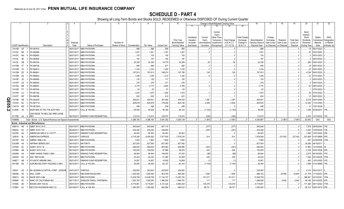|        |                             |           |                                                              |             | -5                       |                 |               | 8          |                    | 10                          |                                     | Change in Book/Adjusted Carrying Value |                                                             |                                     |                                               | 16                                 | 17                                 | 18                      | 19                             | 20                                                   | 21                                | 22                                      |
|--------|-----------------------------|-----------|--------------------------------------------------------------|-------------|--------------------------|-----------------|---------------|------------|--------------------|-----------------------------|-------------------------------------|----------------------------------------|-------------------------------------------------------------|-------------------------------------|-----------------------------------------------|------------------------------------|------------------------------------|-------------------------|--------------------------------|------------------------------------------------------|-----------------------------------|-----------------------------------------|
|        |                             |           |                                                              |             |                          |                 |               |            |                    |                             | 11                                  | 12                                     | 13                                                          |                                     | 15                                            |                                    |                                    |                         |                                |                                                      |                                   |                                         |
|        |                             |           |                                                              | Disposal    |                          | Number of       |               |            |                    | Prior Year<br>Book/Adjusted | Unrealized<br>Valuation<br>Increase | Current<br>Year's<br>Amortization)     | Current<br>Year's<br>Other-Than-<br>Temporary<br>Impairment | <b>Total Change</b><br>in B./A.C.V. | <b>Total Foreign</b><br>Exchange<br>Change in | Book/Adjusted<br>Carrying Value at | Foreign<br>Exchange<br>Gain (Loss) | Realized<br>Gain (Loss) | <b>Total Gain</b><br>(Loss) on | Bond<br>Interest /<br>Stock<br>Dividends<br>Received | Stated<br>Contractual<br>Maturity | <b>NAIC</b><br>Designatior<br>or Market |
|        | <b>CUSIP</b> Identification |           | Description                                                  | Date        | Name of Purchaser        | Shares of Stock | Consideration | Par Value  | <b>Actual Cost</b> | Carrying Value              | (Decrease)                          | / Accretion                            | Recognized                                                  | $(11+12-13)$                        | <b>B./A.C.V.</b>                              | Disposal Date                      | on Disposal                        | on Disposa              | Disposal                       | During Year                                          | Date                              | ndicator (a                             |
|        | 31415B                      | K5        | FN 981916                                                    | 06/01/2017  | MBS PAYDOWN.             |                 | .986          | .986       | .959               | .983                        |                                     |                                        |                                                             |                                     |                                               | .986                               |                                    |                         |                                | .19                                                  | 06/01/2023                        |                                         |
|        | 31415C ND                   |           | N 982888                                                     | 06/01/2017  | MBS PAYDOWN.             |                 | .1,831        | .1,831     | .1,781             | .1,827                      |                                     |                                        |                                                             |                                     |                                               | .1,831                             |                                    |                         |                                | .32                                                  | 05/01/2023                        |                                         |
|        | 31415C                      | <b>NH</b> | FN 982892<br>- 6                                             | 06/01/2017  | MBS PAYDOWN.             |                 | .103          | .103       | .100               | .103                        |                                     |                                        |                                                             |                                     |                                               | .103                               |                                    |                         |                                |                                                      | 05/01/2023                        |                                         |
|        | 31415L                      | 5E        | N 983845                                                     | 06/01/201   | MBS PAYDOWN.             |                 | .167          | .167       | 162                | .167                        |                                     |                                        |                                                             |                                     |                                               | .167                               |                                    |                         |                                |                                                      | 06/01/2023                        |                                         |
|        | 31415L                      | GB        | FN 983194                                                    | 06/01/201   | <b>MBS PAYDOWN</b>       |                 | 20,338        | 20,338     | 19,779             | .20,299                     |                                     | .39                                    |                                                             | .39                                 |                                               | .20,338                            |                                    |                         |                                | .380                                                 | 05/01/2023                        |                                         |
|        | 31415M                      | 5T        | FN 984758<br>-8                                              | 06/01/201   | MBS PAYDOWN.             |                 | .895          | .895       | .871               | .892                        |                                     |                                        |                                                             |                                     |                                               | .895                               |                                    |                         |                                |                                                      | 06/01/2023                        |                                         |
|        | 31415M                      | YH        | N 984612<br>- 2                                              | 06/01/2017  | <b>MBS PAYDOWN</b>       |                 | .1,234        | .1,234     | .1,200             | .1,232                      |                                     |                                        |                                                             |                                     |                                               | .1,234                             |                                    |                         |                                | .23                                                  | 05/01/2023                        |                                         |
|        | 31415M                      | ZE        | N 98464<br>-8                                                | 06/01/2017  | <b>MBS PAYDOWN</b>       |                 | 187,913       | 187,913    | 188,074            | 187,785                     |                                     | 128                                    |                                                             | 128                                 |                                               | 187,913                            |                                    |                         |                                | 4,236                                                | 06/01/2023                        |                                         |
|        |                             |           |                                                              |             |                          |                 |               |            |                    |                             |                                     |                                        |                                                             |                                     |                                               |                                    |                                    |                         |                                |                                                      |                                   |                                         |
|        | 31415M                      | ΖS        | FN 984653                                                    | 06/01/2017  | <b>MBS PAYDOWN</b>       |                 | 1,246         | .1,246     | .1,212             | .1,240                      |                                     |                                        |                                                             |                                     |                                               | .1,246                             |                                    |                         |                                | .23                                                  | 07/01/2023                        |                                         |
|        | 31415P                      | JD        | FN 985060                                                    | 06/01/2017  | <b>MBS PAYDOWN</b>       |                 | .120          | .120       | 117                | .120                        |                                     |                                        |                                                             |                                     |                                               | .120                               |                                    |                         |                                |                                                      | 05/01/2023                        |                                         |
|        | 31415P                      | U5        | FN 985404<br>- 5                                             | 06/01/2017  | <b>MBS PAYDOWN</b>       |                 | .279          | .279       | 271                | 278                         |                                     |                                        |                                                             |                                     |                                               | 279                                |                                    |                         |                                |                                                      | 06/01/2023                        |                                         |
|        | 31415Q                      | ME        | FN 986057                                                    | 06/01/2017  | MBS PAYDOWN.             |                 | .2,770        | .2,770     | .2,693             | .2,765                      |                                     |                                        |                                                             |                                     |                                               | .2,770                             |                                    |                         |                                | .52                                                  | 08/01/2023                        |                                         |
|        | 31415R                      | <b>P7</b> | N 987046                                                     | 06/01/2017  | MBS PAYDOWN.             |                 | 63            | .63        | 61                 | 63                          |                                     |                                        |                                                             |                                     |                                               | 63                                 |                                    |                         |                                |                                                      | 07/01/2023                        |                                         |
|        | 31415R                      | - UJ      | FN 987185                                                    | 06/01/2017  | MBS PAYDOWN.             |                 | .1,975        | .1,975     | .1,920             | .1,972                      |                                     |                                        |                                                             |                                     |                                               | .1,975                             |                                    |                         |                                | .36                                                  | 07/01/2023                        |                                         |
|        | 31415T                      | <b>NP</b> | FN 988798                                                    | 06/01/2017  | MBS PAYDOWN.             |                 | .632          | .632       | 614                | .631                        |                                     |                                        |                                                             |                                     |                                               | .632                               |                                    |                         |                                | 12                                                   | 08/01/2023                        |                                         |
| Q<br>m | 31419E                      | XR        | <b>FN AE4287</b><br>-5                                       | 06/01/2017  | MBS PAYDOWN.             |                 | 405,631       | 405,631    | 381,594            | 404,234                     |                                     | .1,397                                 |                                                             | .1,397                              |                                               | 405,631                            |                                    |                         |                                | .6,275                                               | 09/01/2040                        |                                         |
|        | 31419J                      | <b>SC</b> | N AE7714                                                     | 06/01/2017  | MBS PAYDOWN.             |                 | 825,676       | 825,676    | 776,436            | 822,748                     |                                     | .2,929                                 |                                                             | 2,929                               |                                               | 825,676                            |                                    |                         |                                | 12,420                                               | 11/01/2040                        |                                         |
| ဌ      | 31421D                      | <b>WD</b> | <b>FN MC3343</b><br>-5                                       | 06/01/2017  | MBS PAYDOWN.             |                 | .498          | .498       | 504                | .499                        |                                     |                                        |                                                             |                                     |                                               | .498                               |                                    |                         |                                | 10                                                   | 12/01/2038.                       |                                         |
| in.    | 61204K                      | JR<br>-3  | MONTANA ST FAC FIN AUTH REV.                                 | 05/22/2017  | CALL at 100.000.         |                 | .55,000       | .55,000    | .56,190            | .56,120                     |                                     | (1, 120)                               |                                                             | (1, 120)                            |                                               | .55,000                            |                                    |                         |                                | .1,306                                               | 05/20/2037                        |                                         |
|        |                             |           | OAK RIDGE TN INDL DEV BRD LEASE                              |             |                          |                 |               |            |                    |                             |                                     |                                        |                                                             |                                     |                                               |                                    |                                    |                         |                                |                                                      |                                   |                                         |
|        | 67178K AA 8 REV             |           |                                                              | 06/15/2017. | SINKING FUND REDEMPTION. |                 | 112,574       | .112,574   | 128,757            | .112,914                    |                                     | (340)                                  |                                                             | (340)                               |                                               | .112,574                           |                                    |                         |                                | 3.253                                                | 12/15/2032.                       | 1FE                                     |
|        | 3199999.                    |           | Total - Bonds - U.S. Special Revenue and Special Assessments |             |                          |                 | 4,286,100     | .4,286,100 | .5,041,352         | .4,293,129                  | $\Omega$                            | (1,081)                                | $\Omega$                                                    | (1,081)                             |                                               | .4,293,967                         | $\Omega$                           | (7.867)                 | (7, 867)                       | .83,040                                              | <b>XXX</b>                        | XXX                                     |
|        |                             |           | <b>Bonds - Industrial and Miscellaneous</b>                  |             |                          |                 |               |            |                    |                             |                                     |                                        |                                                             |                                     |                                               |                                    |                                    |                         |                                |                                                      |                                   |                                         |
|        | 00841U                      | AN        | ABMT 2014-2 A13<br>- 6                                       | 06/01/2017. | <b>MBS PAYDOWN</b>       |                 | .940,648      | 940,648    | 947,115            |                             |                                     | (377)                                  |                                                             | (377)                               |                                               | .940,648                           |                                    |                         |                                |                                                      | .7,979 09/25/2044.                | IFE                                     |
|        | 00842C                      | AC        | ABMT 2015-7 A3.<br>- q                                       | 06/26/2017  | MBS PAYDOWN.             |                 | 434,282       | 434,282    | 436,683            |                             |                                     | (201)                                  |                                                             | (201)                               |                                               | 434,282                            |                                    |                         |                                | .3,932                                               | 10/25/2045.                       |                                         |
|        | 02376X                      | AA        | AMERICAN AIRLN 14-1 B PTT                                    | 04/03/2017  | SINKING FUND REDEMPTION  |                 | 84,503        | .84,503    | .84,503            | 84,503                      |                                     |                                        |                                                             |                                     |                                               | 84,503                             |                                    |                         |                                | .1,848                                               | 10/01/2022                        |                                         |
|        | 025816                      | BL        | <b>MERICAN EXPRESS</b>                                       | 05/03/2017  | /ARIOUS.                 |                 | .8,116,250    | .8,000,000 | 7,877,500          | .7,878,234                  |                                     | .614                                   |                                                             | .614                                |                                               | .7,878,848                         |                                    | 237,402                 | .237,402                       | .251,669                                             | 01/01/9999.                       |                                         |
|        | 03215P                      | EQ        | AMRES 1998-2 A5.                                             | 06/01/2017  | <b>MBS PAYDOWN</b>       |                 | .7,852        | .7,852     | .7,852             | .7,852                      |                                     |                                        |                                                             |                                     |                                               | .7,852                             |                                    |                         |                                | .287                                                 | 02/25/2028                        |                                         |
|        | 03235M                      | AA        | <b>MTRAK SERIES-2001</b>                                     | 06/15/2017  | <b>MATURITY.</b>         |                 | .827,083      | 827,083    | 827,083            | .827,083                    |                                     |                                        |                                                             |                                     |                                               | .827,083                           |                                    |                         |                                | 39,286                                               | 06/15/201                         |                                         |
|        | 03763K                      | AC        | ASET 2014-1 B.                                               | 06/15/201   | MBS PAYDOWN.             |                 | .649,544      | 649,544    | 653,063            | 649,995                     |                                     | (451)                                  |                                                             | (451)                               |                                               | .649,544                           |                                    |                         |                                | .17,565                                              | 12/15/2029.                       |                                         |
|        | 03766K                      | AB        | AASET 2016-1A B.                                             | 06/15/201   | MBS PAYDOWN.             |                 | .100,000      | 100,000    | .97,966            | 99,576                      |                                     | .424                                   |                                                             | .424                                |                                               | 100,000                            |                                    |                         |                                | 2,708                                                | 03/01/2036.                       |                                         |
|        | 04248N                      | AA        | ARMY HAWAII FAMILY (MH)                                      | 06/30/201   | SINKING FUND REDEMPTION. |                 | .96,944       | .96,944    | 108,930            | 97,034                      |                                     | (89)                                   |                                                             | (89)                                |                                               | .96,944                            |                                    |                         |                                | .2,678                                               | 06/15/2050                        | FE                                      |
|        | 045424                      | EX        | ASC 1997-D4 B4.                                              | 06/11/201   | MBS PAYDOWN.             |                 | .52,243       | 52,243     | .51,460            | .52,008                     |                                     | .236                                   |                                                             | .236                                |                                               | .52,243                            |                                    |                         |                                | 1,594                                                | 04/14/2029.                       |                                         |
|        | 048677                      | AB        | ATLANTIC MARINE (MH).                                        | 06/01/201   | SINKING FUND REDEMPTION. |                 | .16,857       | 16,857     | 16,929             | .16,858                     |                                     | (1                                     |                                                             | (1)                                 |                                               | .16,857                            |                                    |                         |                                | .450                                                 | 12/01/2050                        | FE                                      |
|        | 05178R AD                   |           | AURORA MILITARY HOUSING II (MH).                             | 06/15/2017  | CALL at 100.000.         |                 | .55,000       | .55,000    | .62, 127           | .62,104                     |                                     | (7, 104)                               |                                                             | (7, 104)                            |                                               | .55,000                            |                                    |                         |                                | 1,588                                                | 01/01/9999.                       | FF                                      |
|        |                             |           |                                                              |             |                          |                 |               |            |                    |                             |                                     |                                        |                                                             |                                     |                                               |                                    |                                    |                         |                                |                                                      |                                   |                                         |
|        | 05524*                      | AD        | BA LEASING & CAPITAL CORP.: LESSOR<br>-8                     | 04/01/2017  | VARIOUS.                 |                 | 252,903       | .252,903   | .252,903           | .252,903                    |                                     |                                        |                                                             |                                     |                                               | .252,903                           |                                    |                         |                                | 4,315                                                | 04/01/2017                        |                                         |
|        | 058498                      | AS        | <b>BALL CORP</b>                                             | 05/25/2017  | <b>RBC/DAIN RAUSCHER</b> |                 | .1,020,000    | .1,000,000 | 953,750            | .964,294                    |                                     | .1,859                                 |                                                             | 1,859                               |                                               | .966,152                           |                                    | 53,848                  | .53,848                        | 21,778                                               | 11/15/2023.                       | 3FE                                     |
|        | 059513                      | AG        | BACM 2007-4 AM.                                              | 06/01/201   | MBS PAYDOWN.             |                 | .13,438,759   | 13,438,759 | 11,134,747         | 13,287,742                  |                                     | .151,017                               |                                                             | 151,017                             |                                               | .13,438,759                        |                                    |                         |                                | .388,581                                             | 02/10/2051                        |                                         |
|        | 05990K                      | AC        | BANC OF CALIFORNIA INC                                       | 05/11/201   | SANDLER ONEILL PARTNERS. |                 | .1,503,750    | .1,500,000 | .1,496,250         | .1,496,791                  |                                     | .117                                   |                                                             | 117                                 |                                               | .1,496,908                         |                                    | .6.842                  | .6,842                         | .46,156                                              | 04/15/2025                        | 2FE                                     |
|        | 073945                      | AE        | BSCMS 2007-T28 A4.                                           | 06/01/201   | <b>MBS PAYDOWN</b>       |                 | .6,719,80     | .6,719,801 | .5,121,224         | .6,584,424                  |                                     | 135,378                                |                                                             | 135,378                             |                                               | .6,719,801                         |                                    |                         |                                | .171,360                                             | 09/11/2042                        | <b>FM</b>                               |
|        | 075887                      | BJ        | BECTON DICKINSON AND CO.                                     | 06/19/2017. | CALL at 109.355.         |                 | 1,093,553     | .1,000,000 | 983,580            | 994,812                     |                                     | .98,741                                |                                                             | .98,741                             |                                               | .1,093,553                         |                                    |                         |                                | 56,312                                               | 08/01/2019.                       |                                         |
|        |                             |           |                                                              |             |                          |                 |               |            |                    |                             |                                     |                                        |                                                             |                                     |                                               |                                    |                                    |                         |                                |                                                      |                                   |                                         |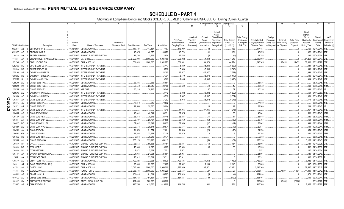|   |           |                             | 2                               | l 3<br>4    | -5                           | - 6             | 7             | -8         | 9                  | 10                          |                                     |                                          |                                                            | Change in Book/Adjusted Carrying Value |                                               | 16                                 | 17                                 | 18                        | 19                             | 20                                                 | 21                                | 22                                      |
|---|-----------|-----------------------------|---------------------------------|-------------|------------------------------|-----------------|---------------|------------|--------------------|-----------------------------|-------------------------------------|------------------------------------------|------------------------------------------------------------|----------------------------------------|-----------------------------------------------|------------------------------------|------------------------------------|---------------------------|--------------------------------|----------------------------------------------------|-----------------------------------|-----------------------------------------|
|   |           |                             |                                 |             |                              |                 |               |            |                    |                             | 11                                  | 12                                       | 13                                                         | 14                                     | 15                                            |                                    |                                    |                           |                                |                                                    |                                   |                                         |
|   |           |                             |                                 | Disposal    |                              | Number of       |               |            |                    | Prior Year<br>Book/Adjusted | Unrealized<br>Valuation<br>Increase | Current<br>Year's<br><b>Amortization</b> | Current<br>Year's<br>Other-Than<br>Temporary<br>Impairment | <b>Total Change</b><br>in B./A.C.V.    | <b>Total Foreign</b><br>Exchange<br>Change in | Book/Adjusted<br>Carrying Value at | Foreign<br>Exchange<br>Gain (Loss) | Realized<br>Gain (Loss)   | <b>Total Gain</b><br>(Loss) on | Bond<br>Interest<br>Stock<br>Dividends<br>Received | Stated<br>Contractual<br>Maturity | <b>NAIC</b><br>Designation<br>or Market |
|   |           | <b>CUSIP</b> Identification | Description                     | Date        | Name of Purchaser            | Shares of Stock | Consideration | Par Value  | <b>Actual Cost</b> | Carrying Value              | (Decrease)                          | / Accretion                              | Recognized                                                 | $(11+12-13)$                           | <b>B./A.C.V.</b>                              | Disposal Date                      |                                    | on Disposal   on Disposal | Disposal                       | During Year                                        | Date                              | Indicator (a)                           |
|   | 09228Y    | AB                          | BBIRD 2016-1A B.                | 06/15/2017. | <b>MBS PAYDOWN</b>           |                 | .117,187      | .117,187   | .117,187           | .116,999                    |                                     | .188                                     |                                                            | .188                                   |                                               | .117,187                           |                                    |                           |                                | .2,469                                             | 12/16/2041                        | 1FE.                                    |
|   | 09228Y    | AC<br>6                     | BBIRD 2016-1A B                 | 06/15/2017  | MBS PAYDOWN.                 |                 | .46,875       | .46,875    | .46,873            | .46,774                     |                                     | 101                                      |                                                            | 101                                    |                                               | .46,875                            |                                    |                           |                                | .1,332                                             | 12/16/2041                        | 2FE.                                    |
|   | 11042A AA | - 2                         | <b>BRITISH AIRWAYS.</b>         | 06/20/2017  | SINKING FUND REDEMPTION.     |                 | .12,758       | .12,758    | .12,854            | .12,763                     |                                     | . (4                                     |                                                            | .(4                                    |                                               | .12,758                            |                                    |                           |                                | .295                                               | 06/20/2024.                       |                                         |
|   | 11133T    | AA                          | <b>BROADRIDGE FINANCIAL SOL</b> | 06/01/2017  | MATURITY.                    |                 | .2,000,000    | .2,000,000 | 1,981,460          | 1,998,982                   |                                     | .1,018                                   |                                                            | .1,018                                 |                                               | .2,000,000                         |                                    |                           |                                | .61,250                                            | 06/01/2017                        |                                         |
|   | 12513G    | AZ                          | CDW LLC/CDW FIN                 | 04/03/2017  | CALL at 106.182.             |                 | .1,061,820    | .1,000,000 | .1,001,875         | 1,001,391                   |                                     | .44,974                                  |                                                            | .44,974                                |                                               | .1,046,365                         |                                    | .15,455                   | 15,455                         | .38,000                                            | 08/15/2022.                       | 3FE.                                    |
|   | 12531W BC |                             | CFCRE 2016-C3 XA.               | 06/01/2017  | <b>INTEREST ONLY PAYMENT</b> |                 |               |            | .6,447             | .5,830                      |                                     | (5,830)                                  |                                                            | (5,830)                                |                                               |                                    |                                    |                           |                                | .381                                               | 01/10/2048.                       | 1FF                                     |
|   | 12532A BD |                             | CFCRE 2016-C6 XA.               | 06/01/201   | <b>INTEREST ONLY PAYMENT</b> |                 |               |            | .5,750             | .5,643                      |                                     | (5,643)                                  |                                                            | (5,643)                                |                                               |                                    |                                    |                           |                                | .343                                               | 11/10/2049.                       | 1FF                                     |
|   | 12591Q AS |                             | COMM 2014-UBS4 XA               | 06/01/2017  | INTEREST ONLY PAYMENT        |                 |               |            | .24,385            | .17,677                     |                                     | (17,677)                                 |                                                            | (17, 677)                              |                                               |                                    |                                    |                           |                                | 1,644                                              | 08/10/2047                        |                                         |
|   | 12592K    | BD                          | COMM 2014-UBS5 XA               | 06/01/2017  | INTEREST ONLY PAYMENT        |                 |               |            | .7,731             | .5,479                      |                                     | (5,479)                                  |                                                            | (5,479)                                |                                               |                                    |                                    |                           |                                | .499                                               | 09/10/2047                        |                                         |
|   | 12592M    | <b>BL</b>                   | COMM 2014-LC17 XA               | 06/01/2017  | INTEREST ONLY PAYMENT        |                 |               |            | .13,762            | .9,495                      |                                     | (9, 495)                                 |                                                            | (9,495)                                |                                               |                                    |                                    |                           |                                | .934                                               | 10/10/2047                        |                                         |
|   | 12592U    | AQ<br>.5                    | CSMLT 2015-1 A9.                | 06/26/2017  | MBS PAYDOWN.                 |                 | .33,836       | .33.836    | .34,661            |                             |                                     |                                          |                                                            |                                        |                                               | .33,836                            |                                    |                           |                                |                                                    | 05/25/2045.                       |                                         |
|   | 12592U    | AW                          | CSMLT 2015-1 B2.                | 06/01/2017  | <b>MBS PAYDOWN.</b>          |                 | .28,542       | .28,542    | .28,169            | .28,530                     |                                     | .12                                      |                                                            | .12                                    |                                               | .28,542                            |                                    |                           |                                | 463                                                | 05/25/2045.                       |                                         |
|   | 12592U    | AX.                         | CSMLT 2015-1 B3.                | 06/01/2017  | /arious.                     |                 | .30,216       | .30,216    | 29,546             |                             |                                     | .57                                      |                                                            | .57                                    |                                               | .30,216                            |                                    |                           |                                | 449                                                | 05/25/2045.                       |                                         |
|   | 12593G    | AG                          | COMM 2015-PC1 XA                | 06/01/2017  | INTEREST ONLY PAYMENT        |                 |               |            | .8,412             | .6,802                      |                                     | (6, 802)                                 |                                                            | (6,802)                                |                                               |                                    |                                    |                           |                                | .564                                               | 07/01/2050.                       |                                         |
|   | 12626B    | AF                          | COMM 2013-CR10 XA               | 06/01/2017  | <b>INTEREST ONLY PAYMENT</b> |                 |               |            | .14,730            | .9,687                      |                                     | (9,687)                                  |                                                            | (9,687)                                |                                               |                                    |                                    |                           |                                | 1,091                                              | 08/10/2046.                       |                                         |
| Q | 12635F    | AV                          | CSAIL 2015-C3 XA.               | 06/01/2017  | INTEREST ONLY PAYMENT        |                 |               |            | .7,202             | .5,978                      |                                     | (5,978)                                  |                                                            | (5,978)                                |                                               |                                    |                                    |                           |                                | .471                                               | 08/15/2048.                       | 1FE.                                    |
| ш |           |                             |                                 |             |                              |                 |               |            |                    |                             |                                     |                                          |                                                            |                                        |                                               |                                    |                                    |                           |                                |                                                    |                                   |                                         |
| ဌ | 12637L    | AL.                         | CSMLT 2015-2 A7.                | 06/26/2017  | MBS PAYDOWN.                 |                 | .77,610       | .77,610    | 79,502             |                             |                                     |                                          |                                                            | ſ                                      |                                               | .77,610                            |                                    |                           |                                |                                                    | 08/25/2045.                       |                                         |
|   | 12637L    | AR                          | CSMLT 2015-2 B3.                | 06/01/201   | <b>MBS PAYDOWN.</b>          |                 | .29.560       | .29.560    | .28,904            |                             |                                     | .19                                      |                                                            | 19                                     |                                               | .29,560                            |                                    |                           |                                | .289                                               | 08/25/2045.                       |                                         |
| ω | 12637U    | AY<br>-5                    | <b>CSAIL 2016-C7 XA</b>         | 06/01/2017  | INTEREST ONLY PAYMENT        |                 |               |            | 14,340             | .14,045                     |                                     | (14,045)                                 |                                                            | (14, 045)                              |                                               |                                    |                                    |                           |                                | .957                                               | 11/15/2049.                       |                                         |
|   | 12646U    | AD                          | CSMC 2013-IVR1 B2.              | 06/01/2017  | MBS PAYDOWN.                 |                 | .40,041       | .40,041    | .38,551            | .39,975                     |                                     | 66                                       |                                                            | .66                                    |                                               | .40,041                            |                                    |                           |                                | .580                                               | 03/25/2043.                       | 1FM                                     |
|   | 12647P    | AS                          | CSMC 2013-7 B2.                 | 06/01/2017  | MBS PAYDOWN.                 |                 | .38,845       | .38,845    | .38,445            | .38,834                     |                                     | .11                                      |                                                            | . 11                                   |                                               | .38,845                            |                                    |                           |                                | 580                                                | 08/25/2043.                       | 1FM.                                    |
|   | 12648F    | <b>AR</b>                   | CSMC 2014-SAF1 B2               | 06/01/2017  | MBS PAYDOWN.                 |                 | .26,707       | .26,707    | .27,595            | .26,759                     |                                     | (52)                                     |                                                            | (52)                                   |                                               | .26,707                            |                                    |                           |                                | 464                                                | 03/25/2044.                       | 1FM.                                    |
|   | 12648X    | DD                          | CSMC 2014-WIN1 B2.              | 06/01/2017  | MBS PAYDOWN.                 |                 | .57,842       | .57,842    | .58,055            | .57,859                     |                                     | (17)                                     |                                                            | .(17)                                  |                                               | .57,842                            |                                    |                           |                                | .949                                               | 09/25/2044                        | 1FM.                                    |
|   | 12649D    | AQ                          | CSMC 2014-WIN2 B2               | 06/01/2017  | MBS PAYDOWN.                 |                 | .29,574       | .29,574    | .29,874            | .29,577                     |                                     | (3)                                      |                                                            | (3)                                    |                                               | .29,574                            |                                    |                           |                                | 494                                                | 10/25/2044.                       | 1FM                                     |
|   | 12649R    | AV                          | <b>CSMC 2015-2 B1</b>           | 06/01/2017  | MBS PAYDOWN.                 |                 | .21,574       | .21,574    | 22,061             | 21,599                      |                                     | (26)                                     |                                                            | (26)                                   |                                               | .21,574                            |                                    |                           |                                | .354                                               | 02/25/2045.                       | 1FM.                                    |
|   | 12649R    | AW                          | CSMC 2015-2 B2                  | 06/01/2017  | MBS PAYDOWN.                 |                 | .27,384       | .27,384    | .27,126            | .27,376                     |                                     | 8                                        |                                                            | -8                                     |                                               | .27,384                            |                                    |                           |                                | .450                                               | 02/25/2045.                       | 1FM                                     |
|   | 12649X    | <b>BD</b>                   | CSMC 2015-3 B3                  | 06/26/201   | MBS PAYDOWN.                 |                 | .9,218        | .9,218     | .9,471             |                             |                                     |                                          |                                                            |                                        |                                               | .9,218                             |                                    |                           |                                |                                                    | 03/25/2045.                       | 1FF                                     |
|   | 12650U    | AH                          | CSMLT 2015-3 1A6.               | 06/01/2017  | MBS PAYDOWN.                 |                 | .355,228      | 355,228    | .358,115           |                             |                                     | (59)                                     |                                                            | (59)                                   |                                               | .355,228                           |                                    |                           |                                | .3,135                                             | 11/25/2045.                       |                                         |
|   | 126650    | <b>BP</b>                   | CVS.                            | 06/10/201   | SINKING FUND REDEMPTION.     |                 | .86,665       | .86,665    | 84,151             | .86,501                     |                                     | 164                                      |                                                            | 164                                    |                                               | .86,665                            |                                    |                           |                                | .2.181                                             | 12/10/2028. 2FE                   |                                         |
|   | 126650    | BQ                          | CVS CORP                        | 06/12/2017  | SINKING FUND REDEMPTION.     |                 | .18,390       | 18,390     | .18,285            | .18,354                     |                                     | 36                                       |                                                            | .36                                    |                                               | .18,390                            |                                    |                           |                                | .532                                               | 01/10/2030.                       |                                         |
|   | 126650    | BY                          | CVS PASSTHRU.                   | 06/10/2017  | SINKING FUND REDEMPTION      |                 | .7,571        | .7,571     | .7,571             | .7,571                      |                                     |                                          |                                                            | - 0                                    |                                               | .7,571                             |                                    |                           |                                | 187                                                | 01/10/2034.                       |                                         |
|   | 12677#    | AA                          | CVS CAREMARK CORP.              | 06/15/2017  | SINKING FUND REDEMPTION      |                 | .21,061       | .21.061    | .21,061            | .21,061                     |                                     |                                          |                                                            |                                        |                                               | .21,061                            |                                    |                           |                                | 489                                                | 01/15/2040                        |                                         |
|   | 12695*    | AA                          | <b>CVS LEASE BACK</b>           | 06/10/2017  | SINKING FUND REDEMPTION.     |                 | .23,311       | .23,311    | 23,311             | .23,311                     |                                     |                                          |                                                            | - 0                                    |                                               | .23,311                            |                                    |                           |                                | .332                                               | 10/10/2038.                       |                                         |
|   | 13057V    | AC                          | CRART 2015-4 A3.                | 06/15/2017  | MBS PAYDOWN.                 |                 | .722,225      | .722,225   | .728,629           | 723,686                     |                                     | (1,462)                                  |                                                            | (1,462)                                |                                               | .722,225                           |                                    |                           |                                | .6,932                                             | 01/15/2020.                       |                                         |
|   | 134011    | AJ                          | CAMP PENDLETON (MH)             | 04/03/2017  | CALL at 100.000.             |                 | .25,000       | .25,000    | .22,625            | .22,852                     |                                     | .2,148                                   |                                                            | .2,148                                 |                                               | .25,000                            |                                    |                           | $\cdot$ 0                      | .697                                               | 10/01/2050.                       |                                         |
|   | 141781    | AX.                         | CARGILL INC                     | 05/26/2017  | CALL at 102.318.             |                 | .2,046,360    | .2,000,000 | 1,990,500          | 1,998,889                   |                                     | .47,471                                  |                                                            | .47,47'                                |                                               | .2,046,360                         |                                    |                           |                                | .59,667                                            | 11/27/2017                        | 1FF                                     |
|   | 141781    | <b>BC</b>                   | CARGILL INC.                    | 05/08/2017  | <b>TENDER OFFER</b>          |                 | .2,068,434    | .2,000,000 | 1,996,220          | 1,996,517                   |                                     | .27                                      |                                                            | .27                                    |                                               | 1,996,544                          |                                    | .71,891                   | 71,891                         | .41,000                                            | 11/01/2042.                       | 1FF                                     |
|   | 14855J    | AB                          | CLAST 2016-1 A.                 | 06/15/2017  | MBS PAYDOWN.                 |                 | 101,014       | 101,014    | 100,985            | 101,019                     |                                     | (4)                                      |                                                            | (4)                                    |                                               | 101,014                            |                                    |                           |                                | .1,871                                             | 08/15/2041                        | 1FE.                                    |
|   | 16164A    | AC                          | CHASE 2016-2 M2.                | 06/01/2017  | <b>MBS PAYDOWN</b>           |                 | .154,464      | 154,464    | 158,451            | .154,654                    |                                     | (190)                                    |                                                            | (190)                                  |                                               | .154,464                           |                                    |                           |                                | .2,415                                             | 02/25/2044.                       |                                         |
|   | 165167    | CV                          | <b>CHESAPEAKE ENERGY</b>        | 05/23/2017  | STIFEL, NICOLAUS & CO        |                 | .497,500      | .500,000   | .500,000           |                             |                                     |                                          |                                                            | 0.5                                    |                                               | .500,000                           |                                    | (2,500)                   | (2,500)                        |                                                    | 06/15/2027.                       | 5FE                                     |
|   | 17290K AB |                             | CHAI 2015-PM2 B                 | 06/15/2017. | MBS PAYDOWN                  |                 | .415,766      | 415,766    | .413,809           | .414.785                    |                                     | .981                                     |                                                            | 981                                    |                                               | .415,766                           |                                    |                           |                                | .7,885                                             | 03/15/2022. 2FE                   |                                         |
|   |           |                             |                                 |             |                              |                 |               |            |                    |                             |                                     |                                          |                                                            |                                        |                                               |                                    |                                    |                           |                                |                                                    |                                   |                                         |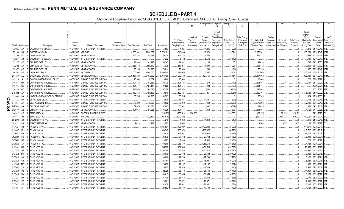|                         |                             |                   |                                   | 4                      | -5                                                            |                 |               | -8         |                      | 10                                 |                                     |                                   |                                                            | Change in Book/Adjusted Carrying Value |                                               | 16                                 | 17                                 | 18                      | 19                      | 20                                                 | 21                               | 22                                      |
|-------------------------|-----------------------------|-------------------|-----------------------------------|------------------------|---------------------------------------------------------------|-----------------|---------------|------------|----------------------|------------------------------------|-------------------------------------|-----------------------------------|------------------------------------------------------------|----------------------------------------|-----------------------------------------------|------------------------------------|------------------------------------|-------------------------|-------------------------|----------------------------------------------------|----------------------------------|-----------------------------------------|
|                         |                             |                   |                                   |                        |                                                               |                 |               |            |                      |                                    | 11                                  | $12 \overline{ }$                 | 13                                                         | 14                                     | 15                                            |                                    |                                    |                         |                         |                                                    |                                  |                                         |
|                         |                             |                   |                                   | Disposal               |                                                               | Number of       |               |            |                      | <b>Prior Year</b><br>Book/Adjusted | Unrealized<br>Valuation<br>Increase | Current<br>Year's<br>Amortization | Current<br>Year's<br>Other-Than<br>Temporary<br>Impairment | <b>Total Change</b><br>in B./A.C.V.    | <b>Total Foreign</b><br>Exchange<br>Change in | Book/Adjusted<br>Carrying Value at | Foreign<br>Exchange<br>Gain (Loss) | Realized<br>Gain (Loss) | Total Gain<br>(Loss) on | Bond<br>Interest<br>Stock<br>Dividends<br>Received | Stated<br>Contractua<br>Maturity | <b>NAIC</b><br>Designation<br>or Market |
|                         | <b>CUSIP</b> Identification |                   | Description                       | Date                   | Name of Purchaser                                             | Shares of Stock | Consideration | Par Value  | <b>Actual Cost</b>   | Carrying Value                     | (Decrease)                          | / Accretion                       | Recognized                                                 | $(11+12-13)$                           | B./A.C.V.                                     | Disposal Date                      | on Disposal on Disposa             |                         | Disposal                | During Year                                        | Date                             | Indicator (a)                           |
|                         | 17290X                      | AY                | CGCMT 2016-GC37 XA.<br>- 6        | 06/01/2017             | <b>INTEREST ONLY PAYMENT</b>                                  |                 |               |            | .4,583               | .4,226                             |                                     | (4,226)                           |                                                            | (4,226)                                |                                               |                                    |                                    |                         | $\ldots 0$              | .272                                               | 04/10/2049                       | IFE.                                    |
|                         | 17311Q BK                   |                   | CGCMT 2007-C6 A4.                 | 06/12/2017             | <b>VARIOUS.</b>                                               |                 | .5,856,362    | 5,856,362  | 5,776,121            | 5,840,488                          |                                     | .15,874                           |                                                            | .15,874                                |                                               | 5,856,362                          |                                    |                         | - 0                     | .135,260                                           | 12/10/2049                       | IFM.                                    |
|                         | 17312D                      | AC                | CMSI 2007-8 1A3.                  | 06/01/201              | MBS PAYDOWN.                                                  |                 | 155,732       | .155,732   | 145,139              | .154,728                           |                                     | .1,004                            |                                                            | .1,004                                 |                                               | .155,732                           |                                    |                         | 0                       | .3,546                                             | 10/25/2037                       | 1FM.                                    |
|                         | 17322Y                      | AJ                | CGCMT 2014-GC25 XA                | 06/01/201              | <b>INTEREST ONLY PAYMENT</b>                                  |                 |               |            | .7,232               | .5,542                             |                                     | (5,542)                           |                                                            | (5,542)                                |                                               |                                    |                                    |                         |                         | 406                                                | 10/10/2047                       | 1FE.                                    |
|                         | 17323T                      | AF                | CMLTI 2015-RP2 B1                 | 06/01/201              | <b>MBS PAYDOWN.</b>                                           |                 | .41,499       | .41,499    | .40,343              | .41,461                            |                                     | .38                               |                                                            | 38                                     |                                               | .41,499                            |                                    |                         |                         | .735                                               | 01/25/2053                       |                                         |
|                         | 17324R AA                   |                   | CHAI 2016-MF1 A.                  | 06/15/201              | <b>MBS PAYDOWN.</b>                                           |                 | .558.312      | .558.312   | 556,938              | .557,214                           |                                     | .1,098                            |                                                            | .1,098                                 |                                               | .558,312                           |                                    |                         |                         | 10,365                                             | 08/15/2022.                      |                                         |
|                         | 17324V                      | AQ                | CMLTI 2015-PS1 B2.                | 06/01/201              | MBS PAYDOWN.                                                  |                 | .73,295       | .73,295    | .74,614              | .73,359                            |                                     | (64)                              |                                                            | (64)                                   |                                               | 73,295                             |                                    |                         |                         | .1,607                                             | 09/25/2042.                      |                                         |
|                         | 20029P                      | AG                | COMCAST CABLE.                    | 05/01/201              | MATURITY.                                                     |                 | .3,000,000    | .3,000,000 | .2,865,000           | 2,994,548                          |                                     | .5,452                            |                                                            | .5,452                                 |                                               | .3,000,000                         |                                    |                         |                         | .133,125                                           | 05/01/2017                       |                                         |
|                         | 20173V                      | AE                | GCCFC 2007-GG11 A4<br>- 0         | 06/01/201              | MBS PAYDOWN.                                                  |                 | .6,457,592    | 6,457,592  | 5,018,486            | 6,330,438                          |                                     | 127,154                           |                                                            | 127,154                                |                                               | 6,457,592                          |                                    |                         | $\ldots 0$              | .139,400                                           | 08/10/2017                       |                                         |
|                         | 209115                      | $A^*$             | CONSOLIDATED EDISON OF NY         | 06/30/2011             | SINKING FUND REDEMPTION                                       |                 | .16,664       | .16,664    | .16,664              | .16,664                            |                                     |                                   |                                                            |                                        |                                               | .16,664                            |                                    |                         |                         | .726                                               | 07/01/2022                       |                                         |
|                         | 210795                      | QA                | CONTINENTAL AIRLINES              | 04/11/2017             | SINKING FUND REDEMPTION.                                      |                 | 101,353       | 101,353    | 103,739              | .101,433                           |                                     | (70)                              |                                                            | (70)                                   |                                               | .101,363                           |                                    | (10)                    | (10)                    | 3,167                                              | 04/11/2020.                      |                                         |
|                         | 210795                      | QB                | CONTINENTAL AIRLINES.             | 04/29/2017             | SINKING FUND REDEMPTION.                                      |                 | .124,417      | 124,417    | 127,528              | .124,515                           |                                     | (98)                              |                                                            | (98)                                   |                                               | .124,417                           |                                    |                         | $\ldots 0$              |                                                    | 10/29/2024.                      |                                         |
|                         | 210795                      | QC                | CONTINENTAL AIRLINES.             | 04/29/201              | SINKING FUND REDEMPTION.                                      |                 | .248,043      | .248,043   | 257,176              | .248,448                           |                                     | (404)                             |                                                            | (404)                                  |                                               | .248,043                           |                                    |                         |                         |                                                    | 10/29/2020.                      |                                         |
|                         | 21079R                      | AA                | CONTINENTAL AIRLINES              | 04/19/2011             | SINKING FUND REDEMPTION.                                      |                 | .150,163      | 150,163    | 159,846              | .150,424                           |                                     | (261)                             |                                                            | (261)                                  |                                               | .150,163                           |                                    |                         | $\ldots 0$              | 5.183                                              | 04/19/2022.                      |                                         |
|                         | 22536#                      | AA                | KINDER MORGAN ENERGY PTNR LP.     | 06/10/2017             | SINKING FUND REDEMPTION.                                      |                 | .60,705       | .60,705    | .60,705              | .60,705                            |                                     |                                   |                                                            |                                        |                                               | .60,705                            |                                    |                         | (1)                     | .1,004                                             | 12/10/2035.                      |                                         |
| O<br>Ш                  | 23312L                      |                   | <b>DBJPM 2016-C1 XA.</b>          | 06/01/2017             | INTEREST ONLY PAYMENT.                                        |                 |               |            | .12,576              | .11,591                            |                                     | (11,591)                          |                                                            | (11,591)                               |                                               |                                    |                                    |                         | . . 0                   | .753                                               | 05/10/2049.                      |                                         |
| $\overline{\mathbf{S}}$ | 24735T                      | AA                | DELTA AIR 2012-1 B.               | 05/07/2017             | SINKING FUND REDEMPTION.                                      |                 | .70,292       | .70,292    | .78,902              | .70,959                            |                                     | (668)                             |                                                            | (668)                                  |                                               | .70,292                            |                                    |                         | .0                      | .2.416                                             | 05/07/2019.                      |                                         |
|                         | 24736W                      | AA                | DELTA AIR LINES INC               | 04/15/2017             | SINKING FUND REDEMPTION                                       |                 | .62,675       | .62,675    | .67,062              | .63,041                            |                                     | (367)                             |                                                            | (367)                                  |                                               | .62,675                            |                                    |                         | $\ldots 0$              | .1,661                                             | 04/15/2019.                      |                                         |
| $\blacktriangle$        | 25264V                      | AB                | )HAL 2015-1 B.                    | 06/14/2017             | MBS PAYDOWN.                                                  |                 | 194,955       | 194,955    | 194,925              | .194,574                           |                                     | .382                              |                                                            | .382                                   |                                               | 194,955                            |                                    |                         | 0                       | .4,592                                             | 07/14/2028.                      |                                         |
|                         | 268617                      | AC                | EMAC 1998-1 A3.                   | 01/04/2017             | <b>GUGGENHEIM SECURITIES</b>                                  |                 |               |            | (29, 175)            | (255, 514)                         | 226,338                             |                                   |                                                            | .226,338                               |                                               | (29, 175)                          |                                    | .29,175                 | .29,175                 |                                                    | 01/15/2025.                      |                                         |
|                         | 268617                      | <b>BJ</b>         | EMAC 2000-1 A2.<br>-5             | 01/04/2017             | VARIOUS.                                                      |                 |               | .2,110     | (907,619).           | (910, 322)                         |                                     |                                   |                                                            |                                        |                                               | (910, 322)                         |                                    | .910,322                | .910,322                | (142, 660)                                         | 01/15/2027                       |                                         |
|                         | 29429C                      | AJ                | CGCMT 2016-P3 XA                  | 06/01/201              | INTEREST ONLY PAYMENT.                                        |                 |               |            | .5,210               | .4,848                             |                                     | (4,848)                           |                                                            | (4,848)                                |                                               |                                    |                                    |                         | $\ldots 0$              | .319                                               | 04/15/2049.                      |                                         |
|                         | 302471                      | CA                | FMACT 1998-BA A2                  | 06/01/2017             | <b>MBS PAYDOWN</b>                                            |                 | 2,419         | .2,419     | .1,985               | .1,944                             |                                     |                                   |                                                            | $\cdot$ C                              |                                               | .1,944                             |                                    | .475                    | .475                    | 63                                                 | 09/15/2027                       |                                         |
|                         | 3136A7                      | 2B                | FNA 2012-M9 X1.                   | 06/01/2017             | <b>INTEREST ONLY PAYMENT</b>                                  |                 |               |            | 1,835,891            | .423,920                           |                                     | (423,920)                         |                                                            | (423, 920)                             |                                               |                                    |                                    |                         | 0                       | .411.674                                           | 12/25/2017                       |                                         |
|                         | 3136A7                      | ML                | NA 2012-M8 X1                     | 06/01/201              | <b>INTEREST ONLY PAYMENT.</b>                                 |                 |               |            | 664,347              | .288,970                           |                                     | (288, 970)                        |                                                            | (288, 970)                             |                                               |                                    |                                    |                         | $\ldots 0$              | .119,717                                           | 12/25/2019                       |                                         |
|                         | 3136AC                      | 4H                | FNA 2013-M4 X1.                   | 06/01/2017             | <b>INTEREST ONLY PAYMENT</b>                                  |                 |               |            | 423,638              | .118,942                           |                                     | (118,942)                         |                                                            | (118, 942)                             |                                               |                                    |                                    |                         | 0                       | .78,116                                            | 02/25/2018                       |                                         |
|                         | 3136AM                      | LC                | FNA 2015-M1 X2.                   | 06/01/201              | INTEREST ONLY PAYMENT.                                        |                 |               |            | .33,870              | .27,762                            |                                     | (27, 762)                         |                                                            | (27, 762)                              |                                               |                                    |                                    |                         | $\ldots 0$              | 2,014                                              | 09/25/2024                       |                                         |
|                         | 3136AM                      | M7                | FNA 2015-M4 X2.<br>NA 2015-M7 X2. | 06/01/201<br>06/01/201 | <b>INTEREST ONLY PAYMENT</b>                                  |                 |               |            | .9,972               | 7,408                              |                                     | (7,408)                           |                                                            | (7,408)                                |                                               |                                    |                                    |                         | $\ldots$ 0              | .725                                               | 07/25/2022                       |                                         |
|                         | 3136AN<br>3137A1            | - LJ<br><b>NA</b> | <b>FHMS K008 X1</b>               | 06/01/201              | <b>INTEREST ONLY PAYMENT.</b><br><b>INTEREST ONLY PAYMENT</b> |                 |               |            | .308,966<br>.765,388 | .258,610<br>.451,595               |                                     | (258, 610)                        |                                                            | (258, 610)<br>(451, 595)               |                                               |                                    |                                    |                         | - 0                     | .34,723<br>76,855                                  | 12/25/2024<br>06/25/2020         |                                         |
|                         | 3137A2                      | <b>B3</b>         | HMS K009 X1                       | 06/01/201              | INTEREST ONLY PAYMENT.                                        |                 |               |            | 1,103,169            | .635,820                           |                                     | (451,595)<br>(635, 820)           |                                                            | (635, 820)                             |                                               |                                    |                                    |                         |                         | .104,947                                           | 08/25/2020                       |                                         |
|                         | 3137AB                      | FW                | <b>FHMS K702 X1</b>               | 06/01/201              | INTEREST ONLY PAYMENT.                                        |                 |               |            | .60,070              | .20,492                            |                                     | (20, 492)                         |                                                            | (20, 492)                              |                                               |                                    |                                    |                         |                         | .9,003                                             | 02/25/2018                       |                                         |
|                         | 3137AH                      | 6D                | HMS K015 X1                       | 06/01/201              | INTEREST ONLY PAYMENT.                                        |                 |               |            | .39,886              | .27,796                            |                                     | (27,796)                          |                                                            | (27,796)                               |                                               |                                    |                                    |                         |                         | .3,122                                             | 07/25/2021                       |                                         |
|                         | 3137AH                      | 6R                | HMS K704 X1                       | 06/01/201              | <b>INTEREST ONLY PAYMENT</b>                                  |                 |               |            | .36,181              | .16,931                            |                                     | (16, 931)                         |                                                            | (16, 931)                              |                                               |                                    |                                    |                         |                         | .5,380                                             | 08/25/2018                       |                                         |
|                         | 3137AJ                      | MG                | FHMS K016 X1                      | 06/01/201              | INTEREST ONLY PAYMENT.                                        |                 |               |            | .23,699              | .17,167                            |                                     | (17, 167)                         |                                                            | (17, 167)                              |                                               |                                    |                                    |                         |                         | .1,836                                             | 10/25/2021                       |                                         |
|                         | 3137AQ                      | T <sub>3</sub>    | HMS K708 X1                       | 06/01/201              | INTEREST ONLY PAYMENT.                                        |                 |               |            | .25,025              | 12,440                             |                                     | (12, 440)                         |                                                            | (12, 440)                              |                                               |                                    |                                    |                         |                         | .2,925                                             | 01/25/2019.                      |                                         |
|                         | 3137AR PZ                   |                   | HMS K710 X1                       | 06/01/201              | INTEREST ONLY PAYMENT.                                        |                 |               |            | 122,325              | .66,118                            |                                     | (66, 118)                         |                                                            | (66, 118)                              |                                               |                                    |                                    |                         |                         | .14,061                                            | 05/25/2019.                      |                                         |
|                         | 3137AS                      | NK                | <b>HMS K019 X1</b><br>- 6         | 06/01/2017             | <b>INTEREST ONLY PAYMENT</b>                                  |                 |               |            | .44,817              | .30,955                            |                                     | (30, 955)                         |                                                            | (30, 955)                              |                                               |                                    |                                    |                         | $\ldots 0$              | .3,155                                             | 03/25/2022.                      |                                         |
|                         | 3137AT                      | <b>RX</b>         | FHMS K020 X1                      | 06/01/201              | INTEREST ONLY PAYMENT.                                        |                 |               |            | .37,476              | 31,818                             |                                     | (31,818)                          |                                                            | (31,818)                               |                                               |                                    |                                    |                         |                         | 3.176                                              | 05/25/2022.                      |                                         |
|                         | 3137AV                      | XP                | HMS K022 X1                       | 06/01/2017             | INTEREST ONLY PAYMENT.                                        |                 |               |            | .29,581              | .20,971                            |                                     | (20, 971)                         |                                                            | (20, 971)                              |                                               |                                    |                                    |                         |                         | 2,019                                              | 07/25/2022.                      |                                         |
|                         | 3137AY                      | CF                | <b>FHMS K025 X1</b>               | 06/01/2017             | <b>INTEREST ONLY PAYMENT</b>                                  |                 |               |            | .32,056              | .22,881                            |                                     | (22,881)                          |                                                            | (22, 881)                              |                                               |                                    |                                    |                         |                         | 2,112                                              | 10/25/2022.                      |                                         |
|                         | 3137B1 BT                   |                   | FHMS K026 X1<br>- 8               | 06/01/2017             | INTEREST ONLY PAYMENT.                                        |                 |               |            | .23,582              | 17,108                             |                                     | (17, 108)                         |                                                            | (17, 108)                              |                                               |                                    |                                    |                         |                         | 1,561                                              | 11/25/2022.                      |                                         |
|                         |                             |                   |                                   |                        |                                                               |                 |               |            |                      |                                    |                                     |                                   |                                                            |                                        |                                               |                                    |                                    |                         |                         |                                                    |                                  |                                         |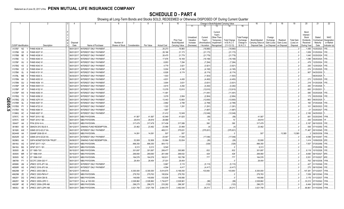|      |                             |                      |                                                     | 4                        | -5                            | 6               |                  |                   |                    | 10                                 |                                     |                                    | Change in Book/Adjusted Carrying Value                      |                                     |                                               | 16                                 | 17                                 | 18                      | 19                      | 20                                                 | 21                                | 22                                      |
|------|-----------------------------|----------------------|-----------------------------------------------------|--------------------------|-------------------------------|-----------------|------------------|-------------------|--------------------|------------------------------------|-------------------------------------|------------------------------------|-------------------------------------------------------------|-------------------------------------|-----------------------------------------------|------------------------------------|------------------------------------|-------------------------|-------------------------|----------------------------------------------------|-----------------------------------|-----------------------------------------|
|      |                             |                      |                                                     |                          |                               |                 |                  |                   |                    |                                    | 11                                  | 12                                 | 13                                                          | 14                                  | 15                                            |                                    |                                    |                         |                         |                                                    |                                   |                                         |
|      |                             |                      |                                                     | Disposal                 |                               | Number of       |                  |                   |                    | <b>Prior Year</b><br>Book/Adjusted | Unrealized<br>Valuation<br>Increase | Current<br>Year's<br>Amortization) | Current<br>Year's<br>Other-Than-<br>Temporary<br>Impairment | <b>Total Change</b><br>in B./A.C.V. | <b>Total Foreign</b><br>Exchange<br>Change in | Book/Adjusted<br>Carrying Value at | Foreign<br>Exchange<br>Gain (Loss) | Realized<br>Gain (Loss) | Total Gain<br>(Loss) on | Bond<br>Interest<br>Stock<br>Dividends<br>Received | Stated<br>Contractual<br>Maturity | <b>NAIC</b><br>Designation<br>or Market |
|      | <b>CUSIP</b> Identification |                      | Description                                         | Date                     | Name of Purchaser             | Shares of Stock | Consideration    | Par Value         | <b>Actual Cost</b> | Carrying Value                     | (Decrease)                          | / Accretion                        | Recognized                                                  | $(11+12-13)$                        | B./A.C.V.                                     | Disposal Date                      | on Disposal                        | on Disposal             | Disposal                | During Year                                        | Date                              | Indicator (a)                           |
|      | 3137B7                      | N <sub>2</sub>       | FHMS K036 X1                                        | 06/01/2017               | <b>INTEREST ONLY PAYMENT</b>  |                 |                  |                   | .25,273            | .18,960                            |                                     | (18,960)                           |                                                             | (18,960)                            |                                               |                                    |                                    |                         | - 0                     | .1,485                                             | 10/25/2023                        | 1FE.                                    |
|      | 3137B8                      | G5                   | HMS K037 X1                                         | 06/01/201                | NTEREST ONLY PAYMENT.         |                 |                  |                   | 28,166             | .21,173                            |                                     | (21,173)                           |                                                             | (21, 173)                           |                                               |                                    |                                    |                         |                         | .1,659                                             | 01/25/2024                        | FE.                                     |
|      | 3137BB                      | BE<br>- q            | FHMS K038 X1                                        | 06/01/201                | INTEREST ONLY PAYMENT         |                 |                  |                   | .28,475            | .21,779                            |                                     | (21,779)                           |                                                             | (21, 779)                           |                                               |                                    |                                    |                         |                         | .1,640                                             | 03/25/2024                        |                                         |
|      | 3137BE                      | VJ                   | FHMS K040 X1                                        | 06/01/201                | INTEREST ONLY PAYMENT.        |                 |                  |                   | .17,676            | .16,169                            |                                     | (16,169)                           |                                                             | (16, 169)                           |                                               |                                    |                                    |                         |                         | .1,096                                             | 09/25/2024                        |                                         |
|      | 3137BF                      | XU                   | FHMS K042 X1                                        | 06/01/201                | INTEREST ONLY PAYMENT         |                 |                  |                   | .8,953             | .7,294                             |                                     | (7, 294)                           |                                                             | (7,294)                             |                                               |                                    |                                    |                         |                         | .478                                               | 12/25/2024                        |                                         |
|      | 3137BG                      | K3                   | HMS K043 X1                                         | 06/01/201                | INTEREST ONLY PAYMENT.        |                 |                  |                   | .4,779             | .3,921                             |                                     | (3,921)                            |                                                             | (3,921)                             |                                               |                                    |                                    |                         |                         | .255                                               | 12/25/2024                        |                                         |
|      | 3137BH                      | CZ                   | HMS K044 X1                                         | 06/01/201                | INTEREST ONLY PAYMENT         |                 |                  |                   | .5,004             | .4,195                             |                                     | (4, 195)                           |                                                             | (4, 195)                            |                                               |                                    |                                    |                         |                         | .274                                               | 01/25/2025                        |                                         |
|      | 3137BK                      | GL                   | HMS K151 X1                                         | 06/01/201                | INTEREST ONLY PAYMENT.        |                 |                  |                   | .6,926             | .6,174                             |                                     | (6, 174)                           |                                                             | (6, 174)                            |                                               |                                    |                                    |                         |                         | .907                                               | 04/25/2030                        |                                         |
|      | 3137BL                      | ME<br>-5             | HMS KS03 X.                                         | 06/30/201                | INTEREST ONLY PAYMENT.        |                 |                  |                   | .1,503             |                                    |                                     | (1,503)                            |                                                             | (1, 503)                            |                                               |                                    |                                    |                         |                         |                                                    | 08/25/2025                        |                                         |
|      | 3137BN                      | 6H                   | HMS K053 X1                                         | 06/01/201                | INTEREST ONLY PAYMENT.        |                 |                  |                   | .4,831             | .4,450                             |                                     | (4,450)                            |                                                             | (4,450)                             |                                               |                                    |                                    |                         |                         | .273                                               | 12/25/2025.                       |                                         |
|      | 3137BN                      | GU<br>$\overline{2}$ | FHMS K054 X1                                        | 06/01/201                | INTEREST ONLY PAYMENT.        |                 |                  |                   | .3,904             | .3,631                             |                                     | (3,631)                            |                                                             | (3,631)                             |                                               |                                    |                                    |                         |                         | .218                                               | 01/25/2026                        |                                         |
|      | 3137BP                      | <b>CR</b>            | FHMS KW01 X1                                        | 06/01/201                | INTEREST ONLY PAYMENT.        |                 |                  |                   | .4,615             | .4,292                             |                                     | (4,292)                            |                                                             | (4,292)                             |                                               |                                    |                                    |                         |                         | .283                                               | 01/25/2026                        |                                         |
|      | 3137BP                      | VP                   | <b>FHMS K152 X1</b>                                 | 06/01/2017               | <b>INTEREST ONLY PAYMENT</b>  |                 |                  |                   | .13,078            | .12,610                            |                                     | (12,610)                           |                                                             | (12,610)                            |                                               |                                    |                                    |                         |                         |                                                    | 600 01/25/2031                    |                                         |
|      | 3137BP                      | W3<br>q              | <b>FHMS K055 X1</b>                                 | 06/01/2017               | INTEREST ONLY PAYMENT.        |                 |                  |                   | 11,491             |                                    |                                     | (11,491                            |                                                             | (11, 491)                           |                                               |                                    |                                    |                         |                         | .585                                               | 03/25/2026.                       |                                         |
|      | 3137BQ                      | YV                   | <b>HMS K056 X1</b>                                  | 06/01/2017               | INTEREST ONLY PAYMENT.        |                 |                  |                   | .3,078             | .2,954                             |                                     | (2,954)                            |                                                             | (2,954)                             |                                               |                                    |                                    |                         |                         |                                                    | .173 05/25/2026.                  |                                         |
| O    | 3137BQ                      | ZQ                   | <b>FHMS X2FX X<sup>*</sup></b>                      | 06/01/2017               | INTEREST ONLY PAYMENT.        |                 |                  |                   | .13,443            | .12,693                            |                                     | (12,693)                           |                                                             | (12, 693)                           |                                               |                                    |                                    |                         |                         | .963                                               | 09/25/2025                        |                                         |
| E05  | 3137BR                      | QL                   | HMS K057 X1                                         | 06/01/201                | INTEREST ONLY PAYMENT.        |                 |                  |                   | .2,882             | .2,788                             |                                     | (2,788)                            |                                                             | (2,788)                             |                                               |                                    |                                    |                         |                         | 160                                                | 07/25/2026.                       |                                         |
|      | 3137BS                      | PY                   | <b>FHMS K723 X1</b>                                 | 06/01/201                | <b>INTEREST ONLY PAYMENT</b>  |                 |                  |                   | .1,322             | .1,291                             |                                     | (1,291                             |                                                             | (1,291)                             |                                               |                                    |                                    |                         |                         | 101                                                | 08/25/2023.                       |                                         |
| ັບ ເ | 3137BX                      | R2<br>$\Omega$       | FHMS K064 X1                                        | 06/01/2017               | INTEREST ONLY PAYMENT.        |                 |                  |                   | .1,687             |                                    |                                     | (1,687)                            |                                                             | (1,687)                             |                                               |                                    |                                    |                         |                         | . 21                                               | 03/25/2027                        |                                         |
|      | 31398Q                      | HC                   | <b>FHMS K007 X1</b>                                 | 06/01/2017               | <b>INTEREST ONLY PAYMENT.</b> |                 |                  |                   | .21,412            | .12,049                            |                                     | (12,049)                           |                                                             | (12,049)                            |                                               |                                    |                                    |                         |                         | .2,165                                             | 04/25/2020                        |                                         |
|      | 33767C                      | AV<br>- q            | FKMT 2015-1 B2                                      | 06/01/201                | MBS PAYDOWN.                  |                 | .41,567          | .41,567           | .42,849            | .41,625                            |                                     | (58)                               |                                                             | (58)                                |                                               | .41,567                            |                                    |                         |                         | .681                                               | 03/25/2045.                       |                                         |
|      | 33767C                      | AW                   | FKMT 2015-1 B3.                                     | 06/01/2017               | MBS PAYDOWN.                  |                 | .29,819          | .29,819           | .28,989            |                                    |                                     | 10                                 |                                                             | .10                                 |                                               | 29,819                             |                                    |                         |                         | .293                                               | 03/25/2045.                       |                                         |
|      | 35040T                      | AA                   | FFIN 2016-1A A.                                     | 06/15/2017               | MBS PAYDOWN.                  |                 | .317,479         | 317,479           | .317,436           | .317,089                           |                                     | .390                               |                                                             | .390                                |                                               | .317,479                           |                                    |                         |                         | .5,167                                             | 06/15/2035.                       |                                         |
|      | 36186X                      | AD                   | <b>GMACN 2012 BLIS A.</b>                           | 06/12/2011               | SINKING FUND REDEMPTION.      |                 | .23,462          | .23,462           | .23,956            | .23,466                            |                                     | (4)                                |                                                             | (4)                                 |                                               | .23,462                            |                                    |                         |                         | .506                                               | 07/10/2050.                       |                                         |
|      | 36192K                      | AW                   | GSMS 2012-GCJ7 XA                                   | 06/01/201                | INTEREST ONLY PAYMENT.        |                 |                  |                   | 469,311            | .375,631                           |                                     | (375,631)                          |                                                             | (375, 631)                          |                                               |                                    |                                    |                         |                         | .71,467                                            | 05/10/2045.                       |                                         |
|      | 36244W                      | AA                   | GSAMP 2006-S5 A1                                    | 06/25/201                | MBS PAYDOWN.                  |                 | .14,091          | 14,091            | 507                | 507                                |                                     |                                    |                                                             |                                     |                                               | .507                               |                                    | 13,585                  | 13,585                  |                                                    | 09/25/2036.                       |                                         |
|      | 36252W                      | AZ                   | GSMS 2014-GC20 XA<br><b>GSPA MONETIZATION TRUST</b> | 06/01/201                | INTEREST ONLY PAYMENT.        |                 |                  |                   | 23,947             | .17,046                            |                                     | (17,046)                           |                                                             | (17,046)                            |                                               |                                    |                                    |                         |                         | .4,099<br>.1.414                                   | 04/10/2047                        |                                         |
|      | 36298G                      | AA                   |                                                     | 06/09/201                | SINKING FUND REDEMPTION       |                 | .52,808          | .52,808           | .53,864            | .52,834                            |                                     | (26)                               |                                                             | (26)                                |                                               | .52,808                            |                                    |                         | . . 0                   |                                                    | 10/09/2029                        |                                         |
|      | 36416U                      | AG<br>BG             | GFMT 2017-1 A21.<br>GFMT 2017-1 B1                  | 06/01/2017<br>06/27/2011 | MBS PAYDOWN.<br>MBS PAYDOWN.  |                 | 896,350<br>9,313 | 896,350<br>.9,313 | .904,172<br>.9,540 |                                    |                                     | (329)                              |                                                             | (329)                               |                                               | .896,350                           |                                    |                         | - 0                     | .7,507                                             | 07/25/2056.<br>07/25/2056.        |                                         |
|      | 36416U<br>393505            | JM                   | GT 1995-7 B1                                        | 06/15/2017               | MBS PAYDOWN.                  |                 | .301,697         | .301,697          | .289,477           | .300,865                           |                                     | .832                               |                                                             | 0<br>832                            |                                               | .9,313<br>.301,697                 |                                    |                         |                         | 9.119                                              | 10/15/2026.                       |                                         |
|      | 393505                      | <b>MR</b>            | GT 1996-4 M1                                        | 06/15/2017               | MBS PAYDOWN.                  |                 | .269,060         | .269,060          | .261,490           | .268,632                           |                                     | .428                               |                                                             | .428                                |                                               | .269,060                           |                                    |                         |                         | .8,690                                             | 06/15/2027                        |                                         |
|      | 393505                      | <b>NC</b>            | GT 1996-5 M1                                        | 06/15/201                | MBS PAYDOWN.                  |                 | .164,576         | 164,576           | 160,911            | .163,799                           |                                     | 777                                |                                                             | 777                                 |                                               | 164,576                            |                                    |                         |                         | .5,551                                             | 07/15/2027                        |                                         |
|      | 396789                      | <b>FY</b>            | GCCFC 2004-GG1 F.                                   | 06/01/201                | MBS PAYDOWN.                  |                 | .28,454          | .28,454           | .27,031            | .28,454                            |                                     |                                    |                                                             |                                     |                                               | 28,454                             |                                    |                         |                         | .763                                               | 06/10/2036.                       |                                         |
|      | 46590K                      | AN                   | <b>JPMCC 2015-JP1 XA.</b>                           | 06/01/201                | INTEREST ONLY PAYMENT.        |                 |                  |                   | .5,967             | .5,115                             |                                     | (5, 115)                           |                                                             | (5, 115)                            |                                               |                                    |                                    |                         |                         | .427                                               | 01/15/2049.                       |                                         |
|      | 46590R                      | AG                   | JPMCC 2016-JP3 XA                                   | 06/01/201                | <b>INTEREST ONLY PAYMENT</b>  |                 |                  |                   | .4,594             | .4,417                             |                                     | (4, 417)                           |                                                             | (4,417)                             |                                               |                                    |                                    |                         |                         | .275                                               | 08/15/2049.                       |                                         |
|      | 46625M                      | XF                   | JPMCC 2003-CB6 G                                    | 06/12/201                | VARIOUS.                      |                 | .6,300,000       | .6,300,000        | .5,614,875         | 6,196,050                          |                                     | .103,950                           |                                                             | 103,950                             |                                               | 6,300,000                          |                                    |                         |                         | 147,381                                            | 07/12/2037                        |                                         |
|      | 46625M                      | ZE                   | JPMCC 2003-PM1A F                                   | 06/01/201                | <b>MBS PAYDOWN.</b>           |                 | .279,763         | 279,763           | 195,834            | 279,763                            |                                     |                                    |                                                             |                                     |                                               | .279,763                           |                                    |                         |                         | .7,059                                             | 08/12/2040.                       |                                         |
|      | 46625Y                      | DG                   | JPMCC 2004-CBX B.                                   | 06/01/201                | MBS PAYDOWN.                  |                 | .149,956         | .149,956          | .133,836           | 149,956                            |                                     |                                    |                                                             |                                     |                                               | .149,956                           |                                    |                         |                         | .3,176                                             | 01/12/2037                        | IFM                                     |
|      | 46625Y                      | <b>NK</b>            | JPMCC 2005-LDP2 C                                   | 04/17/201                | CALL at 100.000.              |                 | .2,028,862       | .2,028,862        | 1,734,677          | .2,028,961                         |                                     | (99)                               |                                                             | (99)                                |                                               | .2,028,862                         |                                    |                         |                         | .33,212                                            | 07/15/2042                        |                                         |
|      | 46629P                      | AE                   | JPMCC 2006-LDP9 AM                                  | 06/01/201                | MBS PAYDOWN.                  |                 | .296,275         | .296,275          | 233,282            | 296,397                            |                                     | (123)                              |                                                             | (123)                               |                                               | .296,275                           |                                    |                         |                         | .6,464                                             | 05/15/2047                        |                                         |
|      | 46630J                      | AE                   | JPMCC 2007-LDPX AM.<br>-9                           | 06/01/2017               | MBS PAYDOWN.                  |                 | .3,521,758       | 3,521,758         | .2,844,370         | 3,492,545                          |                                     | .29,213                            |                                                             | .29,213                             |                                               | 3,521,758                          |                                    |                         |                         | .69,861                                            | 01/15/2049.                       |                                         |
|      |                             |                      |                                                     |                          |                               |                 |                  |                   |                    |                                    |                                     |                                    |                                                             |                                     |                                               |                                    |                                    |                         |                         |                                                    |                                   |                                         |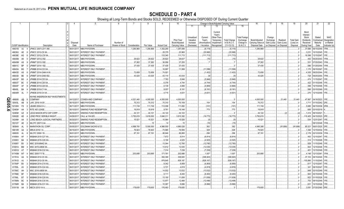|           |                             |                |                                                              | 4                       | -5                                            | 6               |                   |                    |                    | 10                          |                                     |                                    | Change in Book/Adjusted Carrying Value                      |                                     |                                               | 16                                 | 17                                 | 18                      | 19                             | 20                                                 | 21                                | 22                                      |
|-----------|-----------------------------|----------------|--------------------------------------------------------------|-------------------------|-----------------------------------------------|-----------------|-------------------|--------------------|--------------------|-----------------------------|-------------------------------------|------------------------------------|-------------------------------------------------------------|-------------------------------------|-----------------------------------------------|------------------------------------|------------------------------------|-------------------------|--------------------------------|----------------------------------------------------|-----------------------------------|-----------------------------------------|
|           |                             |                |                                                              |                         |                                               |                 |                   |                    |                    |                             | 11                                  | 12                                 | 13                                                          | 14                                  | 15                                            |                                    |                                    |                         |                                |                                                    |                                   |                                         |
|           |                             |                |                                                              | Disposal                |                                               | Number of       |                   |                    |                    | Prior Year<br>Book/Adjusted | Unrealized<br>Valuation<br>Increase | Current<br>Year's<br>Amortization) | Current<br>Year's<br>Other-Than-<br>Temporary<br>Impairment | <b>Total Change</b><br>in B./A.C.V. | <b>Total Foreign</b><br>Exchange<br>Change in | Book/Adjusted<br>Carrying Value at | Foreign<br>Exchange<br>Gain (Loss) | Realized<br>Gain (Loss) | <b>Total Gain</b><br>(Loss) on | Bond<br>Interest<br>Stock<br>Dividends<br>Received | Stated<br>Contractual<br>Maturity | <b>NAIC</b><br>Designation<br>or Market |
|           | <b>CUSIP</b> Identification |                | Description                                                  | Date                    | Name of Purchaser                             | Shares of Stock | Consideration     | Par Value          | <b>Actual Cost</b> | Carrying Value              | (Decrease)                          | / Accretion                        | Recognized                                                  | $(11+12-13)$                        | <b>B./A.C.V.</b>                              | Disposal Date                      | on Disposal                        | on Disposal             | Disposal                       | During Year                                        | Date                              | Indicator (a)                           |
|           | 46631B                      | AJ             | JPMCC 2007-LD11 AM                                           | 06/01/2017              | MBS PAYDOWN.                                  |                 | 1,290,969         | .1,290,969         | 1,302,265          | 1,297,088                   |                                     | (6, 119)                           |                                                             | (6,119)                             |                                               | .1,290,969                         |                                    |                         |                                | .37,696                                            | 06/15/2049                        | 1FM.                                    |
|           | 46638U                      | AE             | JPMCC 2012-C8 XA.                                            | 06/01/201               | <b>INTEREST ONLY PAYMENT</b>                  |                 |                   |                    | 28,379             | .20,968                     |                                     | (20,968)                           |                                                             | (20, 968)                           |                                               |                                    |                                    |                         |                                | .3,231                                             | 10/15/2045                        | 1FE.                                    |
|           | 46639E                      | AG             | JPMCC 2012-LC9 XA                                            | 06/01/201               | INTEREST ONLY PAYMENT.                        |                 |                   |                    | 133,340            | 111,713                     |                                     | (111,713)                          |                                                             | (111, 713)                          |                                               |                                    |                                    |                         |                                | 16,098                                             | 12/15/2047                        | 1FE.                                    |
|           | 46640B                      | AK             | JPMMT 2013-2 B2.                                             | 06/01/201               | <b>MBS PAYDOWN.</b>                           |                 | .29,622           | .29,622            | 29,823             | .29,637                     |                                     | (15)                               |                                                             | (15)                                |                                               | .29,622                            |                                    |                         |                                | .452                                               | 05/25/2043                        | <b>IFM</b>                              |
|           | 46640M                      | AS             | JPMMT 2013-3 B2.                                             | 06/01/201               | <b>MBS PAYDOWN.</b>                           |                 | .37,262           | .37,262            | .36,958            | .37,255                     |                                     |                                    |                                                             |                                     |                                               | .37,262                            |                                    |                         |                                | .531                                               | 07/25/2043                        |                                         |
|           | 46641C                      | <b>BP</b>      | JPMMT 2014-1 B2.                                             | 06/01/201               | MBS PAYDOWN.                                  |                 | .37,435           | .37,435            | .37,435            | .37,435                     |                                     |                                    |                                                             |                                     |                                               | .37,435                            |                                    |                         |                                | .586                                               | 01/25/2044                        | FM.                                     |
|           | 46643A                      | BG             | JPMBB 2014-C23 XA.                                           | 06/01/201               | <b>INTEREST ONLY PAYMENT.</b>                 |                 |                   |                    | .16,897            | .11,599                     |                                     | (11,599)                           |                                                             | (11, 599)                           |                                               |                                    |                                    |                         |                                |                                                    | 1,170 09/15/2047                  |                                         |
|           | 46643D                      | AS             | JPMMT 2014-OAK4 A16                                          | 06/01/201               | MBS PAYDOWN.                                  |                 | .72,658           | .72,658            | 74,921             |                             |                                     | (1, 432)                           |                                                             | (1,432)                             |                                               | .72,658                            |                                    |                         |                                | .4,305                                             | 09/25/2044                        |                                         |
|           | 46643D                      | BE             | JPMMT 2014-OAK4 B2<br>- 6                                    | 06/01/201               | MBS PAYDOWN.                                  |                 | .43,025           | .43,025            | .43,114            | .43,034                     |                                     | (9)                                |                                                             | (9)                                 |                                               | .43,025                            |                                    |                         |                                | .728                                               | 09/25/2044                        |                                         |
|           | 46643P                      | <b>BG</b>      | JPMBB 2014-C25 XA.                                           | 06/01/201               | INTEREST ONLY PAYMENT                         |                 |                   |                    | 7,763              | .5,846                      |                                     | (5,846)                            |                                                             | (5,846)                             |                                               |                                    |                                    |                         |                                | .474                                               | 11/15/2047                        |                                         |
|           | 46643T                      | <b>BC</b>      | JPMBB 2014-C26 XA<br>-5                                      | 06/01/201               | INTEREST ONLY PAYMENT.                        |                 |                   |                    | .6,376             | .4,744                      |                                     | (4,744)                            |                                                             | (4,744)                             |                                               |                                    |                                    |                         |                                |                                                    | 422 01/15/2048.                   |                                         |
|           | 46644F                      | AF             | JPMBB 2015-C28 XA                                            | 06/01/2017              | INTEREST ONLY PAYMENT.                        |                 |                   |                    | .6,139             | .4,806                      |                                     | (4,806)                            |                                                             | (4,806)                             |                                               |                                    |                                    |                         |                                | .399                                               | 10/15/2048.                       |                                         |
|           | 46645L                      | BA             | <b>JPMBB 2016-C1 XA</b>                                      | 06/01/201               | <b>INTEREST ONLY PAYMENT</b>                  |                 |                   |                    | .9,057             | .8,191                      |                                     | (8, 191)                           |                                                             | (8,191)                             |                                               |                                    |                                    |                         |                                | .588                                               | 03/15/2049.                       |                                         |
|           | 46646R                      | AL             | JPMDB 2016-C4 XA                                             | 06/01/2017              | <b>INTEREST ONLY PAYMENT</b>                  |                 |                   |                    | .4,715             | .4,631                      |                                     | (4,631)                            |                                                             | (4,631)                             |                                               |                                    |                                    |                         |                                | .270                                               | 12/15/2049.                       |                                         |
|           |                             |                | KAYNE ANDERSON MLP INVESTMENTS                               |                         |                                               |                 |                   |                    |                    |                             |                                     |                                    |                                                             |                                     |                                               |                                    |                                    |                         |                                |                                                    |                                   |                                         |
| Q<br>m    | 486606                      | J@             | COMPANY                                                      | 04/13/2017              | <b>COWEN AND COMPANY</b>                      |                 | .4,021,440        | .4,000,000         | .4,000,000         | 4,000,000                   |                                     |                                    |                                                             |                                     |                                               | 4,000,000                          |                                    | 21,440                  | .21,440                        | .47,997                                            | 04/16/2023.                       | 1FE.                                    |
| <b>GO</b> | 50543L                      | AB             | <b>AFL 2016-1A B1</b><br>-8                                  | 06/15/2017              | MBS PAYDOWN.                                  |                 | 70,312            | .70,312            | 70,310             | 70,159                      |                                     | .154                               |                                                             | .154                                |                                               | 70,312                             |                                    |                         |                                | .1.711                                             | 01/15/2042. 2FE                   |                                         |
|           | 52108H                      | F <sub>8</sub> | LBUBS 2004-C4 J.                                             | 06/11/2017              | MBS PAYDOWN.                                  |                 | .111,749          | .111,749           | .112,098           | 111,850                     |                                     | (101)                              |                                                             | (101)                               |                                               | .111,749                           |                                    |                         |                                | .5,885                                             | 06/15/2036.                       |                                         |
| ග         | 52465#                      | AA             | RITE AID LEASE.                                              | 06/10/2017              | SINKING FUND REDEMPTION                       |                 | 19,919            | .19,919            | .9,761             | .19,146                     |                                     | .773                               |                                                             | 773                                 |                                               | .19,919                            |                                    |                         |                                | .606                                               | 03/10/2019                        |                                         |
|           | 52465#                      | AZ             | LEGG MASON MTG CAP CORP.                                     | 06/30/2011              | SINKING FUND REDEMPTION.                      |                 | .44, 121          | .44,121            | .44, 122           | .44, 122                    |                                     |                                    |                                                             |                                     |                                               | .44,122                            |                                    | (2)                     | (2)                            | .1.414                                             | 06/10/2021                        |                                         |
|           | 52602E                      | AD             | <b>END PROC SER/BLK KNGHT</b><br>ONG BEACH JUDICIAL PARTNERS | 04/26/2017              | CALL at 104.825.<br>SINKING FUND REDEMPTION   |                 | .3,793,619        | .3,619,000         | .3,846,311         | 3,810,392                   |                                     | (16, 773)                          |                                                             | (16, 773)                           |                                               | .3,793,619                         |                                    |                         |                                | .110,405<br>.534                                   | 04/15/2023.                       |                                         |
|           | 54246#                      | AA             | - 2                                                          | 06/30/2011              |                                               |                 | 15,521            | .15,521            | .15,984            | .15,526                     |                                     | (5)                                |                                                             | (5)                                 |                                               | .15,521                            |                                    |                         |                                |                                                    | 12/31/2047.                       |                                         |
|           | 55312Y                      | AE<br>AL       | <b>ILCFC 2007-5 A4</b><br><b>MARATHON OIL CORP.</b>          | 06/30/2017              | MBS PAYDOWN.<br><b>GOLDMAN SACHS &amp; CO</b> |                 | 4,898,700         | .15                | 14                 | .15<br>4,990,026            |                                     | (15)                               |                                                             | (15)                                |                                               | 4,990,388                          |                                    |                         |                                |                                                    | 08/12/2048.                       |                                         |
|           | 565849                      |                |                                                              | 05/05/201<br>06/15/2017 | MBS PAYDOWN.                                  |                 |                   | .5,000,000         | .4,988,550         |                             |                                     | 362                                |                                                             | .362                                |                                               |                                    |                                    | (91,688)                | . (91, 688)                    | .85,021<br>.1,394                                  | 06/01/2025.<br>12/15/2032.        |                                         |
|           | 59010R<br>606935            | AA<br>AL       | MRLN 2016-1 A.<br>MLCFC 2006-1 B.                            | 06/01/201               | MBS PAYDOWN.                                  |                 | 76,923<br>.87,191 | .76,923<br>.87,191 | 73,965<br>.86,646  | .76,595<br>.86,895          |                                     | .328<br>.296                       |                                                             | .328<br>.296                        |                                               | .76,923<br>87,191                  |                                    |                         |                                | .2.178                                             | 02/12/2039.                       |                                         |
|           | 61690A                      | AF             | <b>JSBAM 2015-C27 XA</b>                                     | 06/01/2017              | INTEREST ONLY PAYMENT                         |                 |                   |                    | .7,872             | .6,814                      |                                     | (6,814)                            |                                                             | (6,814)                             |                                               |                                    |                                    |                         |                                | .493                                               | 12/15/2047                        |                                         |
|           | 61690V                      | BA             | <b>MSBAM 2015-C26 XA</b>                                     | 06/01/201               | INTEREST ONLY PAYMENT                         |                 |                   |                    | .5,190             | .4,525                      |                                     | (4,525)                            |                                                             | (4, 525)                            |                                               |                                    |                                    |                         |                                | .314                                               | 11/15/2048.                       |                                         |
|           | 61690Y                      | <b>BV</b>      | <b>MSC 2016-BNK2 XA.</b>                                     | 06/01/201               | <b>INTEREST ONLY PAYMENT</b>                  |                 |                   |                    | .13,044            | .12,780                     |                                     | (12,780)                           |                                                             | (12,780)                            |                                               |                                    |                                    |                         |                                | .828                                               | 11/15/2049.                       |                                         |
|           | 61691A                      | BM             | <b>MSC 2015-UBS8 XA</b>                                      | 06/01/201               | INTEREST ONLY PAYMENT                         |                 |                   |                    | .13,612            | .12,035                     |                                     | (12,035)                           |                                                             | (12,035)                            |                                               |                                    |                                    |                         |                                | .824                                               | 12/15/2048                        |                                         |
|           | 61691G                      | AT             | <b>MSBAM 2016-C32 XA</b>                                     | 06/01/2011              | INTEREST ONLY PAYMENT.                        |                 |                   |                    | .7,314             | .7,238                      |                                     | (7,238)                            |                                                             | (7,238)                             |                                               |                                    |                                    |                         |                                | .451                                               | 12/15/2049.                       |                                         |
|           | 61745M                      | W7             | MSC 2005-T17 B.                                              | 06/13/201               | MBS PAYDOWN.                                  |                 | .203,895          | 203,895            | .171,781           | 202,888                     |                                     | 1,007                              |                                                             | .1,007                              |                                               | .203,895                           |                                    |                         |                                | .4.148                                             | 12/13/2041                        | 1FM                                     |
|           | 61761A                      | AA             | <b>JSBAM 2012-C5 XA</b>                                      | 06/01/201               | INTEREST ONLY PAYMENT.                        |                 |                   |                    | .392,389           | .308,820                    |                                     | (308, 820)                         |                                                             | (308, 820)                          |                                               |                                    |                                    |                         |                                | .37,103                                            | 08/15/2045.                       |                                         |
|           | 61761D                      | AJ             | <b>MSBAM 2012-C6 XA</b>                                      | 06/01/201               | <b>INTEREST ONLY PAYMENT</b>                  |                 |                   |                    | .976,845           | .828,187                    |                                     | (828, 187)                         |                                                             | (828, 187)                          |                                               |                                    |                                    |                         |                                | .103,890                                           | 11/15/2045                        |                                         |
|           | 61764P                      | BV             | <b>JSBAM 2014-C19 XA</b>                                     | 06/01/201               | <b>INTEREST ONLY PAYMENT.</b>                 |                 |                   |                    | .9,342             | .6,859                      |                                     | (6,859)                            |                                                             | (6,859)                             |                                               |                                    |                                    |                         |                                | .617                                               | 12/15/2047                        |                                         |
|           | 61765L                      | AV             | <b>MSBAM 2015-C24 XA</b>                                     | 06/01/201               | INTEREST ONLY PAYMENT                         |                 |                   |                    | .5,721             | .4,819                      |                                     | (4,819)                            |                                                             | (4,819)                             |                                               |                                    |                                    |                         |                                | .341                                               | 08/15/2047                        |                                         |
|           | 61766C                      | AH             | <b>MSC 2016-UBS9 XA.</b>                                     | 06/01/201               | INTEREST ONLY PAYMENT.                        |                 |                   |                    | 14,932             | .13,532                     |                                     | (13, 532)                          |                                                             | (13, 532)                           |                                               |                                    |                                    |                         |                                | .948                                               | 03/15/2049                        |                                         |
|           | 61766E                      | <b>BF</b>      | <b>JSBAM 2016-C29 XA</b>                                     | 06/01/201               | INTEREST ONLY PAYMENT                         |                 |                   |                    | .9,111             | .8,450                      |                                     | (8,450)                            |                                                             | (8,450)                             |                                               |                                    |                                    |                         |                                | .563                                               | 05/15/2049                        |                                         |
|           | 61766L                      | <b>BT</b>      | <b>MSBAM 2016-C28 XA</b>                                     | 06/01/201               | <b>INTEREST ONLY PAYMENT.</b>                 |                 |                   |                    | .13,150            | .11,838                     |                                     | (11,838)                           |                                                             | (11, 838)                           |                                               |                                    |                                    |                         |                                | .822                                               | 01/15/2026.                       |                                         |
|           | 61766N                      | <b>BC</b>      | <b>ISBAM 2016-C30 XA</b>                                     | 06/01/201               | <b>INTEREST ONLY PAYMENT</b>                  |                 |                   |                    | 12,977             | .12,498                     |                                     | (12, 498)                          |                                                             | (12, 498)                           |                                               |                                    |                                    |                         |                                | .753                                               | 09/15/2049.                       |                                         |
|           | 61766R                      | BA             | <b>MSBAM 2016-C31 XA</b>                                     | 06/01/201               | INTEREST ONLY PAYMENT.                        |                 |                   |                    | 10,087             | .9,896                      |                                     | (9,896)                            |                                                             | (9,896)                             |                                               |                                    |                                    |                         |                                | .631                                               | 10/15/2026.                       |                                         |
|           | 61911B AA                   |                | MECA 2010-1A A<br>3                                          | 06/01/2017              | MBS PAYDOWN.                                  |                 | .179,655          | 179,655            | 176,483            | 179,655                     |                                     |                                    |                                                             |                                     |                                               | 179,655                            |                                    |                         |                                | .3,081                                             | 07/25/2060.                       |                                         |
|           |                             |                |                                                              |                         |                                               |                 |                   |                    |                    |                             |                                     |                                    |                                                             |                                     |                                               |                                    |                                    |                         |                                |                                                    |                                   |                                         |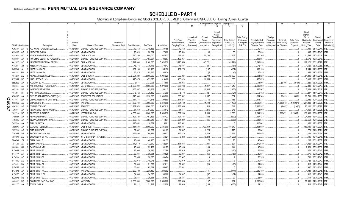|   |                             |           |                                  | -4                     | -5                            |           |                               |            |                    | 10                          |                                     |                                   | Change in Book/Adjusted Carrying Value                      |                                    |                                               | 16                                 | 17                                 | 18                      | 19                             | 20                                                        | 21                               | 22                               |
|---|-----------------------------|-----------|----------------------------------|------------------------|-------------------------------|-----------|-------------------------------|------------|--------------------|-----------------------------|-------------------------------------|-----------------------------------|-------------------------------------------------------------|------------------------------------|-----------------------------------------------|------------------------------------|------------------------------------|-------------------------|--------------------------------|-----------------------------------------------------------|----------------------------------|----------------------------------|
|   |                             |           |                                  |                        |                               |           |                               |            |                    |                             | 11                                  | 12                                | 13                                                          | 14                                 | 15                                            |                                    |                                    |                         |                                |                                                           |                                  |                                  |
|   |                             |           |                                  | Disposal               |                               | Number of |                               |            |                    | Prior Year<br>Book/Adjusted | Unrealized<br>Valuation<br>Increase | Current<br>Year's<br>Amortization | Current<br>Year's<br>Other-Than-<br>Temporary<br>Impairment | <b>Total Change</b><br>in B./A.C.V | <b>Total Foreigr</b><br>Exchange<br>Change in | Book/Adjusted<br>Carrying Value at | Foreign<br>Exchange<br>Gain (Loss) | Realized<br>Gain (Loss) | <b>Total Gain</b><br>(Loss) on | Bond<br>Interest<br>Stock<br><b>Dividends</b><br>Received | Stated<br>Contractua<br>Maturity | NAIC<br>Designation<br>or Market |
|   | <b>CUSIP</b> Identification |           | Description                      | Date                   | Name of Purchaser             |           | Shares of Stock Consideration | Par Value  | <b>Actual Cost</b> | Carrying Value              | (Decrease)                          | / Accretion                       | Recognized                                                  | $(11+12-13)$                       | <b>B./A.C.V.</b>                              | Disposal Date                      | on Disposal                        | on Disposal             | Disposal                       | During Year                                               | Date                             | Indicator (a)                    |
|   | 62927# AH                   |           | NATIONAL FOOTBALL LEAGUE.        | 04/15/2017             | SINKING FUND REDEMPTION.      |           | .49,158                       | .49,158    | .49,158            | .49,158                     |                                     |                                   |                                                             |                                    |                                               | .49,158                            |                                    |                         |                                | .949                                                      | 04/15/2041                       |                                  |
|   | 62942K AG                   |           | NRPMT 2013-1 B3.                 | 06/01/2017             | MBS PAYDOWN.                  |           | .28,624                       | .28,624    | .27,680            | .28,594                     |                                     | 30                                |                                                             | 30                                 |                                               | .28,624                            |                                    |                         |                                | .395                                                      | 07/25/2043.                      | 1FM.                             |
|   | 629568                      | AQ        | <b>NABORS INDUSTRIES INC.</b>    | 05/24/2017             | CALL at 103.360.              |           | .620,160                      | .600,000   | 582,822            | .597,402                    |                                     | .22,758                           |                                                             | .22,758                            |                                               | .620,160                           |                                    |                         |                                | .21,494                                                   | 02/15/2018.                      |                                  |
|   | 63860#                      | AA        | POTOMAC ELECTRIC POWER CO.       | 06/21/2017             | SINKING FUND REDEMPTION       |           | .193,057                      | 193,057    | 193,057            | .193,057                    |                                     |                                   |                                                             |                                    |                                               | .193,057                           |                                    |                         |                                | .8.572                                                    | 12/21/2019                       |                                  |
|   | 64128X                      | AC        | <b>NEUBERGER BERMAN GRP/FIN</b>  | 04/26/2011             | CALL at 102.938               |           | 5,249,838                     | .5,100,000 | .5,324,250         | .5,293,559                  |                                     | (43, 721)                         |                                                             | (43, 721)                          |                                               | 5,249,838                          |                                    |                         |                                | 169,120                                                   | 03/15/2022.                      |                                  |
|   | 64829F                      | AJ        | <b>NRZT 2016-1A B2.</b>          | 06/01/201              | MBS PAYDOWN.                  |           | .76,416                       | 76,416     | 79,943             | 76,497                      |                                     | . (81                             |                                                             | (81)                               |                                               | .76,416                            |                                    |                         |                                | .1,529                                                    | 03/25/2056.                      |                                  |
|   | 64829G                      | AL        | <b>NRZT 2016-2A B2</b>           | 06/01/201              | <b>MBS PAYDOWN.</b>           |           | .102,138                      | 102,138    | .105,156           | .102,275                    |                                     | (137)                             |                                                             | (137)                              |                                               | 102,138                            |                                    |                         |                                | .2.044                                                    | 1/25/2035.                       |                                  |
|   | 64829L                      | BM        | <b>NRZT 2016-4A B4.</b>          | 06/01/2011             | <b>MBS PAYDOWN.</b>           |           | .85,815                       | .85,815    | 86,834             |                             |                                     | (5)                               |                                                             | (5)                                |                                               | .85,815                            |                                    |                         |                                | .658                                                      | 11/25/2056.                      |                                  |
|   | 651229                      | AG        | NEWELL RUBBERMAID INC            | 04/13/2011             | CALL at 104.591               |           | .2,091,820                    | .2,000,000 | 1,994,020          | 1,999,027                   |                                     | .92,793                           |                                                             | .92,793                            |                                               | .2,091,820                         |                                    |                         |                                | .61,806                                                   | 04/15/2018.                      |                                  |
|   | 65536H                      | BE        | NHELI 2005-HE1 M3.               | 06/26/201              | MBS PAYDOWN.                  |           | .475,075                      | .475,075   | .319,488           | .463,420                    |                                     | .11,655                           |                                                             | .11,655                            |                                               | .475,075                           |                                    |                         |                                |                                                           | .3,415 09/25/2035.               |                                  |
|   | 65536W                      | AA        | NAA 2006-S3 A1                   | 06/30/2011             | <b>MBS PAYDOWN.</b>           |           | .3,671                        | .37,908    | .11,866            | .11,866                     |                                     |                                   |                                                             |                                    |                                               | 11,866                             |                                    | (8, 195)                | (8, 195)                       | .220                                                      | 08/25/2036.                      |                                  |
|   | 655844                      | AE        | <b>NORFOLK SOUTHERN CORP</b>     | 05/15/2017             | MATURITY.                     |           | .2,000,000                    | .2,000,000 | 1,979,080          | 1,998,783                   |                                     | .1,217                            |                                                             | .1,217                             |                                               | .2,000,000                         |                                    |                         |                                | .77,000                                                   | 05/15/2017.                      |                                  |
|   | 667294                      | BE        | <b>NORTHWEST AIR 07-1</b>        | 05/01/2017             | SINKING FUND REDEMPTION.      |           | .165,907                      | 165,907    | 183,117            | 167,341                     |                                     | (1, 435)                          |                                                             | (1,435)                            |                                               | 165,907                            |                                    |                         |                                | 5,829                                                     | 11/01/2019.                      |                                  |
|   | 667294                      | <b>BF</b> | <b>NORTHWEST AIR 07</b><br>- 8   | 05/01/201              | SINKING FUND REDEMPTION       |           | .5,152                        | .5.152     | .5,390             | .5,173                      |                                     | (21)                              |                                                             | (21)                               |                                               | .5,152                             |                                    |                         |                                | 207                                                       | 11/01/2017.                      |                                  |
|   | 67085K                      | AA        | OFFUTT AFB AMERICA FIRST (MH)    | 06/26/201              | SOUTWEST SECURITIES           |           | 1,925,388                     | 1,920,300  | 1,833,886          | 1,833,502                   |                                     | .1,057                            |                                                             | .1,057                             |                                               | 1,834,560                          |                                    | 90,829                  | .90,829                        | .86,791                                                   | 09/01/2050.                      |                                  |
| O | 677071                      | AM        | OHANA MILITARY COMM (MH)         | 04/01/2011             | SINKING FUND REDEMPTION.      |           | .111,37                       | .111,371   | .99,980            | .111,216                    |                                     | .155                              |                                                             | 155                                |                                               | 111,371                            |                                    |                         |                                | .3,042                                                    | 10/01/2026.                      |                                  |
| m | 68389X                      | AE        | ORACLE CORP.                     | 06/28/201              | VARIOUS.                      |           | 7,592,760                     | .5,500,000 | .5,619,980         | 5,604,139                   |                                     | (1, 193)                          |                                                             | (1, 193)                           |                                               | .5,602,947                         |                                    | 1,989,813               | .1,989,813                     | .254.042                                                  | 04/15/2038.                      |                                  |
| ဌ | 690742                      | AF        | OWENS CORNING.                   | 06/21/2011             | <b>SEAPORT</b>                |           | .2,987,070                    | .3,000,000 | .2,987,610         | .2,988,038                  |                                     | .519                              |                                                             | .519                               |                                               | .2,988,557                         |                                    | (1, 487)                | (1,487)                        |                                                           | .90,100 08/15/2026.              |                                  |
| ↘ | 72650T                      | AA        | PLAINS END FINANCING LLC<br>-6   | 04/17/2017             | SINKING FUND REDEMPTION.      |           | .61,860                       | .61,860    | .58,612            | 61,614                      |                                     | .246                              |                                                             | 246                                |                                               | .61,860                            |                                    |                         |                                | .1,859                                                    | 04/15/2028.                      |                                  |
|   | 742718                      | DF        | PROCTOR & GAMBLE<br>-3           | 06/27/2017             | JEFFERIES & CO.               |           | .4,080,000                    | .3,000,000 | .2,809,230         | .2,839,243                  |                                     | .2,086                            |                                                             | .2,086                             |                                               | .2,841,329                         |                                    | 1.238.67'               | .1,238,671                     | .136,438                                                  | 03/05/2037                       |                                  |
|   | 74955D                      | AA        | <b>AEP GENERATING.</b>           | 06/07/2017             | SINKING FUND REDEMPTION.      |           | .497,123                      | .497,123   | .531,423           | .497,756                    |                                     | (632)                             |                                                             | (632)                              |                                               | .497,123                           |                                    |                         |                                | .24,398                                                   | 12/07/2022. 2FE                  |                                  |
|   | 74955E                      | AA        | <b>INDIANA MICHIGAN POWER</b>    | 06/07/201              | SINKING FUND REDEMPTION.      |           | .683,545                      | .683,545   | 711,534            | .684,209                    |                                     | (665)                             |                                                             | (665)                              |                                               | .683,545                           |                                    |                         |                                | .33,550                                                   | 12/07/2022. 2FE                  |                                  |
|   | 74979A                      | AA        | RIAL 2015-LT7 A.                 | 06/25/2017             | MBS PAYDOWN.                  |           | .116,661                      | 116,661    | 116,661            | .116,661                    |                                     |                                   |                                                             |                                    |                                               | .116,661                           |                                    |                         |                                | .1,390                                                    | 12/25/2032.                      |                                  |
|   | 75966C                      | AA        | GARDNER DENVER.                  | 05/18/201              | CALL at 105.156.              |           | .3,154,680                    | .3,000,000 | .2,695,000         | 2,751,331                   |                                     | .403,349                          |                                                             | 403,349                            |                                               | .3,154,680                         |                                    |                         |                                | 156,406                                                   | 08/15/2021                       |                                  |
|   | 767759                      | AB        | RITE AID LEASE.                  | 06/02/2011             | SINKING FUND REDEMPTION       |           | .62,862                       | .62,862    | .34,103            | 61,637                      |                                     | .1,225                            |                                                             | .1,225                             |                                               | 62,862                             |                                    |                         |                                | .1,779                                                    | 01/02/2021                       |                                  |
|   | 77426N                      | AB        | ROCKW 2007-1A A1LB               | 05/02/201              | MBS PAYDOWN.                  |           | .146,498                      | 146,498    | 135,623            | .145,279                    |                                     | .1,219                            |                                                             | 1,219                              |                                               | .146,498                           |                                    |                         |                                | 1.111                                                     | 08/01/2024                       |                                  |
|   | 78419C                      | AG        | <b>SGCMS 2016-C5 XA</b>          | 06/01/201              | <b>INTEREST ONLY PAYMENT.</b> |           |                               |            | .6,624             | .6,238                      |                                     | (6, 238)                          |                                                             | (6, 238)                           |                                               |                                    |                                    |                         |                                | 445                                                       | 10/10/2048.                      |                                  |
|   |                             | FJ.       | SLMA 2003-1 B.                   | 06/15/201              | <b>MBS PAYDOWN.</b>           |           | .46,400                       | .46,400    | .43,152            |                             |                                     | .76                               |                                                             | .76                                |                                               | .46,400                            |                                    |                         |                                | .205                                                      | 06/15/2037                       |                                  |
|   | 78442G                      | AK        | SLMA 2006-10 B.                  |                        | MBS PAYDOWN.                  |           |                               |            |                    |                             |                                     | .801                              |                                                             |                                    |                                               |                                    |                                    |                         |                                | .1,029                                                    |                                  |                                  |
|   | 78443B                      |           | SAST 2000-2 MF2                  | 04/25/201<br>06/30/201 |                               |           | .172,619<br>.45,638           | 172,619    | 152,984            | .171,818<br>.45,493         |                                     |                                   |                                                             | 801                                |                                               | 172,619<br>.45,638                 |                                    |                         |                                | .2,531                                                    | 03/25/2044                       |                                  |
|   | 805564                      | GA        |                                  |                        | MBS PAYDOWN.                  |           |                               | 122,439    | .99,175            |                             |                                     | 144                               |                                                             | .144                               |                                               |                                    |                                    |                         |                                |                                                           | 07/25/2030.                      |                                  |
|   | 81744N                      | AH        | SEMT 2012-6 B2.                  | 06/01/201              | MBS PAYDOWN.                  |           | .26,996                       | .26,996    | .27,266            | .27,016                     |                                     | (20)                              |                                                             | (20)                               |                                               | .26,996                            |                                    |                         |                                | .421                                                      | 12/25/2042.                      |                                  |
|   | 81744V                      | AH        | SEMT 2012-4 B2.                  | 06/01/201              | MBS PAYDOWN.                  |           | .39,831                       | .39,831    | .40,828            | .39,887                     |                                     | (56)                              |                                                             | (56)                               |                                               | .39,831                            |                                    |                         |                                | .675                                                      | 09/25/2042.                      |                                  |
|   | 81745A                      | AF        | SEMT 2013-5 B2.                  | 06/01/2017             | MBS PAYDOWN.                  |           | .50,355                       | .50,355    | .49,474            | .50,347                     |                                     | . 9                               |                                                             | . 9                                |                                               | .50,355                            |                                    |                         |                                | .738                                                      | 05/25/2043.                      |                                  |
|   | 81745E                      | AD        | SEMT 2013-8 B2.                  | 06/01/201              | MBS PAYDOWN.                  |           | .49,078                       | .49,078    | .48,556            | .49,070                     |                                     | 8                                 |                                                             |                                    |                                               | .49,078                            |                                    |                         |                                | .723                                                      | 06/25/2043.                      | <b>IFM</b>                       |
|   | 81745L                      | BN        | SEMT 2014-4 B2.                  | 06/01/201              | MBS PAYDOWN.                  |           | .31,839                       | .31,839    | 32,011             | .31,852                     |                                     | (13)                              |                                                             | (13)                               |                                               | 31,839                             |                                    |                         |                                | 515                                                       | 11/25/2044                       |                                  |
|   | 81745M                      | AE        | SEMT 2013-2 B2.                  | 06/01/201              | <b>MBS PAYDOWN.</b>           |           | .65,631                       | .65,631    | 65,467             | .65,631                     |                                     |                                   |                                                             |                                    |                                               | .65,631                            |                                    |                         |                                | .997                                                      | 02/25/2043                       |                                  |
|   | 81745Q                      | AA        | SEMT 2015-1 A1                   | 06/01/201              | VARIOUS.                      |           | .230,489                      | 230,489    | .233,082           |                             |                                     | (141)                             |                                                             | (141)                              |                                               | .230,489                           |                                    |                         |                                | 1.943                                                     | 01/25/2045.                      |                                  |
|   | 81745Y                      | AZ        | SEMT 2013-12 B2                  | 06/01/201              | MBS PAYDOWN.                  |           | .34,830                       | .34,830    | .35,906            | .34,897                     |                                     | (67)                              |                                                             | (67)                               |                                               | .34,830                            |                                    |                         |                                | 612                                                       | 12/25/2043.                      | <b>IFM</b>                       |
|   | 82280Q                      | BZ        | SCOT 2015-1 B2.<br>્વ            | 06/01/2017             | MBS PAYDOWN.                  |           | .25,651                       | .25,651    | 25,093             | .25,631                     |                                     | 20                                |                                                             | .20                                |                                               | 25,651                             |                                    |                         |                                | 411                                                       | 08/25/2045.                      |                                  |
|   | 843452                      | <b>BC</b> | SOUTHERN NATURAL GAS.            | 04/01/2017             | MATURITY.                     |           | .2,000,000                    | .2,000,000 | 1,996,680          | 1,999,893                   |                                     | 107                               |                                                             | 107                                |                                               | .2,000,000                         |                                    |                         |                                | .59.000                                                   | 04/01/2017.                      |                                  |
|   | 86212T AA                   |           | STR 2012-1A A.<br>$\overline{7}$ | 06/20/2017             | <b>MBS PAYDOWN.</b>           |           | .21,212                       | .21.212    | .22,926            | .21.348                     |                                     | (135)                             |                                                             | (135)                              |                                               | .21,212                            |                                    |                         |                                | 513                                                       | 08/20/2042.                      |                                  |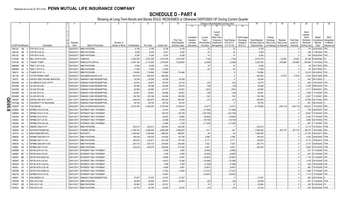|           |                             |           |               | 2                                       | $\mathcal{R}$ | $\overline{4}$           | -5                                                   | 6               | 7                   | 8                  | 9                  | 10                          |                                     |                                   |                                                            | Change in Book/Adjusted Carrying Value |                                               | 16                                 | 17                                 | 18                      | 19                             | 20                                                 | 21                               | 22                                      |
|-----------|-----------------------------|-----------|---------------|-----------------------------------------|---------------|--------------------------|------------------------------------------------------|-----------------|---------------------|--------------------|--------------------|-----------------------------|-------------------------------------|-----------------------------------|------------------------------------------------------------|----------------------------------------|-----------------------------------------------|------------------------------------|------------------------------------|-------------------------|--------------------------------|----------------------------------------------------|----------------------------------|-----------------------------------------|
|           |                             |           |               |                                         |               |                          |                                                      |                 |                     |                    |                    |                             | 11                                  | 12                                | 13                                                         | 14                                     | 15                                            |                                    |                                    |                         |                                |                                                    |                                  |                                         |
|           |                             |           |               |                                         |               | Disposal                 |                                                      | Number of       |                     |                    |                    | Prior Year<br>Book/Adjusted | Unrealized<br>Valuation<br>Increase | Current<br>Year's<br>Amortization | Current<br>Year's<br>Other-Than<br>Temporary<br>Impairment | <b>Total Change</b><br>in B./A.C.V.    | <b>Total Foreign</b><br>Exchange<br>Change in | Book/Adjusted<br>Carrying Value at | Foreign<br>Exchange<br>Gain (Loss) | Realized<br>Gain (Loss) | <b>Total Gain</b><br>(Loss) on | Bond<br>Interest<br>Stock<br>Dividends<br>Received | Stated<br>Contractua<br>Maturity | <b>NAIC</b><br>Designation<br>or Market |
|           | <b>CUSIP</b> Identification |           |               | Description                             |               | Date                     | Name of Purchaser                                    | Shares of Stock | Consideration       | Par Value          | <b>Actual Cost</b> | Carrying Value              | (Decrease)                          | / Accretion                       | Recognized                                                 | $(11+12-13)$                           | <b>B./A.C.V.</b>                              | Disposal Date                      | on Disposal on Disposal            |                         | Disposal                       | During Year                                        | Date                             | Indicator (a)                           |
|           | 86212U                      | AB        | $\mathcal{P}$ | STR 2013-1A A2                          |               | 06/20/2017               | <b>MBS PAYDOWN.</b>                                  |                 | .9,159              | .9,159             | .9,156             | .9,136                      |                                     | .22                               |                                                            | .22                                    |                                               | .9,159                             |                                    |                         |                                | .178                                               | 03/20/2043                       | IFE.                                    |
|           | 86213A AB                   |           |               | STR 2013-3A A2.                         |               | 06/20/2011               | MBS PAYDOWN.                                         |                 | .8,549              | .8,549             | .8,541             | .8,525                      |                                     | .24                               |                                                            | 24                                     |                                               | .8,549                             |                                    |                         |                                | 186                                                | 11/20/2043                       | IFE.                                    |
|           | 86213C                      | AB        |               | STR 2015-1A A2.                         |               | 06/20/201                | MBS PAYDOWN.                                         |                 | .6,250              | .6,250             | .6,247             | .6,236                      |                                     | .14                               |                                                            |                                        |                                               | .6,250                             |                                    |                         |                                | .109                                               | 04/20/2045                       |                                         |
|           | 87342R                      | AB        |               | <b>BELL 2016-1A A2II</b>                |               | 05/25/201                | VARIOUS.                                             |                 | 2,052,555           | .2,001,250         | .2,010,578         | .2,010,287                  |                                     | (134)                             |                                                            | (134)                                  |                                               | .2,010,153                         |                                    | .42,402                 | 42,402                         | .40,168                                            | 05/25/2046.                      |                                         |
|           | 87612E                      | AK        |               | <b>TARGET CORP</b>                      |               | 06/26/201                | <b>BARCLAYS CAPITAL</b>                              |                 | 4,057,182           | .3,110,000         | .3,278,064         | 3,239,697                   |                                     | (2, 495)                          |                                                            | (2, 495)                               |                                               | 3,237,202                          |                                    | .819,980                | .819,980                       | 130,560                                            | 11/01/2032.                      |                                         |
|           | 88606W                      | AB        |               | FBOLT 2017-A B.                         |               | 06/15/201                | MBS PAYDOWN.                                         |                 | .8,036              | .8,036             | .7,974             |                             |                                     | 34                                |                                                            | .34                                    |                                               | .8,036                             |                                    |                         |                                | 54                                                 | 05/17/2032.                      |                                         |
|           | 88606W                      | AC        | -6            | <b>TBOLT 2017-A C.</b>                  |               | 06/15/201                | <b>MBS PAYDOWN.</b>                                  |                 | .11,905             | .11,905            | .10,830            |                             |                                     | 62                                |                                                            | .62                                    |                                               | 11,905                             |                                    |                         | $\ldots 0$                     | .63                                                | 05/17/2032.                      |                                         |
|           | 88607J                      | AA        |               | <b>HNDR 2016-1 A</b>                    |               | 06/15/201                | <b>MBS PAYDOWN.</b>                                  |                 | .716,860            | .716,860           | 716,860            | .716,860                    |                                     |                                   |                                                            |                                        |                                               | .716,860                           |                                    |                         | $\ldots 0$                     | 12.019                                             | 09/15/2022.                      |                                         |
|           | 901109                      | AF        | -5            | <b>TUTOR PERINI CORP.</b>               |               | 05/25/201                | <b>GOLDMAN SACHS &amp; CO</b>                        |                 | .521,875            | 500,000            | 500,000            |                             |                                     |                                   |                                                            |                                        |                                               | .500,000                           |                                    | .21,875                 | .21,875                        | .3,915                                             | 05/01/2025                       |                                         |
|           | 90272*                      | AA        |               | UNITED HEALTHCARE SERVICES              |               | 06/17/2017               | SINKING FUND REDEMPTION.                             |                 | .30,206             | .30,206            | .30,206            | .30,206                     |                                     |                                   |                                                            |                                        |                                               | .30,206                            |                                    |                         | $\ldots 0$                     | 442                                                | 05/17/2033                       |                                         |
|           | 90345W                      | AA        |               | JS AIRWAYS 2012-1A PTT                  |               | 04/01/2017               | SINKING FUND REDEMPTION.                             |                 | .33,673             | .33,673            | .36,674            | .33,734                     |                                     | (61)                              |                                                            | (61)                                   |                                               | .33,673                            |                                    |                         | $\ldots 0$                     | .993                                               | 10/01/2024                       |                                         |
|           | 90345W                      | AD        |               | <b>JS AIR 2012-2A</b>                   |               | 06/03/2017               | SINKING FUND REDEMPTION.                             |                 | .93,396             | .93,396            | .94,065            | .93,415                     |                                     | (19)                              |                                                            | (19)                                   |                                               | .93,396                            |                                    |                         |                                | .2,160                                             | 06/03/2025.                      |                                         |
|           | 90345W<br>90346W            | AE<br>AA  |               | JS AIR 2012-2B<br><b>JS AIR 2013-1A</b> |               | 06/06/2011<br>05/15/2017 | SINKING FUND REDEMPTION.<br>SINKING FUND REDEMPTION. |                 | .62.560             | .62,560            | .67,471            | .62,821                     |                                     | (261)                             |                                                            | (261)                                  |                                               | .62,560                            |                                    |                         | $\ldots 0$<br>- 0              | .2.111<br>.1,655                                   | 06/03/2021<br>11/15/2025.        |                                         |
|           | 90346W                      | AB        |               | JS AIR 2013-1B.                         |               | 05/24/2017               |                                                      |                 | .83,801<br>.105,199 | .83,801            | .85,896            | .83,831<br>105,093          |                                     | (30)                              |                                                            | (30)                                   |                                               | .83,801                            |                                    |                         |                                | .2,827                                             |                                  |                                         |
| Q         | 90932P                      | AB        |               | JNITED AIR 2014-1 B PTT                 |               | 04/11/2017               | SINKING FUND REDEMPTION.<br>SINKING FUND REDEMPTION. |                 | .454,676            | 105,199<br>454,676 | 104,586<br>455,245 | .454,697                    |                                     | 106<br>(21)                       |                                                            | 106<br>(21)                            |                                               | 105,199<br>.454,676                |                                    |                         | .0<br>.0                       | .10,799                                            | 11/15/2021.<br>04/11/2022.       | -2FE                                    |
| m         | 91474@                      | AA        |               | <b>JNIVERSITY OF MICHIGAN</b>           |               | 06/15/2017               | SINKING FUND REDEMPTION                              |                 | .36,754             | .36,754            | .36,754            | .36,754                     |                                     |                                   |                                                            |                                        |                                               | .36,754                            |                                    |                         |                                | 541                                                | 06/15/2039                       |                                         |
| <b>GO</b> | 92553P                      | AZ        |               | /IACOM INC                              |               | 06/22/2017               | WELLS FARGO/WACHOVIA.                                |                 | 5,015,450           | .5,000,000         | .5,193,400         | .5,182,831                  |                                     | (3,271)                           |                                                            | (3,271)                                |                                               | 5,179,560                          |                                    | (164, 110)              | (164, 110)                     | 129,333                                            | 12/15/2034.                      |                                         |
| $\infty$  | 92890K                      | BD        |               | VFRBS 2014-C22 XA                       |               | 06/01/2017               | INTEREST ONLY PAYMENT.                               |                 |                     |                    | .12,814            | .3,639                      |                                     | (11,495)                          |                                                            | (11, 495)                              |                                               |                                    |                                    |                         |                                | .706                                               | 09/15/2057                       |                                         |
|           | 92890N                      | AA        |               | WFRBS 2012-C10 XA.                      |               | 06/01/201                | INTEREST ONLY PAYMENT.                               |                 |                     |                    | 152,516            | .120,739                    |                                     | (120,739)                         |                                                            | (120, 739)                             |                                               |                                    |                                    |                         | 0                              | .15,633                                            | 12/15/2045.                      |                                         |
|           | 92930R                      | AF        |               | <b>NFRBS 2012-C9 XA.</b>                |               | 06/01/2017               | <b>INTEREST ONLY PAYMENT</b>                         |                 |                     |                    | .28,632            | .19,963                     |                                     | (19,963)                          |                                                            | (19,963)                               |                                               |                                    |                                    |                         | . 0                            | .2.342                                             | 11/15/2045.                      |                                         |
|           | 92935J                      | AE        | - 5           | <b>NFRBS 2011-C2 XA</b>                 |               | 06/01/201                | <b>INTEREST ONLY PAYMENT</b>                         |                 |                     |                    | .23,066            | .19,720                     |                                     | (19,720)                          |                                                            | (19, 720)                              |                                               |                                    |                                    |                         | $\ldots 0$                     | .2,690                                             | 02/15/2044                       |                                         |
|           | 92939K                      | AH        |               | VFRBS 2014-C24 XA.                      |               | 06/01/2017               | INTEREST ONLY PAYMENT.                               |                 |                     |                    | .13,492            | 11,325                      |                                     | (11,325)                          |                                                            | (11, 325)                              |                                               |                                    |                                    |                         | 0                              | .907                                               | 11/15/2047                       |                                         |
|           | 929766                      | WU        |               | WBCMT 2004-C15 F.                       |               | 06/01/2017               | MBS PAYDOWN.                                         |                 | .242,213            | .242,213           | .229,043           | .242,206                    |                                     |                                   |                                                            |                                        |                                               | .242,213                           |                                    |                         | $\ldots 0$                     | .9.113                                             | 10/15/2041                       | 1FM.                                    |
|           | 942683                      | AH        |               | <b>VATSON PHARM INC</b>                 |               | 05/30/201                | <b>TENDER OFFER</b>                                  |                 | .3,166,740          | .3,000,000         | .2,955,480         | .2,958,674                  |                                     | 347                               |                                                            | 347                                    |                                               | .2,959,020                         |                                    | 207,719                 | .207,719                       | .69,375                                            | 10/01/2042.                      |                                         |
|           | 947074                      | AJ        |               | <b><i>NEATHERFORD INTL</i></b>          |               | 06/15/2011               | MATURITY.                                            |                 | .1,000,000          | .1,000,000         | .999,200           | .999,951                    |                                     | .49                               |                                                            | 49                                     |                                               | .1,000,000                         |                                    |                         | . 0                            | .31,750                                            | 06/15/2017                       | 5FE.                                    |
|           | 94982D                      | AA        |               | VFMBS 2005-AR14 A1                      |               | 06/01/201                | MBS PAYDOWN.                                         |                 | 146,345             | .146,345           | .133,928           | 143,746                     |                                     | .2,599                            |                                                            | .2,599                                 |                                               | 146,345                            |                                    |                         |                                | 1,835                                              | 08/25/2035.                      | 1FM.                                    |
|           | 949834                      | AA        |               | VFMBS 2007-14 1A1                       |               | 06/30/201                | MBS PAYDOWN.                                         |                 | .183,874            | .219,471           | .201,355           | 181,763                     |                                     | .2,111                            |                                                            | .2,11'                                 |                                               | .183,874                           |                                    |                         | $\ldots 0$                     | .5,712                                             | 10/25/2037                       | 1FM.                                    |
|           | 94983D                      | AL        |               | <b>NFMBS 2005-AR13 4A1</b>              |               | 06/01/201                | <b>MBS PAYDOWN.</b>                                  |                 | .253,172            | .253,172           | 229,694            | .245,650                    |                                     | .7,523                            |                                                            | .7,523                                 |                                               | 253,172                            |                                    |                         |                                | 3,131                                              | 05/25/2035.                      |                                         |
|           | 94986L                      | AK        |               | <b>NFMBS 2007-16 2A1</b>                |               | 06/30/201                | MBS PAYDOWN.                                         |                 | .222,232            | .236,370           | .222,893           | .217,402                    |                                     | .4,831                            |                                                            | .4,831                                 |                                               | .222,232                           |                                    |                         | $\ldots 0$                     | .5.862                                             | 07/01/2038                       |                                         |
|           | 94989W                      | AV        |               | VFCM 2015-C31 XA.                       |               | 06/01/201                | <b>INTEREST ONLY PAYMENT</b>                         |                 |                     |                    | .5,549             | .4,850                      |                                     | (4,850)                           |                                                            | (4,850)                                |                                               |                                    |                                    |                         |                                | 331                                                | 11/15/2048.                      |                                         |
|           | 94989Y                      | BC        |               | <b>NFCM 2016-C32 XA.</b>                |               | 06/01/201                | INTEREST ONLY PAYMENT                                |                 |                     |                    | .7,225             | .6,504                      |                                     | (6, 504)                          |                                                            | (6, 504)                               |                                               |                                    |                                    |                         |                                | 451                                                | 01/15/2059                       |                                         |
|           | 95000C                      | <b>BE</b> |               | NFCM 2016-NXS5 XA                       |               | 06/01/201                | INTEREST ONLY PAYMENT.                               |                 |                     |                    | 16,806             | .14,981                     |                                     | (14,981                           |                                                            | (14, 981)                              |                                               |                                    |                                    |                         |                                | .1.118                                             | 01/15/2059                       |                                         |
|           | 95000D                      | BG        | -5            | NFCM 2016-C34 XA.                       |               | 06/01/201                | <b>INTEREST ONLY PAYMENT</b>                         |                 |                     |                    | 16,673             | 15,366                      |                                     | (15,366)                          |                                                            | (15,366)                               |                                               |                                    |                                    |                         |                                | .1,078                                             | 05/15/2049                       |                                         |
|           | 95000H                      | BJ        |               | <b>WFCM 2016-LC24 XA</b>                |               | 06/01/201                | <b>INTEREST ONLY PAYMENT.</b>                        |                 |                     |                    | .7,309             | .7,029                      |                                     | (7,029)                           |                                                            | (7,029)                                |                                               |                                    |                                    |                         |                                | 445                                                | 10/15/2049.                      |                                         |
|           | 95000J                      | AY        |               | <b>NFCM 2016-LC25 XA</b>                |               | 06/01/201                | INTEREST ONLY PAYMENT.                               |                 |                     |                    | .8,649             | .8,561                      |                                     | (8,561)                           |                                                            | (8, 561)                               |                                               |                                    |                                    |                         |                                | 592                                                | 12/15/2059.                      |                                         |
|           | 95000K                      | BE        |               | NFCM 2016-NXS6 XA                       |               | 06/01/201                | INTEREST ONLY PAYMENT.                               |                 |                     |                    | .17,833            | .13,292                     |                                     | (17, 421)                         |                                                            | (17, 421)                              |                                               |                                    |                                    |                         |                                | .1,095                                             | 11/15/2049.                      |                                         |
|           | 96221Q                      | AH        | -6            | <b>NFRBS 2013-C18 XA</b>                |               | 06/01/2017               | INTEREST ONLY PAYMENT.                               |                 |                     |                    | .18,557            |                             |                                     | (18, 557)                         |                                                            | (18, 557)                              |                                               |                                    |                                    |                         | $\ldots 0$                     | .1,173                                             | 12/15/2046.                      |                                         |
|           | 96928*                      | <b>FR</b> |               | <b>WALGREEN CO</b>                      |               | 06/15/201                | SINKING FUND REDEMPTION.                             |                 | .27,527             | .27,527            | .27,527            | .27,527                     |                                     |                                   |                                                            |                                        |                                               | .27,527                            |                                    |                         |                                | 583                                                | 09/15/2038                       |                                         |
|           | 97652R                      | BA        |               | VIN 2014-3 B2                           |               | 06/01/2017               | <b>MBS PAYDOWN.</b>                                  |                 | .29,528             | .29,528            | .29,911            | .29,550                     |                                     | (22)                              |                                                            | (22)                                   |                                               | .29,528                            |                                    |                         |                                | 491.                                               | 11/20/2044                       |                                         |
|           | 97652T                      | <b>BD</b> |               | WIN 2015-1 B3                           |               | 06/01/2017               | MBS PAYDOWN.                                         |                 | .25,904             | .25,904            | .25,237            |                             |                                     | .16                               |                                                            | .16                                    |                                               | .25,904                            |                                    |                         |                                | .338                                               | 01/20/2045                       |                                         |
|           | 97652U                      | BE        | -9            | WIN 2015-2 B1                           |               | 06/01/2017               | <b>MBS PAYDOWN.</b>                                  |                 | .32,755             | .32,755            | .33,500            | 32,793                      |                                     | (37)                              |                                                            | (37)                                   |                                               | .32,755                            |                                    |                         |                                | 535                                                | 02/20/2045.                      |                                         |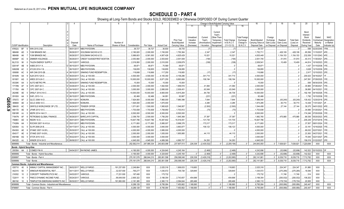|           |                                  |                  | 2                                                    | 4                | 5                                  | 6               | 7              | 8            | -9                 | 10                          |                         | Change in Book/Adjusted Carrying Value                            |                                      |                                  | 16                                 | 17                         | 18                        | 19                    | 20                                                        | 21                                | 22                                      |
|-----------|----------------------------------|------------------|------------------------------------------------------|------------------|------------------------------------|-----------------|----------------|--------------|--------------------|-----------------------------|-------------------------|-------------------------------------------------------------------|--------------------------------------|----------------------------------|------------------------------------|----------------------------|---------------------------|-----------------------|-----------------------------------------------------------|-----------------------------------|-----------------------------------------|
|           |                                  |                  |                                                      |                  |                                    |                 |                |              |                    |                             | 11                      | 13                                                                |                                      | 15                               |                                    |                            |                           |                       |                                                           |                                   |                                         |
|           |                                  |                  |                                                      |                  |                                    | Number of       |                |              |                    | Prior Year<br>Book/Adjusted | Unrealized<br>Valuation | Current<br>Year's<br>Other-Than<br>Current<br>Year's<br>Temporary | <b>Total Change</b><br>in $B.A.C.V.$ | <b>Total Foreigr</b><br>Exchange | Book/Adjusted                      | Foreign<br>Exchange        | Realized                  | <b>Total Gain</b>     | Bond<br>Interest<br>Stock<br><b>Dividends</b><br>Received | Stated<br>Contractual<br>Maturity | <b>NAIC</b><br>Designation<br>or Market |
|           | <b>CUSIP Identification</b>      |                  | Description                                          | Disposal<br>Date | Name of Purchaser                  | Shares of Stock | Consideration  | Par Value    | <b>Actual Cost</b> | Carrying Value              | Increase<br>(Decrease)  | Amortization)<br>Impairment<br>/ Accretion<br>Recognized          | $(11+12-13)$                         | Change in<br><b>B./A.C.V.</b>    | Carrying Value at<br>Disposal Date | Gain (Loss)<br>on Disposal | Gain (Loss<br>on Disposal | (Loss) on<br>Disposal | During Year                                               | Date                              | Indicator (a)                           |
|           | 97652U                           | BF<br>- 6        | WIN 2015-2 B2.                                       | 06/01/2017.      | MBS PAYDOWN.                       |                 | .36,727        | .36,727      | 36,830             | .36,735                     |                         |                                                                   | . (7                                 |                                  | .36,727                            |                            |                           |                       | .599                                                      | 02/20/2045.                       | 1FM.                                    |
|           | 988498                           | AD               | YUM BRANDS INC.                                      | 06/26/201        | GOLDMAN SACHS & CO.                |                 | .2,180,820     | .2,000,000   | .1,745,000         | .1,750,364                  |                         | .2,347                                                            | .2,347                               |                                  | .1,752,711                         |                            | 428,109                   | .428,109              | .85,556                                                   | 11/15/2037                        | 4FE.                                    |
|           | 988498                           | AK               | YUM BRANDS INC.                                      | 06/26/2017       | <b>GOLDMAN SACHS &amp; CO.</b>     |                 | .5,989,603     | .6,561,000   | .4,807,426         | .4,825,429                  |                         | 10,021                                                            | .10,021                              |                                  | 4,835,449                          |                            | 1,154,153                 | .1,154,153            | .232,059                                                  | 11/01/2043.                       |                                         |
|           | 98956P                           |                  | ZIMMER HOLDINGS                                      | 06/29/201        | <b>CREDIT SUISSE/FIRST BOSTON.</b> |                 | .2,053,660     | .2,000,000   | .2,003,640         | .2,001,939                  |                         | (194)                                                             | (194)                                |                                  | .2,001,745                         |                            | 51,915                    | .51,915               | .40,313                                                   | 1/30/2021                         |                                         |
|           | BL2133                           | 90               | TALEN ENERGY SUPPLY                                  | 04/13/201        | <b>VARIOUS.</b>                    |                 | .2,019,950     | .2,000,000   | .2,010,000         | .2,009,879                  |                         | (338)                                                             | (338)                                |                                  | .2,009,541                         |                            | .10,409                   | 10,409                | .44,814                                                   | 10/18/2023                        |                                         |
|           | G0014F                           | AB               | AABS 2013-1 A                                        | 06/15/2017       | <b>MBS PAYDOWN</b>                 |                 | .69,871        | .69,871      | 70,569             | .69,871                     |                         |                                                                   |                                      |                                  | .69,871                            |                            |                           |                       | .1,437                                                    | 01/15/2038.                       |                                         |
|           | G0620B                           | AC               | ATLSS 2014-1 B.                                      | 06/15/2017       | <b>MBS PAYDOWN</b>                 |                 | 136,855        | 136,855      | 136,855            | 136,855                     |                         |                                                                   |                                      |                                  | .136,855                           |                            |                           |                       | .3,628                                                    | 12/15/2039.                       |                                         |
|           | 009088                           | AC               | AIR CAN 2015-2B                                      | 06/15/2017       | SINKING FUND REDEMPTION.           |                 | .116,666       | 116,666      | 117,250            | .116,683                    |                         | (17)                                                              | (17)                                 |                                  | .116,666                           |                            |                           |                       | .2.917                                                    | 12/15/2023.                       |                                         |
|           | 00164N                           | AA<br>- q        | ALM 2015-12A D.                                      | 06/20/2017.      | CALL at 100.000.                   |                 | .4,500,000     | .4,500,000   | .4,105,350         | .4,158,286                  |                         | 341,714                                                           | .341,714                             |                                  | 4,500,000                          |                            |                           |                       | .200,023                                                  | 04/16/2027                        |                                         |
|           | 00190Y                           | AG               | ARES 2013-2A C                                       | 06/22/2017.      | CALL at 100.000.                   |                 | .10,000,000    | 10,000,000   | .9,871,250         | .9,893,806                  |                         | 106,194                                                           | 106,194                              |                                  | 10,000,000                         |                            |                           |                       | .247,591                                                  | 07/28/2025.                       |                                         |
|           | 05330K                           | AA<br>-3         | <b>AUTO METRO PR</b>                                 | 06/30/2017.      | SINKING FUND REDEMPTION.           |                 | 15,000         | 15,000       | .15,000            | .15,000                     |                         |                                                                   |                                      |                                  | .15,000                            |                            |                           |                       | .506                                                      | 06/30/2035.                       |                                         |
|           | 17178N                           | AF<br>6          | CIFC 2007-3A C.                                      | 04/26/2017.      | CALL at 100.000                    |                 | .2,000,000     | .2,000,000   | .1,942,500         | .1,958,916                  |                         | 41,084                                                            | .41,084                              |                                  | .2,000,000                         |                            |                           |                       | .35,965                                                   | 07/26/2021                        |                                         |
|           | 17178X                           | AN               | CIFC 2007-2A C.                                      | 04/19/2017.      | CALL at 100,000                    |                 | .3,000,000     | .3,000,000   | .2,895,000         | .2,936,451                  |                         | .63,549                                                           | .63,549                              |                                  | .3,000,000                         |                            |                           |                       | .38,895                                                   | 04/15/2021                        |                                         |
|           | 26249E                           | AE               | DRSLF 2014-31A C                                     | D 04/18/2017.    | CALL at 100.000.                   |                 | .10,000,000    | 10,000,000   | .9,900,000         | .9,915,264                  |                         | .84,736                                                           | .84,736                              |                                  | 10,000,000                         |                            |                           |                       | .192,194                                                  | 04/18/2026.                       |                                         |
|           | 29100X                           | AA               | EAFL 2013-1 A.                                       | 06/15/2017       | <b>MBS PAYDOWN</b>                 |                 | .92,466        | .92,466      | .94,951            | 92,687                      |                         | (221)                                                             | (221)                                |                                  | .92,466                            |                            |                           |                       | .1,792                                                    | 10/15/2038.                       |                                         |
| Q         | 379372                           | AF               | GLCC 2006-1A D                                       | 05/11/2017       | NOMURA.                            |                 | .7,924,800     | .8,000,000   | .7,960,000         | .7,980,396                  |                         | .7,644                                                            | .7,644                               |                                  | .7,988,040                         |                            | (63, 240)                 | (63, 240)             | .135,432                                                  | 12/20/2018. 2FE                   |                                         |
| Ш         | 389669                           | AE               | GCLO 2006-1A C                                       | 05/09/2017       | NOMURA.                            |                 | .1,925,000     | .2,000,000   | .1,870,000         |                             |                         | .4,285                                                            | .4,285                               |                                  | .1,874,285                         |                            | .50,715                   | .50,715               | .14,438                                                   | 11/01/2021.                       |                                         |
| <u>ငွ</u> | 398435                           | AC               | <b>GRIFOLS WORLDWIDE OP LTD</b>                      | 04/24/2017       | TENDER OFFER.                      |                 | 1,571,601      | 1,500,000    | .1,565,625         | 1,546,957                   |                         | (2,500)                                                           | (2,500)                              |                                  | 1,544,458                          |                            | 27,144                    | .27,144               | .39,375                                                   | 04/01/2022.                       |                                         |
| قَ        | 46617D                           | AE<br>-9         | JFINR 2013-1A C.                                     | 04/20/2017       | <b>MBS PAYDOWN</b>                 |                 | .1,703,838     | .1,703,838   | .1,708,950         | .1,703,912                  |                         | . (73)                                                            | (73)                                 |                                  | .1,703,838                         |                            |                           |                       | .34,066                                                   | 01/20/2021                        |                                         |
|           | 55818R                           | AJ<br>$\sqrt{5}$ | MDPK 2014-14A C1                                     | 04/20/2017       | CALL at 100.000.                   |                 | .8,500,000     | .8,500,000   | .8,500,000         | .8,500,000                  |                         |                                                                   |                                      |                                  | .8,500,000                         |                            |                           |                       | .174,246                                                  | 07/20/2026.                       |                                         |
|           | 71647N                           | AF<br>- 6        | PETROBAS GLOBAL FINANCE                              | 06/26/2017       | <b>BARCLAYS CAPITA</b>             |                 | 2,358,750      | .2,500,000   | .1,756,250         | .1,845,368                  |                         | 37,397                                                            | .37,397                              |                                  | 1,882,765                          |                            | 475,985                   | .475,985              | .66,536                                                   | 05/20/2023                        |                                         |
|           | 75686V                           | AD<br>ĥ          | REDRI 1A D.                                          | 05/01/2017       | <b>MBS PAYDOWN</b>                 |                 | .15,647,786    | 15,647,786   | 15,387,642         | 15,516,051                  |                         | $\dots$ 131,735                                                   | 131,735                              |                                  | 15,647,786                         |                            |                           |                       | .205,239                                                  | 07/27/2018                        |                                         |
|           | 77426N                           | AA               | ROCKW 2007-1A A1LA                                   | D 05/01/2017     | <b>MBS PAYDOWN</b>                 |                 | 6,171,693      | .6,171,693   | .5,995,007         | .5,998,376                  |                         | 173,317                                                           | 173,317                              |                                  | .6,171,693                         |                            |                           |                       | .37,507                                                   | 08/01/2024                        |                                         |
|           | 82835A                           | AJ<br>-5         | SLVR 2006-2A B.                                      | D 04/17/2017.    | CALL at 100.000.                   |                 | 4,000,000      | .4,000,000   | .3,840,000         | .3,893,877                  |                         | 106,123                                                           | 106,123                              |                                  | .4,000,000                         |                            |                           |                       | .33,181                                                   | 10/16/2020                        |                                         |
|           | 85430X                           | AE               | STAMC 2007-1A B1L                                    | D 05/30/2017     | CALL at 100.000.                   |                 | .4,000,000     | .4,000,000   | .3,995,000         | .4,000,000                  |                         |                                                                   |                                      |                                  | 4,000,000                          |                            |                           |                       | .69,032                                                   | 02/27/2021                        |                                         |
|           | 85431T                           | AE<br>-6         | STAND 2007-1A B1                                     | D 04/27/2017.    | CALL at 100,000.                   |                 | .2,000,000     | .2,000,000   | .1,935,000         | .1,955,885                  |                         | .44,115                                                           | .44,115                              |                                  | .2,000,000                         |                            |                           |                       | .23,363                                                   | 04/27/2021                        |                                         |
|           | 85816B                           | AG<br>5          | STCR 2015-1A D.                                      | D 05/22/2017     | CALL at 100.000.                   |                 | .3,000,000     | .3,000,000   | .3,000,000         |                             |                         |                                                                   |                                      |                                  | .3,000,000                         |                            |                           |                       | .75,545                                                   | 02/21/2027.                       | 2FE.                                    |
|           | 88432D                           | AJ               | 3 WINDR 2014-3A D.                                   |                  | 06/06/2017. CALL at 100.000        |                 | .4,945,000     | .4,945,000   | .4,889,369         | .4,890,707                  |                         | .54,293                                                           | 54,293                               |                                  | 4,945,000                          |                            |                           |                       |                                                           | .156,019 01/22/2027.              | 2FE.                                    |
|           | 3899999.                         |                  | Total - Bonds - Industrial and Miscellaneous         |                  |                                    |                 | .252.582.014   | .247.995.334 | .243,603,098       | .237.907.513                | .226.338                | (2.435.532)                                                       | (2.209.194)<br>$\cap$                | $\Omega$                         | .244.943.093                       |                            | $.0$ .7.638.921           | 7.638.921             | .7.220.694                                                | <b>XXX</b>                        | <b>XXX</b>                              |
|           | <b>Bonds - Hybrid Securities</b> |                  |                                                      |                  |                                    |                 |                |              |                    |                             |                         |                                                                   |                                      |                                  |                                    |                            |                           |                       |                                                           |                                   |                                         |
|           |                                  |                  | 20035A AA 2 COMED FIN III                            |                  | 04/04/2017. RAYMOND JAMES.         |                 | 4.190.000      | .4,000,000   | .4,324,640         | .4,245,164                  |                         | (2,468)                                                           | (2,468)                              |                                  | .4,242,696                         |                            | (52,696)                  | (52, 696)             |                                                           | .142,522 03/15/2033. 3F.          |                                         |
|           | 4899999.                         |                  | Total - Bonds - Hybrid Securities                    |                  |                                    |                 | 4,190,000      | .4,000,000   | 4,324,640          | .4,245,164                  | 0                       | (2,468)                                                           | (2,468)<br>$\Omega$                  | $\Omega$                         | .4,242,696                         | 0                          | (52,696)                  | (52,696)              | .142,522                                                  | <b>XXX</b>                        | <b>XXX</b>                              |
|           | 8399997.                         |                  | Total - Bonds - Part 4                               |                  |                                    |                 | 270,181,578    | 266,644,210  | .263,061,598       | .256,098,048                | .226,338                | (3, 429, 218)                                                     | $\Omega$<br>(3,202,880)              | 0                                | .262,141,861                       | $\mathbf{0}$               | .8,039,718                | .8,039,718            | 7,712,762                                                 | <b>XXX</b>                        | XXX                                     |
|           | 8399999.                         |                  | Total - Bonds                                        |                  |                                    |                 | .270, 181, 578 | .266,644,210 | .263,061,598       | .256,098,048                | .226,338                | (3,429,218)                                                       | (3,202,880)                          | $\Omega$                         | .262,141,861                       |                            | .8,039,718                | .8,039,718            | .7,712,762                                                | XXX                               | <b>XXX</b>                              |
|           |                                  |                  | <b>Common Stocks - Industrial and Miscellaneous</b>  |                  |                                    |                 |                |              |                    |                             |                         |                                                                   |                                      |                                  |                                    |                            |                           |                       |                                                           |                                   |                                         |
|           | 035710                           | 40<br>- q        | ANNALY CAPITAL MANAGEMENT INC.                       | 06/02/2017.      | <b>WELLS FARGO</b>                 | 191,237.000     | .2,249,664     | XXX          | .2,025,316         | 1,906,633                   | .118,683                |                                                                   | 118,683                              |                                  | .2,025,316                         |                            | .224,347                  | .224,347              | .91,880                                                   | XXX                               |                                         |
|           | 042315                           | 50               | ARMOUR RESIDENTIAL REIT                              | 04/11/2017.      | <b>WELLS FARGO</b>                 | .32,537.000     | .765,277       | XXX          | .1,035,572         | 705,728                     | .329,845                |                                                                   | 329,845                              |                                  | .1,035,572                         |                            | (270, 295)                | (270, 295)            | .18,546                                                   | <b>XXX</b>                        |                                         |
|           | 218352                           | 10               | CORCEPT THERAPEUTICS INC                             | 04/03/2017       | <b>VARIOUS</b>                     | 17,231.000      | 187,480        | XXX          | 175,732            |                             |                         |                                                                   |                                      |                                  | 175,732                            |                            | 11,748                    | 11,748                | 314                                                       | <b>XXX</b>                        |                                         |
|           | 72201Y                           | 10               | PIMCO DYNAMIC INCOME FUND.                           | 05/24/201        | <b>VARIOUS.</b>                    | .99,049.000     | .2,905,322     | XXX          | 3,198,354          | .2,743,657                  | .454,696                |                                                                   | 454,696                              |                                  | .3,198,354                         |                            | (293,032                  | (293, 032)            | .109,202                                                  | <b>XXX</b>                        |                                         |
|           | 880192                           | 10<br>q          | <b>TEMPLETON EMERGING MARKETS INC</b>                | 06/30/2017.      | <b>WELLS FARGO.</b>                | 191.993.000     | .2.181.385     | <b>XXX</b>   | .2,360,110         | .2.094.644                  | .265.466                |                                                                   | 265.466                              |                                  | .2,360,110                         |                            | (178.724                  | .(178,724             | .20,505                                                   | <b>XXX</b>                        |                                         |
|           | 9099999                          |                  | Total - Common Stocks - Industrial and Miscellaneous |                  |                                    |                 | 8.289.128      | <b>XXX</b>   | .8,795,084         | .7.450.662                  | 1.168.690               | $\cap$<br>$\Omega$                                                | 1.168.690                            | $\Omega$                         | .8.795.084                         |                            | (505.956                  | (505.956)             | .240.447                                                  | <b>XXX</b>                        | <b>XXX</b>                              |
|           | 9799997                          |                  | Total - Common Stocks - Part 4                       |                  |                                    |                 | 8.289.128      | <b>XXX</b>   | .8,795,084         | .7.450.662                  | .1.168.690              |                                                                   | 1.168.690                            |                                  | 8.795.084                          | $\Omega$                   | (505.956                  | (505.956)             | .240.447                                                  | <b>XXX</b>                        | <b>XXX</b>                              |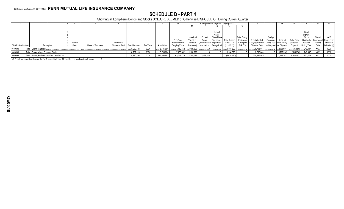## **SCHEDULE D - PART 4**

Showing all Long-Term Bonds and Stocks SOLD, REDEEMED or Otherwise DISPOSED OF During Current Quarter

|                      |                                            |          |                   |                 |               |           |                    |                |            |                             |             | Change in Book/Adjusted Carrying Value |                      |                               |          |                         |                   |             |          |                           |
|----------------------|--------------------------------------------|----------|-------------------|-----------------|---------------|-----------|--------------------|----------------|------------|-----------------------------|-------------|----------------------------------------|----------------------|-------------------------------|----------|-------------------------|-------------------|-------------|----------|---------------------------|
|                      |                                            |          |                   |                 |               |           |                    |                |            |                             |             |                                        |                      |                               |          |                         |                   |             |          |                           |
|                      |                                            |          |                   |                 |               |           |                    |                |            |                             |             |                                        |                      |                               |          |                         |                   |             |          |                           |
|                      |                                            |          |                   |                 |               |           |                    |                |            |                             | Current     |                                        |                      |                               |          |                         |                   | Bond        |          |                           |
|                      |                                            |          |                   |                 |               |           |                    |                |            |                             | Year's      |                                        |                      |                               |          |                         |                   | Interest    |          |                           |
|                      |                                            |          |                   |                 |               |           |                    |                | Unrealized | Current                     | Other-Than- |                                        | <b>Total Foreign</b> |                               | Foreign  |                         |                   | Stock       | Stated   | NAIC                      |
|                      |                                            |          |                   |                 |               |           |                    | Prior Year     | Valuation  |                             | Temporary   | <b>Total Change</b>                    | Exchange             | Book/Adjusted                 | Exchange | Realized                | <b>Fotal Gain</b> | Dividends   |          | Contractual   Designation |
|                      |                                            | Disposal |                   | Number of       |               |           |                    | Book/Adjusted  | Increase   | (Amortization) I Impairment |             | in B./A.C.V                            | Change in            | Carrying Value at Gain (Loss) |          | / Gain (Loss)           | (Loss) on         | Received    | Maturity | or Market                 |
| CUSIP Identification | Description                                | Date     | Name of Purchaser | Shares of Stock | Consideration | Par Value | <b>Actual Cost</b> | Carrying Value | (Decrease) | / Accretion                 | Recognized  | (11+12-13)                             | <b>B./A.C.V.</b>     | Disposal Date                 |          | on Disposal on Disposal | Disposal          | During Year | Date     | Indicator (a)             |
| 9799999.             | Total - Common Stocks.                     |          |                   |                 | .8,289,128    | XXX       | 3,795,084          | 7,450,662      | 1,168,690  |                             |             | 1,168,690                              |                      | 8,795,084                     |          | (505, 956)              | (505, 956)        | 240,447     | XXX      | XXX                       |
| 9899999.             | Total - Preferred and Common Stocks        |          |                   |                 | .8,289,128    | XXX       | 3,795,084          | 7,450,662      | 1,168,690  |                             |             | 1,168,690                              |                      | .8,795,084                    |          | (505, 956)              | (505,956)         | 240,447     | XXX      | <b>XXX</b>                |
| 9999999.             | Total - Bonds, Preferred and Common Stocks |          |                   |                 | 278,470,706   | XXX       | 271,856,682        | 263,548,710    | 1,395,028  | (3,429,218)                 |             | (2,034,190)                            |                      | 270,936,945                   |          | 7,533,762               | 7,533,762         | 7,953,209   | XXX      | XXX                       |

(a) For all common stock bearing the NAIC market indicator "U" provide: the number of such issues: ..........0.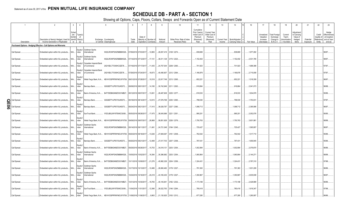## **SCHEDULE DB - PART A - SECTION 1**

|        |                                                                   |                                                                                                 | 3<br>$\overline{4}$                                                | 5                                                              | $6\overline{6}$       |                                                          | 8       |                         | 10                                             | 11                                                                              | 12                                                                      | 13                            | 14                                |            | 17                                                | 18                                                                | 19                                               | 20                                                      | 21                    | 22                             | 23                                                                          |
|--------|-------------------------------------------------------------------|-------------------------------------------------------------------------------------------------|--------------------------------------------------------------------|----------------------------------------------------------------|-----------------------|----------------------------------------------------------|---------|-------------------------|------------------------------------------------|---------------------------------------------------------------------------------|-------------------------------------------------------------------------|-------------------------------|-----------------------------------|------------|---------------------------------------------------|-------------------------------------------------------------------|--------------------------------------------------|---------------------------------------------------------|-----------------------|--------------------------------|-----------------------------------------------------------------------------|
|        | Description                                                       | Description of Item(s) Hedged, Used for   Identifi   Risk(s)<br>Income Generation or Replicated | Sched<br>ule/<br>Type(s)<br>Exhibit<br>$\int_{0}^{1}$<br>(a)<br>er | Exchange, Counterparty<br>or Central Clearinghouse             | Trade<br>Date         | Date of<br>Maturity or Number of<br>Expiration Contracts |         | Notional<br>Amount      | Strike Price, Rate of Index<br>Received (Paid) | Cumulative<br>Prior Year(s)<br>Initial Cost of<br>Premium<br>(Received)<br>Paid | <b>Current Year</b><br>Initial Cost of<br>Premium<br>(Received)<br>Paid | <b>Current Year</b><br>Income | Book/Adjusted<br>Carrying Value e | Fair Value | Unrealized<br>Valuation<br>Increase<br>(Decrease) | <b>Total Foreign</b><br>Exchange<br>Change in<br><b>B./A.C.V.</b> | Current<br>Year's<br>Amortization<br>/ Accretion | Adjustmen<br>to Carrying<br>Value of<br>Hedged<br>Items | Potential<br>Exposure | Credit<br>Quality of<br>Entity | Hedge<br>Effectiveness<br>at Inception<br>Reference and at Year-<br>end (b) |
|        | Purchased Options - Hedging Effective - Call Options and Warrants |                                                                                                 |                                                                    |                                                                |                       |                                                          |         |                         |                                                |                                                                                 |                                                                         |                               |                                   |            |                                                   |                                                                   |                                                  |                                                         |                       |                                |                                                                             |
|        |                                                                   |                                                                                                 | Equity/I                                                           | Goldman Sachs                                                  |                       |                                                          |         |                         |                                                |                                                                                 |                                                                         |                               |                                   |            |                                                   |                                                                   |                                                  |                                                         |                       |                                |                                                                             |
|        | Call Spread                                                       | Embedded option within IUL products N/A                                                         | ndex                                                               | W22LROWP2IHZNBB6K528.<br>nternational                          | 07/06/2016 07/03/2017 |                                                          | .12,865 | 26,837,419 2128 / 2274. |                                                | .838,669                                                                        |                                                                         |                               | .838,669                          | 1,877,282  |                                                   |                                                                   |                                                  |                                                         |                       |                                | 96/97.                                                                      |
|        | Call Spread                                                       | Embedded option within IUL products N/A                                                         | Equity/I<br>ndex                                                   | Goldman Sachs<br>W22LROWP2IHZNBB6K528<br>hternational          |                       | 07/14/2016 07/12/2017 17,131                             |         | 36,511,129 2174 / 2323. |                                                | 1,152,402                                                                       |                                                                         |                               | .1,152,402                        | .2,531,785 |                                                   |                                                                   |                                                  |                                                         |                       |                                | 98/97.                                                                      |
|        | Call Spread                                                       | Embedded option within IUL products N/A                                                         | Equity/<br>ndex                                                    | Canadian Imperial Bank<br>2IGI19DL77OX0HC3ZE78<br>of Commerce  |                       | 07/19/2016 07/17/2017                                    | 11,435  | 24,757,004 2208 / 2360. |                                                | 701,923                                                                         |                                                                         |                               | 701,923                           | 1,688,388  |                                                   |                                                                   |                                                  |                                                         |                       |                                | 97/97.                                                                      |
|        | Call Spread                                                       | Embedded option within IUL products                                                             | Equity/<br>N/A<br>ndex                                             | Canadian Imperial Bank<br>2IGI19DL77OX0HC3ZE78<br>of Commerce  |                       | 07/26/2016 07/24/2017                                    | .18,673 | 40,490,907 2212 / 2364. |                                                | 1,166,876                                                                       |                                                                         |                               | .1,166,876                        | 2,715,058  |                                                   |                                                                   |                                                  |                                                         |                       |                                | 97/97                                                                       |
|        | Call Spread                                                       | Embedded option within IUL products                                                             | Equity<br>N/A<br>ndex                                              | Wells Fargo Bank, N.A KB1H1DSPRFMYMCUFXT09.                    | 08/01/2016 07/28/2017 |                                                          | 10,518  | 22,817,749 2213 / 2365. |                                                | .652,221                                                                        |                                                                         |                               | .652,221                          | 1,518,359  |                                                   |                                                                   |                                                  |                                                         |                       |                                | 96/97.                                                                      |
|        | Call Spread.                                                      | Embedded option within IUL products N/A                                                         | Equity/<br>ndex                                                    | G5GSEF7VJP5I7OUK5573<br>Barclays Bank.                         |                       | 08/08/2016 08/01/2017  14,180                            |         | 30,742,949 2211 / 2363. |                                                | 918,864                                                                         |                                                                         |                               | .918,864                          | .2,041,073 |                                                   |                                                                   |                                                  |                                                         |                       |                                | 96/98.                                                                      |
|        | Call Spread                                                       | Embedded option within IUL products                                                             | Equity<br>ndex<br>N/A<br>Equity                                    | B4TYDEB6GKMZO031MB27.<br>Bank of America, N.A                  | 08/12/2016 08/07/2017 |                                                          | 13,061  | 28,487,608 2225 / 2377  |                                                | .818,533                                                                        |                                                                         |                               | .818,533                          | 1,834,979  |                                                   |                                                                   |                                                  |                                                         |                       |                                | 95/96.                                                                      |
| O<br>π | Call Spread                                                       | Embedded option within IUL products N/A                                                         | ndex                                                               | G5GSEF7VJP5I7OUK5573<br>Barclays Bank.                         |                       | 08/18/2016 08/14/2017                                    | 12,615  | 27,576,768 2230 / 2383. |                                                | 798,530                                                                         |                                                                         |                               | .798,530                          | 1,753,031  |                                                   |                                                                   |                                                  |                                                         |                       |                                | 97/97.                                                                      |
| 0<br>ග | Call Spread                                                       | Embedded option within IUL products N/A                                                         | Equity<br>ndex                                                     | Barclays Bank.<br>G5GSEF7VJP5I7OUK5573                         |                       | 08/24/2016 08/21/2017 .                                  | 17,415  | 38,028,787              | 2227 / 2380                                    | 1,098,712                                                                       |                                                                         |                               | .1,098,712                        | 2,395,566  |                                                   |                                                                   |                                                  |                                                         |                       |                                | 96/97.                                                                      |
|        | Call Spread.                                                      | Embedded option within IUL products N/A                                                         | Equity<br>ndex                                                     | SunTrust Bank.<br>IYDOJBGJWY9T8XKCSX06.                        |                       | 08/30/2016 08/28/2017                                    | 17,475  | 38,045,696 2221 / 2351  |                                                | .995,201                                                                        |                                                                         |                               | .995,201                          | 2,052,076  |                                                   |                                                                   |                                                  |                                                         |                       |                                | 95/95.                                                                      |
|        | Call Spread                                                       | Embedded option within IUL products N/A                                                         | Equity<br>ndex<br>Equity/                                          | Wells Fargo Bank, N.A KB1H1DSPRFMYMCUFXT09.<br>Goldman Sachs   | 09/08/2016 09/07/2017 |                                                          | 26,968  | 58,851,929 2226 / 2379. |                                                | 1,750,763                                                                       |                                                                         |                               | 1,750,763                         | 3,601,981  |                                                   |                                                                   |                                                  |                                                         |                       |                                | 98/98.                                                                      |
|        | Call Spread                                                       | Embedded option within IUL products N/A                                                         | ndex<br>Equity                                                     | nternational<br>W22LROWP2IHZNBB6K528                           |                       | 09/14/2016 09/11/2017 11,491                             |         | 24,721,048 2194 / 2345. |                                                | 725,427                                                                         |                                                                         |                               | 725,427                           | 1,565,957  |                                                   |                                                                   |                                                  |                                                         |                       |                                | 96/97.                                                                      |
|        | Call Spread                                                       | Embedded option within IUL products N/A                                                         | ndex<br>Equity                                                     | Vells Fargo Bank, N.A KB1H1DSPRFMYMCUFXT09.                    | 09/20/2016 09/18/2017 |                                                          | .13,026 | 27,849,067 2181 / 2309. |                                                | .762,542                                                                        |                                                                         |                               | .762,542                          | .1,517,710 |                                                   |                                                                   |                                                  |                                                         |                       |                                | 95/96.                                                                      |
|        | Call Spread                                                       | Embedded option within IUL products   N/A                                                       | ndex<br>Equity                                                     | G5GSEF7VJP5I7OUK5573<br>Barclays Bank.                         |                       | 09/26/2016 09/21/2017                                    | 12,489  | 27,017,703 2207 / 2358. |                                                | 787,431                                                                         |                                                                         |                               | 787,431                           | 1,656,945  |                                                   |                                                                   |                                                  |                                                         |                       |                                | 95/96.                                                                      |
|        | Call Spread                                                       | Embedded option within IUL products                                                             | N/A<br>ndex<br>Equity/                                             | B4TYDEB6GKMZO031MB27.<br>Bank of America, N.A<br>Goldman Sachs | 09/29/2016 09/28/2017 |                                                          | 15,753  | 34,018,131 2203 / 2354. |                                                | 1,002,994                                                                       |                                                                         |                               | .1,002,994                        | .2,079,870 |                                                   |                                                                   |                                                  |                                                         |                       |                                | 96/96.                                                                      |
|        | Call Spread.                                                      | Embedded option within IUL products N/A                                                         | ndex<br>Equity                                                     | hternational<br>W22LROWP2IHZNBB6K528.                          |                       | 10/05/2016 10/02/2017                                    | 16,384  | 35,386,982 2203 / 2354. |                                                | 1,060,864                                                                       |                                                                         |                               | .1,060,864                        | .2,144,271 |                                                   |                                                                   |                                                  |                                                         |                       |                                | 98/98.                                                                      |
|        | Call Spread                                                       | Embedded option within IUL products N/A                                                         | ndex<br>Equity/                                                    | B4TYDEB6GKMZO031MB27<br>Bank of America, N.A<br>Goldman Sachs  |                       | 10/11/2016 10/09/2017 21,276                             |         | .45,982,329 2204 / 2356 |                                                | 1,324,431                                                                       |                                                                         |                               | .1,324,431                        | 2,787,310  |                                                   |                                                                   |                                                  |                                                         |                       |                                | 97/98.                                                                      |
|        | Call Spread                                                       | Embedded option within IUL products                                                             | $N/A$<br>ndex<br>Equity/                                           | W22LROWP2IHZNBB6K528.<br>International<br>Goldman Sachs        |                       | 10/17/2016 10/13/2017                                    | 12,486  | 26,660,482 2178 / 2327  |                                                | 791,363                                                                         |                                                                         |                               | 791,363                           | 1,631,209  |                                                   |                                                                   |                                                  |                                                         |                       |                                | 96/96.                                                                      |
|        | Call Spread.                                                      | Embedded option within IUL products N/A                                                         | ndex<br>Equity                                                     | W22LROWP2IHZNBB6K528.<br>International                         |                       | 10/24/2016 10/16/2017 20,218                             |         | 43,165,430 2178 / 2327  |                                                | 1,350,967                                                                       |                                                                         |                               | .1,350,967                        | 2,635,938  |                                                   |                                                                   |                                                  |                                                         |                       |                                | 96/97.                                                                      |
|        | Call Spread.                                                      | Embedded option within IUL products N/A                                                         | ndex<br>Equity                                                     | B4TYDEB6GKMZO031MB27.<br>Bank of America, N.A                  |                       | 10/31/2016 10/30/2017                                    | 18,765  | 40,145,841 2182 / 2332. |                                                | 1,173,188                                                                       |                                                                         |                               | 1,173,188                         | 2,428,989  |                                                   |                                                                   |                                                  |                                                         |                       |                                | 96/96.                                                                      |
|        | Call Spread                                                       | Embedded option within IUL products                                                             | N/A<br>ndex<br>Equity/                                             | SunTrust Bank<br>IYDOJBGJWY9T8XKCSX06                          |                       | 11/04/2016 11/01/2017 .                                  | 12,366  | 26,022,763 2146 / 2294  |                                                | 780,418                                                                         |                                                                         |                               | .780,418                          | 1,616,347  |                                                   |                                                                   |                                                  |                                                         |                       |                                | 97/98.                                                                      |
|        | Call Spread.                                                      | Embedded option within IUL products                                                             | N/A.<br>ndex                                                       | Wells Fargo Bank, N.A<br>KB1H1DSPRFMYMCUFXT09.                 |                       | 11/08/2016 11/06/2017                                    | 9,963   | 21,130,925 2163 / 2312. |                                                | 677.285                                                                         |                                                                         |                               | .677,285                          | 1,290,087  |                                                   |                                                                   |                                                  |                                                         |                       |                                | 96/96.                                                                      |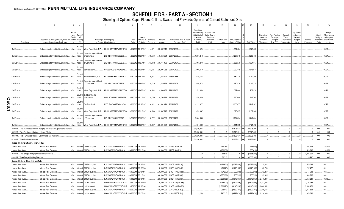## **SCHEDULE DB - PART A - SECTION 1**

|                                                             |                                                                                                                      |                                 |                                          |                                                                                             |                                     |                                               |                                    | 9                  | 10 <sup>°</sup>                                |                                                                                 | 12                                                                      | 13<br>14                                                         |                              | 17                                                | 18                                                                | 19                                                 | 20                                                              | 21                    | 22                                      |                                                                  |
|-------------------------------------------------------------|----------------------------------------------------------------------------------------------------------------------|---------------------------------|------------------------------------------|---------------------------------------------------------------------------------------------|-------------------------------------|-----------------------------------------------|------------------------------------|--------------------|------------------------------------------------|---------------------------------------------------------------------------------|-------------------------------------------------------------------------|------------------------------------------------------------------|------------------------------|---------------------------------------------------|-------------------------------------------------------------------|----------------------------------------------------|-----------------------------------------------------------------|-----------------------|-----------------------------------------|------------------------------------------------------------------|
| Description                                                 | Description of Item(s) Hedged, Used for<br>Income Generation or Replicated                                           | Sched<br>ule /<br>Exhibit<br>er | Type(s)<br>of<br>Identifi Risk(s)<br>(a) | Exchange, Counterparty<br>or Central Clearinghouse                                          | Trade<br>Date                       | Date of<br>Expiration                         | Maturity or Number of<br>Contracts | Notional<br>Amount | Strike Price, Rate of Index<br>Received (Paid) | Cumulative<br>Prior Year(s)<br>Initial Cost of<br>Premium<br>(Received)<br>Paid | <b>Current Year</b><br>Initial Cost of<br>Premium<br>(Received)<br>Paid | <b>Current Year</b><br>Book/Adjusted<br>Carrying Value<br>Income | Fair Value                   | Unrealized<br>Valuation<br>Increase<br>(Decrease) | <b>Total Foreign</b><br>Exchange<br>Change in<br><b>B./A.C.V.</b> | Current<br>Year's<br>Amortization<br>) / Accretion | <b>\djustment</b><br>to Carrying<br>Value of<br>Hedged<br>Items | Potential<br>Exposure | Credit<br>Quality<br>Referenc<br>Entity | Hedge<br>Effectiveness<br>at Inception<br>and at Year<br>end (b) |
| Call Spread                                                 | Embedded option within IUL products N/A                                                                              |                                 | ndex                                     | Wells Fargo Bank, N.A KB1H1DSPRFMYMCUFXT09. 11/15/2016 11/13/2017                           |                                     |                                               | 14,971                             | .32,362,81         | 2205 / 2356.                                   | .994,524                                                                        |                                                                         | .994,524                                                         | .1,873,588                   |                                                   |                                                                   |                                                    |                                                                 |                       |                                         | 96/96.                                                           |
| Call Spread.                                                | Embedded option within IUL products N/A                                                                              |                                 | Equity/<br>ndex                          | Canadian Imperial Bank<br>of Commerce                                                       | 2IGI19DL77OX0HC3ZE78.               | 1/22/2016 11/20/2017                          | 18,560                             | .40,653,824        | 2234 / 2388.                                   | 1,237,210                                                                       |                                                                         | 1,237,210                                                        | .2,256,175                   |                                                   |                                                                   |                                                    |                                                                 |                       |                                         | 96/97.                                                           |
| Call Spread.                                                | Embedded option within IUL products N/A                                                                              |                                 | Equity.<br>ndex                          | Canadian Imperial Bank<br>of Commerce                                                       | 2IGI19DL77OX0HC3ZE78.               | 1/29/2016 11/27/2017                          | 13,932                             | 30,771,469         | 2253 / 2407                                    | .895,270                                                                        |                                                                         | 895,270                                                          | .1,634,817                   |                                                   |                                                                   |                                                    |                                                                 |                       |                                         | 94/94.                                                           |
| Call Spread.                                                | Embedded option within IUL products N/A                                                                              |                                 | ndex                                     | Barclays Bank.                                                                              | G5GSEF7VJP5I7OUK5573                | 11/29/2016 11/28/2017                         | 13,624                             | 29,996,233         | 2246 / 2400.                                   | 900,819                                                                         |                                                                         | 900,819                                                          | .1,616,91                    |                                                   |                                                                   |                                                    |                                                                 |                       |                                         | 97/97.                                                           |
| Call Spread.                                                | Embedded option within IUL products N/A                                                                              |                                 | ndex<br>Equity.                          | Bank of America, N.A B4TYDEB6GKMZO031MB27<br>Canadian Imperial Bank                         |                                     | 12/05/2016 12/01/2017                         | 10,344                             | 22,666,497         | 2235 / 2388.                                   | .689,738                                                                        |                                                                         | 689,738                                                          | .1,240,456                   |                                                   |                                                                   |                                                    |                                                                 |                       |                                         | 97/97.                                                           |
| Call Spread.                                                | Embedded option within IUL products N/A                                                                              |                                 | ndex                                     | of Commerce                                                                                 | 2IGI19DL77OX0HC3ZE78.               | 12/07/2016 12/04/2017                         | 9,710                              | 21,429,193         | 2251 / 2406.                                   | .680,574                                                                        |                                                                         | 680,574                                                          | .1,142,235                   |                                                   |                                                                   |                                                    |                                                                 |                       |                                         | 96/96.                                                           |
| Call Spread.                                                | Embedded option within IUL products N/A                                                                              |                                 | ndex<br>Equity.                          | Wells Fargo Bank, N.A KB1H1DSPRFMYMCUFXT09.<br>Goldman Sachs                                |                                     | 12/12/2016 12/07/2017                         | 8,484                              | 19,066,433         | 2292 / 2450.                                   | 572,840                                                                         |                                                                         | 572,840                                                          | .937,958                     |                                                   |                                                                   |                                                    |                                                                 |                       |                                         | 98/98.                                                           |
| Call Spread<br>C                                            | Embedded option within IUL products N/A                                                                              |                                 | ndex<br>Equity                           | nternational                                                                                | W22LROWP2IHZNBB6K528.               | 12/14/2016 12/11/2017                         | 8,759                              | .19,796,829        | 2305 / 2464.                                   | 570,649                                                                         |                                                                         | 570,649                                                          | .943,765                     |                                                   |                                                                   |                                                    |                                                                 |                       |                                         | 96/96.                                                           |
| Call Spread<br>0<br>თ                                       | Embedded option within IUL products N/A                                                                              |                                 | ndex                                     | SunTrust Bank                                                                               | IYDOJBGJWY9T8XKCSX06.               | 12/20/2016 12/18/2017                         | .18,311                            | 41,382,494         | 2305 / 2463.                                   | .1,235,077                                                                      |                                                                         | .1,235,077                                                       | .1,942,945                   |                                                   |                                                                   |                                                    |                                                                 |                       |                                         | 97/97.                                                           |
| Call Spread                                                 | Embedded option within IUL products                                                                                  | . N/A                           | ndex<br>Equity/                          | Wells Fargo Bank, N.A KB1H1DSPRFMYMCUFXT09. 12/22/2016 12/21/2017<br>Canadian Imperial Bank |                                     |                                               | 10,589                             |                    | 23,997,215 2312 / 2470.                        | 673,037                                                                         |                                                                         | 673,037                                                          | .1,107,948                   |                                                   |                                                                   |                                                    |                                                                 |                       |                                         | 97/97.                                                           |
| Call Spread<br>Call Spread                                  | Embedded option within IUL products                                                                                  | N/A                             | ndex<br>Equity<br>ndex                   | of Commerce<br>Wells Fargo Bank, N.A KB1H1DSPRFMYMCUFXT09.                                  | 2IGI19DL77OX0HC3ZE78.               | 12/28/2016 12/26/2017<br>12/29/2016 12/28/201 | .16,772<br>10.367                  | 23,324,921         | 38,008,539 2312 / 2470.<br>2295 / 2452.        | 1,064,854<br>.681,838                                                           |                                                                         | .1,064,854<br>681,838                                            | .1,742,864<br>1,121,592      |                                                   |                                                                   |                                                    |                                                                 |                       |                                         | 95/95.<br>$7/97$ .                                               |
|                                                             | Embedded option within IUL products.<br>019999. Total-Purchased Options-Hedging Effective-Call Options and Warrants. |                                 |                                          |                                                                                             |                                     |                                               |                                    |                    |                                                | .31.526.031                                                                     |                                                                         | .31.526.031                                                      | 62.925.465                   |                                                   |                                                                   |                                                    |                                                                 |                       | <b>XXX</b>                              | <b>XXX</b>                                                       |
| 0079999. Total-Purchased Options-Hedging Effective.         |                                                                                                                      |                                 |                                          |                                                                                             |                                     |                                               |                                    |                    |                                                | .31.526.031                                                                     |                                                                         | .31.526.031                                                      | .62.925.465                  |                                                   |                                                                   |                                                    |                                                                 |                       | <b>XXX</b>                              | <b>XXX</b>                                                       |
| 0369999. Total-Purchased Options-Call Options and Warrants  |                                                                                                                      |                                 |                                          |                                                                                             |                                     |                                               |                                    |                    |                                                | 31.526.031                                                                      |                                                                         | .31,526,031                                                      | 62,925,465                   |                                                   |                                                                   |                                                    |                                                                 |                       | <b>XXX</b>                              | XXX                                                              |
| 0429999. Total-Purchased Options.                           |                                                                                                                      |                                 |                                          |                                                                                             |                                     |                                               |                                    |                    |                                                | 31,526,031                                                                      |                                                                         | .31,526,031 XX                                                   | .62,925,465                  |                                                   |                                                                   |                                                    |                                                                 |                       | <b>XXX</b>                              | XXX                                                              |
| Swaps - Hedging Effective - Interest Rate                   |                                                                                                                      |                                 |                                          |                                                                                             |                                     |                                               |                                    |                    |                                                |                                                                                 |                                                                         |                                                                  |                              |                                                   |                                                                   |                                                    |                                                                 |                       |                                         |                                                                  |
| nterest Rate Swap                                           | Interest Rate Exposure.                                                                                              | N/A                             | Interest                                 | CME Group Inc.                                                                              | KJNXBSWZVIKEX4NFOL81.               | 04/16/2015 04/20/2025                         |                                    |                    | 50,000,000 1.971/(LIBOR 3M).                   |                                                                                 |                                                                         | .222,754                                                         | (734,598).                   |                                                   |                                                                   |                                                    |                                                                 | .698,702              |                                         | 101/100.                                                         |
| nterest Rate Swap                                           | Interest Rate Exposure.                                                                                              | $N/A$                           | nterest l                                | CME Group Inc.                                                                              | KJNXBSWZVIKEX4NFOL81.               | 05/19/2015 05/21/2045                         |                                    | .20,000,000        | (LIBOR 3M)/2.761.                              |                                                                                 |                                                                         | (170,238)                                                        | (833, 610)                   |                                                   |                                                                   |                                                    |                                                                 | .528,295              |                                         | 104/103                                                          |
| 859999. Total-Swaps-Hedging Effective-Interest Rate         |                                                                                                                      |                                 |                                          |                                                                                             |                                     |                                               |                                    |                    |                                                | $\Omega$<br>$\Omega$                                                            |                                                                         | .52.516                                                          | (1,568,208<br>0 IX)<br>.0 XX |                                                   |                                                                   |                                                    |                                                                 | 1,226,997             | XXX<br><b>XXX</b>                       | XXX                                                              |
| 0909999. Total-Swaps-Hedging Effective.                     |                                                                                                                      |                                 |                                          |                                                                                             |                                     |                                               |                                    |                    |                                                |                                                                                 |                                                                         | .52,516                                                          | (1,568,208)                  |                                                   |                                                                   |                                                    |                                                                 | 1,226,997             |                                         | XXX                                                              |
| Swaps - Hedging Other - Interest Rate<br>nterest Rate Swap. | Interest Rate Exposure.                                                                                              | N/A                             | Interest                                 | CME Group Inc.                                                                              | KJNXBSWZVIKEX4NFOL81.               | 09/10/2013 09/10/2022                         |                                    | .50,000,000        | LIBOR 3M/(2.934)                               |                                                                                 |                                                                         | (462, 601)<br>(2,386,584)                                        | (2,386,584)                  | .15,821                                           |                                                                   |                                                    |                                                                 | .570,088              |                                         | 004.                                                             |
| nterest Rate Swap                                           | Interest Rate Exposure                                                                                               | N/A                             | Interes                                  | CME Group Inc.                                                                              | KJNXBSWZVIKEX4NFOL81.               | 05/15/2014 05/19/2044                         |                                    | 8,000,000          | LIBOR 3M/(3.346)                               |                                                                                 |                                                                         | (91, 223)<br>(1,278,188)                                         | (1, 278, 188)                | (68, 703)                                         |                                                                   |                                                    |                                                                 | .207,477              |                                         | 002.                                                             |
| nterest Rate Swap.                                          | Interest Rate Exposure.                                                                                              | N/A                             | Interest                                 | CME Group Inc.                                                                              | KJNXBSWZVIKEX4NFOL81.               | 05/15/2014 05/19/2044                         |                                    | 0.6,000,000        | LIBOR 3M/(3.3055)                              |                                                                                 |                                                                         | (909,269).<br>(67, 209)                                          | (909, 269)                   | (52, 269)                                         |                                                                   |                                                    |                                                                 | 155,608               |                                         | 002.                                                             |
| nterest Rate Swap                                           | Interest Rate Exposure.                                                                                              | N/A                             | nteres                                   | CME Group Ind                                                                               | KJNXBSWZVIKEX4NFOL81.               | 06/09/2014 06/11/2021                         |                                    | .60,400,000        | LIBOR 3M/(2.266)                               |                                                                                 |                                                                         | (357, 380)<br>.(963,722)                                         | (963,722)                    | (32,614                                           |                                                                   |                                                    |                                                                 | .600,265              |                                         | 004.                                                             |
| nterest Rate Swap.                                          | Interest Rate Exposure.                                                                                              | N/A                             | Interes                                  | ME Group Inc                                                                                | KJNXBSWZVIKEX4NFOL81.               | 09/11/2014 09/15/2044                         |                                    | .25,000,000        | LIBOR 3M/(3.253)                               |                                                                                 |                                                                         | (3, 546, 807)<br>(269,609).                                      | (3, 546, 807)                | (3,546,807)                                       |                                                                   |                                                    |                                                                 | .652,281              |                                         | 99/70.                                                           |
| nterest Rate Swap.                                          | Interest Rate Exposure.                                                                                              | N/A                             | Interest                                 | <b>LCH Clearnet</b>                                                                         | WAM6YERMS7OXFZUOY219                | 11/17/2015 11/19/2045                         |                                    | 120,000,000        | LIBOR 3M/(2.6365)                              |                                                                                 |                                                                         | .(945,017<br>(2,622,405)                                         | (2,622,405)                  | (1,341,094).                                      |                                                                   |                                                    |                                                                 | 3,197,962             |                                         | 004                                                              |
| nterest Rate Swap                                           | Interest Rate Exposure.                                                                                              | N/A                             | nteres                                   | <b>LCH Clearne</b>                                                                          | WAM6YERMS7OXFZUOY219<br>11/17/201   | 11/19/204                                     |                                    | 130,000,000        | LIBOR 3M/(2.6475)                              |                                                                                 |                                                                         | (1,030,878)<br>(3, 143, 998)                                     | (3, 143, 998)                | (1,448,651                                        |                                                                   |                                                    |                                                                 | .3,464,458            |                                         | 004                                                              |
| nterest Rate Swap                                           | Interest Rate Exposure.                                                                                              | N/A                             | nterest                                  | CME Group Inc.                                                                              | KJNXBSWZVIKEX4NFOL81.<br>02/05/2016 | 02/09/203                                     |                                    | .210,000,000       | 2.037/(LIBOR 3M)                               |                                                                                 |                                                                         | 1,023,017<br>(9,592,701)                                         | (9,592,701                   | .2,356,157                                        |                                                                   |                                                    |                                                                 | 3,875,328             |                                         |                                                                  |
| nterest Rate Swap.                                          | Interest Rate Exposure.                                                                                              | N/A                             | <b>teres</b>                             | <b>LCH Clearnet</b>                                                                         | WAM6YERMS7OXFZUOY219<br>06/27/201   | 06/23/203                                     |                                    | 100,000,000        | 1.585/(LIBOR 3M)                               | (2.248)                                                                         |                                                                         | .240,313<br>(9,997,059).                                         | (9.997.059)                  | .1,326,084                                        |                                                                   |                                                    |                                                                 | 1.870.096             |                                         |                                                                  |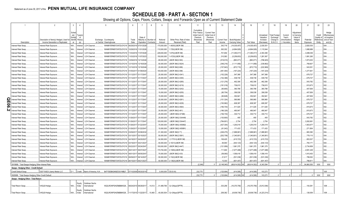## **SCHEDULE DB - PART A - SECTION 1**

|                                                                                          | $\mathfrak{D}$                         | $\mathbf{3}$              | $\overline{4}$                   |                                     | 5                              | 6                     |                        | 8         | $\mathbf{q}$          | 10 <sup>10</sup>            | 11                                                                     | 12                                                             | 13                  | 14             | 16             | 17                                  | 18                                           | 19                                | 20                                              | 21         | 22                                   | 23                                                    |
|------------------------------------------------------------------------------------------|----------------------------------------|---------------------------|----------------------------------|-------------------------------------|--------------------------------|-----------------------|------------------------|-----------|-----------------------|-----------------------------|------------------------------------------------------------------------|----------------------------------------------------------------|---------------------|----------------|----------------|-------------------------------------|----------------------------------------------|-----------------------------------|-------------------------------------------------|------------|--------------------------------------|-------------------------------------------------------|
|                                                                                          | Description of Item(s) Hedged, Used fo | Schec<br>ule /<br>Exhibit | Type(s<br>of<br>Identifi Risk(s) |                                     | Exchange, Counterparty         | Trade                 | Date of<br>Maturity or | Number o  | Notional              | Strike Price, Rate of Index | Cumulative<br>Prior Year(s)<br>Initial Cost o<br>Premium<br>(Received) | <b>Current Yea</b><br>Initial Cost of<br>Premium<br>(Received) | <b>Current Year</b> | Book/Adjusted  |                | Unrealized<br>Valuation<br>Increase | <b>Total Foreig</b><br>Exchange<br>Change in | Current<br>Year's<br>Amortization | Adjustment<br>to Carrying<br>Value of<br>Hedged | Potential  | Credit<br>Quality<br><b>Referenc</b> | Hedge<br>:ffectiveness<br>at Inception<br>and at Year |
| Description                                                                              | Income Generation or Replicated        | er                        | (a)                              |                                     | or Central Clearinghouse       | Date                  | Expiration             | Contracts | Amount                | Received (Paid)             | Paid                                                                   | Paid                                                           | Income              | Carrying Value | Fair Value     | (Decrease)                          | <b>B./A.C.V.</b>                             | / Accretion                       | Items                                           | Exposure   | Entity                               | end(b)                                                |
| terest Rate Swap                                                                         | Interest Rate Exposure.                | N/A                       | Interest                         | <b>LCH Clearnet</b>                 | WAM6YERMS7OXFZUOY219           | 06/29/2016 07/01/2028 |                        |           | 170,000,000           | .4835/(LIBOR 3M)            |                                                                        |                                                                | 343,718             | (14, 035, 457) | (14, 035, 457) | .2,030,551                          |                                              |                                   |                                                 | 2,820,535  |                                      | 04.                                                   |
| nterest Rate Swap.                                                                       | Interest Rate Exposure.                | N/A                       | Interes                          | <b>LCH Clearnet</b>                 | WAM6YERMS7OXFZUOY219           | 10/28/201             | 11/01/2026             |           | 110,500,000           | .725/(LIBOR 3M)             |                                                                        |                                                                | .363,302            | (4,864,929)    | .(4,864,929    | .1,115,944                          |                                              |                                   |                                                 | .1,688,989 |                                      | በበ4                                                   |
| nterest Rate Swap                                                                        | Interest Rate Exposure.                | N/A                       | nteres                           | <b>LCH Clearnet</b>                 | WAM6YERMS7OXFZUOY219           | 11/03/20              | 11/07/2020             |           | .228,000,000          | 1.675/(LIBOR 3M)            |                                                                        |                                                                | 701,654             | 11,050,017     | (11,050,017    | .2,353,380                          |                                              |                                   |                                                 | .3,488,036 |                                      | 004.                                                  |
| nterest Rate Swap                                                                        | Interest Rate Exposure.                | N/A                       | nteres                           | LCH Clearne                         | WAM6YERMS7OXFZUOY219           | 11/03/201             | 1/07/2023              |           | .150,000,000          | 1.4725/(LIBOR 3M)           |                                                                        |                                                                | .310,583            | (5,259,653)    | (5,259,653)    | .1,281,567                          |                                              |                                   |                                                 | 1,891,265  |                                      | 004.                                                  |
| nterest Rate Swap.                                                                       | Interest Rate Exposure.                | N/A.                      | nteres                           | LCH Clearnet                        | WAM6YERMS7OXFZUOY219           | 12/09/20              | 12/13/204              |           | .69,000,000           | LIBOR 3M/(2.593)            |                                                                        |                                                                | .(519,915           | (883,071       | (883,07)       | (786,925                            |                                              |                                   |                                                 | 1,873,003  |                                      | 004.                                                  |
| terest Rate Swap                                                                         | nterest Rate Exposure.                 | N/A                       | Interes                          | <b>LCH Clearnet</b>                 | WAM6YERMS7OXFZUOY219           | 12/15/20              | 12/19/2020             |           | .50,000,000           | LIBOR 3M/(2.5024)           |                                                                        |                                                                | (348,216            | (1, 111, 956)  | (1, 111, 956)  | .(339,862                           |                                              |                                   |                                                 | .769,607   |                                      | 004.                                                  |
| nterest Rate Swap                                                                        | nterest Rate Exposure.                 | N/A                       | nteres                           | LCH Clearne                         | WAM6YERMS7OXFZUOY219           | 12/15/201             | 12/19/204              |           | .20,000,000           | LIBOR 3M/(2.689)            |                                                                        |                                                                | (157, 843)          | (672, 715)     | .(672,715      | (222, 969)                          |                                              |                                   |                                                 | .543,051   |                                      | 004.                                                  |
| nterest Rate Swap                                                                        | Interest Rate Exposure.                | N/A                       | Interes                          | LCH Clearnet                        | WAM6YERMS7OXFZUOY219           | 01/05/201             | 01/09/2024             |           | 100,000,000           | LIBOR 3M/(2.098)            |                                                                        |                                                                | (481,464)           | (167, 224)     | (167,224       | .(167,224).                         |                                              |                                   |                                                 | 1,277,841  |                                      | 004.                                                  |
| nterest Rate Swap                                                                        | Interest Rate Exposure.                | N/A                       | nteres                           | <b>LCH Clearne</b>                  | WAM6YERMS7OXFZUOY219           | 01/12/201             | 01/17/204              |           | .25,000,000           | LIBOR 3M/(2.4341)           |                                                                        |                                                                | (152,229).          | 547,368        | .547,368       | 547,368                             |                                              |                                   |                                                 | .679,727   |                                      | 002.                                                  |
| nterest Rate Swap                                                                        | Interest Rate Exposure.                | N/A                       | nteres                           | <b>LCH Clearnet</b>                 | WAM6YERMS7OXFZUOY219           | 01/12/201             | 01/17/204              |           | .25,000,000           | IBOR 3M/(2.4355)            |                                                                        |                                                                | (152,388).          | 539,739        | .539,739       | 539,739                             |                                              |                                   |                                                 | .679,727   |                                      | 002.                                                  |
| terest Rate Swap                                                                         | Interest Rate Exposure.                | N/A                       | nteres                           | LCH Clearne                         | WAM6YERMS7OXFZUOY219           | 01/12/201             | 01/17/204              |           | .20,000,000           | LIBOR 3M/(2.4285)           |                                                                        |                                                                | (121,276).          | 462,306        | .462,306       | .462,306                            |                                              |                                   |                                                 | .543,782   |                                      | 002.                                                  |
| nterest Rate Swap.                                                                       | Interest Rate Exposure.                | N/A                       | nteres                           | <b>LCH Clearnet</b>                 | WAM6YERMS7OXFZUOY219           | 01/12/201             | 01/17/204              |           | .30,000,000           | LIBOR 3M/(2.4219)           |                                                                        |                                                                | (181,018).          | 736,615        | .736,615       | 736,615                             |                                              |                                   |                                                 | .815,673   |                                      | 002.                                                  |
| nterest Rate Swap                                                                        | nterest Rate Exposure.                 | N/A                       | Interes                          | <b>LCH Clearne</b>                  | WAM6YERMS7OXFZUOY219           | 01/12/201             | 01/17/204              |           | 15,000,000            | LIBOR 3M/(2.4242)           |                                                                        |                                                                | (90,665)            | .360,788       | .360,788       | .360,788                            |                                              |                                   |                                                 | 407,836    |                                      | 002.                                                  |
| nterest Rate Swap                                                                        | Interest Rate Exposure.                | N/A                       | nteres                           | LCH Clearne                         | WAM6YERMS7OXFZUOY219           | 01/12/201             | 01/17/204              |           | .15,000,000           | LIBOR 3M/(2.4255)           |                                                                        |                                                                | (90, 754)           | .356,538       | .356,538       | 356,538                             |                                              |                                   |                                                 | 407,836    |                                      | 002.                                                  |
| nterest Rate Swap                                                                        | Interest Rate Exposure.                | N/A                       | nteres                           | <b>LCH Clearnet</b>                 | WAM6YERMS7OXFZUOY219           | 01/12/201             | 01/17/204              |           | .15,000,000           | IBOR 3M/(2.4266)            |                                                                        |                                                                | .(90,828).          | .352,941       | .352,941       | .352,941                            |                                              |                                   |                                                 | 407,836    |                                      | 002                                                   |
| C<br>nterest Rate Swap                                                                   | Interest Rate Exposure.                | N/A                       | nteres                           | <b>LCH Clearne</b>                  | WAM6YERMS7OXFZUOY219           | 01/12/201             | 01/17/204              |           | .25,000,000           | LIBOR 3M/(2.4261)           |                                                                        |                                                                | (151,324).          | .590,960       | .590,960       | 590,960                             |                                              |                                   |                                                 | .679,727   |                                      | 002                                                   |
| nterest Rate Swap<br>0                                                                   | Interest Rate Exposure.                | N/A                       | nteres                           | LCH Clearnet                        | WAM6YERMS7OXFZUOY219           | 01/12/201             | 01/17/204              |           | .25,000,000           | LIBOR 3M/(2.4229)           |                                                                        |                                                                | (150, 962)          | .608,397       | .608,397       | 608,397                             |                                              |                                   |                                                 | .679,727   |                                      | 002                                                   |
| တ<br>terest Rate Swap                                                                    | Interest Rate Exposure.                | N/A                       | nteres                           | <b>LCH Clearnet</b>                 | WAM6YERMS7OXFZUOY219           | 01/12/201             | 01/17/204              |           | .30,000,000           | LIBOR 3M/(2.4564)           |                                                                        |                                                                | (185, 704)          | 511,025        | .511,025       | 511,025                             |                                              |                                   |                                                 | .815,673   |                                      | 002                                                   |
| v<br>nterest Rate Swap                                                                   | Interest Rate Exposure.                | N/A                       | nteres                           | <b>LCH Clearnet</b>                 | WAM6YERMS7OXFZUOY219           | 01/12/201             | 01/17/204              |           | .30,000,000           | LIBOR 3M/(2.461)            |                                                                        |                                                                | (186, 329)          | .480,947       | .480,947       | 480,947                             |                                              |                                   |                                                 | .815,673   |                                      | 002.                                                  |
| nterest Rate Swap                                                                        | Interest Rate Exposure.                | N/A                       | Interes                          | LCH Clearne                         | WAM6YERMS7OXFZUOY219 01/12/201 |                       | 01/17/204              |           | .25,000,000           | LIBOR 3M/(2.47386)          |                                                                        |                                                                | (156, 730)          | .330,714       | .330,714       | .330,714                            |                                              |                                   |                                                 | .679,727   |                                      | 002.                                                  |
| nterest Rate Swap                                                                        | Interest Rate Exposure.                | N/A                       | nteres                           | LCH Clearne                         | WAM6YERMS7OXFZUOY219           | 01/26/201             | 01/17/204              |           | .20,000,000           | LIBOR 3M/(2.534448)         |                                                                        |                                                                | (130,800)           | .455           | 455            | .455                                |                                              |                                   |                                                 | .543,782   |                                      | 002                                                   |
| nterest Rate Swap                                                                        | Interest Rate Exposure.                | N/A                       | Interes                          | LCH Clearnet                        | WAM6YERMS7OXFZUOY219           | 01/26/201             | 01/17/204              |           | 120,000,000           | LIBOR 3M/(2.534447)         |                                                                        |                                                                | (784, 801)          | .2,754         | .2,754         | .2,754                              |                                              |                                   |                                                 | 3,262,69   |                                      | 002                                                   |
| nterest Rate Swap                                                                        | Interest Rate Exposure.                | N/A                       | nteres                           | <b>LCH Clearnet</b>                 | WAM6YERMS7OXFZUOY219           | 01/26/201             | 01/22/204              |           | .70,000,000           | LIBOR 3M/(2.455892)         |                                                                        |                                                                | (427, 304)          | 1,200,019      | 1,200,019      | .1,200,019                          |                                              |                                   |                                                 | 1,903,677  |                                      | 002.                                                  |
| nterest Rate Swap.                                                                       | Interest Rate Exposure.                | N/A.                      | nteres                           | LCH Clearnet                        | WAM6YERMS7OXFZUOY219           | 01/26/201             | 01/22/204              |           | .10,000,000           | LIBOR 3M/(2.455891)         |                                                                        |                                                                | (61,043)            | 171,433        | .171,433       | 171,433                             |                                              |                                   |                                                 | .271,954   |                                      | 002.                                                  |
| nterest Rate Swap                                                                        | nterest Rate Exposure.                 | N/A                       | Interes                          | <b>LCH Clearnet</b>                 | WAM6YERMS7OXFZUOY219           | 03/09/201             | 03/08/2032             |           | 51,300,000            | LIBOR 3M/(2.71)             |                                                                        |                                                                | (249, 275)          | (1,888,961)    | (1,888,961     | (1,888,961).                        |                                              |                                   |                                                 | .983,390   |                                      | 004.                                                  |
| nterest Rate Swap                                                                        | Interest Rate Exposure.                | N/A                       | nteres                           | LCH Clearne                         | WAM6YERMS7OXFZUOY219           | 03/13/201             | 03/15/202              |           | .50,000,000           | LIBOR 3M/(2.5591)           |                                                                        |                                                                | (202, 708)          | (1,340,801)    | (1,340,80)     | (1,340,801                          |                                              |                                   |                                                 | .779,115   |                                      | 004.                                                  |
| nterest Rate Swap                                                                        | Interest Rate Exposure.                | N/A                       | Interes                          | LCH Clearnet                        | WAM6YERMS7OXFZUOY219           | 04/18/201             | 04/20/202              |           | .54,500,000           | 2.17701/(LIBOR 3M)          |                                                                        |                                                                | .106,425            | (415, 723)     | .(415,723      | (415,723)                           |                                              |                                   |                                                 | .853,537   |                                      | 004.                                                  |
| nterest Rate Swap                                                                        | Interest Rate Exposure.                | N/A                       | nteres                           | <b>LCH Clearne</b>                  | WAM6YERMS7OXFZUOY219           | 04/19/201             | 04/21/202              |           | .50,000,000           | 2.1631/(LIBOR 3M)           |                                                                        |                                                                | .94,940             | (444, 123)     | (444, 123)     | (444, 123)                          |                                              |                                   |                                                 | .783,171   |                                      | 004                                                   |
| nterest Rate Swap                                                                        | Interest Rate Exposure                 | N/A                       | nteres                           | <b>LCH Clearne</b>                  | WAM6YERMS7OXFZUOY219           | 05/22/201             | 05/24/204              |           | 100,000,000           | LIBOR 3M/(2.4447)           |                                                                        |                                                                | (121,959).          | .1,961,375     | 1,961,375      | .1,961,375                          |                                              |                                   |                                                 | .2,734,859 |                                      | 002.                                                  |
| terest Rate Swap                                                                         | Interest Rate Exposure.                | N/A                       | nteres                           | LCH Clearne                         | WAM6YERMS7OXFZUOY219           | 06/01/201             | 06/07/2021             |           | 170,700,000           | 2.1595/(LIBOR 3M)           |                                                                        |                                                                | 111,600             | (1,677,488)    | (1,677,488     | (1,677,488)                         |                                              |                                   |                                                 | .2,691,229 |                                      | 004.                                                  |
| nterest Rate Swap.                                                                       |                                        | N/A                       |                                  | <b>LCH Clearnet</b>                 | WAM6YERMS7OXFZUOY219           | 06/01/201             | 06/05/204              |           | .70,000,000           | LIBOR 3M/(2.433)            |                                                                        |                                                                | (59,060)            | 1,556,418      | .1,556,418     | .1,556,418                          |                                              |                                   |                                                 | 1,915,453  |                                      | 004.                                                  |
|                                                                                          | Interest Rate Exposure.                |                           | nteres                           |                                     |                                |                       |                        |           |                       |                             |                                                                        |                                                                |                     |                |                |                                     |                                              |                                   |                                                 |            |                                      | 004                                                   |
| nterest Rate Swap                                                                        | nterest Rate Exposure.                 | N/A                       | nteres                           | LCH Clearnet                        | WAM6YERMS7OXFZUOY219           | 06/09/20              | 06/14/202              |           | .50,000,000           | 2.152/(LIBOR 3M)            |                                                                        |                                                                | .21,617<br>.13.303  | (531,036)      | .(531,036      | (531,036)                           |                                              |                                   |                                                 | .789,052   |                                      | 004.                                                  |
| nterest Rate Swap                                                                        | <b>Interest Rate Exposure</b>          | N/A.                      | nteres                           | <b>LCH Clearnet</b>                 | WAM6YERMS7OXFZUOY219           | 06/15/201             | 06/21/202              |           | .50,000,000           | 2.1382/(LIBOR 3M)           |                                                                        |                                                                |                     | (601, 457)     | (601, 457)     | (601,457                            |                                              |                                   |                                                 | .789,811   | <b>XXX</b>                           |                                                       |
| 0919999. Total-Swaps-Hedging Other-Interest Rate.                                        |                                        |                           |                                  |                                     |                                |                       |                        |           |                       |                             | (2.248)                                                                |                                                                | (5.148.040          | (68.614.552)   | (68.614.552    | 6.343.594                           |                                              |                                   |                                                 | 54.860.555 |                                      | <b>XXX</b>                                            |
| Swaps - Hedging Other - Credit Default<br>Credit Default Swap.                           | 530715AD3 Liberty Media LLC            | D <sub>1</sub> .          | Credit.                          | Bank of America, N.A.               | B4TYDEB6GKMZO031MB27.          | 07/10/2009 09/20/201  |                        |           | $5.000.000$ CE/(5.00) |                             | .232.770                                                               |                                                                | (125.694            | (414.595)      | .(414.595      | 103.273                             |                                              |                                   |                                                 |            |                                      | 005                                                   |
|                                                                                          |                                        |                           |                                  |                                     |                                |                       |                        |           |                       |                             | 232,770                                                                |                                                                | (125,694)           | $(414.595)$ XX | (414.595       | 103.273                             |                                              |                                   |                                                 |            | <b>XXX</b>                           | <b>XXX</b>                                            |
| 929999. Total-Swaps-Hedging Other-Credit Default<br>Swaps - Hedging Other - Total Return |                                        |                           |                                  |                                     |                                |                       |                        |           |                       |                             |                                                                        |                                                                |                     |                |                |                                     |                                              |                                   |                                                 |            |                                      |                                                       |
| <b>Total Return Swap</b>                                                                 | VAGLB Hedge                            | N/A                       | Equity<br>Index                  | <b>Goldman Sachs</b><br>nternationa | W22LROWP2IHZNBB6K528           |                       | 08/24/2015 08/29/2017  | 14,512    | 51,489,766            | 3L+24bps/(SPTR)             |                                                                        |                                                                | .333,256            | (16, 370, 756) | .(16,370,756)  | (5,812,546)                         |                                              |                                   |                                                 | 104,38     |                                      | 008.                                                  |
| <b>Total Return Swap</b>                                                                 | <b>VAGLB Hedge</b>                     | N/A.                      | Equity<br>ndex                   | Goldman Sachs<br>nternational       | W22LROWP2IHZNBB6K528           |                       | 1/17/2015 11/22/2017   | .10.460   | .40.000.504           | 3L+24bps/(SPTF              |                                                                        |                                                                | 258.362             | (8.938.738)    | (8.938.738)    | (4.223.214                          |                                              |                                   |                                                 | 126.059    |                                      | 008                                                   |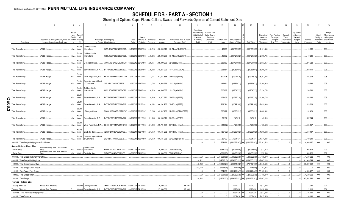## **SCHEDULE DB - PART A - SECTION 1**

|        |                                                  | $\mathfrak{D}$                             | 3<br>$\overline{4}$                                               | -5                                                             | 6          |                       | $\mathbf{g}$          | $\mathbf{q}$ | 10                          | 11                                                                      | 12                                                              | 13           | 14             | 16             | 17                                  | 18                                            | 19                                 | $20\,$                                          | 21          | 22                                | 23                                                     |
|--------|--------------------------------------------------|--------------------------------------------|-------------------------------------------------------------------|----------------------------------------------------------------|------------|-----------------------|-----------------------|--------------|-----------------------------|-------------------------------------------------------------------------|-----------------------------------------------------------------|--------------|----------------|----------------|-------------------------------------|-----------------------------------------------|------------------------------------|-------------------------------------------------|-------------|-----------------------------------|--------------------------------------------------------|
|        |                                                  | Description of Item(s) Hedged, Used fo     | Sched<br>ule /<br>Type(s)<br>Exhibit<br>of<br>Identifi<br>Risk(s) | Exchange, Counterparty                                         | Trade      | Date of               | Maturity or Number of | Notional     | Strike Price, Rate of Index | Cumulative<br>Prior Year(s)<br>Initial Cost of<br>Premium<br>(Received) | <b>Current Year</b><br>Initial Cost of<br>Premium<br>(Received) | Current Year | Book/Adjusted  |                | Unrealized<br>Valuation<br>Increase | <b>Total Foreign</b><br>Exchange<br>Change in | Current<br>Year's<br>(Amortization | Adjustment<br>to Carrying<br>Value of<br>Hedged | Potential   | Credit<br>Quality of<br>Reference | Hedge<br>Effectiveness<br>at Inception<br>and at Year- |
|        | Description                                      | Income Generation or Replicated            | er<br>(a)                                                         | or Central Clearinghouse                                       | Date       | Expiration            | Contracts             | Amount       | Received (Paid)             | Paid                                                                    | Paid                                                            | Income       | Carrying Value | Fair Value     | (Decrease)                          | B./A.C.V.                                     | / Accretion                        | Items                                           | Exposure    | Entity                            | end (b)                                                |
|        | Total Return Swap.                               | /AGLB Hedge.                               | Equity<br>N/A<br>Index                                            | Goldman Sachs<br>International<br>W22LROWP2IHZNBB6K528.        | 2/02/2016  | 02/07/201             | 6,215                 | .30,000,949  | 3L-74bps/(RU20INTR).        |                                                                         |                                                                 | 46,066       | (13,193,969)   | (13,193,969)   | (2, 101, 444)                       |                                               |                                    |                                                 | 116,986     |                                   | 008.                                                   |
|        | Total Return Swap.                               | VAGLB Hedge.                               | Equity<br>N/A<br>Index                                            | Goldman Sachs<br>nternational<br>W22LROWP2IHZNBB6K528.         | 2/03/2016  | 02/08/201             | 6,205                 | .29,998,259  | 3L-74bps/(RU20INTR)         |                                                                         |                                                                 | 46,692       | .(13,127,282)  | (13, 127, 282) | (2,098,735)                         |                                               |                                    |                                                 | 117,239     |                                   | 008                                                    |
|        | Total Return Swap.                               | VAGLB Hedge                                | Equity<br>N/A<br>Index                                            | 7H6GLXDRUGQFU57RNE97<br>JPMorgan Chase                         | )2/08/2016 | 02/13/2018            | 20,161                | .69,999,969  | 3L+6bps/(SPTR)              |                                                                         |                                                                 | .388.080     | .(24,467,960)  | (24,467,960)   | (8,083,457)                         |                                               |                                    |                                                 | .276,623    |                                   | 008                                                    |
|        | Total Return Swap.                               | VAGLB Hedge.                               | Equity<br>N/A<br>Index                                            | Bank of America, N.A B4TYDEB6GKMZO031MB27.                     | 08/26/2016 | 08/28/2018            | 0.9,028               | .48,267,209  | 3L+4.5bps/(XNDX)            |                                                                         |                                                                 | .263,581     | (9,253,691     | (9,253,691)    | (8,266,194)                         |                                               |                                    |                                                 | .260,111    |                                   | 008.                                                   |
|        | Total Return Swap.                               | VAGLB Hedge.                               | Equity<br>N/A<br>Index                                            | Wells Fargo Bank, N.A KB1H1DSPRFMYMCUFXT09.                    | 11/07/2016 | 11/13/2018            | .12,784               | 51,881,358   | 3L+11bps/(SPTR)             |                                                                         |                                                                 | .300,478     | (7,924,929)    | (7,924,929)    | (5, 107, 852)                       |                                               |                                    |                                                 | 303,916     |                                   | 008.                                                   |
|        | Total Return Swap.                               | VAGLB Hedge                                | Equity<br>N/A<br>Index                                            | Canadian Imperial Bank<br>of Commerce<br>2IGI19DL77OX0HC3ZE78. | 2/02/2016  | 12/07/201             | 3,763                 | 24,963,526   | 3L+21bps/(XNDX)             |                                                                         |                                                                 | 142,681      | (3,886,071)    | .(3,886,071    | (3,360,919)                         |                                               |                                    |                                                 | 149,696     |                                   | 008.                                                   |
|        | Total Return Swap.                               | VAGLB Hedge.                               | Equity<br>N/A<br>Index                                            | Goldman Sachs<br>W22LROWP2IHZNBB6K528<br>nternational          | 02/01/2017 | 02/06/201             | .10,528               | .60,885,635  | 3L+17bps/(XNDX)             |                                                                         |                                                                 | .306,982     | (6,254,753)    | (6, 254, 753)  | (6, 254, 753)                       |                                               |                                    |                                                 | 236,883     |                                   | 008.                                                   |
|        | Total Return Swap.                               | VAGLB Hedge.                               | Equity<br>N/A<br>Index                                            | B4TYDEB6GKMZO031MB27.<br>Bank of America, N.A                  | 2/22/2017  | 08/27/201             | 8,540                 | .38,677,370  | 3L+22bps/(SPTR)             |                                                                         |                                                                 | 173,409      | (1,266,710)    | (1,266,710)    | (1,266,710)                         |                                               |                                    |                                                 | 208,186     |                                   | 008.                                                   |
| QE06.3 | otal Return Swap.                                | VAGLB Hedge.                               | Equity<br>N/A<br>Index                                            | Bank of America, N.A B4TYDEB6GKMZO031MB27.                     | 02/22/2017 | 02/27/2019            | 14,154                | 64,102,985   | 3L+23bps/(SPTR)             |                                                                         |                                                                 | .289,594     | (2,099,309)    | (2,099,309)    | (2,099,309)                         |                                               |                                    |                                                 | 413,329     |                                   | 008.                                                   |
|        | otal Return Swap.                                | VAGLB Hedge.                               | Equity<br>N/A<br>Index                                            | 7H6GLXDRUGQFU57RNE97<br>JPMorgan Chase                         | 02/23/2017 | 08/29/201             | 7,266                 | .49,047,186  | 3L+88bps/(GDDUEAFE)         |                                                                         |                                                                 | .325,077     | .(4,680,931    | (4,680,931     | .(4,680,931                         |                                               |                                    |                                                 | .99,429     |                                   | 008.                                                   |
|        | Total Return Swap.                               | VAGLB Hedge                                | Equity<br>N/A<br>Index                                            | Bank of America, N.A B4TYDEB6GKMZO031MB27                      | 06/06/2017 | 06/11/2019            | 21,349                | .100,000,013 | 3L+31bps/(SPTR)             |                                                                         |                                                                 | .89,192      | 145,318        | 145,318        | .145,318                            |                                               |                                    |                                                 | .697,844    |                                   | 008.                                                   |
|        | Total Return Swap.                               | VAGLB Hedge                                | Equity<br>N/A<br>Index                                            | Wells Fargo Bank, N.A KB1H1DSPRFMYMCUFXT09.                    | 06/06/2017 | 06/11/2018            | 21,290                | .99,721,551  | SPTR/(3L+30bps)             |                                                                         |                                                                 | (88, 362)    | (123,598)      | (123,598)      | (123,598)                           |                                               |                                    |                                                 | 485,457     |                                   | 008.                                                   |
|        | Total Return Swap.                               | VAGLB Hedge.                               | Equity<br>N/A<br>Index                                            | Deutsche Bank.<br>7LTWFZYICNSX8D621K86                         | 06/19/2017 | 12/24/2018            | 21,150                | .100,134,252 | SPTR/(3L+35bps)             |                                                                         |                                                                 | (36, 432)    | (1,200,602)    | (1,200,602)    | (1,200,602)                         |                                               |                                    |                                                 | .610,107    |                                   | 008.                                                   |
|        | Total Return Swap.                               | <b>VAGLB Hedge</b>                         | Equity<br>Index                                                   | Canadian Imperial Bank<br>of Commerce<br>2IGI19DL77OX0HC3ZE78  | 06/19/2017 | 2/24/2019             | .21,150               | 100,134,252  | 3L+30.5bps/(SPTR)           |                                                                         |                                                                 | .35.430      | 1.371.434      | 1.371.434      | .1.371.434                          |                                               |                                    |                                                 | 789,241     |                                   | 008                                                    |
|        | 0949999. Total-Swaps-Hedging Other-Total Return  |                                            |                                                                   |                                                                |            |                       |                       |              |                             |                                                                         |                                                                 | 2.874.08     | 111.272.547)   | (111.272.547   | (53.163.513                         |                                               |                                    |                                                 | 4.995.487   | <b>XXX</b>                        | <b>XXX</b>                                             |
|        | Swaps - Hedging Other - Other<br>Inflation Swap. | <b>Rate Zero Codi</b>                      | N/A<br>Inflation                                                  | E58DKGMJYYYJLN8C3868.<br>International                         |            | 4/25/2013 04/29/2023  |                       | .75,000,000  | CPURNSA/(2.66).             |                                                                         |                                                                 | (938,773)    | (5,294,009)    | (5,294,009)    | .(477, 876)                         |                                               |                                    |                                                 | .905,676    |                                   | 009.                                                   |
|        | nflation Swap.                                   | Swap<br>imialiun-riualing Rate zeru Guupun |                                                                   | 7LTWFZYICNSX8D621K86.<br>Inflation I Deutsche Bank             |            | 04/26/2013 04/30/2023 |                       | 50.000.000   | CPURNSA/(2.64)              |                                                                         |                                                                 | .(620.295    | (3,468,230)    | .(3.468.230    | (272, 594)                          |                                               |                                    |                                                 | 603.926     |                                   | 009.                                                   |
|        | 0959999. Total-Swaps-Hedging Other-Other         |                                            |                                                                   |                                                                |            |                       |                       |              |                             |                                                                         |                                                                 | (1.559.068   | (8,762,239)    | (8,762,239)    | (750, 470)                          |                                               |                                    |                                                 | 1.509.602   | <b>XXX</b>                        | <b>XXX</b>                                             |
|        | 0969999. Total-Swaps-Hedging Other               |                                            |                                                                   |                                                                |            |                       |                       |              |                             | 230.522                                                                 |                                                                 | . (3.958.716 | 189.063.933    | (189.063.933   | 47.467.116                          |                                               | $\sqrt{ }$                         |                                                 | 61.365.644  | <b>XXX</b>                        | <b>XXX</b>                                             |
|        | 1159999. Total-Swaps-Interest Rate               |                                            |                                                                   |                                                                |            |                       |                       |              |                             | (2.248)                                                                 | $\Omega$                                                        | .(5.095.524  | (68.614.552)   | (70.182.760    | .6.343.594                          | $\Omega$                                      | $\mathbf{0}$                       |                                                 | .56.087.552 | <b>XXX</b>                        | <b>XXX</b>                                             |
|        | 1169999. Total-Swaps-Credit Default              |                                            |                                                                   |                                                                |            |                       |                       |              |                             | .232,770                                                                | $\Omega$                                                        | (125,694     | (414,595)      | (414, 595)     | .103,273                            | $\overline{0}$                                | $\sqrt{ }$                         | $\bigcap$                                       |             | <b>XXX</b>                        | <b>XXX</b>                                             |
|        | 1189999. Total-Swaps-Total Return.               |                                            |                                                                   |                                                                |            |                       |                       |              |                             |                                                                         |                                                                 | 2.874.086    | (111.272.547)  | (111.272.547   | 53.163.513                          | $\sqrt{ }$                                    |                                    |                                                 | 4.995.487   | <b>XXX</b>                        | <b>XXX</b>                                             |
|        | 1199999. Total-Swaps-Other.                      |                                            |                                                                   |                                                                |            |                       |                       |              |                             |                                                                         |                                                                 | (1.559.068   | (8,762,239).   | (8.762.239     | (750,470                            |                                               |                                    |                                                 | 1.509.602   | <b>XXX</b>                        | <b>XXX</b>                                             |
|        | 1209999. Total-Swaps.                            |                                            |                                                                   |                                                                |            |                       |                       |              |                             | .230.522                                                                |                                                                 | (3.906.200   | (189.063.933)  | (190.632.141)  | (47.467.116                         |                                               |                                    |                                                 | 62.592.641  | XXX                               | <b>XXX</b>                                             |
|        | Forwards - Hedging Other                         |                                            |                                                                   |                                                                |            |                       |                       |              |                             |                                                                         |                                                                 |              |                |                |                                     |                                               |                                    |                                                 |             |                                   |                                                        |
|        | Treasury Price Lock                              | Interest Rate Exposure.                    | D 1<br>Interest                                                   | 7H6GLXDRUGQFU57RNE97.<br>JPMorgan Chase.                       | 02/14/2017 | 02/20/201             |                       | .19,200,000  | 96.5992                     |                                                                         |                                                                 |              | 1,011,332      | .1,011,332     | 1,011,332                           |                                               |                                    |                                                 | .77,030     |                                   | $004$ .                                                |
|        | Treasury Price Lock                              | Interest Rate Exposure.                    | $D_1$                                                             | B4TYDEB6GKMZO031MB27<br>Interest Bank of America, N.A          | 04/06/2017 | 04/10/201             |                       | .27,460,000  | 97.9803                     |                                                                         |                                                                 |              | .1.026.096     | .1.026.096     | .1.026.096                          |                                               |                                    |                                                 | 121.111     |                                   | 004.                                                   |
|        | 12229999. Total-Forwards-Hedging Other.          |                                            |                                                                   |                                                                |            |                       |                       |              |                             |                                                                         | $\Omega$                                                        |              | .2,037,428     | .2,037,428     | 2,037,428                           |                                               |                                    |                                                 | 198,141     | XXX                               | <b>XXX</b>                                             |
|        | 1269999. Total-Forwards.                         |                                            |                                                                   |                                                                |            |                       |                       |              |                             |                                                                         | $\cap$                                                          |              | .2.037.428     | .2.037.428     | 2.037.428                           |                                               |                                    |                                                 | 198.141     | <b>XXX</b>                        | <b>XXX</b>                                             |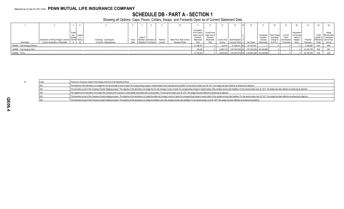## **SCHEDULE DB - PART A - SECTION 1**

|                                  |                                                          |         |                          |       |                             |         |                             |               |                                 |                    |                              |                                |            |                  |              | $\sim$      |            |        |                        |
|----------------------------------|----------------------------------------------------------|---------|--------------------------|-------|-----------------------------|---------|-----------------------------|---------------|---------------------------------|--------------------|------------------------------|--------------------------------|------------|------------------|--------------|-------------|------------|--------|------------------------|
|                                  |                                                          |         |                          |       |                             |         |                             | Cumulative    |                                 |                    |                              |                                |            |                  |              |             |            |        |                        |
|                                  |                                                          | Sched   |                          |       |                             |         |                             | Prior Year(s) | ., I Current Ye∞                |                    |                              |                                |            |                  |              | Adjustmer   |            |        | Hedae                  |
|                                  |                                                          | ule/    |                          |       |                             |         |                             |               | Initial Cost of Initial Cost of |                    |                              |                                | Unrealized | Total Foreig     | 'urren∙      | to Carrying |            |        |                        |
|                                  |                                                          | Exhibit |                          |       | Date of                     |         |                             | Premium       | Premium                         |                    |                              |                                | Valuation  | Exchange         | Year's       | Value of    |            |        | at Inception.          |
|                                  | Description of Item(s) Hedged, Used for Identifi Risk(s) |         | Exchange, Counterparty   | Trade | Maturity or Number          | Notiona | Strike Price, Rate of Index | 'Received     | (Received)                      |                    | Current Year   Book/Adjusted |                                | Increase   | Change           | Amortization | Hedged      | Potentia   |        | Reference and at Year- |
| Description                      | Income Generation or Replicated                          |         | or Central Clearinghouse | Date  | <b>Expiration Contracts</b> | Amount  | Received (Paid)             | Paid          |                                 | Income             | Carrying Value   e           | Fair Value                     | (Decrease  | <b>B./A.C.V.</b> | / Accretion  | ltems       | Exposure   | Entitv | end (b)                |
| 1399999. Total-Hedging Effective |                                                          |         |                          |       |                             |         |                             | .31,526,031   |                                 | .52.516            | $31,526,031$ XX              | $\dots 61.357.257$             |            |                  |              |             | 1,226,997  | XXX    | <b>XXX</b>             |
| 1409999. Total-Hedging Other     |                                                          |         |                          |       |                             |         |                             | 230.522       |                                 | $$ (3.958.71 $f$ ) | $(187.026.505)$ XX           | $(187.026.505)$ $(45.429.688)$ |            |                  |              |             | 61,563,785 | XXX    | <b>XXX</b>             |
| 1449999. TOTAL.                  |                                                          |         |                          |       |                             |         |                             | 31.756.553    |                                 | (3.906.200)        | $(155.500.474)$ XX           | (125 669 248) (45 429 688)     |            |                  |              |             | 62,790,782 | XXX    |                        |

|  | Financial or Economic Impact of the Hedge at the End of the Reporting Period                                                                                                                                                   |
|--|--------------------------------------------------------------------------------------------------------------------------------------------------------------------------------------------------------------------------------|
|  | The objective of the derivative is to hedge the rho risk (change in price of option for corresponding change in interest rates) of the corporate bond portfolio. For the period ended June 30, 2017, the hedge has been effect |
|  | The derivative is part of the Company's Equity Hedging program. The objective of the derivative is to hedge the rho risk (change in price of option for corresponding change in interest rates) of the variable annuity ider l |
|  | The objective of the derivative is to protect the Company from a decline in credit quality associated with a bond position. For the period ended June 30, 2017, the hedge has been effective at achieving its objective.       |
|  | The derivative is part of the Company's Equity Hedging program. The objective of the derivative is to hedge the delta risk (change in price of option for corresponding change in equity index) of the variable annuity rider  |
|  | The derivative is part of the Company's Equity Hedging program. The objective of the derivative is to hedge the inflation risk of the variable annuity rider liabilities. For the period ended June 30, 2017, the hedge has be |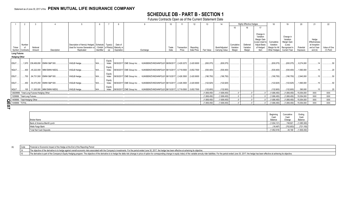# **SCHEDULE DB - PART B - SECTION 1**

Futures Contracts Open as of the Current Statement Date

|                               |        |                                            |                                      |                                                                                                                                       |            |                 |                       |                                                                                    |       |                      | 12                      |             |                                 |                                   | <b>Highly Effective Hedges</b>  |                                                                                                     | 18                                                        |                                                                                         |                       |                                                                   |                           |
|-------------------------------|--------|--------------------------------------------|--------------------------------------|---------------------------------------------------------------------------------------------------------------------------------------|------------|-----------------|-----------------------|------------------------------------------------------------------------------------|-------|----------------------|-------------------------|-------------|---------------------------------|-----------------------------------|---------------------------------|-----------------------------------------------------------------------------------------------------|-----------------------------------------------------------|-----------------------------------------------------------------------------------------|-----------------------|-------------------------------------------------------------------|---------------------------|
|                               |        |                                            |                                      |                                                                                                                                       |            |                 |                       |                                                                                    |       |                      |                         |             |                                 |                                   | 16                              |                                                                                                     |                                                           |                                                                                         |                       |                                                                   |                           |
| Ticker<br>Symbol Contracts    | Number | Notional<br>Amount                         | Description                          | Description of Item(s) Hedged, Schedule   Type(s)<br>Used for Income Generation or / Exhibit   of Risk(s)   Maturity or<br>Replicated | Identifier |                 | Date of<br>Expiration | Exchange                                                                           | Trade | Transaction<br>Price | Reporting<br>Date Price | Fair Value  | Book/Adjusted<br>Carrving Value | Cumulative<br>Variation<br>Margin | Deferred<br>Variation<br>Margin | Change in<br>Variation<br>Margin Gain<br>(Loss) Used to<br><b>Adjust Basis</b><br>of Hedged<br>Item | Cumulative<br>Variation<br>Margin for All<br>Other Hedges | Change in<br>Variation<br>Margin Gain<br>(Loss)<br>Recognized in<br><b>Current Year</b> | Potential<br>Exposure | Hedge<br>Effectiveness<br>at Inception<br>and at Year-<br>end (b) | Value of One<br>(1) Point |
| <b>Long Futures</b>           |        |                                            |                                      |                                                                                                                                       |            |                 |                       |                                                                                    |       |                      |                         |             |                                 |                                   |                                 |                                                                                                     |                                                           |                                                                                         |                       |                                                                   |                           |
| <b>Hedging Other</b>          |        |                                            |                                      |                                                                                                                                       |            |                 |                       |                                                                                    |       |                      |                         |             |                                 |                                   |                                 |                                                                                                     |                                                           |                                                                                         |                       |                                                                   |                           |
| <b>ESU7</b>                   |        |                                            | 1,970   238,458,650   EMINI S&P 500. | VAGLB Hedge.                                                                                                                          |            | Equity<br>Index |                       | 09/30/2017 CME Group Inc.  KJNXBSWZVIKEX4NFOL81 06/09/2017 2,429.3272              |       |                      | .2,420.9000             | (830,075)   | (830, 075)                      |                                   |                                 |                                                                                                     | (830,075)                                                 | (830,075)                                                                               | 0.8,274,000           |                                                                   |                           |
| NQU7.                         |        |                                            | 400 45,222,000 IMM EMINI NSDQ.       | VAGLB Hedge.                                                                                                                          | N/A        | Equity<br>Index |                       | 09/30/2017 CME Group Inc.  KJNXBSWZVIKEX4NFOL81 06/13/2017 5,719.0500              |       |                      | .5,652.7500             | (530,400)   | (530, 400)                      |                                   |                                 |                                                                                                     | (530, 400)                                                | (530, 400)                                                                              | .1,560,000            |                                                                   |                           |
| <b>ESU7</b>                   |        |                                            | 700 84,731,500 EMINI S&P 500.        | VAGLB Hedge.                                                                                                                          |            | Equity<br>Index |                       | 09/30/2017 CME Group Inc.  KJNXBSWZVIKEX4NFOL81 06/13/2017 2,426.3500              |       |                      | .2,420.9000             | (190,750)   | (190,750)                       |                                   |                                 |                                                                                                     | (190, 750)                                                | (190, 750)                                                                              | 0.2,940,000           |                                                                   |                           |
| <b>ESU7</b>                   |        |                                            | 450 54,470,250 EMINI S&P 500.        | VAGLB Hedge.                                                                                                                          |            | Equity<br>Index |                       | 09/30/2017 CME Group Inc.  KJNXBSWZVIKEX4NFOL81 06/13/2017 2,426.3500              |       |                      | .2,420.9000             | (122,625)   | (122, 625)                      |                                   |                                 |                                                                                                     | (122, 625)                                                | .(122,625)                                                                              | .1,890,000            |                                                                   |                           |
| <b>NQU7</b>                   |        |                                            | 100 11.305.500 IMM EMINI NSDQ.       | VAGLB Hedge.                                                                                                                          |            | Equity<br>Index |                       | 09/30/2017  CME Group Inc.  KJNXBSWZVIKEX4NFOL81 06/13/2017  5,719.0500 5,652.7500 |       |                      |                         | (132,600)   | (132,600)                       |                                   |                                 |                                                                                                     | (132.600)                                                 | (132,600)                                                                               | 390.000               |                                                                   |                           |
|                               |        | 12829999. Total-Long Futures-Hedging Other |                                      |                                                                                                                                       |            |                 |                       |                                                                                    |       |                      |                         | (1,806,450) | (1,806,450)                     |                                   |                                 |                                                                                                     | (1,806,450)                                               | (1,806,450)                                                                             | 15,054,000            | <b>XXX</b>                                                        | <b>XXX</b>                |
| 1329999. Total-Long Futures.  |        |                                            |                                      |                                                                                                                                       |            |                 |                       |                                                                                    |       |                      |                         | (1.806.450) | (1.806.450)                     |                                   |                                 |                                                                                                     | (1.806.450)                                               | (1,806,450)                                                                             | 15,054,000            | <b>XXX</b>                                                        | <b>XXX</b>                |
| 1409999. Total-Hedging Other. |        |                                            |                                      |                                                                                                                                       |            |                 |                       |                                                                                    |       |                      |                         | (1,806,450) | (1,806,450)                     |                                   |                                 |                                                                                                     | (1,806,450)                                               | (1,806,450)                                                                             | .15,054,000           | <b>XXX</b>                                                        | XXX                       |
| 1449999. TOTAL.               |        |                                            |                                      |                                                                                                                                       |            |                 |                       |                                                                                    |       |                      |                         | (1.806.450) | (1.806.450                      |                                   |                                 |                                                                                                     | (1.806.450)                                               | (1,806,450)                                                                             | 15,054,000            | <b>XXX</b>                                                        | XXX                       |

**Q E 0 7**

| <b>Broker Name</b>            | Beginnin,<br>Cash<br>Balance | Cumulativ<br>Cash<br>Change             | Ending<br>Cash<br>Balance |
|-------------------------------|------------------------------|-----------------------------------------|---------------------------|
| Bank of America Merrill Lynch | (1,834,121)                  | 748,821                                 | (1,085,300)               |
| Wells Fargo Bank              | $(18, 497)$                  | (702, 653)                              | (721, 150)                |
| Total Net Cash Deposits       |                              | $\dots(1,852,618)$ $\dots\dots(46,168)$ | (1,806,450)               |

| (b) | Code | Financial or Economic Impact of the Hedge at the End of the Reporting Period |  |
|-----|------|------------------------------------------------------------------------------|--|
|     |      |                                                                              |  |

14 The objective of the derivative is to hedge against overall economic risks associated with the Company's investments. For the period ended June 30, 2017, the hedge has been effective at acheiving its objective.

15 The derivative is part of the Company's Equity Hedging program. The objective of the derivative is to hedge the delta risk (change in price of option for corresponding change in equity index) of the variable annuity rid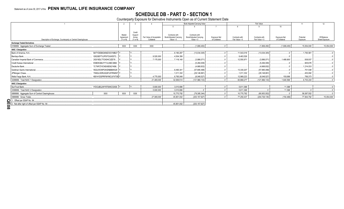# **SCHEDULE DB - PART D - SECTION 1**<br>Counterparty Exposure for Derivative Instruments Open as of Current Statement Date

|                                                                |                          |                     |                   |                          | Book Adjusted Carrying Value |                        |               |                | 11              | 12                  |             |                |
|----------------------------------------------------------------|--------------------------|---------------------|-------------------|--------------------------|------------------------------|------------------------|---------------|----------------|-----------------|---------------------|-------------|----------------|
|                                                                |                          |                     |                   |                          |                              |                        |               |                |                 | 10                  |             |                |
|                                                                |                          |                     |                   |                          |                              |                        |               |                |                 |                     |             |                |
|                                                                |                          | Master              | Credit<br>Support |                          | Contracts with               | Contracts with         |               |                |                 |                     |             |                |
|                                                                |                          | Agreement           | Annex             | Fair Value of Acceptable | Book/Adjusted Carrying       | Book/Adjusted Carrying | Exposure Net  | Contracts with | Contracts with  | <b>Exposure Net</b> | Potential   | Off-Balance    |
| Description of Exchange, Counterparty or Central Clearinghouse |                          | $(Y \text{ or } N)$ | (Y or N)          | Collateral               | Value $> 0$                  | Value $< 0$            | of Collateral | Fair Value > 0 | Fair Value < 0  | of Collateral       | Exposure    | Sheet Exposure |
| <b>Exchange Traded Derivatives</b>                             |                          |                     |                   |                          |                              |                        |               |                |                 |                     |             |                |
| 0199999. Aggregate Sum of Exchange Traded                      |                          | <b>XXX</b>          | XXX               | <b>XXX</b>               |                              | (1,806,450)            |               |                | (1,806,450)     | (1,806,450)         | .15,054,000 | 15,054,000     |
| <b>NAIC 1 Designation</b>                                      |                          |                     |                   |                          |                              |                        |               |                |                 |                     |             |                |
| Bank of America, N.A.                                          | B4TYDEB6GKMZO031MB27 Y.  |                     |                   |                          | .6,180,297                   | (13,034,305)           |               | 11,543,018     | (13,034,305)    |                     | .1,700,581  |                |
| Barclays Bank                                                  | G5GSEF7VJP5I7OUK5573     |                     |                   | .9,520,000               | .4,504,356                   |                        |               | 9,463,526      |                 |                     |             |                |
| Canadian Imperial Bank of Commerce                             | 2IGI19DL77OX0HC3ZE78.    |                     |                   | .7,175,000               | .7,118,140                   | (3,886,071)            |               | .12,550,971    | (3.886.071      | 1,489,900           | 938.937     |                |
| Credit Suisse International                                    | E58DKGMJYYYJLN8C3868.    |                     |                   |                          |                              | (5,294,009)            |               |                | (5,294,009)     |                     | 905,676     |                |
| Deutsche Bank.                                                 | 7LTWFZYICNSX8D621K86.    |                     |                   |                          |                              | (4,668,832)            |               |                | (4,668,832)     |                     | 1,214,033   |                |
| Goldman Sachs International.                                   | W22LROWP2IHZNBB6K528     |                     |                   |                          | .6,490,341                   | (57,885,498)           |               | .13,330,207    | (57,885,498)    |                     | 701,548     |                |
| JPMorgan Chase                                                 | 7H6GLXDRUGQFU57RNE97     |                     |                   |                          | .1,011,332                   | (29, 148, 891)         |               | .1,011,332     | (29, 148, 891)  |                     | 453,082     |                |
| Wells Fargo Bank, N.A.                                         | KB1H1DSPRFMYMCUFXT09     |                     |                   | .4,770,000               | .6,765,048                   | (8,048,527)            |               | 12,969,223     | (8,048,527)     | .150,696            | 789,373     |                |
| 0299999. Total NAIC 1 Designation.                             |                          |                     |                   | .21,465,000              | .32,069,514                  | (121, 966, 133)        |               | 60,868,277     | (121, 966, 133) | 1,640,596           | .6.703.230  |                |
| <b>NAIC 2 Designation</b>                                      |                          |                     |                   |                          |                              |                        |               |                |                 |                     |             |                |
| SunTrust Bank                                                  | IYDOJBGJWY9T8XKCSX06. Y. |                     |                   | .5,600,000               | .3,010,696                   |                        |               | 5,611,368      |                 | .11.368             |             |                |
| 0399999. Total NAIC 2 Designation.                             |                          |                     |                   | .5,600,000               | 3,010,696                    |                        |               | 5,611,368      |                 | .11,368             |             |                |
| 0899999. Aggregate Sum of Central Clearinghouse.               | <b>XXX</b>               | <b>XXX</b>          | <b>XXX</b>        |                          | 10,770,792                   | (79, 385, 344)         |               | .10,770,792    | (80,953,552)    |                     | .56,087,552 |                |
| 0999999. Gross Totals                                          |                          |                     |                   | .27,065,000              | .45,851,002                  | (203, 157, 927)        |               | 77,250,437     | (204, 726, 135) | (154, 486)          | .77,844,782 | 15,054,000     |
| 1. Offset per SSAP No. 64.                                     |                          |                     |                   |                          |                              |                        |               |                |                 |                     |             |                |
| 2. Net after right of offset per SSAP No. 64.                  |                          |                     |                   |                          | .45,851,002                  | (203, 157, 927)        |               |                |                 |                     |             |                |
| $\overline{8}$                                                 |                          |                     |                   |                          |                              |                        |               |                |                 |                     |             |                |
|                                                                |                          |                     |                   |                          |                              |                        |               |                |                 |                     |             |                |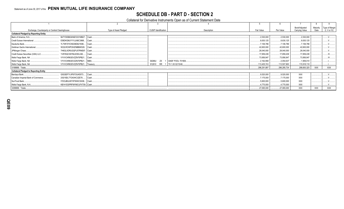## **SCHEDULE DB - PART D - SECTION 2**

#### Collateral for Derivative Instruments Open as of Current Statement Date

| Exchange, Counterparty or Central Clearinghouse                 | Type of Asset Pledged | <b>CUSIP</b> Identification | Description            | Fair Value   | Par Value    | Book/Adjusted<br>Carrying Value | Maturity<br>Date | Type of Margin<br>(I, V or IV) |
|-----------------------------------------------------------------|-----------------------|-----------------------------|------------------------|--------------|--------------|---------------------------------|------------------|--------------------------------|
| <b>Collateral Pledged by Reporting Entity</b>                   |                       |                             |                        |              |              |                                 |                  |                                |
| B4TYDEB6GKMZO031MB27 Cash<br>Bank of America, N.A               |                       |                             |                        | 2,530,000    | .2,530,000   | .2,530,000                      |                  |                                |
| E58DKGMJYYYJLN8C3868 Cash<br><b>Credit Suisse International</b> |                       |                             |                        | .8,630,125   | .8,630,125   | .8,630,125                      |                  |                                |
| Deutsche Bank<br>7LTWFZYICNSX8D621K86 Cash.                     |                       |                             |                        | .7,106,786   | .7,106,786   | .7,106,786                      |                  |                                |
| Goldman Sachs International.<br>W22LROWP2IHZNBB6K528 Cash       |                       |                             |                        | .42,600,000  | .42,600,000  | .42.600.000                     |                  |                                |
| JPMorgan Chase<br>7H6GLXDRUGQFU57RNE97. Cash                    |                       |                             |                        | .28,040,000  | .28,040,000  | .28,040,000                     |                  |                                |
| Credit Suisse Securities (USA) LLC.<br>1V8Y6QCX6YMJ2OELII46     | Cash                  |                             |                        | .17,859,439  | 17,859,439   | 17,859,439                      |                  | $.W$                           |
| Wells Fargo Bank, NA.<br>VYVVCKR63DVZZN70PB21                   | . Cash.               |                             |                        | .73,956,847  | .73,956,847  | .73,956,847                     |                  | IV                             |
| Wells Fargo Bank, NA<br>VYVVCKR63DVZZN70PB21                    | MBS.                  | ZX<br>36296U                | GNSF POOL 701958.      | .2,162,958   | .2,054,637   | .1,959,010                      |                  |                                |
| Wells Fargo Bank, NA.<br>VYVVCKR63DVZZN70PB21.                  | I Treasurv            | 912810<br><b>RR</b>         | 1   TII 1.00 02/15/46. | .113,405,743 | 113,507,900  | 115,918,118                     |                  |                                |
| 0199999. Totals.                                                |                       |                             |                        | .296,291,897 | .296,285,734 | .298,600,325                    | <b>XXX</b>       | XXX                            |
| <b>Collateral Pledged to Reporting Entity</b>                   |                       |                             |                        |              |              |                                 |                  |                                |
| Barclays Bank.<br>G5GSEF7VJP5I7OUK5573 Cash                     |                       |                             |                        | .9,520,000   | .9,520,000   | <b>XXX</b>                      |                  |                                |
| Canadian Imperial Bank of Commerce.<br>2IGI19DL77OX0HC3ZE78     | Cash.                 |                             |                        | 7,175,000    | .7,175,000   | <b>XXX</b>                      |                  |                                |
| SunTrust Bank<br>IYDOJBGJWY9T8XKCSX06   Cash                    |                       |                             |                        | .5,600,000   | .5,600,000   | <b>XXX</b>                      |                  |                                |
| KB1H1DSPRFMYMCUFXT09. Cash<br>Wells Fargo Bank, N.A             |                       |                             |                        | .4,770,000   | .4,770,000   | XXX                             |                  |                                |
| 0299999. Totals                                                 |                       |                             |                        | 27,065,000   | .27,065,000  | <b>XXX</b>                      | <b>XXX</b>       | XXX                            |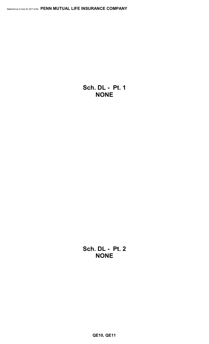**Sch. DL - Pt. 1 NONE**

**Sch. DL - Pt. 2 NONE**

**QE10, QE11**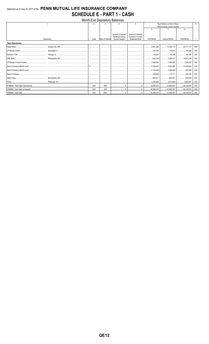## Statement as of June 30, 2017 of the PENN MUTUAL LIFE INSURANCE COMPANY **SCHEDULE E - PART 1 - CASH**

| Month End Depository Balances |            |            |                  |                        |                       |                                     |                                  |                    |            |  |  |
|-------------------------------|------------|------------|------------------|------------------------|-----------------------|-------------------------------------|----------------------------------|--------------------|------------|--|--|
|                               |            |            | २                |                        | 5                     | Book Balance at End of Each         |                                  |                    |            |  |  |
|                               |            |            |                  |                        |                       | Month During Current Quarter        |                                  |                    |            |  |  |
|                               |            |            |                  |                        |                       | $\mathsf{6}$                        |                                  | 8                  |            |  |  |
|                               |            |            |                  | Amount of Interest     | Amount of Interest    |                                     |                                  |                    |            |  |  |
|                               |            |            |                  | <b>Received During</b> | Accrued at Current    |                                     |                                  |                    |            |  |  |
|                               | Depository | Code       | Rate of Interest | <b>Current Quarter</b> | <b>Statement Date</b> | First Month                         | Second Month                     | <b>Third Month</b> |            |  |  |
| <b>Open Depositories</b>      |            |            |                  |                        |                       |                                     |                                  |                    |            |  |  |
|                               |            |            |                  |                        |                       | 9,541,929                           |                                  |                    | <b>XXX</b> |  |  |
|                               |            |            |                  |                        |                       |                                     | 140,792 134,610 105,825          |                    | XXX        |  |  |
|                               |            |            |                  |                        |                       |                                     |                                  |                    | <b>XXX</b> |  |  |
|                               |            |            |                  |                        |                       |                                     |                                  |                    | <b>XXX</b> |  |  |
|                               |            |            |                  |                        |                       |                                     |                                  |                    | <b>XXX</b> |  |  |
|                               |            |            |                  |                        |                       |                                     |                                  |                    | <b>XXX</b> |  |  |
|                               |            |            |                  |                        |                       | │ (1,134,000) │ 1,294,659 │ 592,400 |                                  |                    | <b>XXX</b> |  |  |
|                               |            |            |                  |                        |                       |                                     |                                  |                    | XXX        |  |  |
|                               |            |            |                  |                        |                       |                                     |                                  |                    | <b>XXX</b> |  |  |
|                               |            |            |                  |                        |                       |                                     | 3,973,665   3,856,597            |                    | <b>XXX</b> |  |  |
|                               |            | <b>XXX</b> | <b>XXX</b>       | 0                      |                       |                                     | 32,084,610 31,958,397 58,140,879 |                    | <b>XXX</b> |  |  |
|                               |            | XXX        | <b>XXX</b>       |                        |                       |                                     | 32,084,610 31,958,397 58,140,879 |                    | <b>XXX</b> |  |  |
|                               |            | XXX        | <b>XXX</b>       |                        | 0                     | 32,084,610                          | 31,958,397   58,140,879          |                    | <b>XXX</b> |  |  |